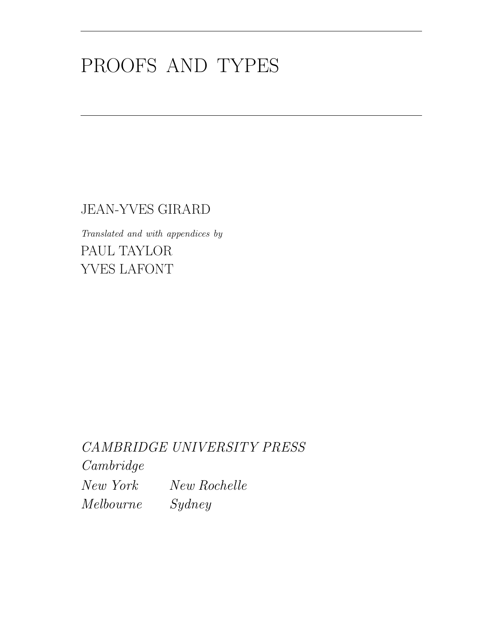# PROOFS AND TYPES

JEAN-YVES GIRARD

Translated and with appendices by PAUL TAYLOR YVES LAFONT

CAMBRIDGE UNIVERSITY PRESS Cambridge New York New Rochelle Melbourne Sydney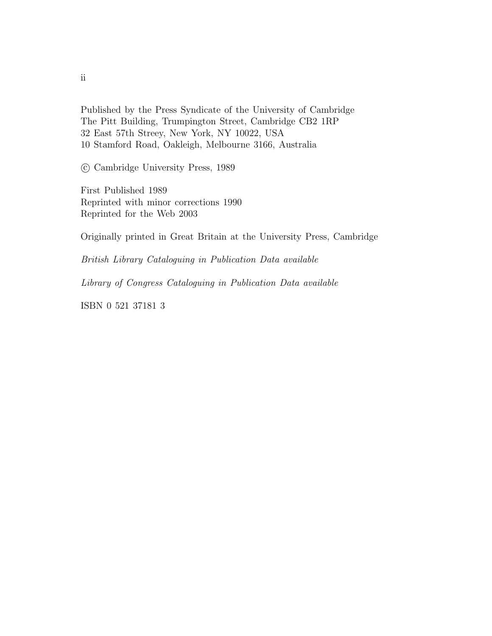Published by the Press Syndicate of the University of Cambridge The Pitt Building, Trumpington Street, Cambridge CB2 1RP 32 East 57th Streey, New York, NY 10022, USA 10 Stamford Road, Oakleigh, Melbourne 3166, Australia

c Cambridge University Press, 1989

First Published 1989 Reprinted with minor corrections 1990 Reprinted for the Web 2003

Originally printed in Great Britain at the University Press, Cambridge

British Library Cataloguing in Publication Data available

Library of Congress Cataloguing in Publication Data available

ISBN 0 521 37181 3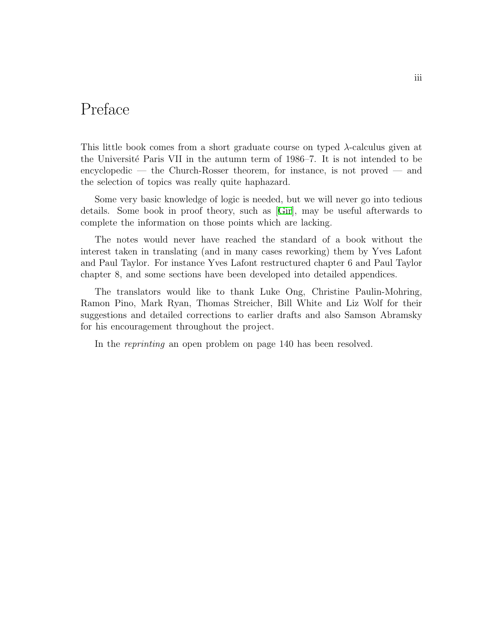## Preface

This little book comes from a short graduate course on typed λ-calculus given at the Université Paris VII in the autumn term of 1986–7. It is not intended to be encyclopedic — the Church-Rosser theorem, for instance, is not proved — and the selection of topics was really quite haphazard.

Some very basic knowledge of logic is needed, but we will never go into tedious details. Some book in proof theory, such as [\[Gir](#page-169-0)], may be useful afterwards to complete the information on those points which are lacking.

The notes would never have reached the standard of a book without the interest taken in translating (and in many cases reworking) them by Yves Lafont and Paul Taylor. For instance Yves Lafont restructured chapter 6 and Paul Taylor chapter 8, and some sections have been developed into detailed appendices.

The translators would like to thank Luke Ong, Christine Paulin-Mohring, Ramon Pino, Mark Ryan, Thomas Streicher, Bill White and Liz Wolf for their suggestions and detailed corrections to earlier drafts and also Samson Abramsky for his encouragement throughout the project.

In the reprinting an open problem on page 140 has been resolved.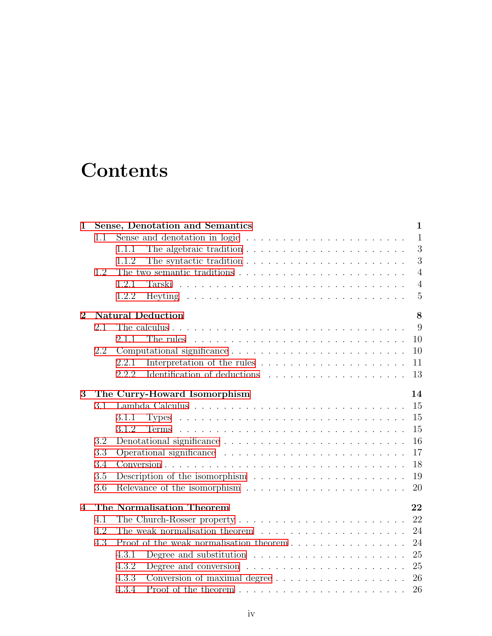# **Contents**

| 1              |                                 | Sense, Denotation and Semantics                                                           | $\mathbf{1}$   |  |  |  |  |  |  |  |
|----------------|---------------------------------|-------------------------------------------------------------------------------------------|----------------|--|--|--|--|--|--|--|
|                | 1.1                             | Sense and denotation in logic $\ldots \ldots \ldots \ldots \ldots \ldots \ldots$          | $\mathbf{1}$   |  |  |  |  |  |  |  |
|                |                                 | 1.1.1                                                                                     | 3              |  |  |  |  |  |  |  |
|                |                                 | 1.1.2                                                                                     | 3              |  |  |  |  |  |  |  |
|                | 1.2                             |                                                                                           | $\overline{4}$ |  |  |  |  |  |  |  |
|                |                                 | 1.2.1                                                                                     | $\overline{4}$ |  |  |  |  |  |  |  |
|                |                                 | 1.2.2                                                                                     | $\overline{5}$ |  |  |  |  |  |  |  |
| $\overline{2}$ |                                 | <b>Natural Deduction</b>                                                                  | 8              |  |  |  |  |  |  |  |
|                | 2.1                             |                                                                                           | 9              |  |  |  |  |  |  |  |
|                |                                 | 10<br>2.1.1                                                                               |                |  |  |  |  |  |  |  |
|                | 2.2                             | 10                                                                                        |                |  |  |  |  |  |  |  |
|                |                                 | 11<br>2.2.1                                                                               |                |  |  |  |  |  |  |  |
|                |                                 | 13<br>2.2.2                                                                               |                |  |  |  |  |  |  |  |
| 3              |                                 | 14<br>The Curry-Howard Isomorphism                                                        |                |  |  |  |  |  |  |  |
|                | 3.1                             | 15                                                                                        |                |  |  |  |  |  |  |  |
|                |                                 | 15<br>3.1.1                                                                               |                |  |  |  |  |  |  |  |
|                |                                 | 15<br>3.1.2                                                                               |                |  |  |  |  |  |  |  |
|                | 3.2                             | 16                                                                                        |                |  |  |  |  |  |  |  |
|                | 3.3                             | 17                                                                                        |                |  |  |  |  |  |  |  |
|                | 3.4                             | 18                                                                                        |                |  |  |  |  |  |  |  |
|                | 3.5                             | 19<br>Description of the isomorphism $\ldots \ldots \ldots \ldots \ldots \ldots \ldots$   |                |  |  |  |  |  |  |  |
|                | 3.6                             | 20                                                                                        |                |  |  |  |  |  |  |  |
| 4              | The Normalisation Theorem<br>22 |                                                                                           |                |  |  |  |  |  |  |  |
|                | 4.1                             | 22<br>The Church-Rosser property $\dots \dots \dots \dots \dots \dots \dots \dots \dots$  |                |  |  |  |  |  |  |  |
|                | 4.2                             | 24                                                                                        |                |  |  |  |  |  |  |  |
|                | 4.3                             | Proof of the weak normalisation theorem<br>24                                             |                |  |  |  |  |  |  |  |
|                |                                 | Degree and substitution $\ldots \ldots \ldots \ldots \ldots \ldots \ldots$<br>25<br>4.3.1 |                |  |  |  |  |  |  |  |
|                |                                 | 25<br>4.3.2<br>Degree and conversion $\dots \dots \dots \dots \dots \dots \dots \dots$    |                |  |  |  |  |  |  |  |
|                |                                 | 4.3.3<br>26                                                                               |                |  |  |  |  |  |  |  |
|                |                                 | 4.3.4<br>26                                                                               |                |  |  |  |  |  |  |  |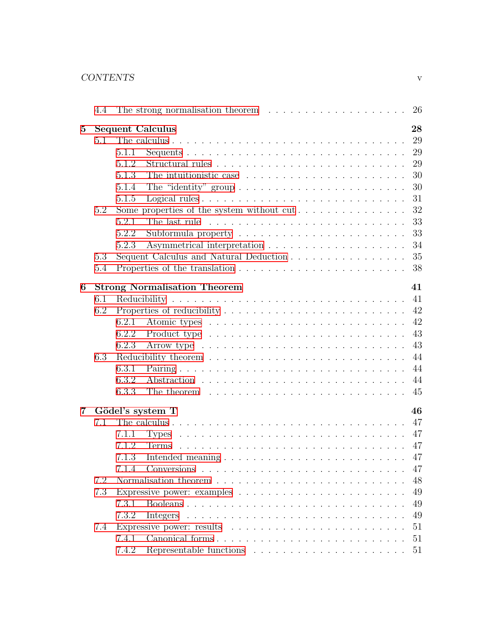|                | 4.4 | The strong normalisation theorem $\ldots \ldots \ldots \ldots \ldots \ldots$<br>26          |  |
|----------------|-----|---------------------------------------------------------------------------------------------|--|
| $\mathbf{5}$   |     | <b>Sequent Calculus</b><br>28                                                               |  |
|                | 5.1 | 29                                                                                          |  |
|                |     | 29<br>5.1.1                                                                                 |  |
|                |     | 29<br>5.1.2                                                                                 |  |
|                |     | 30<br>5.1.3                                                                                 |  |
|                |     | 30<br>5.1.4<br>The "identity" group $\dots \dots \dots \dots \dots \dots \dots \dots \dots$ |  |
|                |     | 31<br>5.1.5                                                                                 |  |
|                | 5.2 | 32<br>Some properties of the system without cut                                             |  |
|                |     | 33<br>5.2.1                                                                                 |  |
|                |     | 33<br>5.2.2                                                                                 |  |
|                |     | 34<br>5.2.3                                                                                 |  |
|                | 5.3 | 35<br>Sequent Calculus and Natural Deduction                                                |  |
|                | 5.4 | 38                                                                                          |  |
|                |     |                                                                                             |  |
| 6              |     | <b>Strong Normalisation Theorem</b><br>41                                                   |  |
|                | 6.1 | 41                                                                                          |  |
|                | 6.2 | 42                                                                                          |  |
|                |     | 42<br>6.2.1                                                                                 |  |
|                |     | 43<br>6.2.2                                                                                 |  |
|                |     | 43<br>6.2.3                                                                                 |  |
|                | 6.3 | 44                                                                                          |  |
|                |     | 44<br>6.3.1                                                                                 |  |
|                |     | 44<br>6.3.2                                                                                 |  |
|                |     | 45<br>6.3.3                                                                                 |  |
| $\overline{7}$ |     | Gödel's system T<br>46                                                                      |  |
|                | 7.1 | 47                                                                                          |  |
|                |     | 47<br>7.1.1                                                                                 |  |
|                |     | 47<br>7.1.2                                                                                 |  |
|                |     | 7.1.3<br>47                                                                                 |  |
|                |     | 7.1.4<br>47                                                                                 |  |
|                | 7.2 | 48                                                                                          |  |
|                | 7.3 | 49                                                                                          |  |
|                |     | 49<br>7.3.1<br>Booleans                                                                     |  |
|                |     | 7.3.2<br>49                                                                                 |  |
|                | 7.4 | 51                                                                                          |  |
|                |     | Canonical forms<br>7.4.1<br>51                                                              |  |
|                |     | 51<br>7.4.2                                                                                 |  |
|                |     |                                                                                             |  |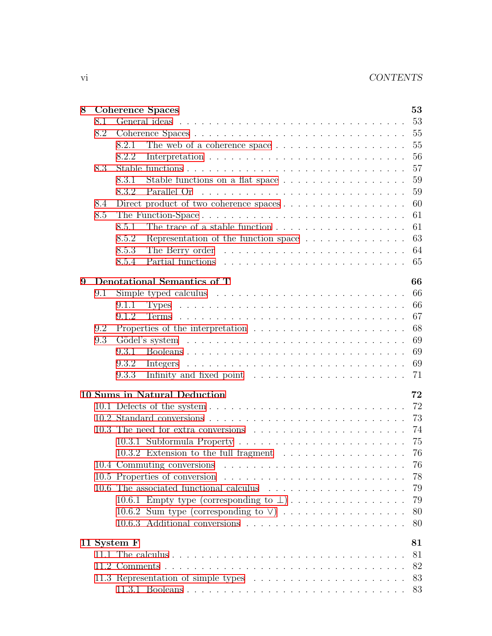| 8 | <b>Coherence Spaces</b> |                                                                                       |  |  |  |  |
|---|-------------------------|---------------------------------------------------------------------------------------|--|--|--|--|
|   | 8.1                     | 53                                                                                    |  |  |  |  |
|   | 8.2                     | 55                                                                                    |  |  |  |  |
|   |                         | 55<br>8.2.1                                                                           |  |  |  |  |
|   |                         | 56<br>8.2.2                                                                           |  |  |  |  |
|   | 8.3                     | 57                                                                                    |  |  |  |  |
|   |                         | 59<br>Stable functions on a flat space $\dots \dots \dots \dots \dots \dots$<br>8.3.1 |  |  |  |  |
|   |                         | 59<br>8.3.2<br>Parallel Or                                                            |  |  |  |  |
|   | 8.4                     | Direct product of two coherence spaces<br>60                                          |  |  |  |  |
|   | 8.5                     | 61<br>The Function-Space                                                              |  |  |  |  |
|   |                         | The trace of a stable function $\dots \dots \dots \dots \dots \dots$<br>61<br>8.5.1   |  |  |  |  |
|   |                         | 63<br>8.5.2<br>Representation of the function space                                   |  |  |  |  |
|   |                         | 64<br>8.5.3                                                                           |  |  |  |  |
|   |                         | 65<br>8.5.4                                                                           |  |  |  |  |
|   |                         | 66<br>Denotational Semantics of T                                                     |  |  |  |  |
| 9 | 9.1                     | Simple typed calculus $\ldots \ldots \ldots \ldots \ldots \ldots \ldots \ldots$<br>66 |  |  |  |  |
|   |                         | 66<br>9.1.1                                                                           |  |  |  |  |
|   |                         | 67                                                                                    |  |  |  |  |
|   | 9.2                     | 9.1.2<br>68                                                                           |  |  |  |  |
|   |                         | 69                                                                                    |  |  |  |  |
|   | 9.3                     |                                                                                       |  |  |  |  |
|   |                         | 69<br>9.3.1                                                                           |  |  |  |  |
|   |                         | 69<br>9.3.2<br>9.3.3                                                                  |  |  |  |  |
|   |                         | Infinity and fixed point $\dots \dots \dots \dots \dots \dots \dots \dots$<br>71      |  |  |  |  |
|   |                         | 10 Sums in Natural Deduction<br>72                                                    |  |  |  |  |
|   |                         | 72                                                                                    |  |  |  |  |
|   |                         | 73                                                                                    |  |  |  |  |
|   |                         | 74                                                                                    |  |  |  |  |
|   |                         | 75                                                                                    |  |  |  |  |
|   |                         | 76                                                                                    |  |  |  |  |
|   |                         | 76                                                                                    |  |  |  |  |
|   |                         | 78                                                                                    |  |  |  |  |
|   |                         | 79                                                                                    |  |  |  |  |
|   |                         | 10.6.1 Empty type (corresponding to $\perp$ )<br>79                                   |  |  |  |  |
|   |                         | 10.6.2 Sum type (corresponding to $\vee$ )<br>80                                      |  |  |  |  |
|   |                         | 80                                                                                    |  |  |  |  |
|   |                         | 11 System F<br>81                                                                     |  |  |  |  |
|   |                         | 81                                                                                    |  |  |  |  |
|   |                         | 82                                                                                    |  |  |  |  |
|   |                         | 83                                                                                    |  |  |  |  |
|   |                         |                                                                                       |  |  |  |  |
|   |                         |                                                                                       |  |  |  |  |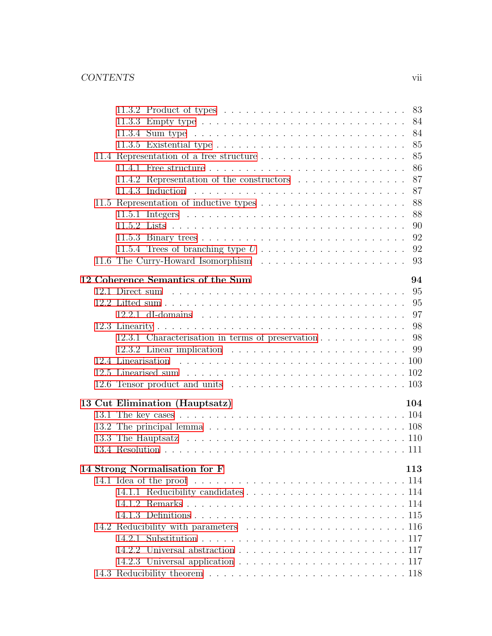| 11.3.2 Product of types $\dots \dots \dots \dots \dots \dots \dots \dots \dots$                               | 83  |
|---------------------------------------------------------------------------------------------------------------|-----|
|                                                                                                               | 84  |
|                                                                                                               | 84  |
|                                                                                                               | 85  |
|                                                                                                               | 85  |
|                                                                                                               | 86  |
| 11.4.2 Representation of the constructors                                                                     | 87  |
|                                                                                                               | 87  |
|                                                                                                               | 88  |
|                                                                                                               | 88  |
|                                                                                                               | 90  |
|                                                                                                               | 92  |
|                                                                                                               | 92  |
|                                                                                                               | 93  |
|                                                                                                               |     |
| 12 Coherence Semantics of the Sum                                                                             | 94  |
|                                                                                                               | 95  |
|                                                                                                               | 95  |
|                                                                                                               | 97  |
|                                                                                                               | -98 |
| 12.3.1 Characterisation in terms of preservation                                                              | 98  |
|                                                                                                               |     |
| 12.4 Linearisation $\ldots \ldots \ldots \ldots \ldots \ldots \ldots \ldots \ldots \ldots \ldots \ldots 100$  |     |
| 12.5 Linearised sum $\ldots \ldots \ldots \ldots \ldots \ldots \ldots \ldots \ldots \ldots \ldots \ldots 102$ |     |
|                                                                                                               |     |
| 13 Cut Elimination (Hauptsatz)<br>104                                                                         |     |
|                                                                                                               |     |
| 13.2 The principal lemma $\ldots \ldots \ldots \ldots \ldots \ldots \ldots \ldots \ldots \ldots 108$          |     |
|                                                                                                               |     |
|                                                                                                               |     |
|                                                                                                               |     |
| 14 Strong Normalisation for F<br>113                                                                          |     |
|                                                                                                               |     |
|                                                                                                               |     |
|                                                                                                               |     |
|                                                                                                               |     |
|                                                                                                               |     |
|                                                                                                               |     |
| 14.2.2 Universal abstraction $\ldots \ldots \ldots \ldots \ldots \ldots \ldots \ldots 117$                    |     |
|                                                                                                               |     |
|                                                                                                               |     |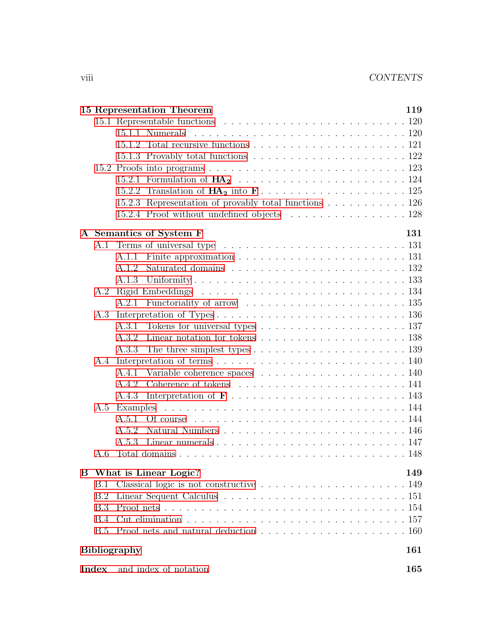|   |            | 15 Representation Theorem                                                                                       | 119 |
|---|------------|-----------------------------------------------------------------------------------------------------------------|-----|
|   |            |                                                                                                                 |     |
|   |            | 15.1.1 Numerals                                                                                                 |     |
|   |            | 15.1.2 Total recursive functions $\ldots$ , $\ldots$ , $\ldots$ , $\ldots$ , $\ldots$ , $\ldots$ , 121          |     |
|   |            |                                                                                                                 |     |
|   |            |                                                                                                                 |     |
|   |            |                                                                                                                 |     |
|   |            | 15.2.2 Translation of $HA_2$ into $F \ldots \ldots \ldots \ldots \ldots \ldots \ldots 125$                      |     |
|   |            | 15.2.3 Representation of provably total functions 126                                                           |     |
|   |            | 15.2.4 Proof without undefined objects 128                                                                      |     |
|   |            | A Semantics of System F                                                                                         | 131 |
|   | A.1        | Terms of universal type $\ldots \ldots \ldots \ldots \ldots \ldots \ldots \ldots 131$                           |     |
|   |            | A.1.1                                                                                                           |     |
|   |            | A.1.2                                                                                                           |     |
|   |            | A.1.3                                                                                                           |     |
|   | A.2        |                                                                                                                 |     |
|   |            | A.2.1                                                                                                           |     |
|   | A.3        |                                                                                                                 |     |
|   |            | A.3.1<br>Tokens for universal types $\ldots \ldots \ldots \ldots \ldots \ldots \ldots 137$                      |     |
|   |            | A 3.2                                                                                                           |     |
|   |            | A.3.3<br>The three simplest types $\dots \dots \dots \dots \dots \dots \dots \dots \dots \dots \dots \dots 139$ |     |
|   | A.4        |                                                                                                                 |     |
|   |            | A.4.1                                                                                                           |     |
|   |            | A.4.2                                                                                                           |     |
|   |            | A.4.3                                                                                                           |     |
|   | A.5        | Examples                                                                                                        |     |
|   |            | A.5.1                                                                                                           |     |
|   |            | A.5.2                                                                                                           |     |
|   |            | A.5.3                                                                                                           |     |
|   | A.6        |                                                                                                                 |     |
| B |            | What is Linear Logic?                                                                                           | 149 |
|   | B.1        |                                                                                                                 |     |
|   | B.2        |                                                                                                                 |     |
|   | B.3        |                                                                                                                 |     |
|   | <b>B.4</b> |                                                                                                                 |     |
|   | <b>B.5</b> |                                                                                                                 |     |
|   |            |                                                                                                                 |     |
|   |            | <b>Bibliography</b>                                                                                             | 161 |
|   | Index      | and index of notation                                                                                           | 165 |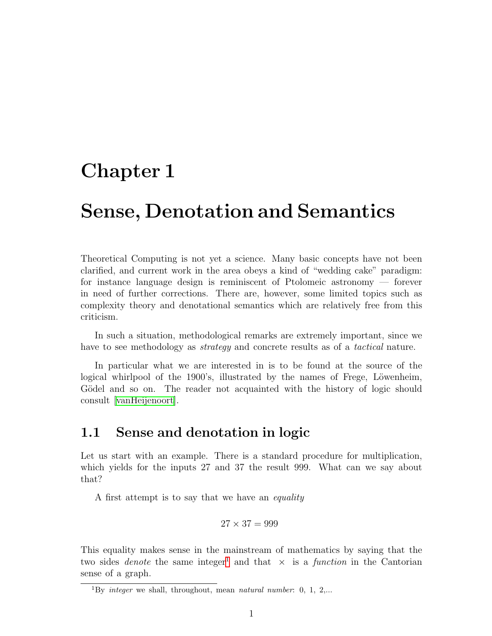## <span id="page-8-0"></span>Chapter 1

## Sense, Denotation and Semantics

Theoretical Computing is not yet a science. Many basic concepts have not been clarified, and current work in the area obeys a kind of "wedding cake" paradigm: for instance language design is reminiscent of Ptolomeic astronomy — forever in need of further corrections. There are, however, some limited topics such as complexity theory and denotational semantics which are relatively free from this criticism.

In such a situation, methodological remarks are extremely important, since we have to see methodology as *strategy* and concrete results as of a *tactical* nature.

In particular what we are interested in is to be found at the source of the logical whirlpool of the 1900's, illustrated by the names of Frege, Löwenheim, Gödel and so on. The reader not acquainted with the history of logic should consult[[vanHeijenoort](#page-171-0)].

### <span id="page-8-1"></span>1.1 Sense and denotation in logic

Let us start with an example. There is a standard procedure for multiplication, which yields for the inputs 27 and 37 the result 999. What can we say about that?

A first attempt is to say that we have an equality

$$
27 \times 37 = 999
$$

This equality makes sense in the mainstream of mathematics by saying that the two sides *denote* the same integer<sup>[1](#page-8-2)</sup> and that  $\times$  is a *function* in the Cantorian sense of a graph.

<span id="page-8-2"></span><sup>&</sup>lt;sup>1</sup>By *integer* we shall, throughout, mean *natural number*: 0, 1, 2,...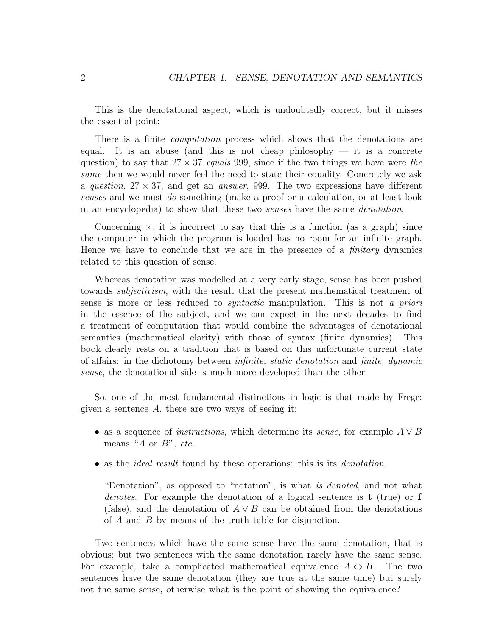This is the denotational aspect, which is undoubtedly correct, but it misses the essential point:

There is a finite *computation* process which shows that the denotations are equal. It is an abuse (and this is not cheap philosophy  $-$  it is a concrete question) to say that  $27 \times 37$  equals 999, since if the two things we have were the same then we would never feel the need to state their equality. Concretely we ask a question,  $27 \times 37$ , and get an answer, 999. The two expressions have different senses and we must do something (make a proof or a calculation, or at least look in an encyclopedia) to show that these two senses have the same denotation.

Concerning  $\times$ , it is incorrect to say that this is a function (as a graph) since the computer in which the program is loaded has no room for an infinite graph. Hence we have to conclude that we are in the presence of a *finitary* dynamics related to this question of sense.

Whereas denotation was modelled at a very early stage, sense has been pushed towards subjectivism, with the result that the present mathematical treatment of sense is more or less reduced to syntactic manipulation. This is not a priori in the essence of the subject, and we can expect in the next decades to find a treatment of computation that would combine the advantages of denotational semantics (mathematical clarity) with those of syntax (finite dynamics). This book clearly rests on a tradition that is based on this unfortunate current state of affairs: in the dichotomy between infinite, static denotation and finite, dynamic sense, the denotational side is much more developed than the other.

So, one of the most fundamental distinctions in logic is that made by Frege: given a sentence  $A$ , there are two ways of seeing it:

- as a sequence of *instructions*, which determine its *sense*, for example  $A \vee B$ means " $A$  or  $B$ ", etc..
- as the *ideal result* found by these operations: this is its *denotation*.

"Denotation", as opposed to "notation", is what is denoted, and not what denotes. For example the denotation of a logical sentence is  $t$  (true) or  $f$ (false), and the denotation of  $A \vee B$  can be obtained from the denotations of A and B by means of the truth table for disjunction.

Two sentences which have the same sense have the same denotation, that is obvious; but two sentences with the same denotation rarely have the same sense. For example, take a complicated mathematical equivalence  $A \Leftrightarrow B$ . The two sentences have the same denotation (they are true at the same time) but surely not the same sense, otherwise what is the point of showing the equivalence?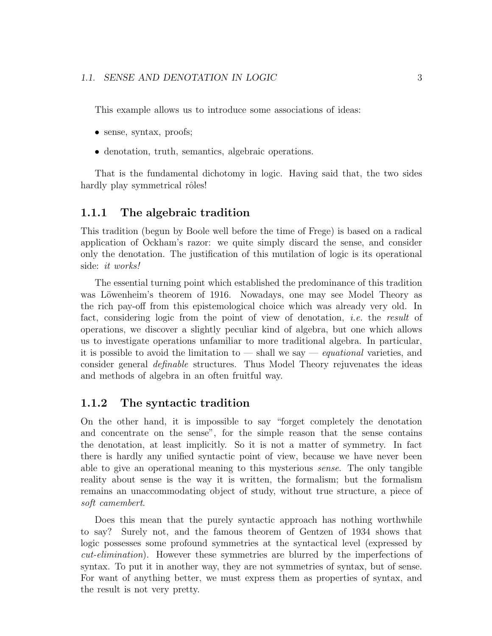This example allows us to introduce some associations of ideas:

- sense, syntax, proofs;
- denotation, truth, semantics, algebraic operations.

That is the fundamental dichotomy in logic. Having said that, the two sides hardly play symmetrical rôles!

#### <span id="page-10-0"></span>1.1.1 The algebraic tradition

This tradition (begun by Boole well before the time of Frege) is based on a radical application of Ockham's razor: we quite simply discard the sense, and consider only the denotation. The justification of this mutilation of logic is its operational side: it works!

The essential turning point which established the predominance of this tradition was Löwenheim's theorem of 1916. Nowadays, one may see Model Theory as the rich pay-off from this epistemological choice which was already very old. In fact, considering logic from the point of view of denotation, *i.e.* the result of operations, we discover a slightly peculiar kind of algebra, but one which allows us to investigate operations unfamiliar to more traditional algebra. In particular, it is possible to avoid the limitation to  $-$  shall we say  $-$  *equational* varieties, and consider general definable structures. Thus Model Theory rejuvenates the ideas and methods of algebra in an often fruitful way.

#### <span id="page-10-1"></span>1.1.2 The syntactic tradition

On the other hand, it is impossible to say "forget completely the denotation and concentrate on the sense", for the simple reason that the sense contains the denotation, at least implicitly. So it is not a matter of symmetry. In fact there is hardly any unified syntactic point of view, because we have never been able to give an operational meaning to this mysterious sense. The only tangible reality about sense is the way it is written, the formalism; but the formalism remains an unaccommodating object of study, without true structure, a piece of soft camembert.

Does this mean that the purely syntactic approach has nothing worthwhile to say? Surely not, and the famous theorem of Gentzen of 1934 shows that logic possesses some profound symmetries at the syntactical level (expressed by cut-elimination). However these symmetries are blurred by the imperfections of syntax. To put it in another way, they are not symmetries of syntax, but of sense. For want of anything better, we must express them as properties of syntax, and the result is not very pretty.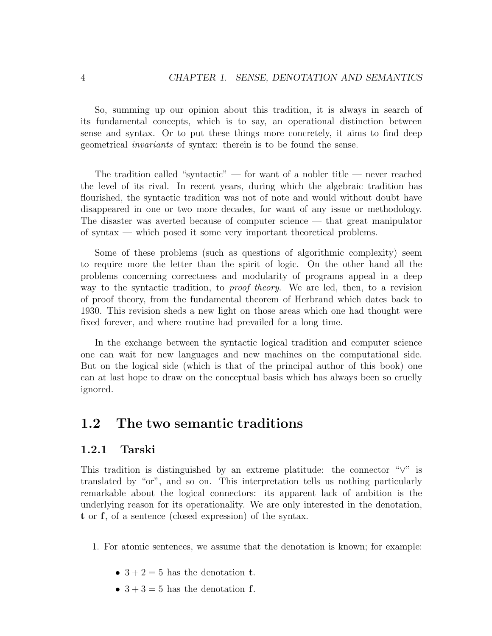So, summing up our opinion about this tradition, it is always in search of its fundamental concepts, which is to say, an operational distinction between sense and syntax. Or to put these things more concretely, it aims to find deep geometrical invariants of syntax: therein is to be found the sense.

The tradition called "syntactic" — for want of a nobler title — never reached the level of its rival. In recent years, during which the algebraic tradition has flourished, the syntactic tradition was not of note and would without doubt have disappeared in one or two more decades, for want of any issue or methodology. The disaster was averted because of computer science — that great manipulator of syntax — which posed it some very important theoretical problems.

Some of these problems (such as questions of algorithmic complexity) seem to require more the letter than the spirit of logic. On the other hand all the problems concerning correctness and modularity of programs appeal in a deep way to the syntactic tradition, to proof theory. We are led, then, to a revision of proof theory, from the fundamental theorem of Herbrand which dates back to 1930. This revision sheds a new light on those areas which one had thought were fixed forever, and where routine had prevailed for a long time.

In the exchange between the syntactic logical tradition and computer science one can wait for new languages and new machines on the computational side. But on the logical side (which is that of the principal author of this book) one can at last hope to draw on the conceptual basis which has always been so cruelly ignored.

### <span id="page-11-0"></span>1.2 The two semantic traditions

#### <span id="page-11-1"></span>1.2.1 Tarski

This tradition is distinguished by an extreme platitude: the connector "∨" is translated by "or", and so on. This interpretation tells us nothing particularly remarkable about the logical connectors: its apparent lack of ambition is the underlying reason for its operationality. We are only interested in the denotation, t or f, of a sentence (closed expression) of the syntax.

- 1. For atomic sentences, we assume that the denotation is known; for example:
	- $3 + 2 = 5$  has the denotation **t**.
	- $3 + 3 = 5$  has the denotation f.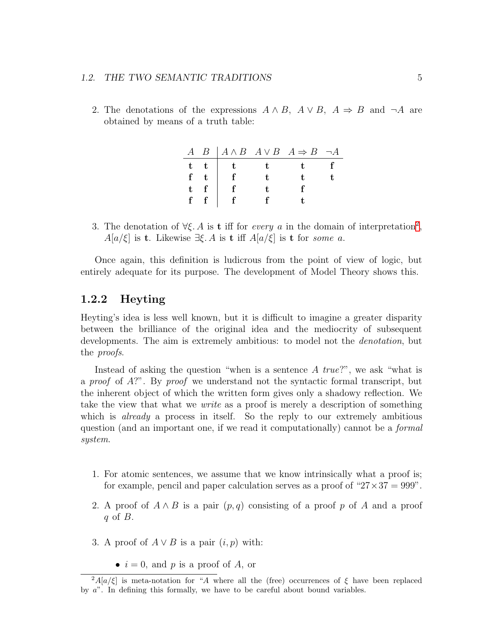#### 1.2. THE TWO SEMANTIC TRADITIONS  $5$

2. The denotations of the expressions  $A \wedge B$ ,  $A \vee B$ ,  $A \Rightarrow B$  and  $\neg A$  are obtained by means of a truth table:

|                         |                                                                                    |  | A B $A \wedge B$ $A \vee B$ $A \Rightarrow B \neg A$ |  |
|-------------------------|------------------------------------------------------------------------------------|--|------------------------------------------------------|--|
|                         | $t$ $t$                                                                            |  |                                                      |  |
| $\overline{\mathbf{f}}$ |                                                                                    |  |                                                      |  |
|                         | $\begin{array}{cc} \texttt{-} & \texttt{r} \\ \texttt{t} & \texttt{f} \end{array}$ |  |                                                      |  |
| $\mathbf{f}$            |                                                                                    |  |                                                      |  |

3. The denotation of  $\forall \xi$ . A is t iff for *every a* in the domain of interpretation<sup>[2](#page-12-1)</sup>,  $A[a/\xi]$  is t. Likewise  $\exists \xi \, A$  is t iff  $A[a/\xi]$  is t for some a.

Once again, this definition is ludicrous from the point of view of logic, but entirely adequate for its purpose. The development of Model Theory shows this.

#### <span id="page-12-0"></span>1.2.2 Heyting

Heyting's idea is less well known, but it is difficult to imagine a greater disparity between the brilliance of the original idea and the mediocrity of subsequent developments. The aim is extremely ambitious: to model not the *denotation*, but the proofs.

Instead of asking the question "when is a sentence  $A$  true?", we ask "what is a proof of  $A$ ?". By proof we understand not the syntactic formal transcript, but the inherent object of which the written form gives only a shadowy reflection. We take the view that what we *write* as a proof is merely a description of something which is *already* a process in itself. So the reply to our extremely ambitious question (and an important one, if we read it computationally) cannot be a formal system.

- 1. For atomic sentences, we assume that we know intrinsically what a proof is; for example, pencil and paper calculation serves as a proof of " $27 \times 37 = 999$ ".
- 2. A proof of  $A \wedge B$  is a pair  $(p,q)$  consisting of a proof p of A and a proof q of  $B$ .
- 3. A proof of  $A \vee B$  is a pair  $(i, p)$  with:
	- $i = 0$ , and p is a proof of A, or

<span id="page-12-1"></span><sup>&</sup>lt;sup>2</sup>A[a/ξ] is meta-notation for "A where all the (free) occurrences of ξ have been replaced by a". In defining this formally, we have to be careful about bound variables.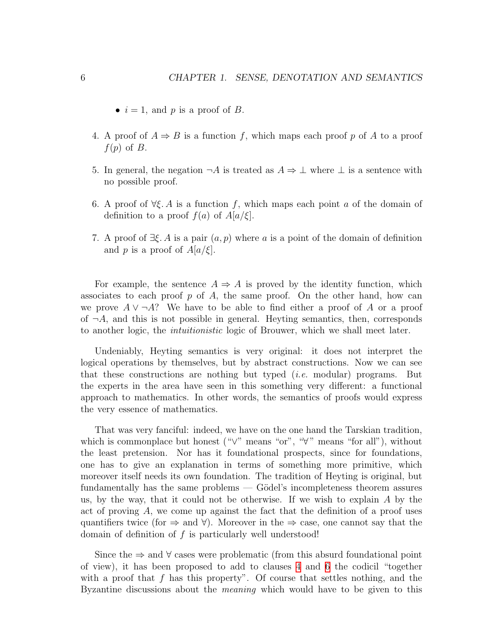- $i = 1$ , and p is a proof of B.
- <span id="page-13-0"></span>4. A proof of  $A \Rightarrow B$  is a function f, which maps each proof p of A to a proof  $f(p)$  of B.
- 5. In general, the negation  $\neg A$  is treated as  $A \Rightarrow \bot$  where  $\bot$  is a sentence with no possible proof.
- <span id="page-13-1"></span>6. A proof of  $\forall \xi$ . A is a function f, which maps each point a of the domain of definition to a proof  $f(a)$  of  $A[a/\xi]$ .
- 7. A proof of  $\exists \xi$ . A is a pair  $(a, p)$  where a is a point of the domain of definition and p is a proof of  $A[a/\xi]$ .

For example, the sentence  $A \Rightarrow A$  is proved by the identity function, which associates to each proof  $p$  of  $A$ , the same proof. On the other hand, how can we prove  $A \vee \neg A$ ? We have to be able to find either a proof of A or a proof of  $\neg A$ , and this is not possible in general. Heyting semantics, then, corresponds to another logic, the intuitionistic logic of Brouwer, which we shall meet later.

Undeniably, Heyting semantics is very original: it does not interpret the logical operations by themselves, but by abstract constructions. Now we can see that these constructions are nothing but typed (i.e. modular) programs. But the experts in the area have seen in this something very different: a functional approach to mathematics. In other words, the semantics of proofs would express the very essence of mathematics.

That was very fanciful: indeed, we have on the one hand the Tarskian tradition, which is commonplace but honest (" $\vee$ " means "or", " $\vee$ " means "for all"), without the least pretension. Nor has it foundational prospects, since for foundations, one has to give an explanation in terms of something more primitive, which moreover itself needs its own foundation. The tradition of Heyting is original, but fundamentally has the same problems — Gödel's incompleteness theorem assures us, by the way, that it could not be otherwise. If we wish to explain  $A$  by the act of proving  $A$ , we come up against the fact that the definition of a proof uses quantifiers twice (for  $\Rightarrow$  and  $\forall$ ). Moreover in the  $\Rightarrow$  case, one cannot say that the domain of definition of  $f$  is particularly well understood!

Since the  $\Rightarrow$  and  $\forall$  cases were problematic (from this absurd foundational point of view), it has been proposed to add to clauses [4](#page-13-0) and [6](#page-13-1) the codicil "together with a proof that  $f$  has this property". Of course that settles nothing, and the Byzantine discussions about the *meaning* which would have to be given to this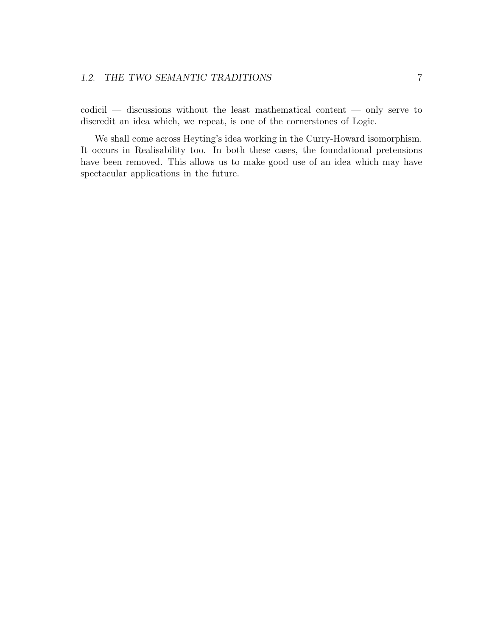codicil — discussions without the least mathematical content — only serve to discredit an idea which, we repeat, is one of the cornerstones of Logic.

We shall come across Heyting's idea working in the Curry-Howard isomorphism. It occurs in Realisability too. In both these cases, the foundational pretensions have been removed. This allows us to make good use of an idea which may have spectacular applications in the future.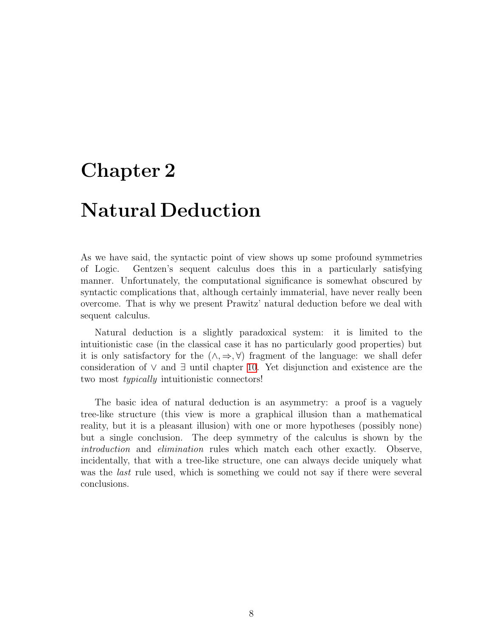## <span id="page-15-0"></span>Chapter 2

## Natural Deduction

As we have said, the syntactic point of view shows up some profound symmetries of Logic. Gentzen's sequent calculus does this in a particularly satisfying manner. Unfortunately, the computational significance is somewhat obscured by syntactic complications that, although certainly immaterial, have never really been overcome. That is why we present Prawitz' natural deduction before we deal with sequent calculus.

Natural deduction is a slightly paradoxical system: it is limited to the intuitionistic case (in the classical case it has no particularly good properties) but it is only satisfactory for the  $(\wedge, \Rightarrow, \forall)$  fragment of the language: we shall defer consideration of ∨ and ∃ until chapter [10.](#page-79-0) Yet disjunction and existence are the two most typically intuitionistic connectors!

The basic idea of natural deduction is an asymmetry: a proof is a vaguely tree-like structure (this view is more a graphical illusion than a mathematical reality, but it is a pleasant illusion) with one or more hypotheses (possibly none) but a single conclusion. The deep symmetry of the calculus is shown by the introduction and *elimination* rules which match each other exactly. Observe, incidentally, that with a tree-like structure, one can always decide uniquely what was the *last* rule used, which is something we could not say if there were several conclusions.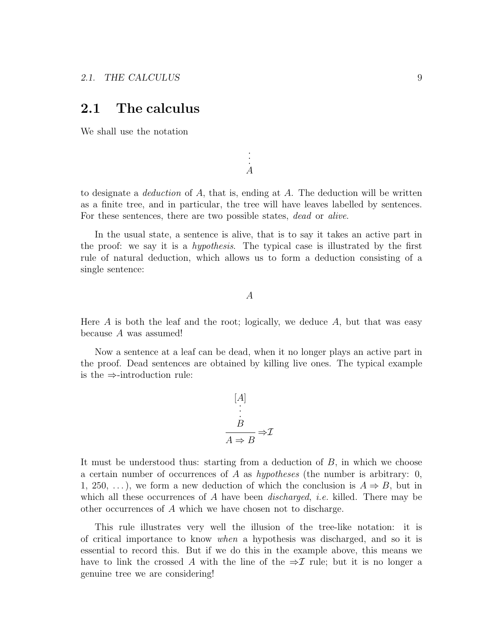### <span id="page-16-0"></span>2.1 The calculus

We shall use the notation

to designate a *deduction* of  $A$ , that is, ending at  $A$ . The deduction will be written as a finite tree, and in particular, the tree will have leaves labelled by sentences. For these sentences, there are two possible states, dead or alive.

· · · A

In the usual state, a sentence is alive, that is to say it takes an active part in the proof: we say it is a hypothesis. The typical case is illustrated by the first rule of natural deduction, which allows us to form a deduction consisting of a single sentence:

A

Here  $A$  is both the leaf and the root; logically, we deduce  $A$ , but that was easy because A was assumed!

Now a sentence at a leaf can be dead, when it no longer plays an active part in the proof. Dead sentences are obtained by killing live ones. The typical example is the ⇒-introduction rule:

$$
[A] \begin{array}{c} [A] \\ \vdots \\ B \\ \hline A \Rightarrow B \end{array} \Rightarrow \mathcal{I}
$$

It must be understood thus: starting from a deduction of  $B$ , in which we choose a certain number of occurrences of A as hypotheses (the number is arbitrary:  $0$ , 1, 250, ...), we form a new deduction of which the conclusion is  $A \Rightarrow B$ , but in which all these occurrences of  $A$  have been *discharged*, *i.e.* killed. There may be other occurrences of A which we have chosen not to discharge.

This rule illustrates very well the illusion of the tree-like notation: it is of critical importance to know when a hypothesis was discharged, and so it is essential to record this. But if we do this in the example above, this means we have to link the crossed A with the line of the  $\Rightarrow$ I rule; but it is no longer a genuine tree we are considering!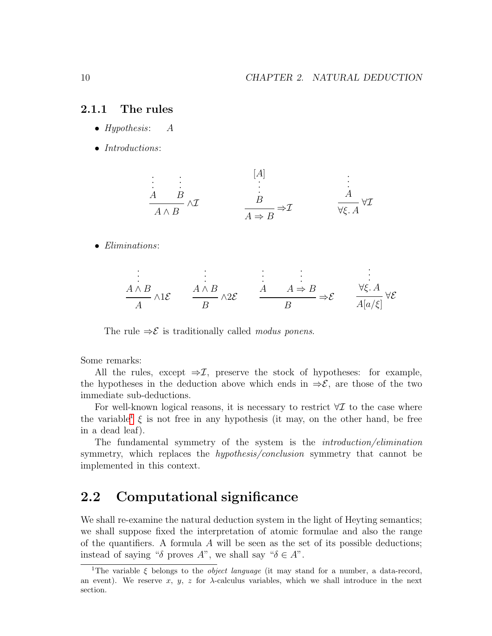#### <span id="page-17-0"></span>2.1.1 The rules

- Hypothesis: A
- Introductions:

$$
\begin{array}{cccc}\n\vdots & \vdots & & \vdots & & \vdots \\
A & B & & \vdots & & \vdots \\
A \wedge B & & & B & \rightarrow \mathcal{I} & & \forall \mathcal{I} \\
\hline\nA \wedge B & & & A \Rightarrow B \Rightarrow \mathcal{I} & & \forall \xi \cdot A\n\end{array}
$$

• Eliminations:

$$
\frac{\begin{array}{ccccccccc}\n\vdots & & \vdots & & \vdots & & \vdots & & \vdots \\
A \wedge B & & A \wedge B & & A \Rightarrow B & & \forall \xi \cdot A \\
\hline\nA & & A & B & & \Delta \end{array}}{B} \rightarrow \mathcal{E} \qquad \frac{\begin{array}{ccccccccc}\n\vdots & & \vdots & & \vdots & & \vdots \\
\hline\nA & & A \Rightarrow B & & \forall \xi \cdot A & & \forall \xi \cdot A \\
\hline\n\end{array}}
$$

The rule  $\Rightarrow \mathcal{E}$  is traditionally called *modus ponens*.

Some remarks:

All the rules, except  $\Rightarrow \mathcal{I}$ , preserve the stock of hypotheses: for example, the hypotheses in the deduction above which ends in  $\Rightarrow \mathcal{E}$ , are those of the two immediate sub-deductions.

For well-known logical reasons, it is necessary to restrict  $\forall \mathcal{I}$  to the case where the variable<sup>[1](#page-17-2)</sup>  $\xi$  is not free in any hypothesis (it may, on the other hand, be free in a dead leaf).

The fundamental symmetry of the system is the introduction/elimination symmetry, which replaces the *hypothesis/conclusion* symmetry that cannot be implemented in this context.

## <span id="page-17-1"></span>2.2 Computational significance

We shall re-examine the natural deduction system in the light of Heyting semantics; we shall suppose fixed the interpretation of atomic formulae and also the range of the quantifiers. A formula  $A$  will be seen as the set of its possible deductions; instead of saying " $\delta$  proves A", we shall say " $\delta \in A$ ".

<span id="page-17-2"></span><sup>&</sup>lt;sup>1</sup>The variable  $\xi$  belongs to the *object language* (it may stand for a number, a data-record, an event). We reserve x, y, z for  $\lambda$ -calculus variables, which we shall introduce in the next section.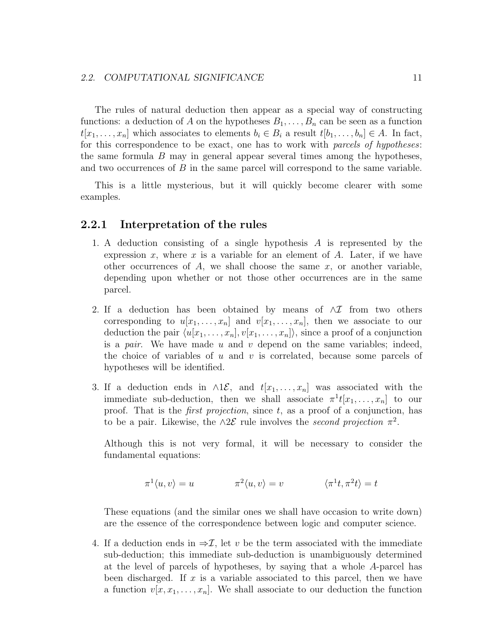#### 2.2. COMPUTATIONAL SIGNIFICANCE 11

The rules of natural deduction then appear as a special way of constructing functions: a deduction of A on the hypotheses  $B_1, \ldots, B_n$  can be seen as a function  $t[x_1, \ldots, x_n]$  which associates to elements  $b_i \in B_i$  a result  $t[b_1, \ldots, b_n] \in A$ . In fact, for this correspondence to be exact, one has to work with *parcels of hypotheses*: the same formula  $B$  may in general appear several times among the hypotheses, and two occurrences of  $B$  in the same parcel will correspond to the same variable.

This is a little mysterious, but it will quickly become clearer with some examples.

#### <span id="page-18-0"></span>2.2.1 Interpretation of the rules

- 1. A deduction consisting of a single hypothesis A is represented by the expression x, where x is a variable for an element of A. Later, if we have other occurrences of  $A$ , we shall choose the same  $x$ , or another variable, depending upon whether or not those other occurrences are in the same parcel.
- 2. If a deduction has been obtained by means of  $\wedge \mathcal{I}$  from two others corresponding to  $u[x_1, \ldots, x_n]$  and  $v[x_1, \ldots, x_n]$ , then we associate to our deduction the pair  $\langle u[x_1, \ldots, x_n], v[x_1, \ldots, x_n] \rangle$ , since a proof of a conjunction is a *pair*. We have made  $u$  and  $v$  depend on the same variables; indeed, the choice of variables of  $u$  and  $v$  is correlated, because some parcels of hypotheses will be identified.
- 3. If a deduction ends in  $\wedge 1\mathcal{E}$ , and  $t[x_1, \ldots, x_n]$  was associated with the immediate sub-deduction, then we shall associate  $\pi^1 t[x_1, \ldots, x_n]$  to our proof. That is the *first projection*, since  $t$ , as a proof of a conjunction, has to be a pair. Likewise, the  $\wedge 2\mathcal{E}$  rule involves the second projection  $\pi^2$ .

Although this is not very formal, it will be necessary to consider the fundamental equations:

$$
\pi^{1}\langle u, v \rangle = u \qquad \qquad \pi^{2}\langle u, v \rangle = v \qquad \qquad \langle \pi^{1}t, \pi^{2}t \rangle = t
$$

These equations (and the similar ones we shall have occasion to write down) are the essence of the correspondence between logic and computer science.

4. If a deduction ends in  $\Rightarrow \mathcal{I}$ , let v be the term associated with the immediate sub-deduction; this immediate sub-deduction is unambiguously determined at the level of parcels of hypotheses, by saying that a whole A-parcel has been discharged. If  $x$  is a variable associated to this parcel, then we have a function  $v[x, x_1, \ldots, x_n]$ . We shall associate to our deduction the function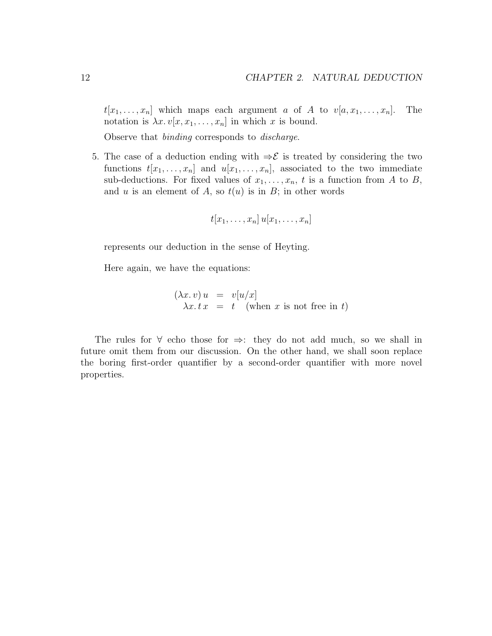$t[x_1, \ldots, x_n]$  which maps each argument a of A to  $v[a, x_1, \ldots, x_n]$ . The notation is  $\lambda x. v[x, x_1, \ldots, x_n]$  in which x is bound.

Observe that binding corresponds to discharge.

5. The case of a deduction ending with  $\Rightarrow \mathcal{E}$  is treated by considering the two functions  $t[x_1, \ldots, x_n]$  and  $u[x_1, \ldots, x_n]$ , associated to the two immediate sub-deductions. For fixed values of  $x_1, \ldots, x_n$ , t is a function from A to B, and u is an element of A, so  $t(u)$  is in B; in other words

$$
t[x_1,\ldots,x_n]\,u[x_1,\ldots,x_n]
$$

represents our deduction in the sense of Heyting.

Here again, we have the equations:

$$
(\lambda x. v) u = v[u/x]
$$
  
 
$$
\lambda x. t x = t \quad \text{(when } x \text{ is not free in } t\text{)}
$$

The rules for  $\forall$  echo those for  $\Rightarrow$ : they do not add much, so we shall in future omit them from our discussion. On the other hand, we shall soon replace the boring first-order quantifier by a second-order quantifier with more novel properties.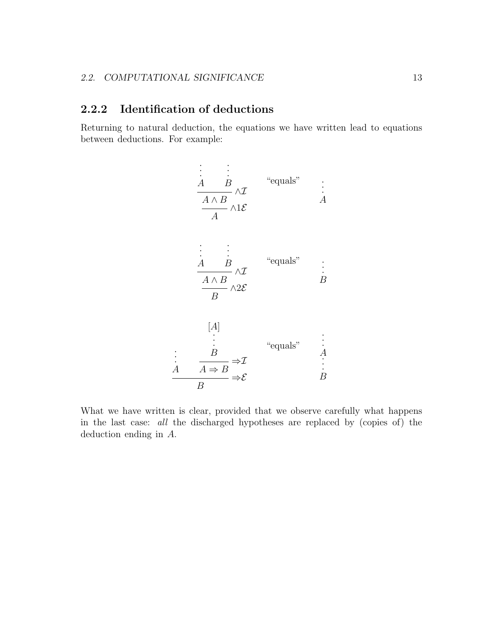### <span id="page-20-0"></span>2.2.2 Identification of deductions

· · · A

Returning to natural deduction, the equations we have written lead to equations between deductions. For example:

| $\boldsymbol{A}$<br>$\boldsymbol{B}$<br>$\frac{\overbrace{A \wedge B}^{A \wedge B} \wedge \mathcal{I}}{A}$  | "equals" | $\overline{A}$                  |
|-------------------------------------------------------------------------------------------------------------|----------|---------------------------------|
| $\overline{A}$<br>$\overline{B}$<br>$\frac{\overline{A \wedge B}}{P} \wedge 2\mathcal{E}$<br>$\overline{B}$ | "equals" | $\frac{\cdot}{B}$               |
| $[{\cal A}]$<br>$\dot{B}$<br>$\Rightarrow$ T<br>$A \Rightarrow B \Rightarrow$<br>В                          | "equals" | $\overline{A}$<br>$\frac{1}{B}$ |

What we have written is clear, provided that we observe carefully what happens in the last case: all the discharged hypotheses are replaced by (copies of) the deduction ending in A.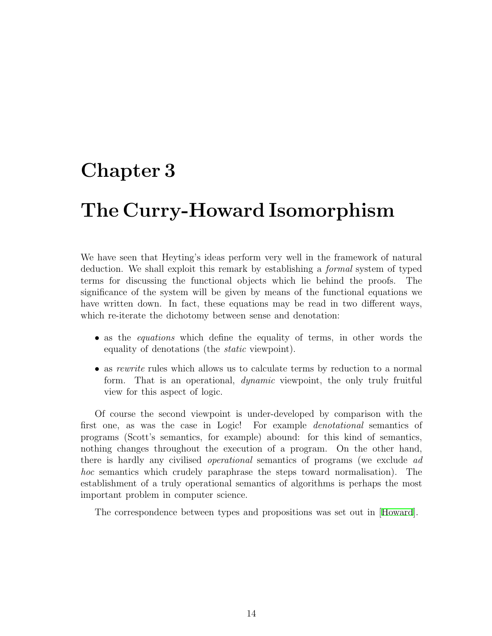## <span id="page-21-0"></span>Chapter 3

## The Curry-Howard Isomorphism

We have seen that Heyting's ideas perform very well in the framework of natural deduction. We shall exploit this remark by establishing a *formal* system of typed terms for discussing the functional objects which lie behind the proofs. The significance of the system will be given by means of the functional equations we have written down. In fact, these equations may be read in two different ways, which re-iterate the dichotomy between sense and denotation:

- as the *equations* which define the equality of terms, in other words the equality of denotations (the static viewpoint).
- as rewrite rules which allows us to calculate terms by reduction to a normal form. That is an operational, dynamic viewpoint, the only truly fruitful view for this aspect of logic.

Of course the second viewpoint is under-developed by comparison with the first one, as was the case in Logic! For example denotational semantics of programs (Scott's semantics, for example) abound: for this kind of semantics, nothing changes throughout the execution of a program. On the other hand, there is hardly any civilised operational semantics of programs (we exclude ad hoc semantics which crudely paraphrase the steps toward normalisation). The establishment of a truly operational semantics of algorithms is perhaps the most important problem in computer science.

The correspondence between types and propositions was set out in [\[Howard](#page-169-1)].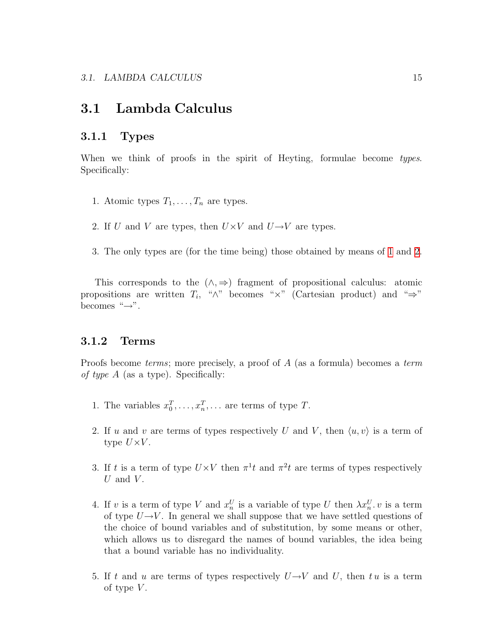### <span id="page-22-0"></span>3.1 Lambda Calculus

#### <span id="page-22-1"></span>3.1.1 Types

When we think of proofs in the spirit of Heyting, formulae become types. Specifically:

- <span id="page-22-3"></span>1. Atomic types  $T_1, \ldots, T_n$  are types.
- <span id="page-22-4"></span>2. If U and V are types, then  $U\times V$  and  $U\rightarrow V$  are types.
- 3. The only types are (for the time being) those obtained by means of [1](#page-22-3) and [2](#page-22-4).

This corresponds to the  $(\wedge, \Rightarrow)$  fragment of propositional calculus: atomic propositions are written  $T_i$ , " $\wedge$ " becomes " $\times$ " (Cartesian product) and " $\Rightarrow$ " becomes " $\rightarrow$ ".

#### <span id="page-22-2"></span>3.1.2 Terms

Proofs become *terms*; more precisely, a proof of A (as a formula) becomes a *term* of type  $A$  (as a type). Specifically:

- 1. The variables  $x_0^T, \ldots, x_n^T, \ldots$  are terms of type T.
- 2. If u and v are terms of types respectively U and V, then  $\langle u, v \rangle$  is a term of type  $U\times V$ .
- 3. If t is a term of type  $U \times V$  then  $\pi^1 t$  and  $\pi^2 t$  are terms of types respectively  $U$  and  $V$ .
- 4. If v is a term of type V and  $x_n^U$  is a variable of type U then  $\lambda x_n^U$  v is a term of type  $U \rightarrow V$ . In general we shall suppose that we have settled questions of the choice of bound variables and of substitution, by some means or other, which allows us to disregard the names of bound variables, the idea being that a bound variable has no individuality.
- 5. If t and u are terms of types respectively  $U \rightarrow V$  and U, then tu is a term of type  $V$ .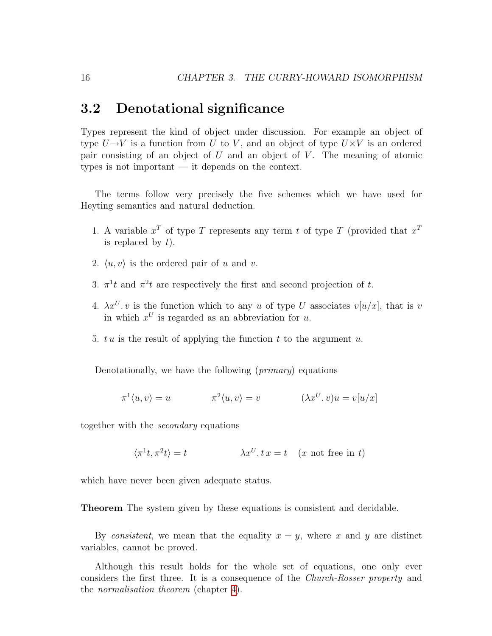## <span id="page-23-0"></span>3.2 Denotational significance

Types represent the kind of object under discussion. For example an object of type  $U \rightarrow V$  is a function from U to V, and an object of type  $U \times V$  is an ordered pair consisting of an object of U and an object of V. The meaning of atomic types is not important — it depends on the context.

The terms follow very precisely the five schemes which we have used for Heyting semantics and natural deduction.

- 1. A variable  $x^T$  of type T represents any term t of type T (provided that  $x^T$ is replaced by  $t$ ).
- 2.  $\langle u, v \rangle$  is the ordered pair of u and v.
- 3.  $\pi^1 t$  and  $\pi^2 t$  are respectively the first and second projection of t.
- 4.  $\lambda x^U \, v$  is the function which to any u of type U associates  $v[u/x]$ , that is v in which  $x^U$  is regarded as an abbreviation for u.
- 5. tu is the result of applying the function t to the argument  $u$ .

Denotationally, we have the following (*primary*) equations

$$
\pi^{1}\langle u,v\rangle = u \qquad \qquad \pi^{2}\langle u,v\rangle = v \qquad \qquad (\lambda x^{U}.v)u = v[u/x]
$$

together with the secondary equations

$$
\langle \pi^1 t, \pi^2 t \rangle = t \qquad \qquad \lambda x^U \cdot t \, x = t \quad (x \text{ not free in } t)
$$

which have never been given adequate status.

Theorem The system given by these equations is consistent and decidable.

By consistent, we mean that the equality  $x = y$ , where x and y are distinct variables, cannot be proved.

Although this result holds for the whole set of equations, one only ever considers the first three. It is a consequence of the Church-Rosser property and the normalisation theorem (chapter [4](#page-29-0)).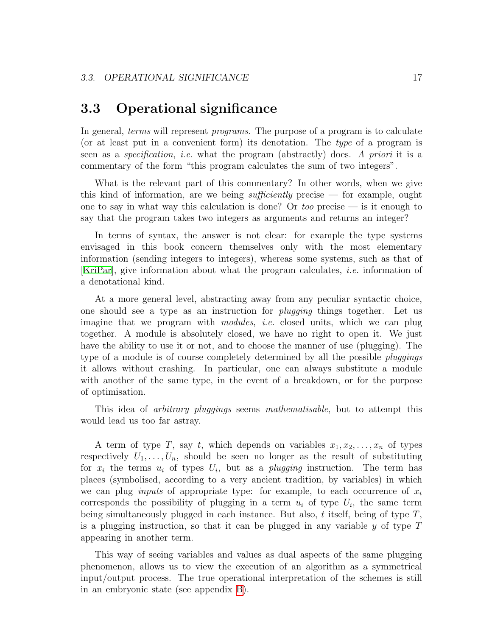### <span id="page-24-0"></span>3.3 Operational significance

In general, *terms* will represent *programs*. The purpose of a program is to calculate (or at least put in a convenient form) its denotation. The type of a program is seen as a *specification, i.e.* what the program (abstractly) does. A *priori* it is a commentary of the form "this program calculates the sum of two integers".

What is the relevant part of this commentary? In other words, when we give this kind of information, are we being *sufficiently* precise — for example, ought one to say in what way this calculation is done? Or *too* precise — is it enough to say that the program takes two integers as arguments and returns an integer?

In terms of syntax, the answer is not clear: for example the type systems envisaged in this book concern themselves only with the most elementary information (sending integers to integers), whereas some systems, such as that of [[KriPar\]](#page-170-0), give information about what the program calculates, i.e. information of a denotational kind.

At a more general level, abstracting away from any peculiar syntactic choice, one should see a type as an instruction for plugging things together. Let us imagine that we program with *modules*, *i.e.* closed units, which we can plug together. A module is absolutely closed, we have no right to open it. We just have the ability to use it or not, and to choose the manner of use (plugging). The type of a module is of course completely determined by all the possible *pluggings* it allows without crashing. In particular, one can always substitute a module with another of the same type, in the event of a breakdown, or for the purpose of optimisation.

This idea of arbitrary pluggings seems mathematisable, but to attempt this would lead us too far astray.

A term of type T, say t, which depends on variables  $x_1, x_2, \ldots, x_n$  of types respectively  $U_1, \ldots, U_n$ , should be seen no longer as the result of substituting for  $x_i$  the terms  $u_i$  of types  $U_i$ , but as a *plugging* instruction. The term has places (symbolised, according to a very ancient tradition, by variables) in which we can plug *inputs* of appropriate type: for example, to each occurrence of  $x_i$ corresponds the possibility of plugging in a term  $u_i$  of type  $U_i$ , the same term being simultaneously plugged in each instance. But also,  $t$  itself, being of type  $T$ , is a plugging instruction, so that it can be plugged in any variable  $y$  of type  $T$ appearing in another term.

This way of seeing variables and values as dual aspects of the same plugging phenomenon, allows us to view the execution of an algorithm as a symmetrical input/output process. The true operational interpretation of the schemes is still in an embryonic state (see appendix [B](#page-156-0)).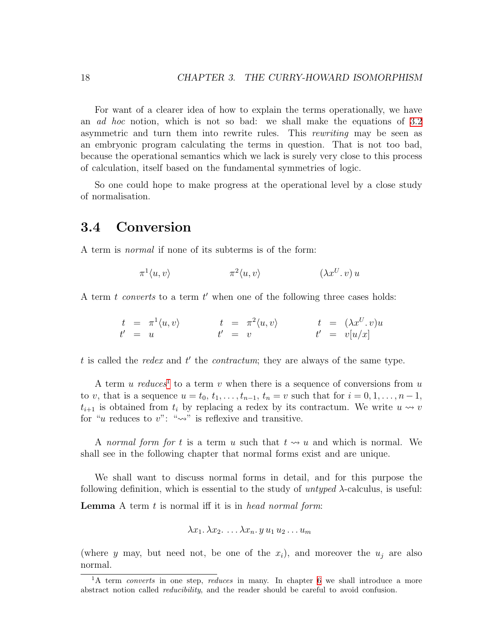For want of a clearer idea of how to explain the terms operationally, we have an ad hoc notion, which is not so bad: we shall make the equations of [3.2](#page-23-0) asymmetric and turn them into rewrite rules. This rewriting may be seen as an embryonic program calculating the terms in question. That is not too bad, because the operational semantics which we lack is surely very close to this process of calculation, itself based on the fundamental symmetries of logic.

So one could hope to make progress at the operational level by a close study of normalisation.

### <span id="page-25-0"></span>3.4 Conversion

A term is normal if none of its subterms is of the form:

$$
\pi^1 \langle u, v \rangle \qquad \qquad \pi^2 \langle u, v \rangle \qquad \qquad (\lambda x^U, v) \, u
$$

A term  $t$  converts to a term  $t'$  when one of the following three cases holds:

$$
t = \pi^1 \langle u, v \rangle
$$
  
\n
$$
t = \pi^2 \langle u, v \rangle
$$
  
\n
$$
t = \pi^2 \langle u, v \rangle
$$
  
\n
$$
t = (\lambda x^U, v)u
$$
  
\n
$$
t' = u
$$
  
\n
$$
t' = v[u/x]
$$

t is called the *redex* and  $t'$  the *contractum*; they are always of the same type.

A term  $u$  reduces<sup>[1](#page-25-1)</sup> to a term  $v$  when there is a sequence of conversions from  $u$ to v, that is a sequence  $u = t_0, t_1, \ldots, t_{n-1}, t_n = v$  such that for  $i = 0, 1, \ldots, n-1$ ,  $t_{i+1}$  is obtained from  $t_i$  by replacing a redex by its contractum. We write  $u \leadsto v$ for "u reduces to  $v$ ": " $\rightsquigarrow$ " is reflexive and transitive.

A normal form for t is a term u such that  $t \rightsquigarrow u$  and which is normal. We shall see in the following chapter that normal forms exist and are unique.

We shall want to discuss normal forms in detail, and for this purpose the following definition, which is essential to the study of *untyped*  $\lambda$ -calculus, is useful:

**Lemma** A term  $t$  is normal iff it is in head normal form:

$$
\lambda x_1 \ldotp \lambda x_2 \ldots \lambda x_n \ldotp y \, u_1 \, u_2 \ldots u_m
$$

(where y may, but need not, be one of the  $x_i$ ), and moreover the  $u_i$  are also normal.

<span id="page-25-1"></span> $1<sup>1</sup>A$  term *converts* in one step, *reduces* in many. In chapter [6](#page-48-0) we shall introduce a more abstract notion called reducibility, and the reader should be careful to avoid confusion.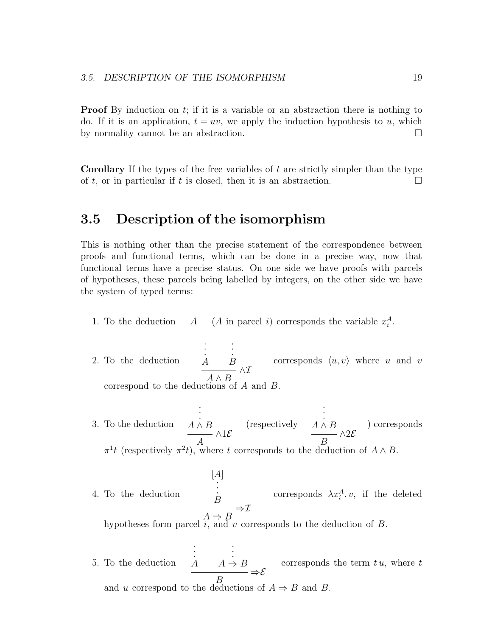**Proof** By induction on  $t$ ; if it is a variable or an abstraction there is nothing to do. If it is an application,  $t = uv$ , we apply the induction hypothesis to u, which by normality cannot be an abstraction.

**Corollary** If the types of the free variables of  $t$  are strictly simpler than the type of t, or in particular if t is closed, then it is an abstraction.  $\Box$ 

### <span id="page-26-0"></span>3.5 Description of the isomorphism

This is nothing other than the precise statement of the correspondence between proofs and functional terms, which can be done in a precise way, now that functional terms have a precise status. On one side we have proofs with parcels of hypotheses, these parcels being labelled by integers, on the other side we have the system of typed terms:

- 1. To the deduction  $A \left( A \text{ in parcel } i \right)$  corresponds the variable  $x_i^A$ .
- 2. To the deduction · · · A · · ·  $\frac{B}{\Lambda}$  $A \wedge B$ corresponds  $\langle u, v \rangle$  where u and v

correspond to the deductions of A and B.

- 3. To the deduction · · ·  $A \wedge B$  $\wedge 1\mathcal{E}$ A (respectively · · ·  $A \wedge B$  $\wedge 2\mathcal{E}$ B ) corresponds  $\pi^{1}$ t (respectively  $\pi^{2}$ t), where t corresponds to the deduction of  $A \wedge B$ .
- 4. To the deduction  $\begin{bmatrix} A \\ \vdots \end{bmatrix}$  $\frac{B}{\longrightarrow}$   $\Rightarrow \mathcal{I}$  $A \Rightarrow B$ corresponds  $\lambda x_i^A$ . v, if the deleted hypotheses form parcel  $\overline{i}$ , and v corresponds to the deduction of B.
- 5. To the deduction · · · A · · ·  $\overline{A} \Rightarrow \overline{B} \Rightarrow \mathcal{E}$ B corresponds the term  $t u$ , where  $t$ and u correspond to the deductions of  $A \Rightarrow B$  and B.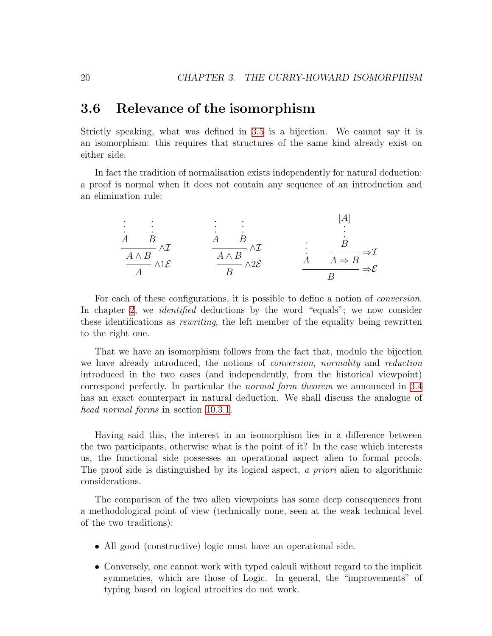### <span id="page-27-0"></span>3.6 Relevance of the isomorphism

Strictly speaking, what was defined in [3.5](#page-26-0) is a bijection. We cannot say it is an isomorphism: this requires that structures of the same kind already exist on either side.

In fact the tradition of normalisation exists independently for natural deduction: a proof is normal when it does not contain any sequence of an introduction and an elimination rule:

$$
\begin{array}{cccc}\n\vdots & \vdots & & \vdots & \vdots & & \vdots \\
A & B & \mathcal{A} & B & \mathcal{A} \\
\hline\nA \wedge B & \wedge \mathcal{I} & & A \wedge B & \mathcal{A} \\
\hline\nA & & A \wedge B & \mathcal{A} \\
\hline\n\end{array}\n\qquad\n\begin{array}{cccc}\n\downarrow & & & & & [A] \\
\hline\n\vdots & & & \vdots & \vdots \\
A \wedge B & \wedge \mathcal{I} & & & \vdots \\
\hline\n\end{array}
$$

For each of these configurations, it is possible to define a notion of *conversion*. In chapter [2,](#page-15-0) we *identified* deductions by the word "equals"; we now consider these identifications as rewriting, the left member of the equality being rewritten to the right one.

That we have an isomorphism follows from the fact that, modulo the bijection we have already introduced, the notions of conversion, normality and reduction introduced in the two cases (and independently, from the historical viewpoint) correspond perfectly. In particular the normal form theorem we announced in [3.4](#page-25-0) has an exact counterpart in natural deduction. We shall discuss the analogue of head normal forms in section [10.3.1](#page-82-0).

Having said this, the interest in an isomorphism lies in a difference between the two participants, otherwise what is the point of it? In the case which interests us, the functional side possesses an operational aspect alien to formal proofs. The proof side is distinguished by its logical aspect, a priori alien to algorithmic considerations.

The comparison of the two alien viewpoints has some deep consequences from a methodological point of view (technically none, seen at the weak technical level of the two traditions):

- All good (constructive) logic must have an operational side.
- Conversely, one cannot work with typed calculi without regard to the implicit symmetries, which are those of Logic. In general, the "improvements" of typing based on logical atrocities do not work.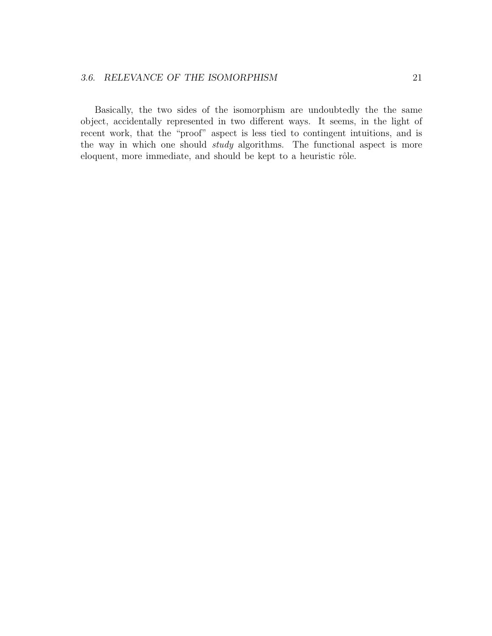Basically, the two sides of the isomorphism are undoubtedly the the same object, accidentally represented in two different ways. It seems, in the light of recent work, that the "proof" aspect is less tied to contingent intuitions, and is the way in which one should *study* algorithms. The functional aspect is more eloquent, more immediate, and should be kept to a heuristic rôle.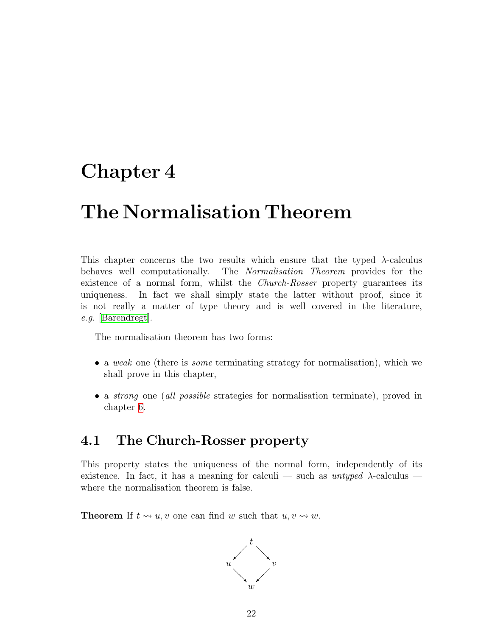## <span id="page-29-0"></span>Chapter 4

## The Normalisation Theorem

This chapter concerns the two results which ensure that the typed  $\lambda$ -calculus behaves well computationally. The Normalisation Theorem provides for the existence of a normal form, whilst the *Church-Rosser* property guarantees its uniqueness. In fact we shall simply state the latter without proof, since it is not really a matter of type theory and is well covered in the literature, e.g. [\[Barendregt](#page-168-0)].

The normalisation theorem has two forms:

- a weak one (there is *some* terminating strategy for normalisation), which we shall prove in this chapter,
- a *strong* one (all *possible* strategies for normalisation terminate), proved in chapter [6](#page-48-0).

## <span id="page-29-1"></span>4.1 The Church-Rosser property

This property states the uniqueness of the normal form, independently of its existence. In fact, it has a meaning for calculi — such as *untyped*  $\lambda$ -calculus where the normalisation theorem is false.

**Theorem** If  $t \rightsquigarrow u, v$  one can find w such that  $u, v \rightsquigarrow w$ .

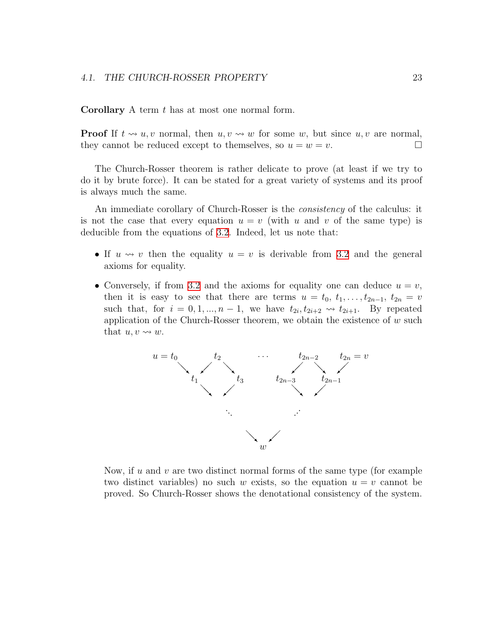Corollary A term t has at most one normal form.

**Proof** If  $t \rightsquigarrow u, v$  normal, then  $u, v \rightsquigarrow w$  for some w, but since  $u, v$  are normal, they cannot be reduced except to themselves, so  $u = w = v$ .

The Church-Rosser theorem is rather delicate to prove (at least if we try to do it by brute force). It can be stated for a great variety of systems and its proof is always much the same.

An immediate corollary of Church-Rosser is the *consistency* of the calculus: it is not the case that every equation  $u = v$  (with u and v of the same type) is deducible from the equations of [3.2.](#page-23-0) Indeed, let us note that:

- If  $u \rightarrow v$  then the equality  $u = v$  is derivable from [3.2](#page-23-0) and the general axioms for equality.
- Conversely, if from [3.2](#page-23-0) and the axioms for equality one can deduce  $u = v$ , then it is easy to see that there are terms  $u = t_0, t_1, \ldots, t_{2n-1}, t_{2n} = v$ such that, for  $i = 0, 1, ..., n - 1$ , we have  $t_{2i}, t_{2i+2} \rightarrow t_{2i+1}$ . By repeated application of the Church-Rosser theorem, we obtain the existence of  $w$  such that  $u, v \rightsquigarrow w$ .



Now, if u and v are two distinct normal forms of the same type (for example two distinct variables) no such w exists, so the equation  $u = v$  cannot be proved. So Church-Rosser shows the denotational consistency of the system.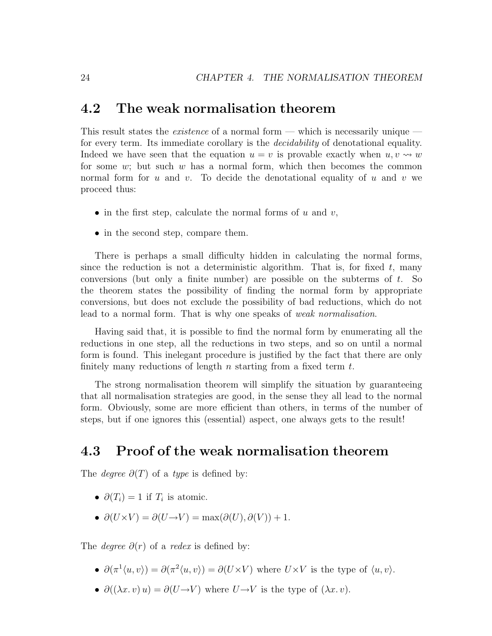### <span id="page-31-0"></span>4.2 The weak normalisation theorem

This result states the *existence* of a normal form — which is necessarily unique for every term. Its immediate corollary is the *decidability* of denotational equality. Indeed we have seen that the equation  $u = v$  is provable exactly when  $u, v \rightsquigarrow w$ for some  $w$ ; but such  $w$  has a normal form, which then becomes the common normal form for u and v. To decide the denotational equality of u and v we proceed thus:

- in the first step, calculate the normal forms of  $u$  and  $v$ ,
- in the second step, compare them.

There is perhaps a small difficulty hidden in calculating the normal forms, since the reduction is not a deterministic algorithm. That is, for fixed  $t$ , many conversions (but only a finite number) are possible on the subterms of  $t$ . So the theorem states the possibility of finding the normal form by appropriate conversions, but does not exclude the possibility of bad reductions, which do not lead to a normal form. That is why one speaks of weak normalisation.

Having said that, it is possible to find the normal form by enumerating all the reductions in one step, all the reductions in two steps, and so on until a normal form is found. This inelegant procedure is justified by the fact that there are only finitely many reductions of length  $n$  starting from a fixed term  $t$ .

The strong normalisation theorem will simplify the situation by guaranteeing that all normalisation strategies are good, in the sense they all lead to the normal form. Obviously, some are more efficient than others, in terms of the number of steps, but if one ignores this (essential) aspect, one always gets to the result!

## <span id="page-31-1"></span>4.3 Proof of the weak normalisation theorem

The *degree*  $\partial(T)$  of a *type* is defined by:

- $\partial(T_i) = 1$  if  $T_i$  is atomic.
- $\partial(U\times V) = \partial(U\rightarrow V) = \max(\partial(U), \partial(V)) + 1.$

The *degree*  $\partial(r)$  of a *redex* is defined by:

- $\partial(\pi^1\langle u, v\rangle) = \partial(\pi^2\langle u, v\rangle) = \partial(U\times V)$  where  $U\times V$  is the type of  $\langle u, v\rangle$ .
- $\partial((\lambda x. v)u) = \partial(U \to V)$  where  $U \to V$  is the type of  $(\lambda x. v)$ .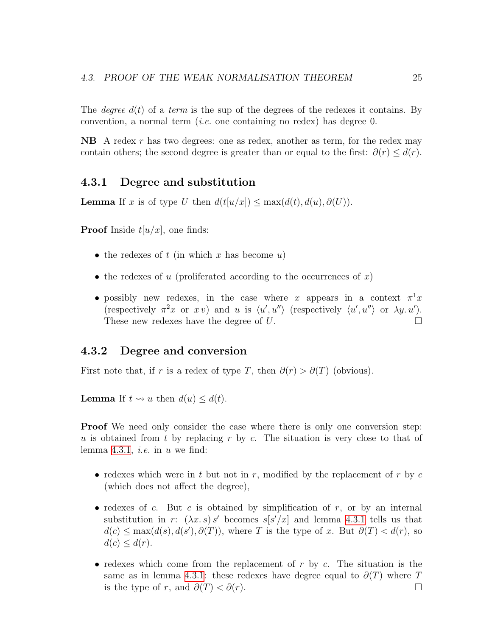The *degree*  $d(t)$  of a term is the sup of the degrees of the redexes it contains. By convention, a normal term (*i.e.* one containing no redex) has degree 0.

 $NB$  A redex r has two degrees: one as redex, another as term, for the redex may contain others; the second degree is greater than or equal to the first:  $\partial(r) \leq d(r)$ .

#### <span id="page-32-0"></span>4.3.1 Degree and substitution

**Lemma** If x is of type U then  $d(t[u/x]) \le \max(d(t), d(u), \partial(U)).$ 

**Proof** Inside  $t[u/x]$ , one finds:

- the redexes of  $t$  (in which  $x$  has become  $u$ )
- the redexes of u (proliferated according to the occurrences of  $x$ )
- possibly new redexes, in the case where x appears in a context  $\pi^1 x$ (respectively  $\pi^2 x$  or  $x v$ ) and u is  $\langle u', u'' \rangle$  (respectively  $\langle u', u'' \rangle$  or  $\lambda y. u'$ ). These new redexes have the degree of  $U$ .

#### <span id="page-32-1"></span>4.3.2 Degree and conversion

First note that, if r is a redex of type T, then  $\partial(r) > \partial(T)$  (obvious).

**Lemma** If  $t \rightsquigarrow u$  then  $d(u) \leq d(t)$ .

**Proof** We need only consider the case where there is only one conversion step: u is obtained from t by replacing r by c. The situation is very close to that of lemma [4.3.1,](#page-32-0) *i.e.* in  $u$  we find:

- redexes which were in t but not in r, modified by the replacement of r by  $c$ (which does not affect the degree),
- redexes of c. But c is obtained by simplification of r, or by an internal substitution in r:  $(\lambda x. s) s'$  becomes  $s[s'/x]$  and lemma [4.3.1](#page-32-0) tells us that  $d(c) \leq \max(d(s), d(s'), \partial(T))$ , where T is the type of x. But  $\partial(T) < d(r)$ , so  $d(c) \leq d(r)$ .
- redexes which come from the replacement of r by c. The situation is the same as in lemma [4.3.1](#page-32-0): these redexes have degree equal to  $\partial(T)$  where T is the type of r, and  $\partial(T) < \partial(r)$ .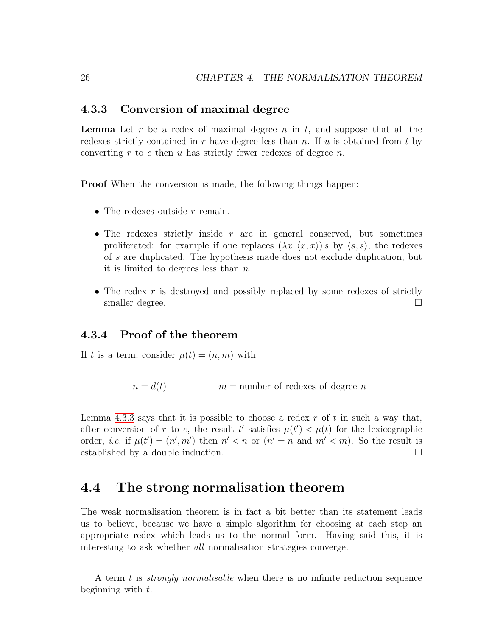#### <span id="page-33-0"></span>4.3.3 Conversion of maximal degree

**Lemma** Let r be a redex of maximal degree n in t, and suppose that all the redexes strictly contained in r have degree less than n. If u is obtained from t by converting r to c then u has strictly fewer redexes of degree  $n$ .

Proof When the conversion is made, the following things happen:

- The redexes outside  $r$  remain.
- The redexes strictly inside  $r$  are in general conserved, but sometimes proliferated: for example if one replaces  $(\lambda x.\langle x,x\rangle) s$  by  $\langle s,s\rangle$ , the redexes of s are duplicated. The hypothesis made does not exclude duplication, but it is limited to degrees less than  $n$ .
- The redex  $r$  is destroyed and possibly replaced by some redexes of strictly smaller degree.

#### <span id="page-33-1"></span>4.3.4 Proof of the theorem

If t is a term, consider  $\mu(t) = (n, m)$  with

 $n = d(t)$  m = number of redexes of degree n

Lemma [4.3.3](#page-33-0) says that it is possible to choose a redex  $r$  of  $t$  in such a way that, after conversion of r to c, the result t' satisfies  $\mu(t') < \mu(t)$  for the lexicographic order, *i.e.* if  $\mu(t') = (n', m')$  then  $n' < n$  or  $(n' = n$  and  $m' < m)$ . So the result is established by a double induction.

## <span id="page-33-2"></span>4.4 The strong normalisation theorem

The weak normalisation theorem is in fact a bit better than its statement leads us to believe, because we have a simple algorithm for choosing at each step an appropriate redex which leads us to the normal form. Having said this, it is interesting to ask whether all normalisation strategies converge.

A term t is strongly normalisable when there is no infinite reduction sequence beginning with  $t$ .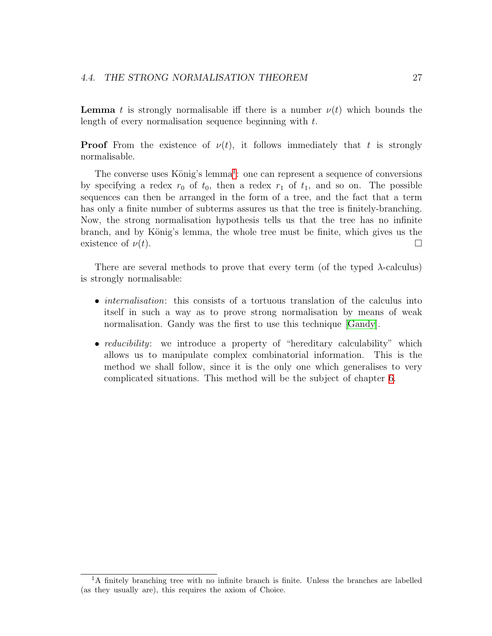**Lemma** t is strongly normalisable iff there is a number  $\nu(t)$  which bounds the length of every normalisation sequence beginning with t.

**Proof** From the existence of  $\nu(t)$ , it follows immediately that t is strongly normalisable.

The converse uses König's lemma<sup>[1](#page-34-0)</sup>: one can represent a sequence of conversions by specifying a redex  $r_0$  of  $t_0$ , then a redex  $r_1$  of  $t_1$ , and so on. The possible sequences can then be arranged in the form of a tree, and the fact that a term has only a finite number of subterms assures us that the tree is finitely-branching. Now, the strong normalisation hypothesis tells us that the tree has no infinite branch, and by König's lemma, the whole tree must be finite, which gives us the existence of  $\nu(t)$ .

There are several methods to prove that every term (of the typed λ-calculus) is strongly normalisable:

- *internalisation*: this consists of a tortuous translation of the calculus into itself in such a way as to prove strong normalisation by means of weak normalisation. Gandy was the first to use this technique[[Gandy](#page-169-2)].
- *reducibility*: we introduce a property of "hereditary calculability" which allows us to manipulate complex combinatorial information. This is the method we shall follow, since it is the only one which generalises to very complicated situations. This method will be the subject of chapter [6.](#page-48-0)

<span id="page-34-0"></span> $1<sup>1</sup>A$  finitely branching tree with no infinite branch is finite. Unless the branches are labelled (as they usually are), this requires the axiom of Choice.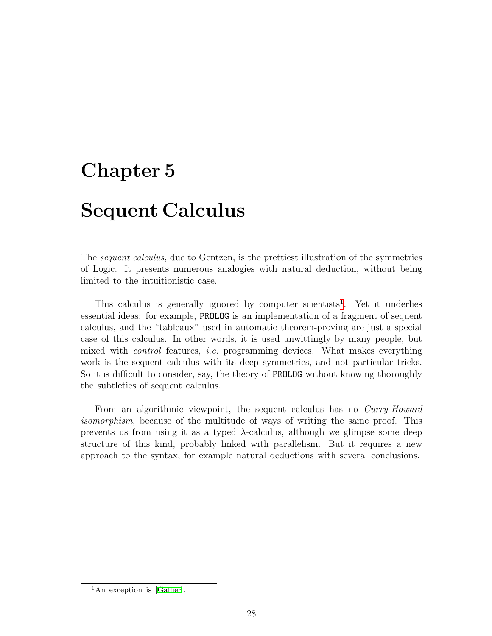## <span id="page-35-0"></span>Chapter 5

## Sequent Calculus

The sequent calculus, due to Gentzen, is the prettiest illustration of the symmetries of Logic. It presents numerous analogies with natural deduction, without being limited to the intuitionistic case.

This calculus is generally ignored by computer scientists<sup>[1](#page-35-1)</sup>. Yet it underlies essential ideas: for example, PROLOG is an implementation of a fragment of sequent calculus, and the "tableaux" used in automatic theorem-proving are just a special case of this calculus. In other words, it is used unwittingly by many people, but mixed with control features, i.e. programming devices. What makes everything work is the sequent calculus with its deep symmetries, and not particular tricks. So it is difficult to consider, say, the theory of PROLOG without knowing thoroughly the subtleties of sequent calculus.

From an algorithmic viewpoint, the sequent calculus has no *Curry-Howard* isomorphism, because of the multitude of ways of writing the same proof. This prevents us from using it as a typed  $\lambda$ -calculus, although we glimpse some deep structure of this kind, probably linked with parallelism. But it requires a new approach to the syntax, for example natural deductions with several conclusions.

<span id="page-35-1"></span><sup>&</sup>lt;sup>1</sup>An exception is [\[Gallier](#page-169-3)].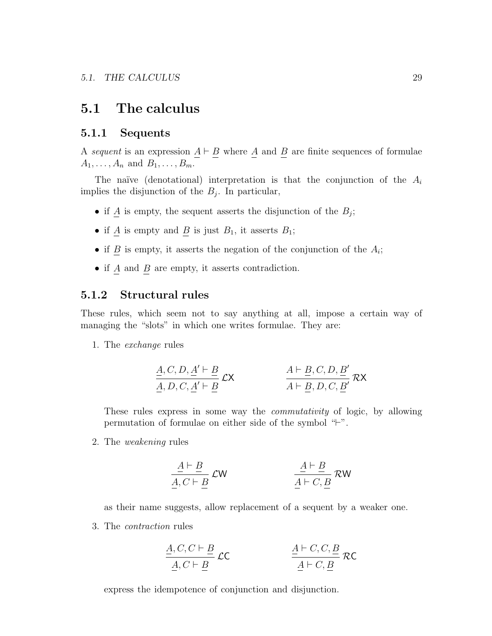## 5.1 The calculus

#### 5.1.1 Sequents

A sequent is an expression  $\underline{A} \vdash \underline{B}$  where  $\underline{A}$  and  $\underline{B}$  are finite sequences of formulae  $A_1, \ldots, A_n$  and  $B_1, \ldots, B_m$ .

The naïve (denotational) interpretation is that the conjunction of the  $A_i$ implies the disjunction of the  $B_j$ . In particular,

- if  $\underline{A}$  is empty, the sequent asserts the disjunction of the  $B_j$ ;
- if  $\underline{A}$  is empty and  $\underline{B}$  is just  $B_1$ , it asserts  $B_1$ ;
- if  $\underline{B}$  is empty, it asserts the negation of the conjunction of the  $A_i$ ;
- if  $\underline{A}$  and  $\underline{B}$  are empty, it asserts contradiction.

## 5.1.2 Structural rules

These rules, which seem not to say anything at all, impose a certain way of managing the "slots" in which one writes formulae. They are:

1. The exchange rules

$$
\frac{A, C, D, \underline{A'} \vdash \underline{B}}{\underline{A}, D, C, \underline{A'} \vdash \underline{B}} \mathcal{L} \mathsf{X}
$$
\n
$$
\frac{A \vdash \underline{B}, C, D, \underline{B'}}{A \vdash \underline{B}, D, C, \underline{B'}} \mathcal{R} \mathsf{X}
$$

These rules express in some way the *commutativity* of logic, by allowing permutation of formulae on either side of the symbol  $H$ .

2. The weakening rules

$$
\frac{\underline{A} \vdash \underline{B}}{\underline{A}, C \vdash \underline{B}} \mathcal{L} \mathsf{W} \qquad \qquad \frac{\underline{A} \vdash \underline{B}}{\underline{A} \vdash C, \underline{B}} \mathcal{R} \mathsf{W}
$$

as their name suggests, allow replacement of a sequent by a weaker one.

3. The contraction rules

$$
\frac{\underline{A}, C, C \vdash \underline{B}}{\underline{A}, C \vdash \underline{B}} \mathcal{L}C \qquad \qquad \frac{\underline{A} \vdash C, C, \underline{B}}{\underline{A} \vdash C, \underline{B}} \mathcal{R}C
$$

express the idempotence of conjunction and disjunction.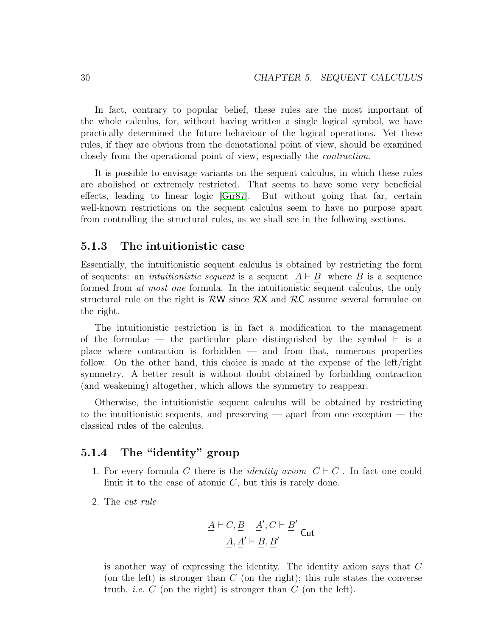In fact, contrary to popular belief, these rules are the most important of the whole calculus, for, without having written a single logical symbol, we have practically determined the future behaviour of the logical operations. Yet these rules, if they are obvious from the denotational point of view, should be examined closely from the operational point of view, especially the contraction.

It is possible to envisage variants on the sequent calculus, in which these rules are abolished or extremely restricted. That seems to have some very beneficial effects, leading to linear logic [\[Gir87](#page-169-0)]. But without going that far, certain well-known restrictions on the sequent calculus seem to have no purpose apart from controlling the structural rules, as we shall see in the following sections.

#### 5.1.3 The intuitionistic case

Essentially, the intuitionistic sequent calculus is obtained by restricting the form of sequents: an *intuitionistic sequent* is a sequent  $A \vdash B$  where B is a sequence formed from at most one formula. In the intuitionistic sequent calculus, the only structural rule on the right is  $\mathcal{R}W$  since  $\mathcal{R}X$  and  $\mathcal{R}C$  assume several formulae on the right.

The intuitionistic restriction is in fact a modification to the management of the formulae — the particular place distinguished by the symbol  $\vdash$  is a place where contraction is forbidden — and from that, numerous properties follow. On the other hand, this choice is made at the expense of the left/right symmetry. A better result is without doubt obtained by forbidding contraction (and weakening) altogether, which allows the symmetry to reappear.

Otherwise, the intuitionistic sequent calculus will be obtained by restricting to the intuitionistic sequents, and preserving — apart from one exception — the classical rules of the calculus.

#### 5.1.4 The "identity" group

- 1. For every formula C there is the *identity axiom*  $C \vdash C$ . In fact one could limit it to the case of atomic  $C$ , but this is rarely done.
- 2. The cut rule

$$
\frac{\underline{A}\vdash C,\underline{B}\quad\underline{A}',C\vdash \underline{B}'}{\underline{A},\underline{A}'\vdash \underline{B},\underline{B}'}\,\text{Cut}
$$

is another way of expressing the identity. The identity axiom says that C (on the left) is stronger than  $C$  (on the right); this rule states the converse truth, *i.e.*  $C$  (on the right) is stronger than  $C$  (on the left).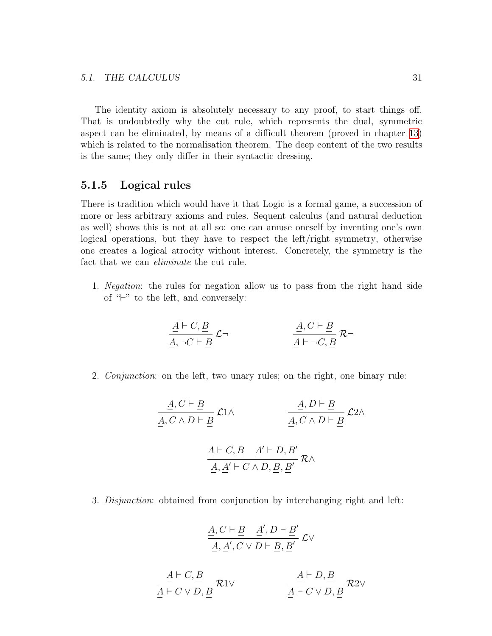The identity axiom is absolutely necessary to any proof, to start things off. That is undoubtedly why the cut rule, which represents the dual, symmetric aspect can be eliminated, by means of a difficult theorem (proved in chapter [13\)](#page-111-0) which is related to the normalisation theorem. The deep content of the two results is the same; they only differ in their syntactic dressing.

#### 5.1.5 Logical rules

There is tradition which would have it that Logic is a formal game, a succession of more or less arbitrary axioms and rules. Sequent calculus (and natural deduction as well) shows this is not at all so: one can amuse oneself by inventing one's own logical operations, but they have to respect the left/right symmetry, otherwise one creates a logical atrocity without interest. Concretely, the symmetry is the fact that we can eliminate the cut rule.

1. Negation: the rules for negation allow us to pass from the right hand side of " $\vdash$ " to the left, and conversely:

$$
\frac{\underline{A} \vdash C, \underline{B}}{\underline{A}, \neg C \vdash \underline{B}} \mathcal{L} \neg \qquad \qquad \frac{\underline{A}, C \vdash \underline{B}}{\underline{A} \vdash \neg C, \underline{B}} \mathcal{R} \neg
$$

2. Conjunction: on the left, two unary rules; on the right, one binary rule:

$$
\frac{\underline{A}, C \vdash \underline{B}}{\underline{A}, C \land D \vdash \underline{B}} \mathcal{L}1 \land \qquad \qquad \frac{\underline{A}, D \vdash \underline{B}}{\underline{A}, C \land D \vdash \underline{B}} \mathcal{L}2 \land
$$
\n
$$
\frac{\underline{A} \vdash C, \underline{B} \quad \underline{A'} \vdash D, \underline{B'}}{\underline{A}, \underline{A'} \vdash C \land D, \underline{B}, \underline{B'}} \mathcal{R} \land
$$

3. Disjunction: obtained from conjunction by interchanging right and left:

$$
\frac{\underline{A}, C \vdash \underline{B} \quad \underline{A}', D \vdash \underline{B}'}{\underline{A}, \underline{A}', C \lor D \vdash \underline{B}, \underline{B}'} \mathcal{L} \lor
$$
\n
$$
\frac{\underline{A} \vdash C, \underline{B}}{\underline{A} \vdash C \lor D, \underline{B}} \mathcal{R} \frac{\underline{A} \vdash D, \underline{B}}{\underline{A} \vdash C \lor D, \underline{B}} \mathcal{R} \frac{\underline{A} \vdash D, \underline{B}}{\underline{A} \vdash C \lor D, \underline{B}} \mathcal{R} \frac{\underline{A} \vdash C \lor D, \underline{B}}{\underline{A} \vdash C \lor D, \underline{B}} \mathcal{R} \frac{\underline{A} \vdash C \lor D, \underline{B}}{\underline{A} \vdash C \lor D, \underline{B}} \mathcal{R} \frac{\underline{A} \vdash C \lor D, \underline{B}}{\underline{A} \vdash C \lor D, \underline{B}} \mathcal{R} \frac{\underline{A} \vdash C \lor D, \underline{B}}{\underline{A} \vdash C \lor D, \underline{B}} \mathcal{R} \frac{\underline{A} \vdash C \lor D, \underline{B} \vdash C \lor D, \underline{B} \vdash C \lor D, \underline{B} \vdash C \lor D, \underline{B} \vdash C \lor D, \underline{B} \vdash C \lor D, \underline{B} \vdash C \lor D, \underline{B} \vdash C \lor D, \underline{B} \vdash C \lor D, \underline{B} \vdash C \lor D, \underline{B} \vdash C \lor D, \underline{A} \vdash C \lor D, \underline{A} \vdash C \lor D, \underline{A} \vdash C \lor D, \underline{A} \vdash C \lor D, \underline{A} \vdash C \lor D, \underline{A} \vdash C \lor D, \underline{A} \vdash C \lor D, \underline{A} \vdash C \lor D, \underline{A} \vdash C \lor D, \underline{A} \vdash C \lor D, \underline{A} \vdash C \lor D, \underline{A} \vdash C \lor D, \underline{A} \vdash C \lor D, \underline{A} \vdash C \lor D, \underline{A} \vdash C \lor D, \underline{A} \vdash C \lor D, \underline{A} \vdash C \lor D, \underline{A} \vdash C \lor D, \underline{A
$$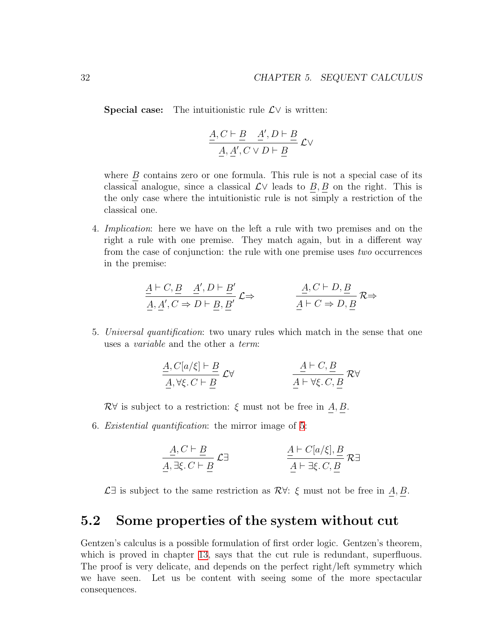**Special case:** The intuitionistic rule  $\mathcal{L} \vee$  is written:

$$
\frac{\underline{A}, C \vdash \underline{B} \quad \underline{A}', D \vdash \underline{B}}{\underline{A}, \underline{A}', C \lor D \vdash \underline{B}} \mathcal{L} \lor
$$

where  $B$  contains zero or one formula. This rule is not a special case of its classical analogue, since a classical  $\mathcal{L} \vee$  leads to  $B, B$  on the right. This is the only case where the intuitionistic rule is not simply a restriction of the classical one.

4. Implication: here we have on the left a rule with two premises and on the right a rule with one premise. They match again, but in a different way from the case of conjunction: the rule with one premise uses two occurrences in the premise:

$$
\frac{\underline{A} \vdash C, \underline{B} \quad \underline{A}', D \vdash \underline{B}'}{\underline{A}, \underline{A}', C \Rightarrow D \vdash \underline{B}, \underline{B}'} \mathcal{L} \Rightarrow \qquad \qquad \frac{\underline{A}, C \vdash D, \underline{B}}{\underline{A} \vdash C \Rightarrow D, \underline{B}} \mathcal{R} \Rightarrow
$$

<span id="page-39-0"></span>5. Universal quantification: two unary rules which match in the sense that one uses a variable and the other a term:

$$
\frac{\underline{A}, C[a/\xi] \vdash \underline{B}}{\underline{A}, \forall \xi, C \vdash \underline{B}} \mathcal{L} \forall \frac{\underline{A} \vdash C, \underline{B}}{\underline{A} \vdash \forall \xi, C, \underline{B}} \mathcal{R} \forall
$$

 $\mathcal{R} \forall$  is subject to a restriction:  $\xi$  must not be free in  $\underline{A}, \underline{B}$ .

6. Existential quantification: the mirror image of [5](#page-39-0):

$$
\frac{\underline{A}, C \vdash \underline{B}}{\underline{A}, \exists \xi. C \vdash \underline{B}} \mathcal{L} \exists \qquad \qquad \frac{\underline{A} \vdash C[a/\xi], \underline{B}}{\underline{A} \vdash \exists \xi. C, \underline{B}} \mathcal{R} \exists
$$

 $\mathcal{L} \exists$  is subject to the same restriction as  $\mathcal{R} \forall$ :  $\xi$  must not be free in A, B.

## 5.2 Some properties of the system without cut

Gentzen's calculus is a possible formulation of first order logic. Gentzen's theorem, which is proved in chapter [13](#page-111-0), says that the cut rule is redundant, superfluous. The proof is very delicate, and depends on the perfect right/left symmetry which we have seen. Let us be content with seeing some of the more spectacular consequences.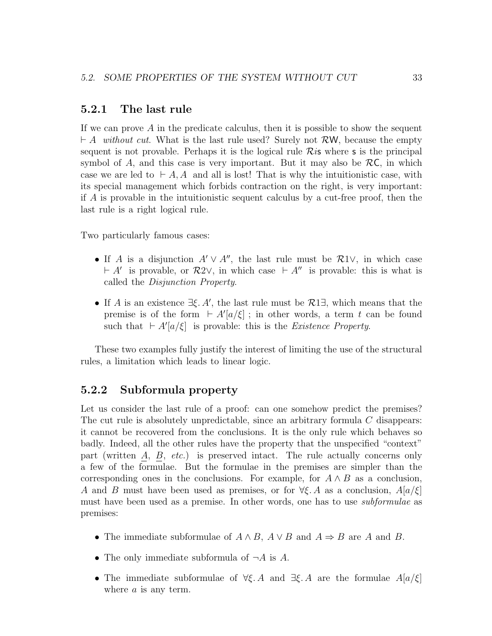#### 5.2.1 The last rule

If we can prove  $A$  in the predicate calculus, then it is possible to show the sequent  $\vdash A$  without cut. What is the last rule used? Surely not RW, because the empty sequent is not provable. Perhaps it is the logical rule  $\mathcal{R}$  is where s is the principal symbol of  $A$ , and this case is very important. But it may also be  $\mathcal{RC}$ , in which case we are led to  $\vdash A, A$  and all is lost! That is why the intuitionistic case, with its special management which forbids contraction on the right, is very important: if A is provable in the intuitionistic sequent calculus by a cut-free proof, then the last rule is a right logical rule.

Two particularly famous cases:

- If A is a disjunction  $A' \vee A''$ , the last rule must be  $\mathcal{R}1\vee$ , in which case  $\vdash A'$  is provable, or  $R2\vee$ , in which case  $\vdash A''$  is provable: this is what is called the Disjunction Property.
- If A is an existence  $\exists \xi \, A'$ , the last rule must be  $\mathcal{R}1\exists$ , which means that the premise is of the form  $\vdash A'[a/\xi]$ ; in other words, a term t can be found such that  $\vdash A'[a/\xi]$  is provable: this is the *Existence Property*.

These two examples fully justify the interest of limiting the use of the structural rules, a limitation which leads to linear logic.

### 5.2.2 Subformula property

Let us consider the last rule of a proof: can one somehow predict the premises? The cut rule is absolutely unpredictable, since an arbitrary formula  $C$  disappears: it cannot be recovered from the conclusions. It is the only rule which behaves so badly. Indeed, all the other rules have the property that the unspecified "context" part (written  $A, B, etc.$ ) is preserved intact. The rule actually concerns only a few of the formulae. But the formulae in the premises are simpler than the corresponding ones in the conclusions. For example, for  $A \wedge B$  as a conclusion, A and B must have been used as premises, or for  $\forall \xi$ . A as a conclusion,  $A[a/\xi]$ must have been used as a premise. In other words, one has to use *subformulae* as premises:

- The immediate subformulae of  $A \wedge B$ ,  $A \vee B$  and  $A \Rightarrow B$  are A and B.
- The only immediate subformula of  $\neg A$  is A.
- The immediate subformulae of  $\forall \xi$ . A and  $\exists \xi$ . A are the formulae  $A[a/\xi]$ where *a* is any term.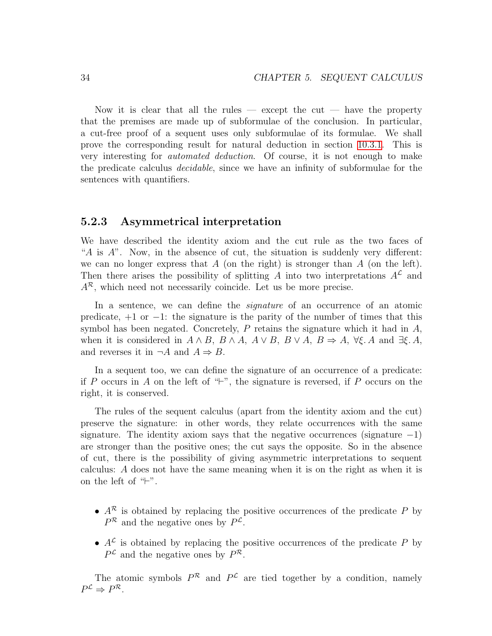Now it is clear that all the rules — except the cut — have the property that the premises are made up of subformulae of the conclusion. In particular, a cut-free proof of a sequent uses only subformulae of its formulae. We shall prove the corresponding result for natural deduction in section [10.3.1](#page-82-0). This is very interesting for automated deduction. Of course, it is not enough to make the predicate calculus decidable, since we have an infinity of subformulae for the sentences with quantifiers.

#### 5.2.3 Asymmetrical interpretation

We have described the identity axiom and the cut rule as the two faces of "A is  $A$ ". Now, in the absence of cut, the situation is suddenly very different: we can no longer express that A (on the right) is stronger than A (on the left). Then there arises the possibility of splitting A into two interpretations  $A^{\mathcal{L}}$  and  $A^{\mathcal{R}}$ , which need not necessarily coincide. Let us be more precise.

In a sentence, we can define the *signature* of an occurrence of an atomic predicate,  $+1$  or  $-1$ : the signature is the parity of the number of times that this symbol has been negated. Concretely,  $P$  retains the signature which it had in  $A$ , when it is considered in  $A \wedge B$ ,  $B \wedge A$ ,  $A \vee B$ ,  $B \vee A$ ,  $B \Rightarrow A$ ,  $\forall \xi$ . A and  $\exists \xi$ . A, and reverses it in  $\neg A$  and  $A \Rightarrow B$ .

In a sequent too, we can define the signature of an occurrence of a predicate: if P occurs in A on the left of  $\mathscr{L}$ , the signature is reversed, if P occurs on the right, it is conserved.

The rules of the sequent calculus (apart from the identity axiom and the cut) preserve the signature: in other words, they relate occurrences with the same signature. The identity axiom says that the negative occurrences (signature  $-1$ ) are stronger than the positive ones; the cut says the opposite. So in the absence of cut, there is the possibility of giving asymmetric interpretations to sequent calculus: A does not have the same meaning when it is on the right as when it is on the left of " $\vdash$ ".

- $A^R$  is obtained by replacing the positive occurrences of the predicate P by  $P^R$  and the negative ones by  $P^L$ .
- $A^{\mathcal{L}}$  is obtained by replacing the positive occurrences of the predicate P by  $P^{\mathcal{L}}$  and the negative ones by  $P^{\mathcal{R}}$ .

The atomic symbols  $P^R$  and  $P^L$  are tied together by a condition, namely  $P^{\mathcal{L}} \Rightarrow P^{\mathcal{R}}.$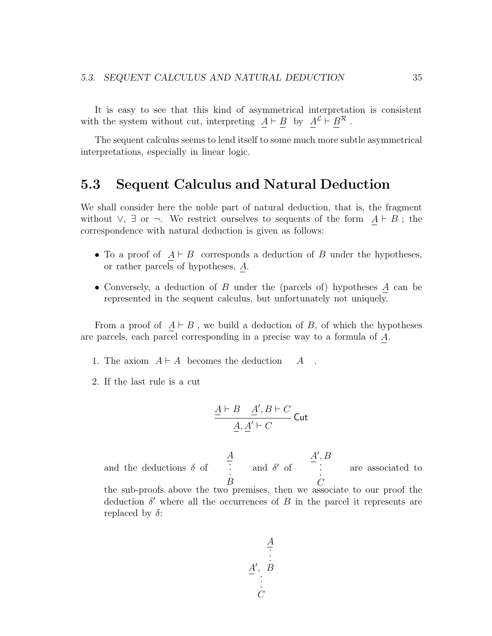It is easy to see that this kind of asymmetrical interpretation is consistent with the system without cut, interpreting  $A \vdash B$  by  $A^{\mathcal{L}} \vdash B^{\mathcal{R}}$ .

The sequent calculus seems to lend itself to some much more subtle asymmetrical interpretations, especially in linear logic.

# 5.3 Sequent Calculus and Natural Deduction

We shall consider here the noble part of natural deduction, that is, the fragment without  $\vee$ ,  $\exists$  or  $\neg$ . We restrict ourselves to sequents of the form  $\underline{A} \vdash B$ ; the correspondence with natural deduction is given as follows:

- To a proof of  $A \vdash B$  corresponds a deduction of B under the hypotheses, or rather parcels of hypotheses, A.
- $\bullet$  Conversely, a deduction of  $B$  under the (parcels of) hypotheses  $\underline{A}$  can be represented in the sequent calculus, but unfortunately not uniquely.

From a proof of  $\underline{A} \vdash B$ , we build a deduction of B, of which the hypotheses are parcels, each parcel corresponding in a precise way to a formula of A.

- 1. The axiom  $A \vdash A$  becomes the deduction  $A$ .
- <span id="page-42-0"></span>2. If the last rule is a cut

$$
\frac{\underline{A} \vdash B \quad \underline{A}', B \vdash C}{\underline{A}, \underline{A}' \vdash C} \, \mathsf{Cut}
$$

and the deductions  $\delta$  of  $\frac{A}{\cdot}$ B and  $\delta'$  of  $\underline{A}', B$ <br>: are associated to  $\mathcal{C}_{0}^{(n)}$ the sub-proofs above the two premises, then we associate to our proof the

deduction  $\delta'$  where all the occurrences of B in the parcel it represents are replaced by  $\delta$ :

$$
\begin{array}{c}\nA \\
\vdots \\
A', B \\
\vdots \\
C\n\end{array}
$$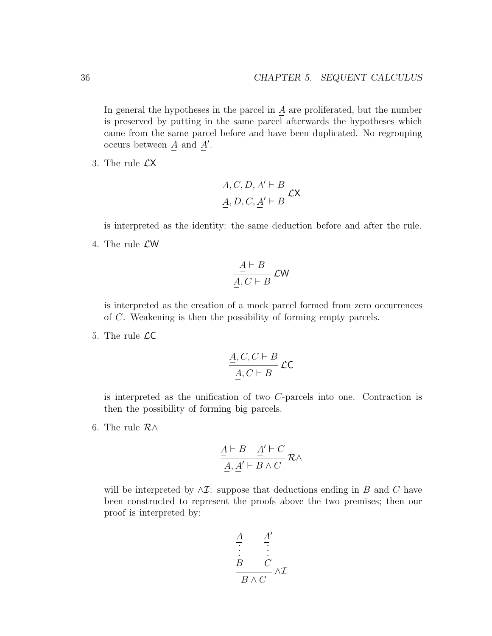In general the hypotheses in the parcel in  $A$  are proliferated, but the number is preserved by putting in the same parcel afterwards the hypotheses which came from the same parcel before and have been duplicated. No regrouping occurs between  $A$  and  $A'$ .

3. The rule  $\mathcal{L}X$ 

$$
\frac{\underline{A}, C, D, \underline{A'} \vdash B}{\underline{A}, D, C, \underline{A'} \vdash B} \mathcal{L} \mathsf{X}
$$

is interpreted as the identity: the same deduction before and after the rule.

4. The rule  $\mathcal{L}W$ 

$$
\frac{A \vdash B}{A, C \vdash B} \mathcal{LW}
$$

is interpreted as the creation of a mock parcel formed from zero occurrences of C. Weakening is then the possibility of forming empty parcels.

5. The rule  $\mathcal{L}C$ 

$$
\frac{A, C, C \vdash B}{A, C \vdash B} \mathcal{L}C
$$

is interpreted as the unification of two C-parcels into one. Contraction is then the possibility of forming big parcels.

6. The rule R∧

$$
\frac{\underline{A} \vdash B \quad \underline{A}' \vdash C}{A, A' \vdash B \land C} \mathcal{R} \land
$$

will be interpreted by  $\wedge \mathcal{I}$ : suppose that deductions ending in B and C have been constructed to represent the proofs above the two premises; then our proof is interpreted by:

$$
\begin{array}{ccc}\nA & A' \\
\vdots & \vdots \\
B & C \\
\hline\nB \wedge C\n\end{array}\n\wedge \mathcal{I}
$$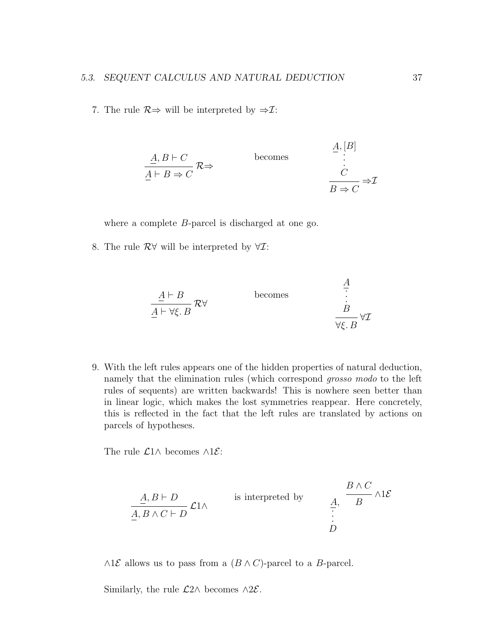7. The rule  $\mathcal{R} \Rightarrow$  will be interpreted by  $\Rightarrow \mathcal{I}$ :

$$
\underline{\frac{A}{A} \vdash B \Rightarrow C} \mathcal{R} \Rightarrow \text{ becomes } \frac{\underline{A}, [B]}{\vdots}
$$
\n
$$
\underline{\frac{A}{C} \vdash B \Rightarrow C} \mathcal{R} \Rightarrow \frac{\frac{A}{C}}{\frac{B}{B} \Rightarrow C} \Rightarrow \mathcal{I}
$$

where a complete B-parcel is discharged at one go.

8. The rule  $\mathcal{R}$ ∀ will be interpreted by  $\forall \mathcal{I}$ :



9. With the left rules appears one of the hidden properties of natural deduction, namely that the elimination rules (which correspond grosso modo to the left rules of sequents) are written backwards! This is nowhere seen better than in linear logic, which makes the lost symmetries reappear. Here concretely, this is reflected in the fact that the left rules are translated by actions on parcels of hypotheses.

The rule  $\mathcal{L}1\wedge$  becomes  $\wedge 1\mathcal{E}$ :

$$
\underline{A, B \vdash D}_{\underline{A, B \land C \vdash D}} \mathcal{L} 1 \wedge \qquad \text{is interpreted by} \qquad \underbrace{A, B \land C}_{\vdots} \wedge 1 \mathcal{E}
$$

 $\wedge$ 1E allows us to pass from a  $(B \wedge C)$ -parcel to a B-parcel.

Similarly, the rule  $\mathcal{L}2\wedge$  becomes  $\wedge 2\mathcal{E}$ .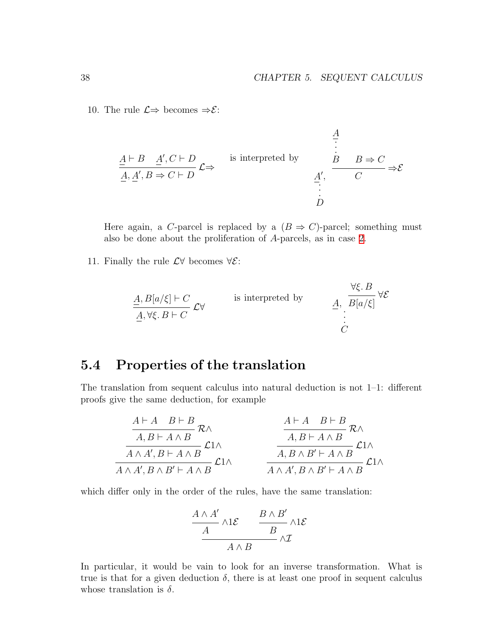10. The rule  $\mathcal{L} \Rightarrow$  becomes  $\Rightarrow \mathcal{E}$ :

$$
\begin{array}{ccc}\n & A \\
\underline{A} & B & \underline{A}', C \vdash D \\
\underline{A}, \underline{A}', B \Rightarrow C \vdash D\n\end{array}
$$
 is interpreted by\n
$$
\begin{array}{ccc}\n & A \\
 \vdots \\
 & B & B \Rightarrow C \\
 & \vdots \\
 & \vdots \\
 & D\n\end{array}
$$

Here again, a C-parcel is replaced by a  $(B \Rightarrow C)$ -parcel; something must also be done about the proliferation of A-parcels, as in case [2.](#page-42-0)

11. Finally the rule  $\mathcal{L}\forall$  becomes  $\forall \mathcal{E}$ :

$$
\underline{A}, B[a/\xi] \vdash C
$$
\nis interpreted by\n
$$
\underline{A}, \overline{B[a/\xi]} \forall \mathcal{E}
$$
\n
$$
\vdots
$$
\n
$$
\underline{A}, \overline{B[a/\xi]} \forall \mathcal{E}
$$

# 5.4 Properties of the translation

The translation from sequent calculus into natural deduction is not 1–1: different proofs give the same deduction, for example

$$
\frac{A \vdash A \quad B \vdash B}{A \land B \vdash A \land B} \mathcal{R} \land \qquad \qquad \frac{A \vdash A \quad B \vdash B}{A \land B \vdash A \land B} \mathcal{R} \land \qquad \qquad \frac{A \vdash A \quad B \vdash B}{A \land B \vdash A \land B} \mathcal{R} \land \qquad \qquad \frac{A \vdash A \land B \vdash B}{A \land B \land B' \vdash A \land B} \mathcal{L} 1 \land \qquad \qquad \frac{A \vdash A \land B \vdash B}{A \land A', B \land B' \vdash A \land B} \mathcal{L} 1 \land \qquad \qquad \frac{A \vdash A \vdash B}{A \land A', B \land B' \vdash A \land B} \mathcal{L} 1 \land \qquad \qquad \frac{A \vdash A \vdash B}{A \land A', B \land B' \vdash A \land B} \mathcal{L} 1 \land \qquad \qquad \frac{A \vdash A \vdash B}{A \land A', B \land B' \vdash A \land B} \mathcal{L} 1 \land \qquad \qquad \frac{A \vdash A \vdash B}{A \land A', B \land B' \vdash A \land B} \mathcal{L} 1 \land \qquad \qquad \frac{A \vdash A \vdash B}{A \land A', B \land B' \vdash A \land B} \mathcal{L} 1 \land \qquad \qquad \frac{A \vdash A \vdash B}{A \land A', B \land B' \vdash A \land B} \mathcal{L} 1 \land \qquad \frac{A \vdash A \vdash B}{A \land A', B \land B' \vdash A \land B} \mathcal{L} 1 \land \qquad \frac{A \vdash A \vdash B}{A \land A', B \land B' \vdash A \land B} \mathcal{L} 1 \land \qquad \frac{A \vdash A \land B}{A \land A', B \land B' \vdash A \land B} \mathcal{L} 1 \land \qquad \frac{A \vdash A \land B}{A \land A', B \land B' \vdash A \land B} \mathcal{L} 1 \land \qquad \frac{A \land A \land B}{A \land A', B \land B' \vdash A \land B} \mathcal{L} 1 \land \qquad \frac{A \land A \land B}{A \land A', B \land B' \vdash A \land B} \mathcal{L} 1 \land \q
$$

which differ only in the order of the rules, have the same translation:

$$
\frac{A \wedge A'}{A} \wedge 1\mathcal{E} \qquad \frac{B \wedge B'}{B} \wedge 1\mathcal{E}
$$
  

$$
A \wedge B \qquad \qquad \wedge \mathcal{I}
$$

In particular, it would be vain to look for an inverse transformation. What is true is that for a given deduction  $\delta$ , there is at least one proof in sequent calculus whose translation is  $\delta$ .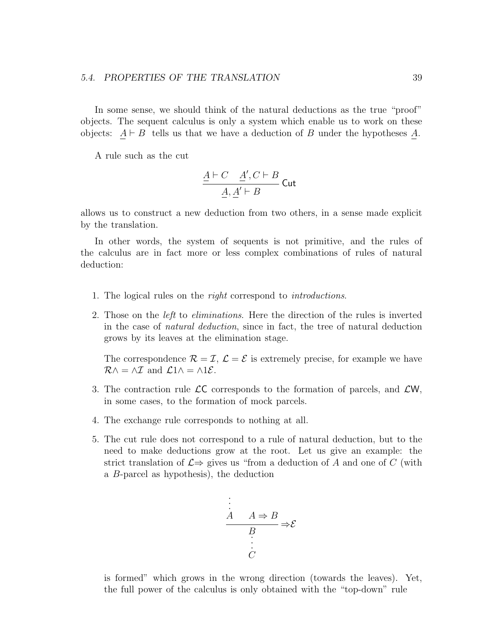#### 5.4. PROPERTIES OF THE TRANSLATION 39

In some sense, we should think of the natural deductions as the true "proof" objects. The sequent calculus is only a system which enable us to work on these objects:  $A \vdash B$  tells us that we have a deduction of B under the hypotheses A.

A rule such as the cut

$$
\frac{A \vdash C \quad \underline{A}', C \vdash B}{A, A' \vdash B} \mathsf{Cut}
$$

allows us to construct a new deduction from two others, in a sense made explicit by the translation.

In other words, the system of sequents is not primitive, and the rules of the calculus are in fact more or less complex combinations of rules of natural deduction:

- 1. The logical rules on the right correspond to introductions.
- 2. Those on the left to eliminations. Here the direction of the rules is inverted in the case of natural deduction, since in fact, the tree of natural deduction grows by its leaves at the elimination stage.

The correspondence  $\mathcal{R} = \mathcal{I}, \mathcal{L} = \mathcal{E}$  is extremely precise, for example we have  $\mathcal{R} \wedge = \wedge \mathcal{I}$  and  $\mathcal{L} \wedge \mathcal{I} \wedge = \wedge \mathcal{I} \mathcal{E}$ .

- 3. The contraction rule  $\mathcal{L}C$  corresponds to the formation of parcels, and  $\mathcal{L}W$ , in some cases, to the formation of mock parcels.
- 4. The exchange rule corresponds to nothing at all.
- 5. The cut rule does not correspond to a rule of natural deduction, but to the need to make deductions grow at the root. Let us give an example: the strict translation of  $\mathcal{L} \Rightarrow$  gives us "from a deduction of A and one of C (with a B-parcel as hypothesis), the deduction

$$
\begin{array}{ccc}\n\vdots & & \\
\stackrel{\cdot}{A} & A \Rightarrow B & \\
\hline\nB & \stackrel{\cdot}{\cdot} & \\
\hline\nC & & \\
\end{array} \Rightarrow \mathcal{E}
$$

is formed" which grows in the wrong direction (towards the leaves). Yet, the full power of the calculus is only obtained with the "top-down" rule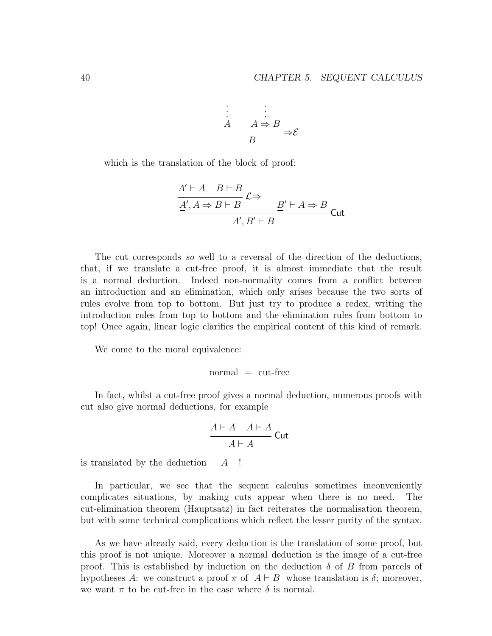$$
\begin{array}{c}\n\vdots & \vdots \\
\stackrel{\cdot}{A} & A \Rightarrow B \\
\hline\nB\n\end{array} \Rightarrow \mathcal{E}
$$

which is the translation of the block of proof:

$$
\frac{\underline{A'} \vdash A \quad B \vdash B}{\underline{A'}, A \Rightarrow B \vdash B} \xrightarrow{L \Rightarrow} \underline{B'} \vdash A \Rightarrow B
$$
  

$$
\underline{A'}, \underline{B'} \vdash B
$$
Cut

The cut corresponds so well to a reversal of the direction of the deductions, that, if we translate a cut-free proof, it is almost immediate that the result is a normal deduction. Indeed non-normality comes from a conflict between an introduction and an elimination, which only arises because the two sorts of rules evolve from top to bottom. But just try to produce a redex, writing the introduction rules from top to bottom and the elimination rules from bottom to top! Once again, linear logic clarifies the empirical content of this kind of remark.

We come to the moral equivalence:

$$
{\rm normal}~=~{\rm cut}\text{-}{\rm free}
$$

In fact, whilst a cut-free proof gives a normal deduction, numerous proofs with cut also give normal deductions, for example

$$
\frac{A\vdash A \quad A\vdash A}{A\vdash A}
$$
Cut

is translated by the deduction  $A$ !

In particular, we see that the sequent calculus sometimes inconveniently complicates situations, by making cuts appear when there is no need. The cut-elimination theorem (Hauptsatz) in fact reiterates the normalisation theorem, but with some technical complications which reflect the lesser purity of the syntax.

As we have already said, every deduction is the translation of some proof, but this proof is not unique. Moreover a normal deduction is the image of a cut-free proof. This is established by induction on the deduction  $\delta$  of B from parcels of hypotheses A: we construct a proof  $\pi$  of  $A \vdash B$  whose translation is  $\delta$ ; moreover, we want  $\pi$  to be cut-free in the case where  $\delta$  is normal.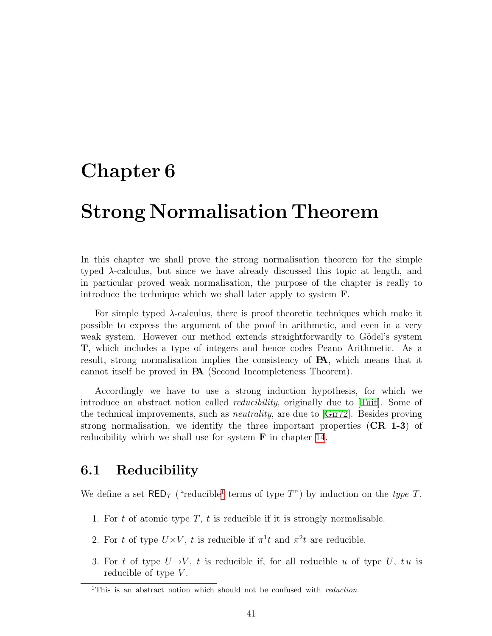# Chapter 6

# Strong Normalisation Theorem

In this chapter we shall prove the strong normalisation theorem for the simple typed  $\lambda$ -calculus, but since we have already discussed this topic at length, and in particular proved weak normalisation, the purpose of the chapter is really to introduce the technique which we shall later apply to system **.** 

For simple typed  $\lambda$ -calculus, there is proof theoretic techniques which make it possible to express the argument of the proof in arithmetic, and even in a very weak system. However our method extends straightforwardly to Gödel's system T, which includes a type of integers and hence codes Peano Arithmetic. As a result, strong normalisation implies the consistency of PA, which means that it cannot itself be proved in PA (Second Incompleteness Theorem).

Accordingly we have to use a strong induction hypothesis, for which we introduce an abstract notion called reducibility, originally due to[[Tait\]](#page-171-0). Some of the technical improvements, such as neutrality, are due to[[Gir72](#page-169-1)]. Besides proving strong normalisation, we identify the three important properties  $(CR 1-3)$  of reducibility which we shall use for system  $\bf{F}$  in chapter [14.](#page-120-0)

## <span id="page-48-1"></span>6.1 Reducibility

We define a set  $\mathsf{RED}_T$  ("reducible<sup>[1](#page-48-0)</sup> terms of type  $T$ ") by induction on the type T.

- 1. For t of atomic type  $T$ , t is reducible if it is strongly normalisable.
- 2. For t of type  $U \times V$ , t is reducible if  $\pi^1 t$  and  $\pi^2 t$  are reducible.
- 3. For t of type  $U\rightarrow V$ , t is reducible if, for all reducible u of type U, tu is reducible of type  $V$ .

<span id="page-48-0"></span><sup>&</sup>lt;sup>1</sup>This is an abstract notion which should not be confused with *reduction*.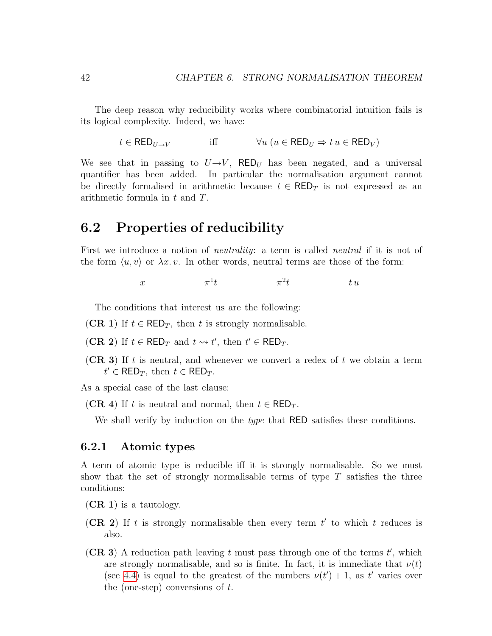The deep reason why reducibility works where combinatorial intuition fails is its logical complexity. Indeed, we have:

 $t \in \mathsf{RED}_{U \to V}$  iff  $\forall u \ (u \in \mathsf{RED}_U \Rightarrow t \ u \in \mathsf{RED}_V)$ 

We see that in passing to  $U\rightarrow V$ , RED<sub>U</sub> has been negated, and a universal quantifier has been added. In particular the normalisation argument cannot be directly formalised in arithmetic because  $t \in \mathsf{RED}_T$  is not expressed as an arithmetic formula in t and T.

# 6.2 Properties of reducibility

First we introduce a notion of *neutrality*: a term is called *neutral* if it is not of the form  $\langle u, v \rangle$  or  $\lambda x. v$ . In other words, neutral terms are those of the form:

> x  $\pi^1 t$  $\pi^2 t$  $t u$

The conditions that interest us are the following:

(CR 1) If  $t \in \text{RED}_T$ , then t is strongly normalisable.

(**CR 2**) If  $t \in \mathsf{RED}_T$  and  $t \leadsto t'$ , then  $t' \in \mathsf{RED}_T$ .

(CR 3) If t is neutral, and whenever we convert a redex of t we obtain a term  $t' \in \mathsf{RED}_T$ , then  $t \in \mathsf{RED}_T$ .

As a special case of the last clause:

(CR 4) If t is neutral and normal, then  $t \in \text{RED}_T$ .

We shall verify by induction on the *type* that RED satisfies these conditions.

## 6.2.1 Atomic types

A term of atomic type is reducible iff it is strongly normalisable. So we must show that the set of strongly normalisable terms of type  $T$  satisfies the three conditions:

 $(CR 1)$  is a tautology.

- (CR 2) If t is strongly normalisable then every term  $t'$  to which t reduces is also.
- (CR 3) A reduction path leaving t must pass through one of the terms  $t'$ , which are strongly normalisable, and so is finite. In fact, it is immediate that  $\nu(t)$ (see [4.4](#page-33-0)) is equal to the greatest of the numbers  $\nu(t') + 1$ , as t' varies over the (one-step) conversions of  $t$ .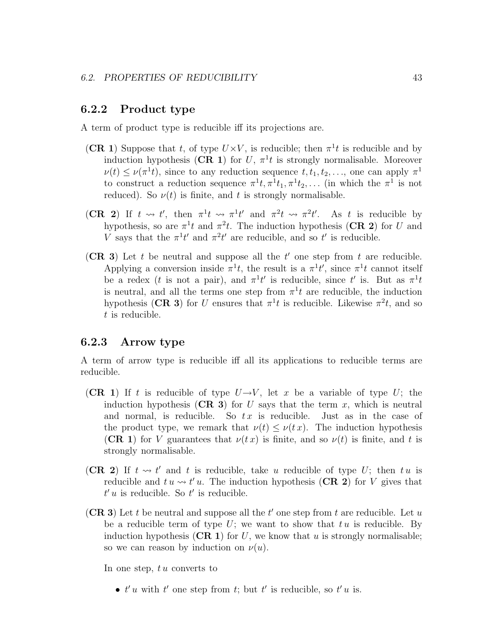#### 6.2.2 Product type

A term of product type is reducible iff its projections are.

- (CR 1) Suppose that t, of type  $U \times V$ , is reducible; then  $\pi^1 t$  is reducible and by induction hypothesis (CR 1) for U,  $\pi^1 t$  is strongly normalisable. Moreover  $\nu(t) \leq \nu(\pi^1 t)$ , since to any reduction sequence  $t, t_1, t_2, \ldots$ , one can apply  $\pi^1$ to construct a reduction sequence  $\pi^1 t, \pi^1 t_1, \pi^1 t_2, \ldots$  (in which the  $\pi^1$  is not reduced). So  $\nu(t)$  is finite, and t is strongly normalisable.
- **(CR 2)** If  $t \rightsquigarrow t'$ , then  $\pi^1 t \rightsquigarrow \pi^1 t'$  and  $\pi^2 t \rightsquigarrow \pi^2 t'$ . As t is reducible by hypothesis, so are  $\pi^1 t$  and  $\pi^2 t$ . The induction hypothesis (CR 2) for U and V says that the  $\pi^1 t'$  and  $\pi^2 t'$  are reducible, and so t' is reducible.
- (CR 3) Let t be neutral and suppose all the  $t'$  one step from t are reducible. Applying a conversion inside  $\pi^1 t$ , the result is a  $\pi^1 t'$ , since  $\pi^1 t$  cannot itself be a redex (*t* is not a pair), and  $\pi^1 t'$  is reducible, since t' is. But as  $\pi^1 t$ is neutral, and all the terms one step from  $\pi^1 t$  are reducible, the induction hypothesis (CR 3) for U ensures that  $\pi^1 t$  is reducible. Likewise  $\pi^2 t$ , and so t is reducible.

#### 6.2.3 Arrow type

A term of arrow type is reducible iff all its applications to reducible terms are reducible.

- **(CR 1)** If t is reducible of type  $U \rightarrow V$ , let x be a variable of type U; the induction hypothesis (CR 3) for U says that the term x, which is neutral and normal, is reducible. So  $tx$  is reducible. Just as in the case of the product type, we remark that  $\nu(t) \leq \nu(t x)$ . The induction hypothesis (CR 1) for V guarantees that  $\nu(tx)$  is finite, and so  $\nu(t)$  is finite, and t is strongly normalisable.
- (CR 2) If  $t \nightharpoonup t'$  and t is reducible, take u reducible of type U; then tu is reducible and  $tu \rightsquigarrow t'u$ . The induction hypothesis (CR 2) for V gives that  $t' u$  is reducible. So  $t'$  is reducible.
- (CR 3) Let t be neutral and suppose all the  $t'$  one step from t are reducible. Let u be a reducible term of type  $U$ ; we want to show that  $tu$  is reducible. By induction hypothesis  $(CR_1)$  for U, we know that u is strongly normalisable; so we can reason by induction on  $\nu(u)$ .

In one step,  $t u$  converts to

•  $t' u$  with  $t'$  one step from  $t$ ; but  $t'$  is reducible, so  $t' u$  is.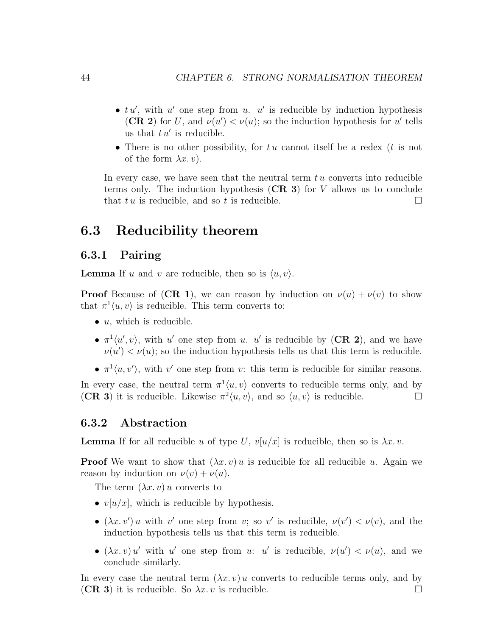- $t u'$ , with u' one step from u. u' is reducible by induction hypothesis (CR 2) for U, and  $\nu(u') < \nu(u)$ ; so the induction hypothesis for u' tells us that  $t u'$  is reducible.
- There is no other possibility, for  $tu$  cannot itself be a redex  $(t$  is not of the form  $\lambda x. v$ .

In every case, we have seen that the neutral term  $t u$  converts into reducible terms only. The induction hypothesis  $(CR 3)$  for V allows us to conclude that  $t u$  is reducible, and so  $t$  is reducible.  $\Box$ 

## 6.3 Reducibility theorem

### <span id="page-51-0"></span>6.3.1 Pairing

**Lemma** If u and v are reducible, then so is  $\langle u, v \rangle$ .

**Proof** Because of (CR 1), we can reason by induction on  $\nu(u) + \nu(v)$  to show that  $\pi^1 \langle u, v \rangle$  is reducible. This term converts to:

- $\bullet$  u, which is reducible.
- $\pi^1 \langle u', v \rangle$ , with u' one step from u. u' is reducible by (CR 2), and we have  $\nu(u') < \nu(u)$ ; so the induction hypothesis tells us that this term is reducible.
- $\pi^1\langle u, v'\rangle$ , with v' one step from v: this term is reducible for similar reasons.

In every case, the neutral term  $\pi^1 \langle u, v \rangle$  converts to reducible terms only, and by **(CR 3)** it is reducible. Likewise  $\pi^2 \langle u, v \rangle$ , and so  $\langle u, v \rangle$  is reducible.

#### <span id="page-51-1"></span>6.3.2 Abstraction

**Lemma** If for all reducible u of type U,  $v[u/x]$  is reducible, then so is  $\lambda x. v$ .

**Proof** We want to show that  $(\lambda x. v)u$  is reducible for all reducible u. Again we reason by induction on  $\nu(v) + \nu(u)$ .

The term  $(\lambda x. v) u$  converts to

- $v[u/x]$ , which is reducible by hypothesis.
- $(\lambda x. v') u$  with v' one step from v; so v' is reducible,  $\nu(v') < \nu(v)$ , and the induction hypothesis tells us that this term is reducible.
- $(\lambda x. v) u'$  with u' one step from u: u' is reducible,  $\nu(u') < \nu(u)$ , and we conclude similarly.

In every case the neutral term  $(\lambda x. v)u$  converts to reducible terms only, and by (CR 3) it is reducible. So  $\lambda x. v$  is reducible.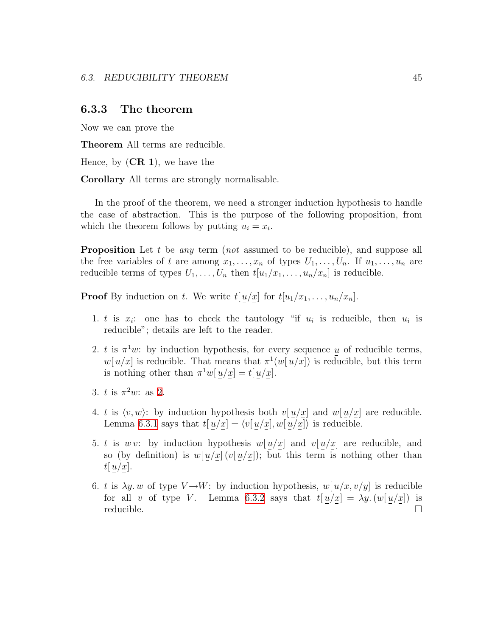#### 6.3.3 The theorem

Now we can prove the

Theorem All terms are reducible.

Hence, by  $(CR_1)$ , we have the

Corollary All terms are strongly normalisable.

In the proof of the theorem, we need a stronger induction hypothesis to handle the case of abstraction. This is the purpose of the following proposition, from which the theorem follows by putting  $u_i = x_i$ .

**Proposition** Let t be any term (not assumed to be reducible), and suppose all the free variables of t are among  $x_1, \ldots, x_n$  of types  $U_1, \ldots, U_n$ . If  $u_1, \ldots, u_n$  are reducible terms of types  $U_1, \ldots, U_n$  then  $t[u_1/x_1, \ldots, u_n/x_n]$  is reducible.

**Proof** By induction on t. We write  $t[u/x]$  for  $t[u_1/x_1, \ldots, u_n/x_n]$ .

- 1. t is  $x_i$ : one has to check the tautology "if  $u_i$  is reducible, then  $u_i$  is reducible"; details are left to the reader.
- <span id="page-52-0"></span>2. t is  $\pi^1 w$ : by induction hypothesis, for every sequence u of reducible terms,  $w[u/x]$  is reducible. That means that  $\pi^1(w[u/x])$  is reducible, but this term is nothing other than  $\pi^1 w[u/x] = t[u/x]$ .
- 3. t is  $\pi^2 w$ : as [2.](#page-52-0)
- 4. t is  $\langle v, w \rangle$ : by induction hypothesis both  $v[u/x]$  and  $w[u/x]$  are reducible. Lemma [6.3.1](#page-51-0) says that  $t[u/x] = \langle v[u/x], w[u/x]\rangle$  is reducible.
- 5. t is w v: by induction hypothesis  $w[u/x]$  and  $v[u/x]$  are reducible, and so (by definition) is  $w[u/x](v[u/x])$ ; but this term is nothing other than  $t[u/x].$
- 6. t is  $\lambda y$  w of type  $V \rightarrow W$ : by induction hypothesis,  $w[u/x, v/y]$  is reducible for all v of type V. Lemma [6.3.2](#page-51-1) says that  $t[u/x] = \lambda y \cdot (w[u/x])$  is  $reducible.$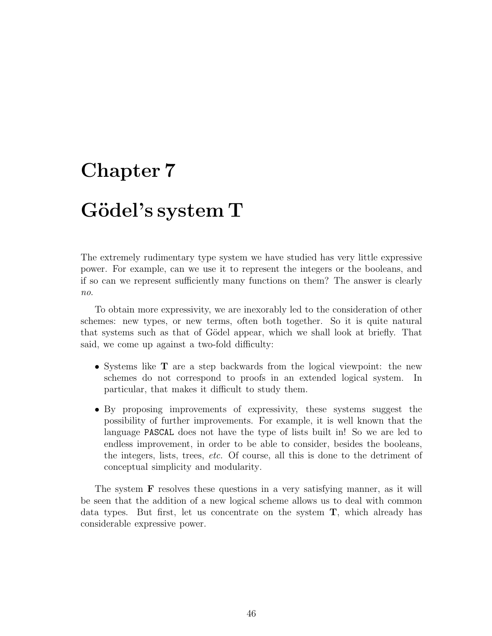# Chapter 7

# Gödel's system T

The extremely rudimentary type system we have studied has very little expressive power. For example, can we use it to represent the integers or the booleans, and if so can we represent sufficiently many functions on them? The answer is clearly no.

To obtain more expressivity, we are inexorably led to the consideration of other schemes: new types, or new terms, often both together. So it is quite natural that systems such as that of Gödel appear, which we shall look at briefly. That said, we come up against a two-fold difficulty:

- Systems like T are a step backwards from the logical viewpoint: the new schemes do not correspond to proofs in an extended logical system. In particular, that makes it difficult to study them.
- By proposing improvements of expressivity, these systems suggest the possibility of further improvements. For example, it is well known that the language PASCAL does not have the type of lists built in! So we are led to endless improvement, in order to be able to consider, besides the booleans, the integers, lists, trees, etc. Of course, all this is done to the detriment of conceptual simplicity and modularity.

The system F resolves these questions in a very satisfying manner, as it will be seen that the addition of a new logical scheme allows us to deal with common data types. But first, let us concentrate on the system  $T$ , which already has considerable expressive power.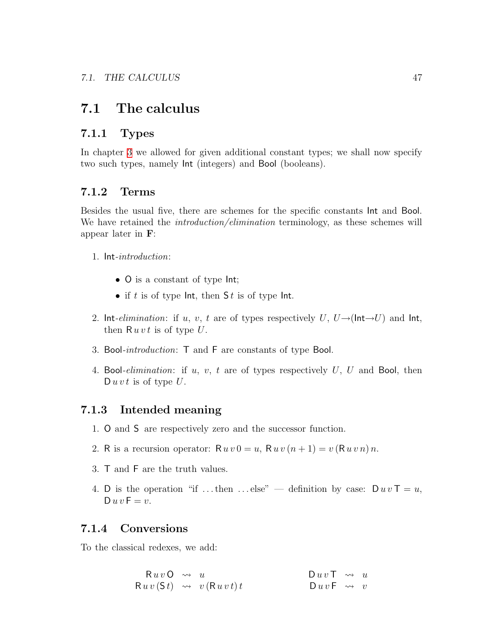# 7.1 The calculus

### 7.1.1 Types

In chapter [3](#page-21-0) we allowed for given additional constant types; we shall now specify two such types, namely Int (integers) and Bool (booleans).

## 7.1.2 Terms

Besides the usual five, there are schemes for the specific constants Int and Bool. We have retained the *introduction/elimination* terminology, as these schemes will appear later in F:

- 1. Int-introduction:
	- O is a constant of type  $Int$ ;
	- if t is of type  $Int$ , then  $St$  is of type  $Int$ .
- 2. Int-elimination: if u, v, t are of types respectively U,  $U \rightarrow (Int \rightarrow U)$  and lnt, then  $R u v t$  is of type U.
- 3. Bool-introduction: T and F are constants of type Bool.
- 4. Bool-elimination: if u, v, t are of types respectively  $U, U$  and Bool, then  $D u v t$  is of type U.

### 7.1.3 Intended meaning

- 1. O and S are respectively zero and the successor function.
- 2. R is a recursion operator:  $R u v 0 = u$ ,  $R u v (n + 1) = v (R u v n) n$ .
- 3. T and F are the truth values.
- 4. D is the operation "if ...then ...else" definition by case:  $D u v T = u$ ,  $D u v F = v.$

#### 7.1.4 Conversions

To the classical redexes, we add:

 $\mathsf{R} \, u \, v \, \mathsf{O} \quad \leadsto \quad u$   $\qquad \qquad \mathsf{D} \, u \, v \, \mathsf{T} \quad \leadsto \quad u$  $\mathsf{R} u v(\mathsf{S} t) \rightsquigarrow v (\mathsf{R} u v t) t$   $\qquad \qquad \mathsf{D} u v \mathsf{F} \rightsquigarrow v$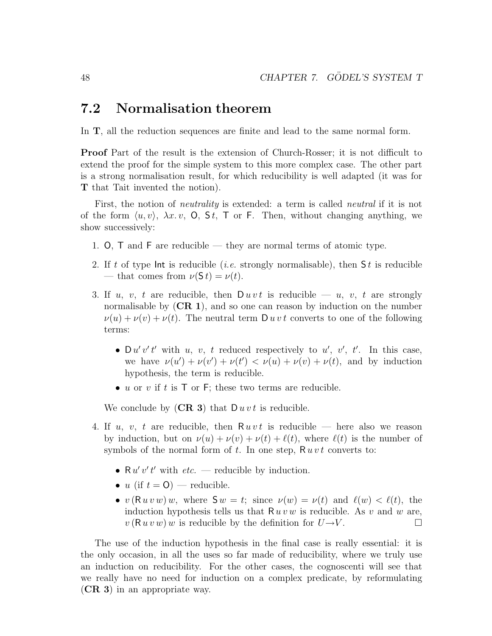## 7.2 Normalisation theorem

In T, all the reduction sequences are finite and lead to the same normal form.

Proof Part of the result is the extension of Church-Rosser; it is not difficult to extend the proof for the simple system to this more complex case. The other part is a strong normalisation result, for which reducibility is well adapted (it was for T that Tait invented the notion).

First, the notion of *neutrality* is extended: a term is called *neutral* if it is not of the form  $\langle u, v \rangle$ ,  $\lambda x. v$ , O, St, T or F. Then, without changing anything, we show successively:

- 1. O, T and F are reducible they are normal terms of atomic type.
- 2. If t of type Int is reducible (*i.e.* strongly normalisable), then  $St$  is reducible — that comes from  $\nu(\mathsf{S} t) = \nu(t)$ .
- 3. If u, v, t are reducible, then  $D u v t$  is reducible u, v, t are strongly normalisable by  $(CR_1)$ , and so one can reason by induction on the number  $\nu(u) + \nu(v) + \nu(t)$ . The neutral term  $\mathsf{D} u v t$  converts to one of the following terms:
	- Du'v't' with u, v, t reduced respectively to u', v', t'. In this case, we have  $\nu(u') + \nu(v') + \nu(t') < \nu(u) + \nu(v) + \nu(t)$ , and by induction hypothesis, the term is reducible.
	- u or v if t is  $\top$  or F; these two terms are reducible.

We conclude by  $(CR 3)$  that  $D u v t$  is reducible.

- 4. If u, v, t are reducible, then  $R u v t$  is reducible here also we reason by induction, but on  $\nu(u) + \nu(v) + \nu(t) + \ell(t)$ , where  $\ell(t)$  is the number of symbols of the normal form of t. In one step,  $R u v t$  converts to:
	- Ru'v't' with  $etc.$  reducible by induction.
	- u (if  $t = 0$ ) reducible.
	- v  $(\mathbb{R} u v w) w$ , where  $\mathsf{S} w = t$ ; since  $\nu(w) = \nu(t)$  and  $\ell(w) < \ell(t)$ , the induction hypothesis tells us that  $R u v w$  is reducible. As v and w are,  $v(R u v w) w$  is reducible by the definition for  $U \rightarrow V$ .

The use of the induction hypothesis in the final case is really essential: it is the only occasion, in all the uses so far made of reducibility, where we truly use an induction on reducibility. For the other cases, the cognoscenti will see that we really have no need for induction on a complex predicate, by reformulating (CR 3) in an appropriate way.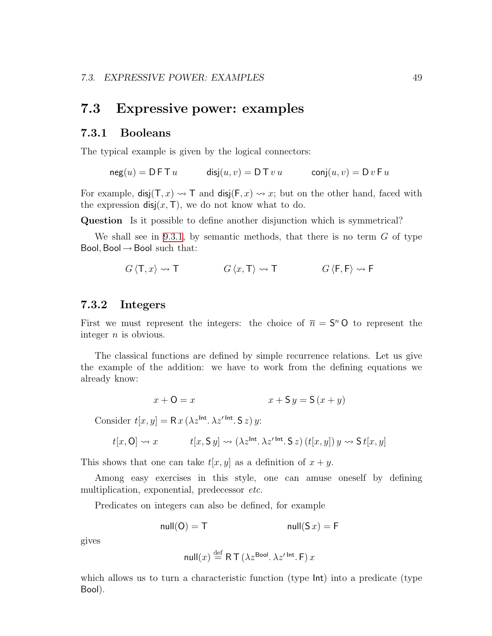# 7.3 Expressive power: examples

#### 7.3.1 Booleans

The typical example is given by the logical connectors:

 $neg(u) = DFT u$  disj $(u, v) = DT v u$  conj $(u, v) = D v Fu$ 

For example,  $\text{disj}(\mathsf{T}, x) \rightsquigarrow \mathsf{T}$  and  $\text{disj}(\mathsf{F}, x) \rightsquigarrow x$ ; but on the other hand, faced with the expression  $disj(x, T)$ , we do not know what to do.

Question Is it possible to define another disjunction which is symmetrical?

We shall see in [9.3.1,](#page-76-0) by semantic methods, that there is no term  $G$  of type Bool, Bool  $\rightarrow$  Bool such that:

$$
G\langle \mathsf{T},x\rangle \leadsto \mathsf{T} \qquad \qquad G\langle x,\mathsf{T}\rangle \leadsto \mathsf{T} \qquad \qquad G\langle \mathsf{F},\mathsf{F}\rangle \leadsto \mathsf{F}
$$

### 7.3.2 Integers

First we must represent the integers: the choice of  $\bar{n} = S^n \Omega$  to represent the integer  $n$  is obvious.

The classical functions are defined by simple recurrence relations. Let us give the example of the addition: we have to work from the defining equations we already know:

$$
x + \mathsf{O} = x \qquad \qquad x + \mathsf{S} \, y = \mathsf{S} \, (x + y)
$$

Consider  $t[x, y] = \mathsf{R} x \left( \lambda z^{\mathsf{Int}} \cdot \lambda z^{\prime \mathsf{Int}} \cdot \mathsf{S} z \right) y$ :

$$
t[x,\mathsf{O}]\leadsto x \qquad \qquad t[x,\mathsf{S}\, y]\leadsto (\lambda z^{\mathsf{Int}}.\,\lambda z^{\prime\,\mathsf{Int}}.\,\mathsf{S}\, z)\,(t[x,y])\,y\leadsto \mathsf{S}\, t[x,y]
$$

This shows that one can take  $t[x, y]$  as a definition of  $x + y$ .

Among easy exercises in this style, one can amuse oneself by defining multiplication, exponential, predecessor *etc.* 

Predicates on integers can also be defined, for example

$$
\mathsf{null}(\mathsf{O}) = \mathsf{T} \qquad \qquad \mathsf{null}(\mathsf{S}\,x) = \mathsf{F}
$$

gives

$$
\mathsf{null}(x) \stackrel{\text{def}}{=} \mathsf{RT}\left(\lambda z^{\mathsf{Bool}}.\,\lambda z^{\prime\,\mathsf{Int}}.\,\mathsf{F}\right)x
$$

which allows us to turn a characteristic function (type  $Int$ ) into a predicate (type Bool).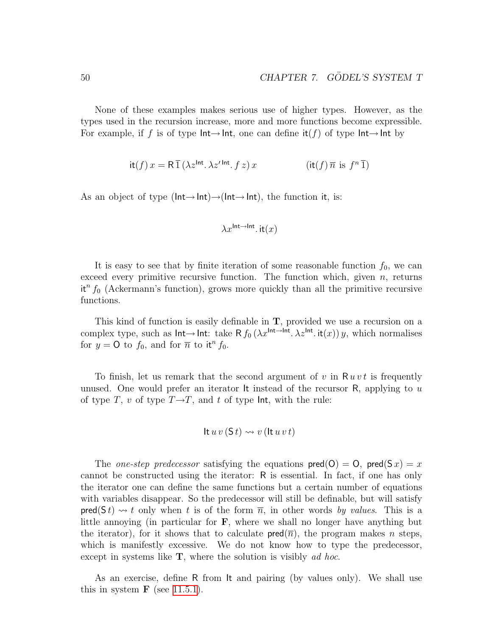None of these examples makes serious use of higher types. However, as the types used in the recursion increase, more and more functions become expressible. For example, if f is of type  $Int \rightarrow Int$ , one can define it(f) of type  $Int \rightarrow Int$  by

$$
it(f) x = R\overline{1} (\lambda z^{Int}.\lambda z'^{Int}.f z) x \qquad (it(f)\overline{n} \text{ is } f^n \overline{1})
$$

As an object of type  $(\text{Int} \rightarrow \text{Int}) \rightarrow (\text{Int} \rightarrow \text{Int})$ , the function it, is:

$$
\lambda x^{{\rm Int} \rightarrow {\rm Int.}}\, {\rm it}(x)
$$

It is easy to see that by finite iteration of some reasonable function  $f_0$ , we can exceed every primitive recursive function. The function which, given  $n$ , returns  $it^n f_0$  (Ackermann's function), grows more quickly than all the primitive recursive functions.

This kind of function is easily definable in T, provided we use a recursion on a complex type, such as  $Int \to Int:$  take R  $f_0(\lambda x^{Int \to Int} \cdot \lambda z^{Int} \cdot it(x)) y$ , which normalises for  $y = 0$  to  $f_0$ , and for  $\overline{n}$  to it<sup>n</sup>  $f_0$ .

To finish, let us remark that the second argument of v in  $R u v t$  is frequently unused. One would prefer an iterator It instead of the recursor R, applying to  $u$ of type T, v of type  $T \rightarrow T$ , and t of type Int, with the rule:

$$
\mathsf{lt} \, u \, v \, (\mathsf{S} \, t) \leadsto v \, (\mathsf{lt} \, u \, v \, t)
$$

The one-step predecessor satisfying the equations  $\text{pred}(O) = O$ ,  $\text{pred}(S x) = x$ cannot be constructed using the iterator: R is essential. In fact, if one has only the iterator one can define the same functions but a certain number of equations with variables disappear. So the predecessor will still be definable, but will satisfy  $\text{pred}(S t) \rightsquigarrow t$  only when t is of the form  $\overline{n}$ , in other words by values. This is a little annoying (in particular for  $\bf{F}$ , where we shall no longer have anything but the iterator), for it shows that to calculate  $pred(\overline{n})$ , the program makes n steps, which is manifestly excessive. We do not know how to type the predecessor, except in systems like  $T$ , where the solution is visibly *ad hoc*.

As an exercise, define R from It and pairing (by values only). We shall use this in system  $\bf{F}$  (see [11.5.1](#page-95-0)).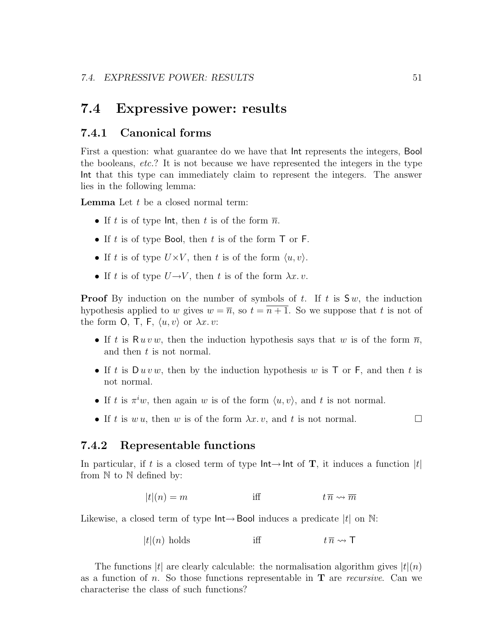## 7.4 Expressive power: results

### 7.4.1 Canonical forms

First a question: what guarantee do we have that Int represents the integers, Bool the booleans, etc.? It is not because we have represented the integers in the type Int that this type can immediately claim to represent the integers. The answer lies in the following lemma:

**Lemma** Let  $t$  be a closed normal term:

- If t is of type  $\ln t$ , then t is of the form  $\overline{n}$ .
- If t is of type Bool, then t is of the form  $\mathsf{T}$  or  $\mathsf{F}$ .
- If t is of type  $U\times V$ , then t is of the form  $\langle u, v \rangle$ .
- If t is of type  $U \rightarrow V$ , then t is of the form  $\lambda x. v$ .

**Proof** By induction on the number of symbols of t. If t is  $S w$ , the induction hypothesis applied to w gives  $w = \overline{n}$ , so  $t = \overline{n+1}$ . So we suppose that t is not of the form O, T, F,  $\langle u, v \rangle$  or  $\lambda x. v$ :

- If t is  $R u v w$ , then the induction hypothesis says that w is of the form  $\overline{n}$ , and then t is not normal.
- If t is  $D u v w$ , then by the induction hypothesis w is T or F, and then t is not normal.
- If t is  $\pi^i w$ , then again w is of the form  $\langle u, v \rangle$ , and t is not normal.
- If t is w u, then w is of the form  $\lambda x. v$ , and t is not normal.

#### 7.4.2 Representable functions

In particular, if t is a closed term of type  $\text{Int} \rightarrow \text{Int}$  of T, it induces a function  $|t|$ from  $\mathbb N$  to  $\mathbb N$  defined by:

$$
|t|(n) = m \qquad \qquad \text{iff} \qquad \qquad t\,\overline{n} \leadsto \overline{m}
$$

Likewise, a closed term of type  $Int \rightarrow$  Bool induces a predicate |t| on N:

 $|t|(n)$  holds iff  $t \overline{n} \leadsto \mathsf{T}$ 

The functions |t| are clearly calculable: the normalisation algorithm gives  $|t|(n)$ as a function of n. So those functions representable in  $T$  are recursive. Can we characterise the class of such functions?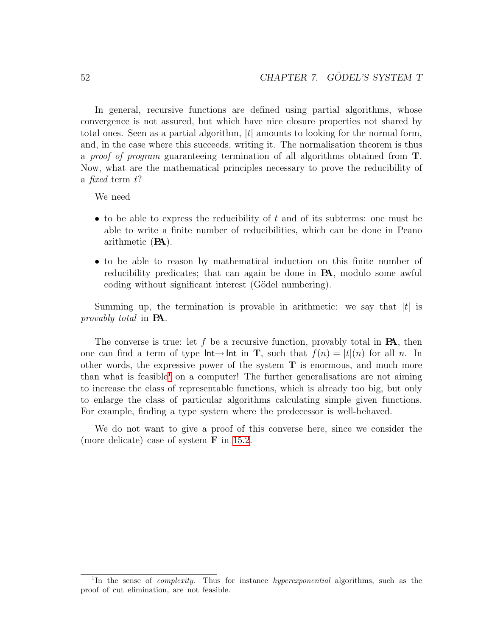In general, recursive functions are defined using partial algorithms, whose convergence is not assured, but which have nice closure properties not shared by total ones. Seen as a partial algorithm,  $|t|$  amounts to looking for the normal form, and, in the case where this succeeds, writing it. The normalisation theorem is thus a proof of program guaranteeing termination of all algorithms obtained from T. Now, what are the mathematical principles necessary to prove the reducibility of a fixed term t?

We need

- to be able to express the reducibility of  $t$  and of its subterms: one must be able to write a finite number of reducibilities, which can be done in Peano arithmetic (PA).
- to be able to reason by mathematical induction on this finite number of reducibility predicates; that can again be done in PA, modulo some awful coding without significant interest (Gödel numbering).

Summing up, the termination is provable in arithmetic: we say that  $|t|$  is provably total in PA.

The converse is true: let f be a recursive function, provably total in  $\mathbf{PA}$ , then one can find a term of type  $\mathsf{Int} \rightarrow \mathsf{Int}$  in **T**, such that  $f(n) = |t|(n)$  for all n. In other words, the expressive power of the system  $T$  is enormous, and much more than what is feasible<sup>[1](#page-59-0)</sup> on a computer! The further generalisations are not aiming to increase the class of representable functions, which is already too big, but only to enlarge the class of particular algorithms calculating simple given functions. For example, finding a type system where the predecessor is well-behaved.

We do not want to give a proof of this converse here, since we consider the (more delicate) case of system  $\bf{F}$  in [15.2.](#page-130-0)

<span id="page-59-0"></span><sup>&</sup>lt;sup>1</sup>In the sense of *complexity*. Thus for instance *hyperexponential* algorithms, such as the proof of cut elimination, are not feasible.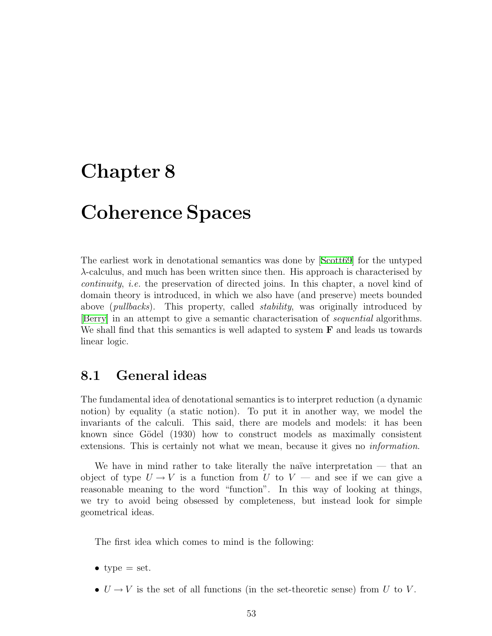# Chapter 8

# Coherence Spaces

The earliest work in denotational semantics was done by[[Scott69](#page-171-1)] for the untyped λ-calculus, and much has been written since then. His approach is characterised by continuity, i.e. the preservation of directed joins. In this chapter, a novel kind of domain theory is introduced, in which we also have (and preserve) meets bounded above (pullbacks). This property, called stability, was originally introduced by [[Berry](#page-168-0)] in an attempt to give a semantic characterisation of sequential algorithms. We shall find that this semantics is well adapted to system  $\bf{F}$  and leads us towards linear logic.

## 8.1 General ideas

The fundamental idea of denotational semantics is to interpret reduction (a dynamic notion) by equality (a static notion). To put it in another way, we model the invariants of the calculi. This said, there are models and models: it has been known since Gödel (1930) how to construct models as maximally consistent extensions. This is certainly not what we mean, because it gives no *information*.

We have in mind rather to take literally the naïve interpretation  $-$  that an object of type  $U \rightarrow V$  is a function from U to V — and see if we can give a reasonable meaning to the word "function". In this way of looking at things, we try to avoid being obsessed by completeness, but instead look for simple geometrical ideas.

The first idea which comes to mind is the following:

- type  $=$  set.
- $U \rightarrow V$  is the set of all functions (in the set-theoretic sense) from U to V.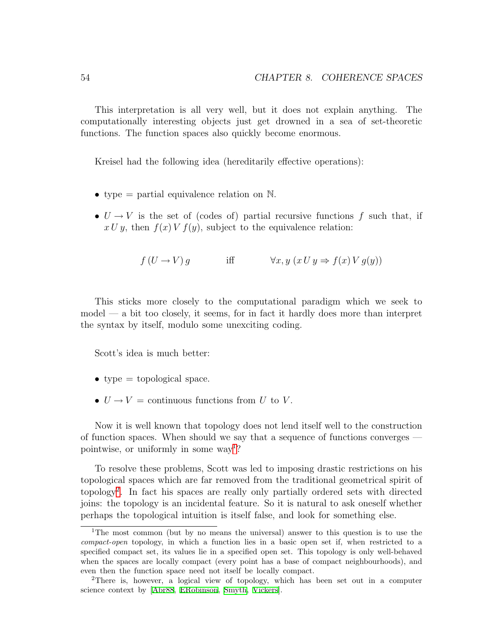This interpretation is all very well, but it does not explain anything. The computationally interesting objects just get drowned in a sea of set-theoretic functions. The function spaces also quickly become enormous.

Kreisel had the following idea (hereditarily effective operations):

- type = partial equivalence relation on N.
- $U \rightarrow V$  is the set of (codes of) partial recursive functions f such that, if  $x U y$ , then  $f(x) V f(y)$ , subject to the equivalence relation:

$$
f(U \to V) g
$$
 iff  $\forall x, y (x U y \Rightarrow f(x) V g(y))$ 

This sticks more closely to the computational paradigm which we seek to model — a bit too closely, it seems, for in fact it hardly does more than interpret the syntax by itself, modulo some unexciting coding.

Scott's idea is much better:

- type  $=$  topological space.
- $U \rightarrow V =$  continuous functions from U to V.

Now it is well known that topology does not lend itself well to the construction of function spaces. When should we say that a sequence of functions converges — pointwise, or uniformly in some way<sup>[1](#page-61-0)</sup>?

To resolve these problems, Scott was led to imposing drastic restrictions on his topological spaces which are far removed from the traditional geometrical spirit of topology[2](#page-61-1) . In fact his spaces are really only partially ordered sets with directed joins: the topology is an incidental feature. So it is natural to ask oneself whether perhaps the topological intuition is itself false, and look for something else.

<span id="page-61-0"></span><sup>1</sup>The most common (but by no means the universal) answer to this question is to use the compact-open topology, in which a function lies in a basic open set if, when restricted to a specified compact set, its values lie in a specified open set. This topology is only well-behaved when the spaces are locally compact (every point has a base of compact neighbourhoods), and even then the function space need not itself be locally compact.

<span id="page-61-1"></span><sup>2</sup>There is, however, a logical view of topology, which has been set out in a computer science context by[[Abr88,](#page-168-1) [ERobinson](#page-170-0), [Smyth](#page-171-2), [Vickers](#page-171-3)].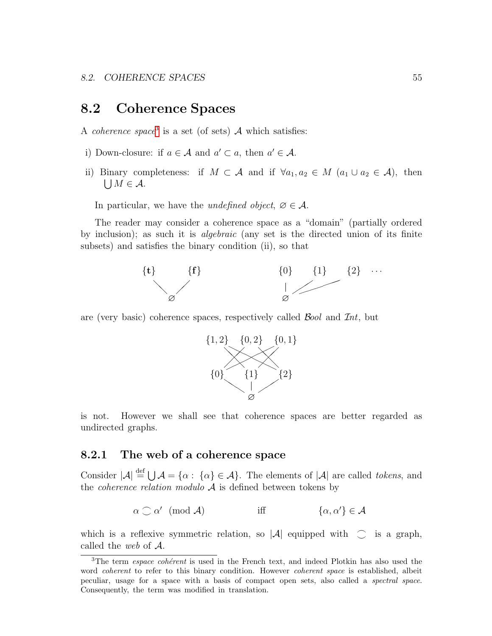## 8.2 Coherence Spaces

A *coherence space*<sup>[3](#page-62-0)</sup> is a set (of sets)  $A$  which satisfies:

- i) Down-closure: if  $a \in \mathcal{A}$  and  $a' \subset a$ , then  $a' \in \mathcal{A}$ .
- ii) Binary completeness: if  $M \subset \mathcal{A}$  and if  $\forall a_1, a_2 \in M$   $(a_1 \cup a_2 \in \mathcal{A})$ , then  $\bigcup M \in \mathcal{A}.$

In particular, we have the *undefined object*,  $\emptyset \in \mathcal{A}$ .

The reader may consider a coherence space as a "domain" (partially ordered by inclusion); as such it is algebraic (any set is the directed union of its finite subsets) and satisfies the binary condition (ii), so that



are (very basic) coherence spaces, respectively called  $\mathcal{B}ool$  and  $\mathcal{I}nt$ , but



is not. However we shall see that coherence spaces are better regarded as undirected graphs.

## 8.2.1 The web of a coherence space

Consider  $|\mathcal{A}| \stackrel{\text{def}}{=} \bigcup \mathcal{A} = \{\alpha : \{\alpha\} \in \mathcal{A}\}.$  The elements of  $|\mathcal{A}|$  are called *tokens*, and the *coherence relation modulo*  $A$  is defined between tokens by

$$
\alpha \supset \alpha' \pmod{\mathcal{A}}
$$
 iff  $\{\alpha, \alpha'\} \in \mathcal{A}$ 

which is a reflexive symmetric relation, so  $|\mathcal{A}|$  equipped with  $\bigcirc$  is a graph, called the web of A.

<span id="page-62-0"></span> $3$ The term *espace cohérent* is used in the French text, and indeed Plotkin has also used the word *coherent* to refer to this binary condition. However *coherent space* is established, albeit peculiar, usage for a space with a basis of compact open sets, also called a spectral space. Consequently, the term was modified in translation.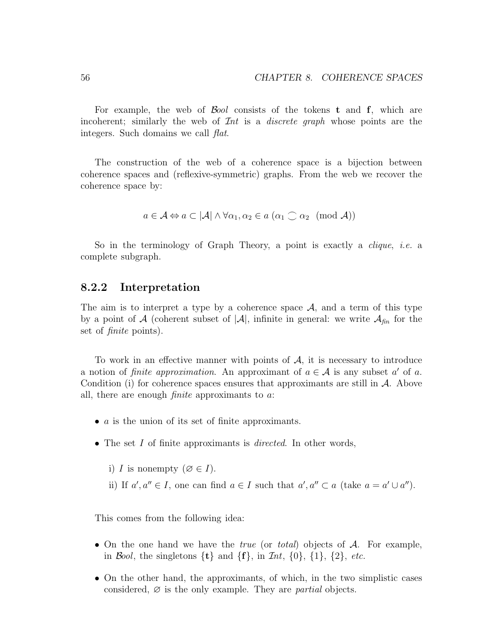For example, the web of *Bool* consists of the tokens **t** and **f**, which are incoherent; similarly the web of  $\mathcal{I}nt$  is a *discrete graph* whose points are the integers. Such domains we call flat.

The construction of the web of a coherence space is a bijection between coherence spaces and (reflexive-symmetric) graphs. From the web we recover the coherence space by:

$$
a \in \mathcal{A} \Leftrightarrow a \subset |\mathcal{A}| \land \forall \alpha_1, \alpha_2 \in a \ (\alpha_1 \mathbb{C} \ \alpha_2 \pmod{\mathcal{A}})
$$

So in the terminology of Graph Theory, a point is exactly a *clique*, *i.e.* a complete subgraph.

#### 8.2.2 Interpretation

The aim is to interpret a type by a coherence space  $A$ , and a term of this type by a point of A (coherent subset of  $|\mathcal{A}|$ , infinite in general: we write  $\mathcal{A}_{fin}$  for the set of *finite* points).

To work in an effective manner with points of  $A$ , it is necessary to introduce a notion of *finite approximation*. An approximant of  $a \in \mathcal{A}$  is any subset a' of a. Condition (i) for coherence spaces ensures that approximants are still in  $\mathcal{A}$ . Above all, there are enough *finite* approximants to  $a$ .

- $\alpha$  is the union of its set of finite approximants.
- The set  $I$  of finite approximants is *directed*. In other words,
	- i) I is nonempty  $(\emptyset \in I)$ .
	- ii) If  $a', a'' \in I$ , one can find  $a \in I$  such that  $a', a'' \subset a$  (take  $a = a' \cup a''$ ).

This comes from the following idea:

- On the one hand we have the *true* (or *total*) objects of  $A$ . For example, in Bool, the singletons  $\{\mathbf{t}\}\$  and  $\{\mathbf{f}\}\$ , in  $\mathcal{I}nt$ ,  $\{0\}$ ,  $\{1\}$ ,  $\{2\}$ , *etc.*
- On the other hand, the approximants, of which, in the two simplistic cases considered,  $\varnothing$  is the only example. They are *partial* objects.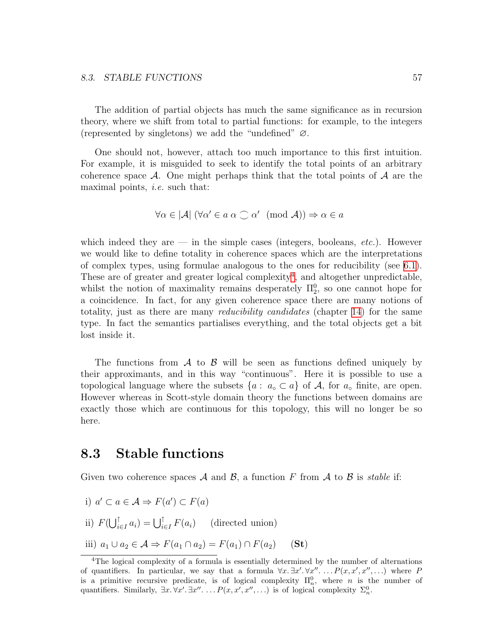#### 8.3. STABLE FUNCTIONS 57

The addition of partial objects has much the same significance as in recursion theory, where we shift from total to partial functions: for example, to the integers (represented by singletons) we add the "undefined" ∅.

One should not, however, attach too much importance to this first intuition. For example, it is misguided to seek to identify the total points of an arbitrary coherence space  $\mathcal{A}$ . One might perhaps think that the total points of  $\mathcal{A}$  are the maximal points, i.e. such that:

$$
\forall \alpha \in |\mathcal{A}| \ (\forall \alpha' \in a \ \alpha \subset \alpha' \ \ (\text{mod } \mathcal{A})) \Rightarrow \alpha \in a
$$

which indeed they are — in the simple cases (integers, booleans, *etc.*). However we would like to define totality in coherence spaces which are the interpretations of complex types, using formulae analogous to the ones for reducibility (see [6.1\)](#page-48-1). These are of greater and greater logical complexity<sup>[4](#page-64-0)</sup>, and altogether unpredictable, whilst the notion of maximality remains desperately  $\Pi_2^0$ , so one cannot hope for a coincidence. In fact, for any given coherence space there are many notions of totality, just as there are many *reducibility candidates* (chapter [14\)](#page-120-0) for the same type. In fact the semantics partialises everything, and the total objects get a bit lost inside it.

The functions from  $A$  to  $B$  will be seen as functions defined uniquely by their approximants, and in this way "continuous". Here it is possible to use a topological language where the subsets  $\{a : a \in \mathbb{C} : a\}$  of A, for  $a \in \mathbb{C}$  finite, are open. However whereas in Scott-style domain theory the functions between domains are exactly those which are continuous for this topology, this will no longer be so here.

## 8.3 Stable functions

Given two coherence spaces A and B, a function F from A to B is stable if:

- i)  $a' \subset a \in \mathcal{A} \Rightarrow F(a') \subset F(a)$
- ii)  $F(\bigcup_{i\in I}^{\uparrow} a_i) = \bigcup_{i\in I}^{\uparrow} F(a_i)$  (directed union)
- iii)  $a_1 \cup a_2 \in \mathcal{A} \Rightarrow F(a_1 \cap a_2) = F(a_1) \cap F(a_2)$  (St)

<span id="page-64-0"></span><sup>&</sup>lt;sup>4</sup>The logical complexity of a formula is essentially determined by the number of alternations of quantifiers. In particular, we say that a formula  $\forall x \, \exists x' \, \forall x'' \ldots P(x, x', x'', \ldots)$  where P is a primitive recursive predicate, is of logical complexity  $\Pi_n^0$ , where *n* is the number of quantifiers. Similarly,  $\exists x.\forall x'. \exists x''. \dots P(x, x', x'', \dots)$  is of logical complexity  $\Sigma_n^0$ .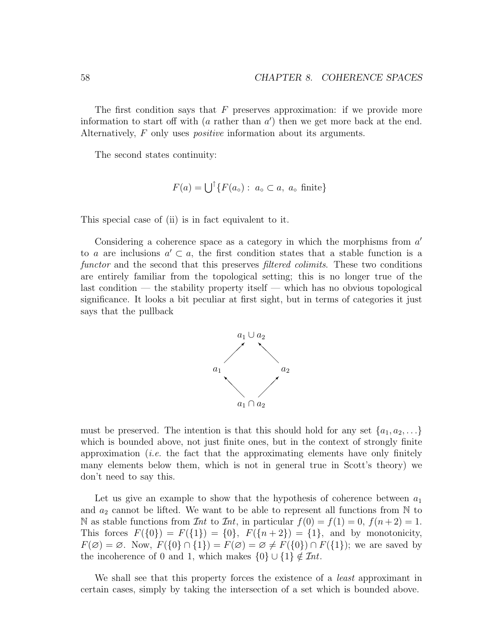The first condition says that  $F$  preserves approximation: if we provide more information to start off with  $(a \text{ rather than } a')$  then we get more back at the end. Alternatively, F only uses positive information about its arguments.

The second states continuity:

$$
F(a) = \bigcup^{\uparrow} \{ F(a_{\circ}) : a_{\circ} \subset a, a_{\circ} \text{ finite} \}
$$

This special case of (ii) is in fact equivalent to it.

Considering a coherence space as a category in which the morphisms from  $a'$ to a are inclusions  $a' \subset a$ , the first condition states that a stable function is a functor and the second that this preserves *filtered colimits*. These two conditions are entirely familiar from the topological setting; this is no longer true of the last condition — the stability property itself — which has no obvious topological significance. It looks a bit peculiar at first sight, but in terms of categories it just says that the pullback



must be preserved. The intention is that this should hold for any set  $\{a_1, a_2, \ldots\}$ which is bounded above, not just finite ones, but in the context of strongly finite approximation *(i.e.* the fact that the approximating elements have only finitely many elements below them, which is not in general true in Scott's theory) we don't need to say this.

Let us give an example to show that the hypothesis of coherence between  $a_1$ and  $a_2$  cannot be lifted. We want to be able to represent all functions from  $\mathbb N$  to N as stable functions from  $\mathcal{I}nt$  to  $\mathcal{I}nt$ , in particular  $f(0) = f(1) = 0$ ,  $f(n+2) = 1$ . This forces  $F({0}) = F({1}) = {0}$ ,  $F({n+2}) = {1}$ , and by monotonicity,  $F(\emptyset) = \emptyset$ . Now,  $F(\{0\} \cap \{1\}) = F(\emptyset) = \emptyset \neq F(\{0\}) \cap F(\{1\})$ ; we are saved by the incoherence of 0 and 1, which makes  $\{0\} \cup \{1\} \notin \mathcal{I}nt$ .

We shall see that this property forces the existence of a *least* approximant in certain cases, simply by taking the intersection of a set which is bounded above.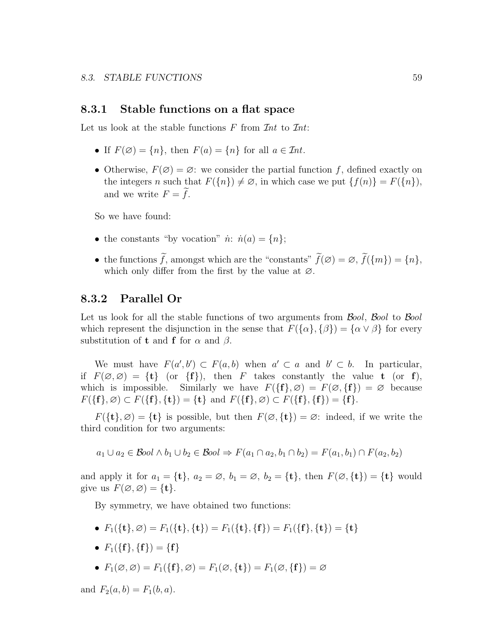#### 8.3.1 Stable functions on a flat space

Let us look at the stable functions  $F$  from  $\mathcal{I}nt$  to  $\mathcal{I}nt$ :

- If  $F(\emptyset) = \{n\}$ , then  $F(a) = \{n\}$  for all  $a \in \mathcal{I}nt$ .
- Otherwise,  $F(\emptyset) = \emptyset$ : we consider the partial function f, defined exactly on the integers n such that  $F({n}) \neq \emptyset$ , in which case we put  ${f(n)} = F({n})$ , and we write  $F = \tilde{f}$ .

So we have found:

- the constants "by vocation"  $\dot{n}$ :  $\dot{n}(a) = \{n\}$ ;
- the functions  $\widetilde{f}$ , amongst which are the "constants"  $\widetilde{f}(\varnothing) = \varnothing$ ,  $\widetilde{f}(\{m\}) = \{n\}$ , which only differ from the first by the value at  $\varnothing$ .

#### <span id="page-66-0"></span>8.3.2 Parallel Or

Let us look for all the stable functions of two arguments from Bool, Bool to Bool which represent the disjunction in the sense that  $F(\{\alpha\}, \{\beta\}) = \{\alpha \vee \beta\}$  for every substitution of **t** and **f** for  $\alpha$  and  $\beta$ .

We must have  $F(a', b') \subset F(a, b)$  when  $a' \subset a$  and  $b' \subset b$ . In particular, if  $F(\emptyset, \emptyset) = \{t\}$  (or  $\{f\}$ ), then F takes constantly the value t (or f), which is impossible. Similarly we have  $F({\{f\}}, \varnothing) = F(\varnothing, {\{f\}}) = \varnothing$  because  $F({{\bf f}, \varnothing}) \subset F({{\bf f}, {\bf t}}) = {\bf t}$  and  $F({{\bf f}, \varnothing}) \subset F({{\bf f}, {\bf f}}) = {\bf f}.$ 

 $F({\{t\}}, \varnothing) = {\{t\}}$  is possible, but then  $F(\varnothing, {\{t\}}) = \varnothing$ : indeed, if we write the third condition for two arguments:

$$
a_1 \cup a_2 \in \mathcal{B}ool \land b_1 \cup b_2 \in \mathcal{B}ool \Rightarrow F(a_1 \cap a_2, b_1 \cap b_2) = F(a_1, b_1) \cap F(a_2, b_2)
$$

and apply it for  $a_1 = {\mathbf{t}}, a_2 = \emptyset, b_1 = \emptyset, b_2 = {\mathbf{t}}, \text{ then } F(\emptyset, {\mathbf{t}}) = {\mathbf{t}} \text{ would}$ give us  $F(\emptyset, \emptyset) = \{t\}.$ 

By symmetry, we have obtained two functions:

- $F_1({\{t\}}, \emptyset) = F_1({\{t\}}, {\{t\}}) = F_1({\{t\}}, {\{f\}}) = F_1({\{f\}}, {\{t\}}) = {\{t\}}$
- $F_1(\{\mathbf{f}\},\{\mathbf{f}\}) = \{\mathbf{f}\}\$
- $F_1(\emptyset, \emptyset) = F_1(\{f\}, \emptyset) = F_1(\emptyset, \{t\}) = F_1(\emptyset, \{f\}) = \emptyset$

and  $F_2(a, b) = F_1(b, a)$ .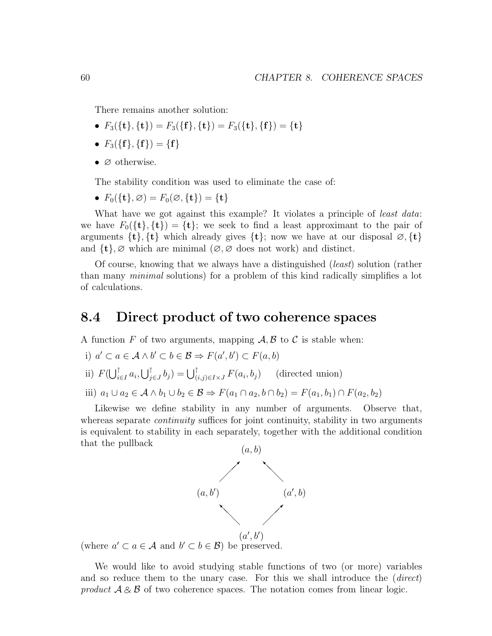There remains another solution:

- $F_3({\{\mathbf{t}\}}, {\{\mathbf{t}\}}) = F_3({\{\mathbf{f}\}}, {\{\mathbf{t}\}}) = F_3({\{\mathbf{t}\}}, {\{\mathbf{f}\}}) = {\{\mathbf{t}\}}$
- $F_3({\{\mathbf{f}\},\{\mathbf{f}\}) = {\{\mathbf{f}\}}$
- ∅ otherwise.

The stability condition was used to eliminate the case of:

•  $F_0({t, \emptyset}) = F_0(\emptyset, {t}) = {t}$ 

What have we got against this example? It violates a principle of *least data*: we have  $F_0({t}, {t}) = {t}$ ; we seek to find a least approximant to the pair of arguments  $\{t\}$ ,  $\{t\}$  which already gives  $\{t\}$ ; now we have at our disposal  $\emptyset$ ,  $\{t\}$ and  $\{t\}, \varnothing$  which are minimal  $(\varnothing, \varnothing)$  does not work) and distinct.

Of course, knowing that we always have a distinguished (least) solution (rather than many minimal solutions) for a problem of this kind radically simplifies a lot of calculations.

## <span id="page-67-0"></span>8.4 Direct product of two coherence spaces

A function F of two arguments, mapping  $A, B$  to C is stable when:

i) 
$$
a' \subset a \in A \land b' \subset b \in B \Rightarrow F(a', b') \subset F(a, b)
$$

- ii)  $F(\bigcup_{i\in I}^{\uparrow} a_i, \bigcup_{j\in J}^{\uparrow} b_j) = \bigcup_{(i,j)\in I\times J}^{\uparrow} F(a_i, b_j)$  (directed union)
- iii)  $a_1 \cup a_2 \in A \land b_1 \cup b_2 \in B \Rightarrow F(a_1 \cap a_2, b \cap b_2) = F(a_1, b_1) \cap F(a_2, b_2)$

Likewise we define stability in any number of arguments. Observe that, whereas separate *continuity* suffices for joint continuity, stability in two arguments is equivalent to stability in each separately, together with the additional condition that the pullback  $(a, b)$ 



(where  $a' \subset a \in \mathcal{A}$  and  $b' \subset b \in \mathcal{B}$ ) be preserved.

We would like to avoid studying stable functions of two (or more) variables and so reduce them to the unary case. For this we shall introduce the (*direct*) product  $A \otimes B$  of two coherence spaces. The notation comes from linear logic.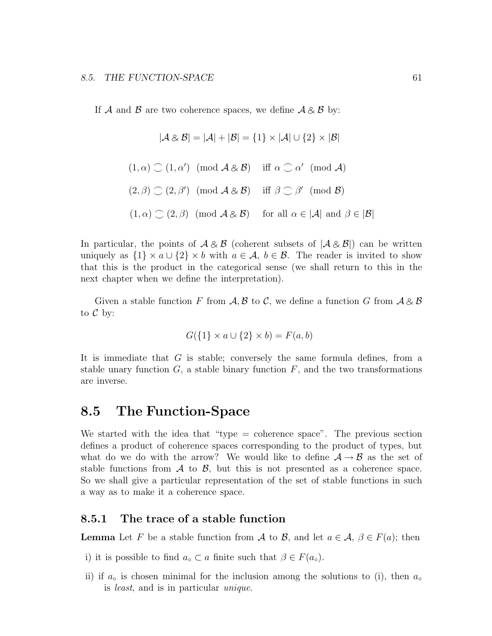If A and B are two coherence spaces, we define  $A \otimes B$  by:

$$
|\mathcal{A} \otimes \mathcal{B}| = |\mathcal{A}| + |\mathcal{B}| = \{1\} \times |\mathcal{A}| \cup \{2\} \times |\mathcal{B}|
$$
  
(1,  $\alpha$ )  $\subset$  (1,  $\alpha'$ ) (mod  $\mathcal{A} \otimes \mathcal{B}$ ) iff  $\alpha \subset \alpha'$  (mod  $\mathcal{A}$ )  
(2,  $\beta$ )  $\subset$  (2,  $\beta'$ ) (mod  $\mathcal{A} \otimes \mathcal{B}$ ) iff  $\beta \subset \beta'$  (mod  $\mathcal{B}$ )  
(1,  $\alpha$ )  $\subset$  (2,  $\beta$ ) (mod  $\mathcal{A} \otimes \mathcal{B}$ ) for all  $\alpha \in |\mathcal{A}|$  and  $\beta \in |\mathcal{B}|$ 

In particular, the points of  $A \& \mathcal{B}$  (coherent subsets of  $|A \& \mathcal{B}|$ ) can be written uniquely as  $\{1\} \times a \cup \{2\} \times b$  with  $a \in \mathcal{A}, b \in \mathcal{B}$ . The reader is invited to show that this is the product in the categorical sense (we shall return to this in the next chapter when we define the interpretation).

Given a stable function F from  $A, B$  to C, we define a function G from  $A \otimes B$ to  $\mathcal C$  by:

$$
G({1} \times a \cup {2} \times b) = F(a, b)
$$

It is immediate that  $G$  is stable; conversely the same formula defines, from a stable unary function  $G$ , a stable binary function  $F$ , and the two transformations are inverse.

## 8.5 The Function-Space

We started with the idea that "type  $=$  coherence space". The previous section defines a product of coherence spaces corresponding to the product of types, but what do we do with the arrow? We would like to define  $A \rightarrow B$  as the set of stable functions from  $A$  to  $B$ , but this is not presented as a coherence space. So we shall give a particular representation of the set of stable functions in such a way as to make it a coherence space.

#### 8.5.1 The trace of a stable function

**Lemma** Let F be a stable function from A to B, and let  $a \in \mathcal{A}, \beta \in F(a)$ ; then

- i) it is possible to find  $a_0 \subset a$  finite such that  $\beta \in F(a_0)$ .
- ii) if  $a<sub>o</sub>$  is chosen minimal for the inclusion among the solutions to (i), then  $a<sub>o</sub>$ is least, and is in particular unique.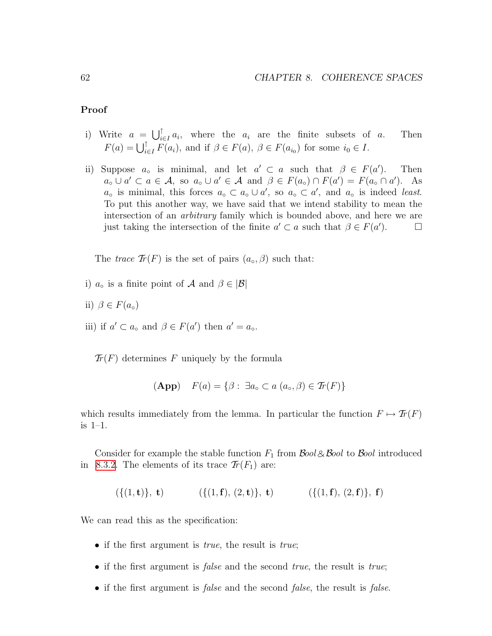#### Proof

- i) Write  $a = \bigcup_{i \in I}^{\uparrow} a_i$ , where the  $a_i$  are the finite subsets of a. Then  $F(a) = \bigcup_{i \in I}^{\uparrow} F(a_i)$ , and if  $\beta \in F(a)$ ,  $\beta \in F(a_{i_0})$  for some  $i_0 \in I$ .
- ii) Suppose  $a_0$  is minimal, and let  $a' \subset a$  such that  $\beta \in F(a')$ ). Then  $a_0 \cup a' \subset a \in \mathcal{A}$ , so  $a_0 \cup a' \in \mathcal{A}$  and  $\beta \in F(a_0) \cap F(a') = F(a_0 \cap a')$ . As  $a_{\circ}$  is minimal, this forces  $a_{\circ} \subset a_{\circ} \cup a'$ , so  $a_{\circ} \subset a'$ , and  $a_{\circ}$  is indeed least. To put this another way, we have said that we intend stability to mean the intersection of an arbitrary family which is bounded above, and here we are just taking the intersection of the finite  $a' \subset a$  such that  $\beta \in F(a')$  $\Box$

The trace  $\mathcal{T}(F)$  is the set of pairs  $(a_0, \beta)$  such that:

- i)  $a_0$  is a finite point of  $\mathcal A$  and  $\beta \in |\mathcal B|$
- ii)  $\beta \in F(a_{\circ})$
- iii) if  $a' \subset a_{\circ}$  and  $\beta \in F(a')$  then  $a' = a_{\circ}$ .

 $\mathcal{T}_r(F)$  determines F uniquely by the formula

$$
(\mathbf{App}) \quad F(a) = \{ \beta : \exists a_{\circ} \subset a \ (a_{\circ}, \beta) \in \mathcal{T}_r(F) \}
$$

which results immediately from the lemma. In particular the function  $F \mapsto \mathcal{T}_r(F)$ is 1–1.

Consider for example the stable function  $F_1$  from  $\mathcal{B}^{ool} \otimes \mathcal{B}^{ool}$  to  $\mathcal{B}^{ool}$  introduced in [8.3.2.](#page-66-0) The elements of its trace  $\mathcal{T}_r(F_1)$  are:

 $({(1, t)}, t)$   $({(1, f), (2, t)}, t)$   $({(1, f), (2, f)}, f)$ 

We can read this as the specification:

- if the first argument is *true*, the result is *true*;
- if the first argument is *false* and the second *true*, the result is *true*;
- if the first argument is *false* and the second *false*, the result is *false*.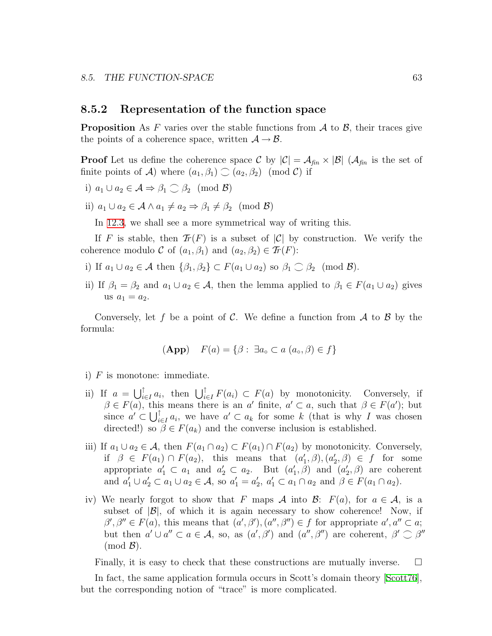#### 8.5.2 Representation of the function space

**Proposition** As F varies over the stable functions from  $A$  to  $B$ , their traces give the points of a coherence space, written  $A \rightarrow \mathcal{B}$ .

**Proof** Let us define the coherence space C by  $|\mathcal{C}| = \mathcal{A}_{fin} \times |\mathcal{B}| (\mathcal{A}_{fin} \text{ is the set of})$ finite points of A) where  $(a_1, \beta_1) \bigcirc (a_2, \beta_2) \pmod{\mathcal{C}}$  if

- i)  $a_1 \cup a_2 \in \mathcal{A} \Rightarrow \beta_1 \subset \beta_2 \pmod{\mathcal{B}}$
- ii)  $a_1 \cup a_2 \in \mathcal{A} \wedge a_1 \neq a_2 \Rightarrow \beta_1 \neq \beta_2 \pmod{\mathcal{B}}$

In [12.3](#page-105-0), we shall see a more symmetrical way of writing this.

If F is stable, then  $\mathcal{T}(F)$  is a subset of  $|\mathcal{C}|$  by construction. We verify the coherence modulo C of  $(a_1, \beta_1)$  and  $(a_2, \beta_2) \in \mathcal{T}_r(F)$ :

- i) If  $a_1 \cup a_2 \in \mathcal{A}$  then  $\{\beta_1, \beta_2\} \subset F(a_1 \cup a_2)$  so  $\beta_1 \subset \beta_2 \pmod{\mathcal{B}}$ .
- ii) If  $\beta_1 = \beta_2$  and  $a_1 \cup a_2 \in \mathcal{A}$ , then the lemma applied to  $\beta_1 \in F(a_1 \cup a_2)$  gives us  $a_1 = a_2$ .

Conversely, let f be a point of C. We define a function from  $A$  to  $B$  by the formula:

$$
(\mathbf{App}) \quad F(a) = \{ \beta : \exists a_{\circ} \subset a \ (a_{\circ}, \beta) \in f \}
$$

i)  $F$  is monotone: immediate.

- ii) If  $a = \bigcup_{i \in I}^{\uparrow} a_i$ , then  $\bigcup_{i \in I}^{\uparrow} F(a_i) \subset F(a)$  by monotonicity. Conversely, if  $\beta \in F(a)$ , this means there is an a' finite,  $a' \subset a$ , such that  $\beta \in F(a')$ ; but since  $a' \subset \bigcup_{i \in I} a_i$ , we have  $a' \subset a_k$  for some k (that is why I was chosen directed!) so  $\beta \in F(a_k)$  and the converse inclusion is established.
- iii) If  $a_1 \cup a_2 \in \mathcal{A}$ , then  $F(a_1 \cap a_2) \subset F(a_1) \cap F(a_2)$  by monotonicity. Conversely, if  $\beta \in F(a_1) \cap F(a_2)$ , this means that  $(a_1)$  $\big( {1 \over 2}, \beta \big), (a'_{2})$  $(z',\beta) \in f$  for some appropriate  $a'_1 \subset a_1$  and  $a'_2 \subset a_2$ . But  $(a'_1)$  $\binom{1}{1}, \beta$  and  $\binom{a_2'}{b_1}$  $(2, \beta)$  are coherent and  $a'_1 \cup a'_2 \subset a_1 \cup a_2 \in \mathcal{A}$ , so  $a'_1 = a'_2$  $a'_1 \subset a_1 \cap a_2$  and  $\beta \in F(a_1 \cap a_2)$ .
- iv) We nearly forgot to show that F maps A into B:  $F(a)$ , for  $a \in \mathcal{A}$ , is a subset of  $|\mathcal{B}|$ , of which it is again necessary to show coherence! Now, if  $\beta', \beta'' \in F(a)$ , this means that  $(a', \beta'), (a'', \beta'') \in f$  for appropriate  $a', a'' \subset a$ ; but then  $a' \cup a'' \subset a \in \mathcal{A}$ , so, as  $(a', \beta')$  and  $(a'', \beta'')$  are coherent,  $\beta' \subset \beta''$  $\pmod{\mathcal{B}}$ .

Finally, it is easy to check that these constructions are mutually inverse.  $\Box$ 

In fact, the same application formula occurs in Scott's domain theory[[Scott76](#page-171-4)], but the corresponding notion of "trace" is more complicated.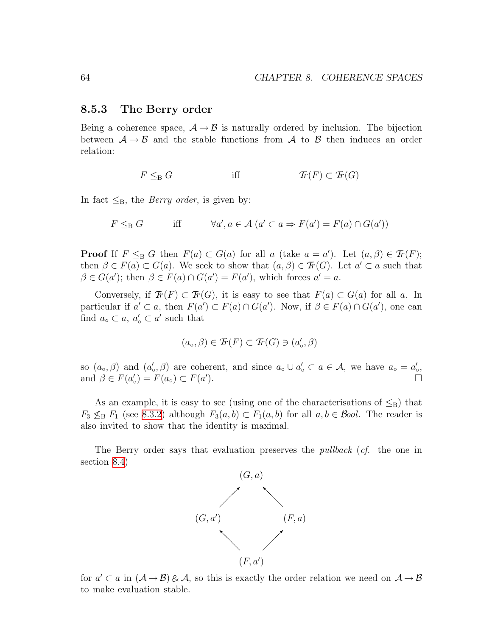#### 8.5.3 The Berry order

Being a coherence space,  $A \rightarrow B$  is naturally ordered by inclusion. The bijection between  $A \rightarrow B$  and the stable functions from A to B then induces an order relation:

$$
F \leq_{\mathcal{B}} G \qquad \qquad \text{iff} \qquad \qquad \mathcal{T}_r(F) \subset \mathcal{T}_r(G)
$$

In fact  $\leq_B$ , the *Berry order*, is given by:

$$
F \leq_{\mathcal{B}} G \qquad \text{iff} \qquad \forall a', a \in \mathcal{A} \ (a' \subset a \Rightarrow F(a') = F(a) \cap G(a'))
$$

**Proof** If  $F \leq_B G$  then  $F(a) \subset G(a)$  for all a (take  $a = a'$ ). Let  $(a, \beta) \in \mathcal{T}_r(F)$ ; then  $\beta \in F(a) \subset G(a)$ . We seek to show that  $(a, \beta) \in \mathcal{F}(G)$ . Let  $a' \subset a$  such that  $\beta \in G(a')$ ; then  $\beta \in F(a) \cap G(a') = F(a')$ , which forces  $a' = a$ .

Conversely, if  $\mathcal{T}_r(F) \subset \mathcal{T}_r(G)$ , it is easy to see that  $F(a) \subset G(a)$  for all a. In particular if  $a' \subset a$ , then  $F(a') \subset F(a) \cap G(a')$ . Now, if  $\beta \in F(a) \cap G(a')$ , one can find  $a_0 \subset a$ ,  $a'_0 \subset a'$  such that

$$
(a_{\circ}, \beta) \in \mathcal{T}_r(F) \subset \mathcal{T}_r(G) \ni (a'_{\circ}, \beta)
$$

so  $(a_0, \beta)$  and  $(a'_0, \beta)$  are coherent, and since  $a_0 \cup a'_0 \subset a \in \mathcal{A}$ , we have  $a_0 = a'_0$ , and  $\beta \in F(a_{\circ}) = F(a_{\circ}) \subset F(a')$ ).  $\qquad \qquad \Box$ 

As an example, it is easy to see (using one of the characterisations of  $\leq_B$ ) that  $F_3 \nleq_B F_1$  (see [8.3.2](#page-66-0)) although  $F_3(a, b) \subset F_1(a, b)$  for all  $a, b \in \mathcal{B}$ ool. The reader is also invited to show that the identity is maximal.

The Berry order says that evaluation preserves the *pullback* (*cf.* the one in section [8.4](#page-67-0))



for  $a' \subset a$  in  $(A \to B) \otimes A$ , so this is exactly the order relation we need on  $A \to B$ <br>to make evaluation stable to make evaluation stable.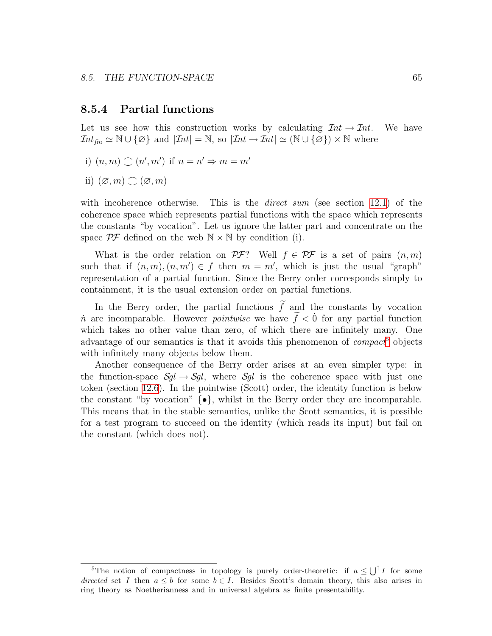### 8.5.4 Partial functions

Let us see how this construction works by calculating  $\mathcal{I}nt \to \mathcal{I}nt$ . We have  $\mathcal{I}nt_{fin} \simeq \mathbb{N} \cup {\emptyset}$  and  $|\mathcal{I}nt| = \mathbb{N}$ , so  $|\mathcal{I}nt| \to \mathcal{I}nt| \simeq (\mathbb{N} \cup {\emptyset}) \times \mathbb{N}$  where

- i)  $(n, m) \bigcirc (n', m')$  if  $n = n' \Rightarrow m = m'$
- ii)  $(\emptyset, m) \bigcirc (\emptyset, m)$

with incoherence otherwise. This is the *direct sum* (see section [12.1](#page-102-0)) of the coherence space which represents partial functions with the space which represents the constants "by vocation". Let us ignore the latter part and concentrate on the space  $\mathcal{PF}$  defined on the web  $\mathbb{N} \times \mathbb{N}$  by condition (i).

What is the order relation on  $\mathcal{PF}$ ? Well  $f \in \mathcal{PF}$  is a set of pairs  $(n, m)$ such that if  $(n, m), (n, m') \in f$  then  $m = m'$ , which is just the usual "graph" representation of a partial function. Since the Berry order corresponds simply to containment, it is the usual extension order on partial functions.

In the Berry order, the partial functions  $\tilde{f}$  and the constants by vocation *n* are incomparable. However *pointwise* we have  $\tilde{f} < 0$  for any partial function which takes no other value than zero, of which there are infinitely many. One advantage of our semantics is that it avoids this phenomenon of *compact*<sup>[5](#page-72-0)</sup> objects with infinitely many objects below them.

Another consequence of the Berry order arises at an even simpler type: in the function-space  $\mathcal{S}gl \to \mathcal{S}gl$ , where  $\mathcal{S}gl$  is the coherence space with just one token (section [12.6\)](#page-110-0). In the pointwise (Scott) order, the identity function is below the constant "by vocation"  $\{\bullet\}$ , whilst in the Berry order they are incomparable. This means that in the stable semantics, unlike the Scott semantics, it is possible for a test program to succeed on the identity (which reads its input) but fail on the constant (which does not).

<span id="page-72-0"></span><sup>&</sup>lt;sup>5</sup>The notion of compactness in topology is purely order-theoretic: if  $a \leq \bigcup^{5} I$  for some directed set I then  $a \leq b$  for some  $b \in I$ . Besides Scott's domain theory, this also arises in ring theory as Noetherianness and in universal algebra as finite presentability.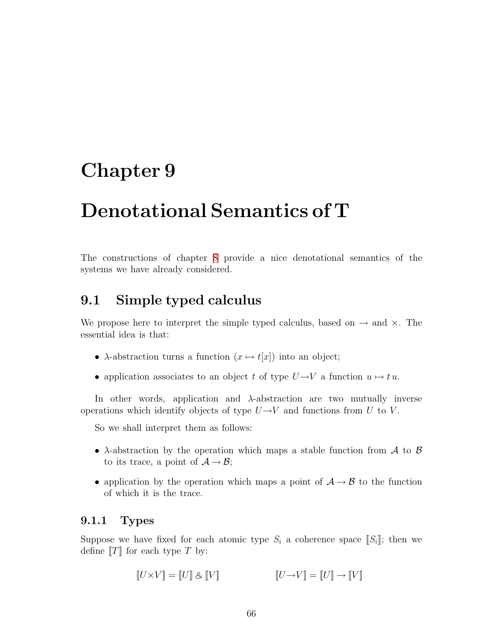# Chapter 9

# Denotational Semantics of T

The constructions of chapter [8](#page-60-0) provide a nice denotational semantics of the systems we have already considered.

# 9.1 Simple typed calculus

We propose here to interpret the simple typed calculus, based on  $\rightarrow$  and  $\times$ . The essential idea is that:

- $\lambda$ -abstraction turns a function  $(x \mapsto t[x])$  into an object;
- application associates to an object t of type  $U \rightarrow V$  a function  $u \mapsto tu$ .

In other words, application and λ-abstraction are two mutually inverse operations which identify objects of type  $U \rightarrow V$  and functions from U to V.

So we shall interpret them as follows:

- $\lambda$ -abstraction by the operation which maps a stable function from A to B to its trace, a point of  $A \rightarrow B$ ;
- application by the operation which maps a point of  $A \rightarrow B$  to the function of which it is the trace.

### 9.1.1 Types

Suppose we have fixed for each atomic type  $S_i$  a coherence space  $[[S_i]]$ ; then we define  $\llbracket T \rrbracket$  for each type T by:

$$
\llbracket U \times V \rrbracket = \llbracket U \rrbracket \otimes \llbracket V \rrbracket \qquad \qquad \llbracket U \to V \rrbracket = \llbracket U \rrbracket \to \llbracket V \rrbracket
$$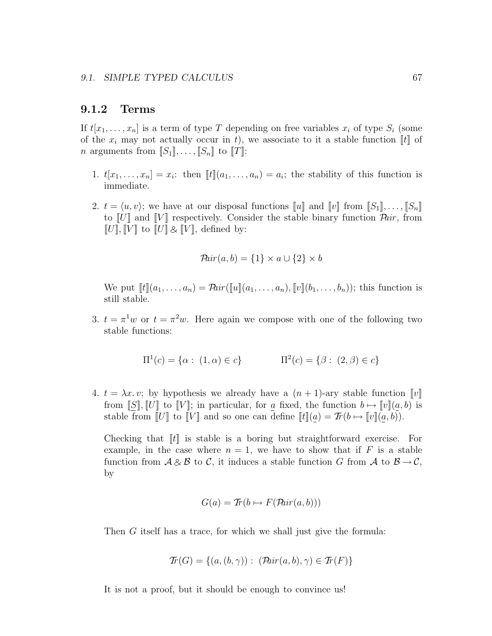#### 9.1.2 Terms

If  $t[x_1, \ldots, x_n]$  is a term of type T depending on free variables  $x_i$  of type  $S_i$  (some of the  $x_i$  may not actually occur in t, we associate to it a stable function  $\llbracket t \rrbracket$  of *n* arguments from  $[\![S_1]\!], \ldots, [\![S_n]\!]$  to  $[\![T]\!]$ :

- 1.  $t[x_1,\ldots,x_n]=x_i$ : then  $[[t]](a_1,\ldots,a_n)=a_i$ ; the stability of this function is immediate.
- 2.  $t = \langle u, v \rangle$ ; we have at our disposal functions  $\llbracket u \rrbracket$  and  $\llbracket v \rrbracket$  from  $\llbracket S_1 \rrbracket, \ldots, \llbracket S_n \rrbracket$ to  $\llbracket U \rrbracket$  and  $\llbracket V \rrbracket$  respectively. Consider the stable binary function  $\mathcal{R}$ iir, from  $[[U], [[V]]$  to  $[[U] \& [[V]],$  defined by:

$$
Pair(a, b) = \{1\} \times a \cup \{2\} \times b
$$

We put  $[[t]](a_1, \ldots, a_n) = \mathcal{R}$ iir $([u]](a_1, \ldots, a_n)$ ,  $[[v]](b_1, \ldots, b_n)$ ; this function is still stable.

3.  $t = \pi^1 w$  or  $t = \pi^2 w$ . Here again we compose with one of the following two stable functions:

$$
\Pi^{1}(c) = \{ \alpha : (1, \alpha) \in c \} \qquad \Pi^{2}(c) = \{ \beta : (2, \beta) \in c \}
$$

<span id="page-74-0"></span>4.  $t = \lambda x$ . v; by hypothesis we already have a  $(n + 1)$ -ary stable function  $\llbracket v \rrbracket$ from  $\llbracket S \rrbracket, \llbracket U \rrbracket$  to  $\llbracket V \rrbracket$ ; in particular, for a fixed, the function  $b \mapsto \llbracket v \rrbracket(a, b)$  is stable from  $\llbracket U \rrbracket$  to  $\llbracket V \rrbracket$  and so one can define  $\llbracket t \rrbracket(a) = \mathcal{T}(b \mapsto \llbracket v \rrbracket(a, b)).$ 

Checking that  $\llbracket t \rrbracket$  is stable is a boring but straightforward exercise. For example, in the case where  $n = 1$ , we have to show that if F is a stable function from  $A \otimes B$  to C, it induces a stable function G from A to  $B \to C$ , by

$$
G(a) = \mathcal{T}(b \mapsto F(\mathcal{R}ir(a, b)))
$$

Then G itself has a trace, for which we shall just give the formula:

$$
\mathcal{T}_r(G) = \{(a, (b, \gamma)) : (\mathcal{P}air(a, b), \gamma) \in \mathcal{T}_r(F)\}\
$$

It is not a proof, but it should be enough to convince us!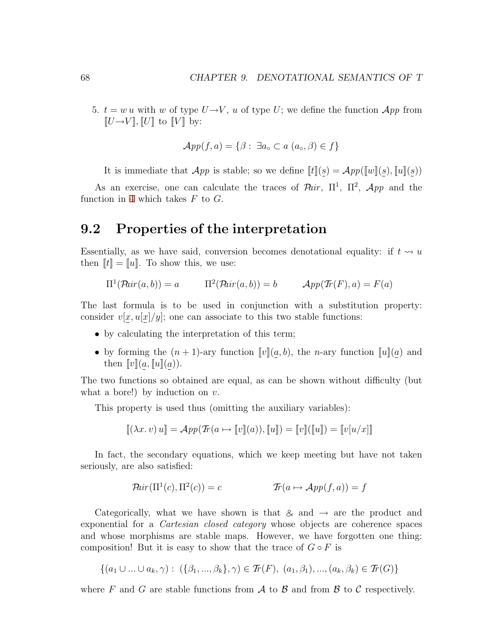5.  $t = w u$  with w of type  $U \rightarrow V$ , u of type U; we define the function  $\mathcal{A}pp$  from  $[[U\rightarrow V], [[U]]$  to  $[[V]]$  by:

$$
App(f, a) = \{ \beta : \exists a_{\circ} \subset a \ (a_{\circ}, \beta) \in f \}
$$

It is immediate that  $App$  is stable; so we define  $[[t]](s) = App([[w]](s), [u]](s))$ 

As an exercise, one can calculate the traces of  $\mathcal{P}_{air}$ ,  $\Pi^1$ ,  $\Pi^2$ ,  $\mathcal{A}pp$  and the function in [4](#page-74-0) which takes  $F$  to  $G$ .

### 9.2 Properties of the interpretation

Essentially, as we have said, conversion becomes denotational equality: if  $t \leadsto u$ then  $\llbracket t \rrbracket = \llbracket u \rrbracket$ . To show this, we use:

 $\Pi^1(\mathcal{P}air(a, b)) = a$   $\Pi^2(\mathcal{P}air(a, b)) = b$   $\mathcal{A}pp(\mathcal{T}r(F), a) = F(a)$ 

The last formula is to be used in conjunction with a substitution property: consider  $v[x, u[x]/y]$ ; one can associate to this two stable functions:

- by calculating the interpretation of this term;
- by forming the  $(n+1)$ -ary function  $[v](a, b)$ , the *n*-ary function  $[u](a)$  and then  $[v](a, [u](a))$ .

The two functions so obtained are equal, as can be shown without difficulty (but what a bore!) by induction on  $v$ .

This property is used thus (omitting the auxiliary variables):

$$
[[(\lambda x. v) u]] = App(\mathcal{F}(a \mapsto [v](a)), [u]) = [v]([u]) = [v[u/x]]
$$

In fact, the secondary equations, which we keep meeting but have not taken seriously, are also satisfied:

$$
\mathcal{P}air(\Pi^1(c), \Pi^2(c)) = c \qquad \mathcal{T}r(a \mapsto \mathcal{A}pp(f, a)) = f
$$

Categorically, what we have shown is that  $\&$  and  $\rightarrow$  are the product and exponential for a Cartesian closed category whose objects are coherence spaces and whose morphisms are stable maps. However, we have forgotten one thing: composition! But it is easy to show that the trace of  $G \circ F$  is

$$
\{(a_1 \cup \ldots \cup a_k, \gamma) : (\{\beta_1, \ldots, \beta_k\}, \gamma) \in \mathcal{T}_r(F), (a_1, \beta_1), \ldots, (a_k, \beta_k) \in \mathcal{T}_r(G)\}
$$

where F and G are stable functions from A to B and from B to C respectively.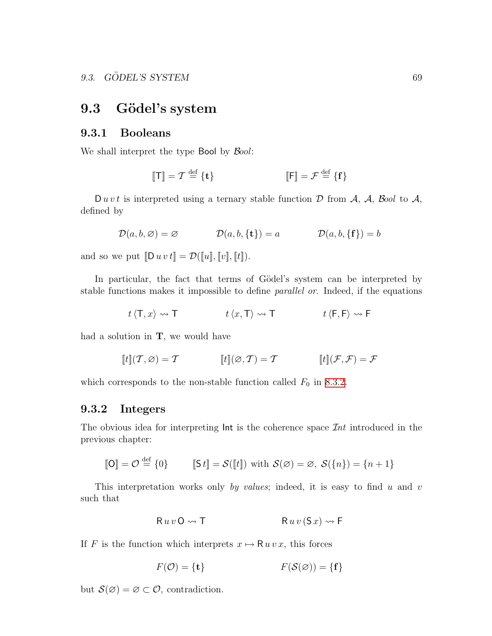### 9.3 Gödel's system

#### 9.3.1 Booleans

We shall interpret the type Bool by Bool:

$$
\llbracket \mathsf{T} \rrbracket = \mathcal{T} \stackrel{\text{def}}{=} \{\mathbf{t}\} \qquad \qquad \llbracket \mathsf{F} \rrbracket = \mathcal{F} \stackrel{\text{def}}{=} \{\mathbf{f}\}
$$

 $D u v t$  is interpreted using a ternary stable function D from A, A, Bool to A, defined by

$$
\mathcal{D}(a, b, \varnothing) = \varnothing \qquad \qquad \mathcal{D}(a, b, \{\mathbf{t}\}) = a \qquad \qquad \mathcal{D}(a, b, \{\mathbf{f}\}) = b
$$

and so we put  $\llbracket \mathsf{D} u v t \rrbracket = \mathcal{D}(\llbracket u \rrbracket, \llbracket v \rrbracket, \llbracket t \rrbracket).$ 

In particular, the fact that terms of Gödel's system can be interpreted by stable functions makes it impossible to define parallel or. Indeed, if the equations

 $t\langle T, x \rangle \rightsquigarrow T$   $t\langle x, T \rangle \rightsquigarrow T$   $t\langle F, F \rangle \rightsquigarrow F$ 

had a solution in  $T$ , we would have

$$
\llbracket t \rrbracket(\mathcal{T}, \varnothing) = \mathcal{T} \qquad \qquad \llbracket t \rrbracket(\varnothing, \mathcal{T}) = \mathcal{T} \qquad \qquad \llbracket t \rrbracket(\mathcal{F}, \mathcal{F}) = \mathcal{F}
$$

which corresponds to the non-stable function called  $F_0$  in [8.3.2](#page-66-0).

### <span id="page-76-0"></span>9.3.2 Integers

The obvious idea for interpreting  $\mathsf{Int}$  is the coherence space  $\mathcal{I}nt$  introduced in the previous chapter:

$$
\llbracket \mathsf{O} \rrbracket = \mathcal{O} \stackrel{\text{def}}{=} \{0\} \qquad \quad \llbracket \mathsf{S} \, t \rrbracket = \mathcal{S}(\llbracket t \rrbracket) \text{ with } \mathcal{S}(\varnothing) = \varnothing, \ \mathcal{S}(\{n\}) = \{n+1\}
$$

This interpretation works only by values; indeed, it is easy to find u and v such that

$$
R u v 0 \rightsquigarrow T \qquad R u v (S x) \rightsquigarrow F
$$

If F is the function which interprets  $x \mapsto \mathsf{R} u v x$ , this forces

$$
F(\mathcal{O}) = \{ \mathbf{t} \} \qquad F(\mathcal{S}(\mathcal{O})) = \{ \mathbf{f} \}
$$

but  $\mathcal{S}(\emptyset) = \emptyset \subset \mathcal{O}$ , contradiction.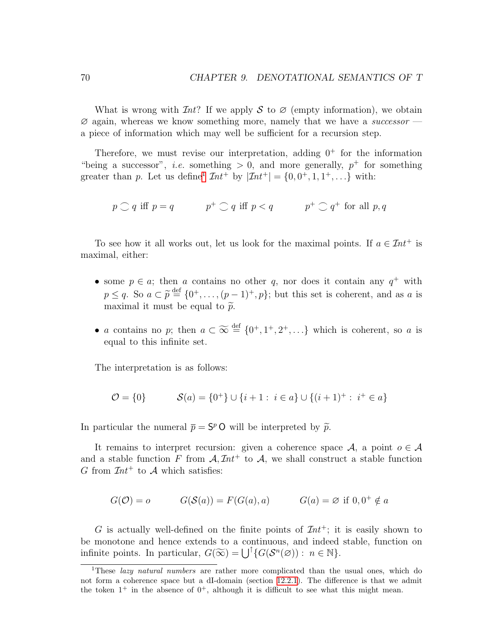What is wrong with  $\mathcal{I}nt$ ? If we apply  $\mathcal S$  to  $\varnothing$  (empty information), we obtain  $\varnothing$  again, whereas we know something more, namely that we have a *successor* a piece of information which may well be sufficient for a recursion step.

Therefore, we must revise our interpretation, adding  $0^+$  for the information "being a successor", *i.e.* something  $> 0$ , and more generally,  $p^+$  for something greater than p. Let us define<sup>[1](#page-77-0)</sup>  $\mathcal{I}nt^+$  by  $|\mathcal{I}nt^+| = \{0, 0^+, 1, 1^+, \ldots\}$  with:

$$
p \bigcirc q \text{ iff } p = q \qquad \qquad p^+ \bigcirc q \text{ iff } p < q \qquad \qquad p^+ \bigcirc q^+ \text{ for all } p, q
$$

To see how it all works out, let us look for the maximal points. If  $a \in \mathcal{I}nt^+$  is maximal, either:

- some  $p \in a$ ; then a contains no other q, nor does it contain any  $q^+$  with  $p \leq q$ . So  $a \subset \widetilde{p} \stackrel{\text{def}}{=} \{0^+, \ldots, (p-1)^+, p\}$ ; but this set is coherent, and as a is maximal it must be equal to  $\widetilde{p}$ . maximal it must be equal to  $\tilde{p}$ .
- a contains no p; then  $a \subset \widetilde{\infty} \stackrel{\text{def}}{=} \{0^+, 1^+, 2^+, \ldots\}$  which is coherent, so a is could to this infinite set equal to this infinite set.

The interpretation is as follows:

$$
\mathcal{O} = \{0\} \qquad \qquad \mathcal{S}(a) = \{0^+\} \cup \{i+1 : i \in a\} \cup \{(i+1)^+ : i^+ \in a\}
$$

In particular the numeral  $\bar{p} = \mathsf{S}^p \mathsf{O}$  will be interpreted by  $\tilde{p}$ .

It remains to interpret recursion: given a coherence space A, a point  $o \in A$ and a stable function F from  $A, \mathcal{I}nt^+$  to A, we shall construct a stable function G from  $\mathcal{I}nt^+$  to A which satisfies:

$$
G(\mathcal{O}) = o \qquad G(\mathcal{S}(a)) = F(G(a), a) \qquad G(a) = \emptyset \text{ if } 0, 0^+ \notin a
$$

G is actually well-defined on the finite points of  $\mathcal{I}nt^+$ ; it is easily shown to be monotone and hence extends to a continuous, and indeed stable, function on infinite points. In particular,  $G(\widetilde{\infty}) = \bigcup^{\uparrow} \{ G(\mathcal{S}^n(\varnothing)) : n \in \mathbb{N} \}.$ 

<span id="page-77-0"></span><sup>&</sup>lt;sup>1</sup>These *lazy natural numbers* are rather more complicated than the usual ones, which do not form a coherence space but a dI-domain (section [12.2.1](#page-104-0)). The difference is that we admit the token  $1^+$  in the absence of  $0^+$ , although it is difficult to see what this might mean.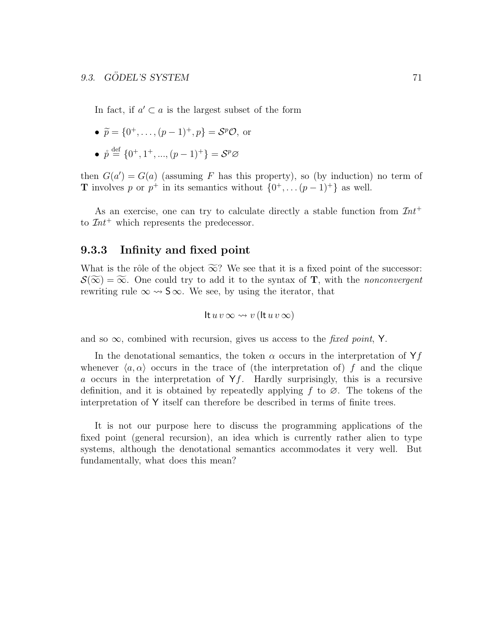In fact, if  $a' \subset a$  is the largest subset of the form

- $\tilde{p} = \{0^+, ..., (p-1)^+, p\} = \mathcal{S}^p \mathcal{O},$  or
- $\hat{p} \stackrel{\text{def}}{=} \{0^+, 1^+, ..., (p-1)^+\} = \mathcal{S}^p \varnothing$

then  $G(a') = G(a)$  (assuming F has this property), so (by induction) no term of **T** involves p or  $p^+$  in its semantics without  $\{0^+, \ldots (p-1)^+\}$  as well.

As an exercise, one can try to calculate directly a stable function from  $\mathcal{I}nt^+$ to  $\mathcal{I}nt^+$  which represents the predecessor.

### 9.3.3 Infinity and fixed point

What is the rôle of the object  $\widetilde{\infty}$ ? We see that it is a fixed point of the successor:  $S(\widetilde{\infty}) = \widetilde{\infty}$ . One could try to add it to the syntax of **T**, with the nonconvergent rewriting rule  $\infty \rightarrow$  S $\infty$ . We see, by using the iterator, that

$$
ltuv \infty \leadsto v (ltuv \infty)
$$

and so  $\infty$ , combined with recursion, gives us access to the *fixed point*, Y.

In the denotational semantics, the token  $\alpha$  occurs in the interpretation of  $Yf$ whenever  $\langle a, \alpha \rangle$  occurs in the trace of (the interpretation of) f and the clique a occurs in the interpretation of  $Yf$ . Hardly surprisingly, this is a recursive definition, and it is obtained by repeatedly applying f to  $\varnothing$ . The tokens of the interpretation of Y itself can therefore be described in terms of finite trees.

It is not our purpose here to discuss the programming applications of the fixed point (general recursion), an idea which is currently rather alien to type systems, although the denotational semantics accommodates it very well. But fundamentally, what does this mean?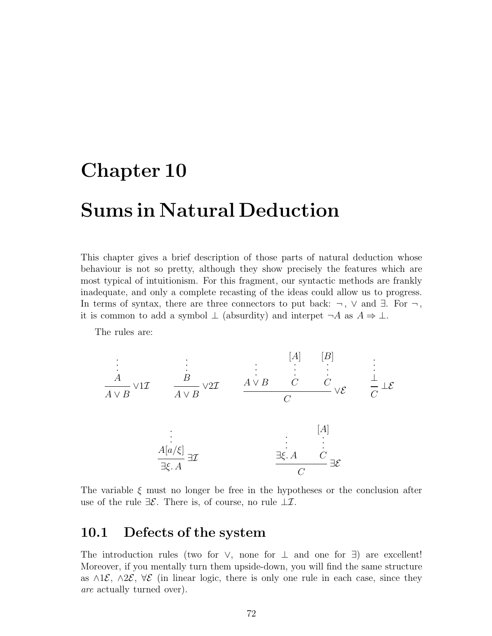# <span id="page-79-0"></span>Chapter 10

# Sums in Natural Deduction

This chapter gives a brief description of those parts of natural deduction whose behaviour is not so pretty, although they show precisely the features which are most typical of intuitionism. For this fragment, our syntactic methods are frankly inadequate, and only a complete recasting of the ideas could allow us to progress. In terms of syntax, there are three connectors to put back:  $\neg$ ,  $\vee$  and  $\exists$ . For  $\neg$ , it is common to add a symbol  $\perp$  (absurdity) and interpet  $\neg A$  as  $A \Rightarrow \perp$ .

The rules are:



The variable  $\xi$  must no longer be free in the hypotheses or the conclusion after use of the rule  $\exists \mathcal{E}$ . There is, of course, no rule  $\bot \mathcal{I}$ .

### 10.1 Defects of the system

The introduction rules (two for  $\vee$ , none for  $\perp$  and one for  $\exists$ ) are excellent! Moreover, if you mentally turn them upside-down, you will find the same structure as  $\wedge 1\mathcal{E}, \wedge 2\mathcal{E}, \forall \mathcal{E}$  (in linear logic, there is only one rule in each case, since they are actually turned over).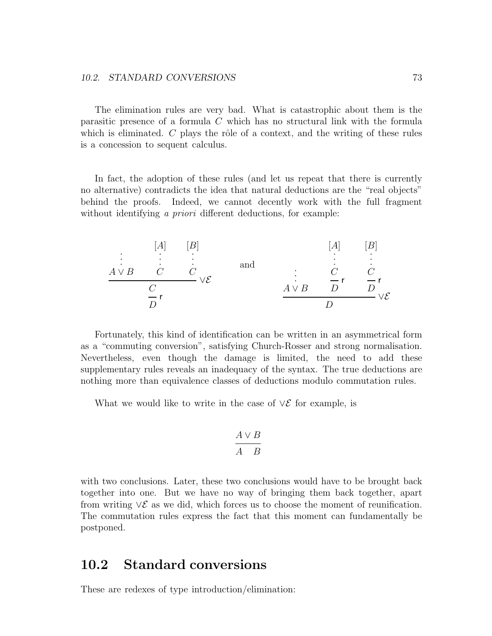#### 10.2. STANDARD CONVERSIONS 73

The elimination rules are very bad. What is catastrophic about them is the parasitic presence of a formula C which has no structural link with the formula which is eliminated.  $C$  plays the rôle of a context, and the writing of these rules is a concession to sequent calculus.

In fact, the adoption of these rules (and let us repeat that there is currently no alternative) contradicts the idea that natural deductions are the "real objects" behind the proofs. Indeed, we cannot decently work with the full fragment without identifying *a priori* different deductions, for example:

$$
\begin{array}{c}\n[A] \quad [B] \\
\vdots \\
A \lor B \quad C \quad C \\
\hline\nC \\
D\n\end{array}\n\qquad \text{and} \qquad\n\begin{array}{c}\n[A] \quad [B] \\
\vdots \\
C \quad C \\
\hline\nD\n\end{array}
$$

Fortunately, this kind of identification can be written in an asymmetrical form as a "commuting conversion", satisfying Church-Rosser and strong normalisation. Nevertheless, even though the damage is limited, the need to add these supplementary rules reveals an inadequacy of the syntax. The true deductions are nothing more than equivalence classes of deductions modulo commutation rules.

What we would like to write in the case of  $\vee \mathcal{E}$  for example, is

$$
\frac{A \vee B}{A \quad B}
$$

with two conclusions. Later, these two conclusions would have to be brought back together into one. But we have no way of bringing them back together, apart from writing  $\vee \mathcal{E}$  as we did, which forces us to choose the moment of reunification. The commutation rules express the fact that this moment can fundamentally be postponed.

## 10.2 Standard conversions

These are redexes of type introduction/elimination: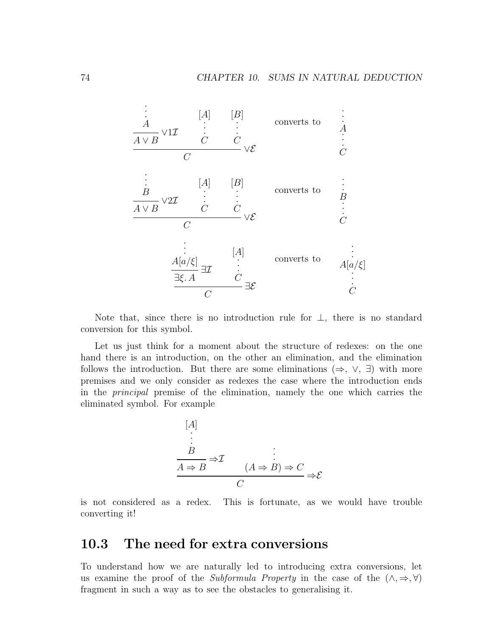

Note that, since there is no introduction rule for  $\perp$ , there is no standard conversion for this symbol.

Let us just think for a moment about the structure of redexes: on the one hand there is an introduction, on the other an elimination, and the elimination follows the introduction. But there are some eliminations  $(\Rightarrow, \vee, \exists)$  with more premises and we only consider as redexes the case where the introduction ends in the principal premise of the elimination, namely the one which carries the eliminated symbol. For example

$$
[A] \begin{array}{ccc} [A] \\ \vdots \\ B \\ \hline A \Rightarrow B \end{array} \Rightarrow \mathcal{I} \qquad (A \Rightarrow B) \Rightarrow C \\ \begin{array}{ccc} \vdots \\ C \end{array} \Rightarrow \mathcal{E}
$$

is not considered as a redex. This is fortunate, as we would have trouble converting it!

## 10.3 The need for extra conversions

To understand how we are naturally led to introducing extra conversions, let us examine the proof of the Subformula Property in the case of the  $(\wedge, \Rightarrow, \forall)$ fragment in such a way as to see the obstacles to generalising it.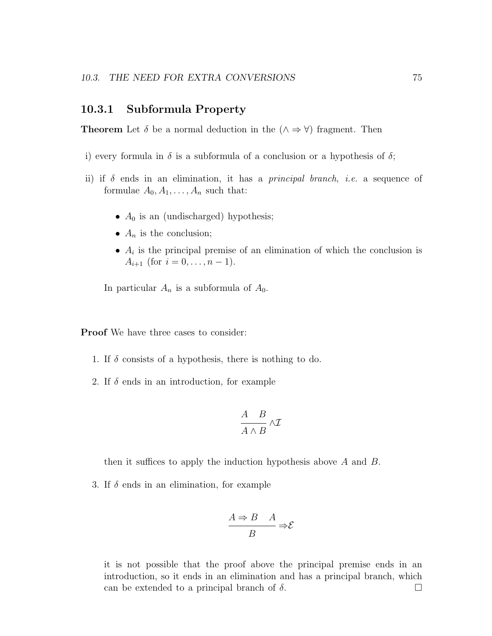### 10.3.1 Subformula Property

**Theorem** Let  $\delta$  be a normal deduction in the  $(\land \Rightarrow \forall)$  fragment. Then

i) every formula in  $\delta$  is a subformula of a conclusion or a hypothesis of  $\delta$ ;

- ii) if  $\delta$  ends in an elimination, it has a *principal branch*, *i.e.* a sequence of formulae  $A_0, A_1, \ldots, A_n$  such that:
	- $A_0$  is an (undischarged) hypothesis;
	- $A_n$  is the conclusion;
	- $A_i$  is the principal premise of an elimination of which the conclusion is  $A_{i+1}$  (for  $i = 0, \ldots, n-1$ ).

In particular  $A_n$  is a subformula of  $A_0$ .

Proof We have three cases to consider:

- 1. If  $\delta$  consists of a hypothesis, there is nothing to do.
- 2. If  $\delta$  ends in an introduction, for example

$$
\frac{A}{A \wedge B} \wedge \mathcal{I}
$$

then it suffices to apply the induction hypothesis above A and B.

3. If  $\delta$  ends in an elimination, for example

$$
\frac{A \Rightarrow B \quad A}{B} \Rightarrow \mathcal{E}
$$

it is not possible that the proof above the principal premise ends in an introduction, so it ends in an elimination and has a principal branch, which can be extended to a principal branch of  $\delta$ .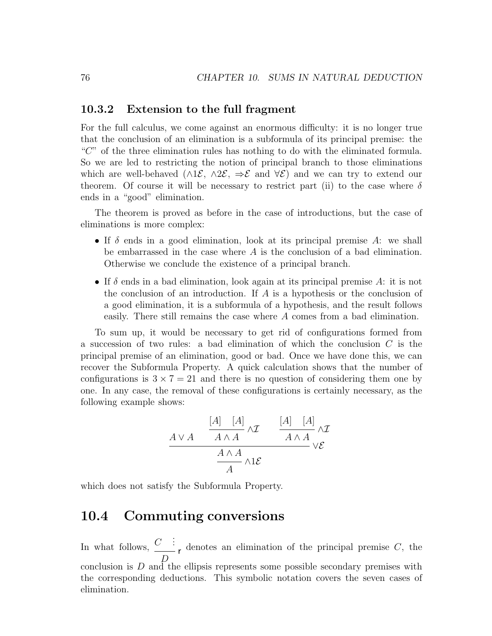### 10.3.2 Extension to the full fragment

For the full calculus, we come against an enormous difficulty: it is no longer true that the conclusion of an elimination is a subformula of its principal premise: the "C" of the three elimination rules has nothing to do with the eliminated formula. So we are led to restricting the notion of principal branch to those eliminations which are well-behaved ( $\wedge$ 1 $\varepsilon$ ,  $\wedge$ 2 $\varepsilon$ ,  $\Rightarrow$  $\varepsilon$  and  $\forall \varepsilon$ ) and we can try to extend our theorem. Of course it will be necessary to restrict part (ii) to the case where  $\delta$ ends in a "good" elimination.

The theorem is proved as before in the case of introductions, but the case of eliminations is more complex:

- If  $\delta$  ends in a good elimination, look at its principal premise A: we shall be embarrassed in the case where  $A$  is the conclusion of a bad elimination. Otherwise we conclude the existence of a principal branch.
- If  $\delta$  ends in a bad elimination, look again at its principal premise  $A$ : it is not the conclusion of an introduction. If A is a hypothesis or the conclusion of a good elimination, it is a subformula of a hypothesis, and the result follows easily. There still remains the case where A comes from a bad elimination.

To sum up, it would be necessary to get rid of configurations formed from a succession of two rules: a bad elimination of which the conclusion  $C$  is the principal premise of an elimination, good or bad. Once we have done this, we can recover the Subformula Property. A quick calculation shows that the number of configurations is  $3 \times 7 = 21$  and there is no question of considering them one by one. In any case, the removal of these configurations is certainly necessary, as the following example shows:

$$
\begin{array}{c|cc}\nA \vee A & \xrightarrow{[A]} & [A] & \wedge \mathcal{I} & \xrightarrow{[A]} & [A] & \wedge \mathcal{I} \\
\hline\nA \wedge A & & & A \wedge A & \vee \mathcal{E} \\
\hline\nA & & & A \wedge \mathcal{I} & \wedge \mathcal{I}\n\end{array}
$$

which does not satisfy the Subformula Property.

# 10.4 Commuting conversions

In what follows,  $\overline{C}$  : r  $\overline{D}$ denotes an elimination of the principal premise C, the conclusion is  $D$  and the ellipsis represents some possible secondary premises with the corresponding deductions. This symbolic notation covers the seven cases of elimination.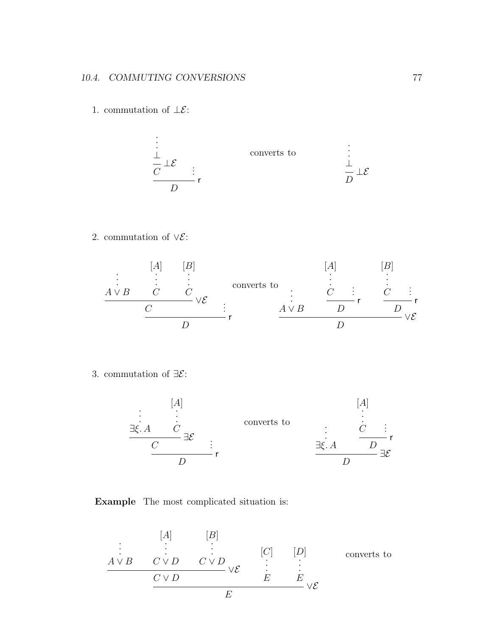1. commutation of  $\perp \mathcal{E}$ :



#### 2. commutation of  $\vee \mathcal{E}$ :



3. commutation of  $\exists \mathcal{E}$ :



#### Example The most complicated situation is:

$$
\begin{array}{c}\n[A] \quad [B] \\
\vdots \\
A \lor B \quad C \lor D \quad C \lor D \\
\hline\nC \lor D \quad\n\end{array}\n\quad\n\begin{array}{c}\n[C] \quad [D] \quad \text{converts to} \\
\vdots \\
E \quad E \quad \downarrow \\
\hline\nE \quad\n\end{array}
$$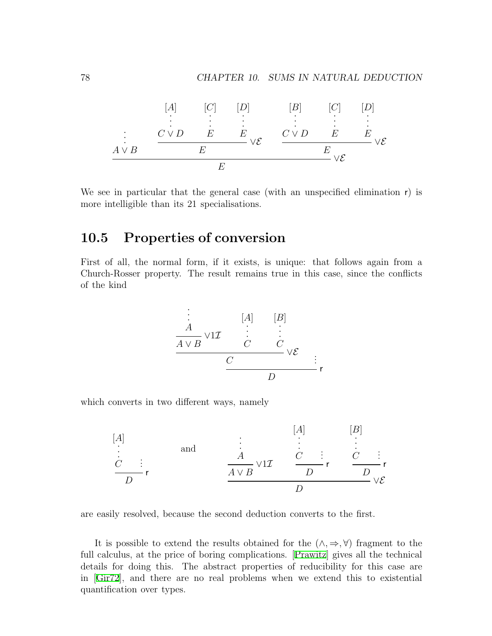

We see in particular that the general case (with an unspecified elimination r) is more intelligible than its 21 specialisations.

### 10.5 Properties of conversion

First of all, the normal form, if it exists, is unique: that follows again from a Church-Rosser property. The result remains true in this case, since the conflicts of the kind



which converts in two different ways, namely

$$
\begin{array}{ccc}\n[A] & & & [A] & & [B] \\
\vdots & & \text{and} & & \vdots & \vdots & \vdots \\
\hline\nD & & & & \underline{A \vee B} \vee 1\mathcal{I} & & \underline{C} & \vdots \\
\hline\nD & & & & \underline{D} & \vee \mathcal{E}\n\end{array}
$$

are easily resolved, because the second deduction converts to the first.

It is possible to extend the results obtained for the  $(\wedge, \Rightarrow, \forall)$  fragment to the full calculus, at the price of boring complications.[[Prawitz](#page-170-0)] gives all the technical details for doing this. The abstract properties of reducibility for this case are in[[Gir72](#page-169-0)], and there are no real problems when we extend this to existential quantification over types.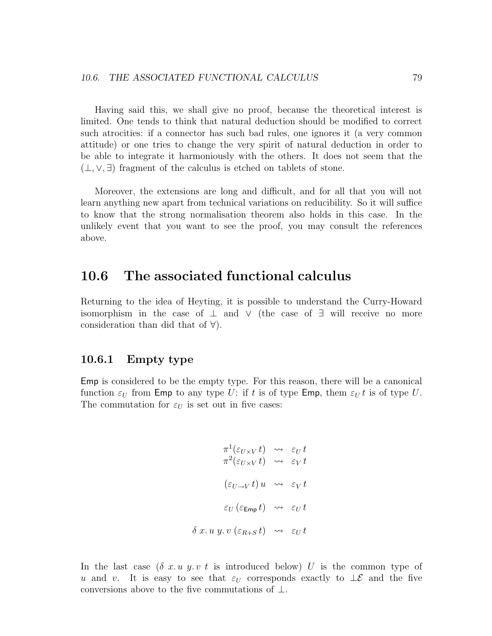Having said this, we shall give no proof, because the theoretical interest is limited. One tends to think that natural deduction should be modified to correct such atrocities: if a connector has such bad rules, one ignores it (a very common attitude) or one tries to change the very spirit of natural deduction in order to be able to integrate it harmoniously with the others. It does not seem that the (⊥,∨, ∃) fragment of the calculus is etched on tablets of stone.

Moreover, the extensions are long and difficult, and for all that you will not learn anything new apart from technical variations on reducibility. So it will suffice to know that the strong normalisation theorem also holds in this case. In the unlikely event that you want to see the proof, you may consult the references above.

# 10.6 The associated functional calculus

Returning to the idea of Heyting, it is possible to understand the Curry-Howard isomorphism in the case of ⊥ and ∨ (the case of ∃ will receive no more consideration than did that of ∀).

### 10.6.1 Empty type

Emp is considered to be the empty type. For this reason, there will be a canonical function  $\varepsilon_U$  from Emp to any type U: if t is of type Emp, them  $\varepsilon_U t$  is of type U. The commutation for  $\varepsilon_U$  is set out in five cases:

$$
\pi^1(\varepsilon_{U\times V}t) \rightsquigarrow \varepsilon_U t
$$

$$
\pi^2(\varepsilon_{U\times V}t) \rightsquigarrow \varepsilon_V t
$$

$$
(\varepsilon_{U\to V}t)u \rightsquigarrow \varepsilon_V t
$$

$$
\varepsilon_U(\varepsilon_{\text{Emp}}t) \rightsquigarrow \varepsilon_U t
$$

$$
\delta x.u y.v (\varepsilon_{R+S}t) \rightsquigarrow \varepsilon_U t
$$

In the last case  $(\delta x. u, y. v t$  is introduced below) U is the common type of u and v. It is easy to see that  $\varepsilon_U$  corresponds exactly to  $\bot \mathcal{E}$  and the five conversions above to the five commutations of ⊥.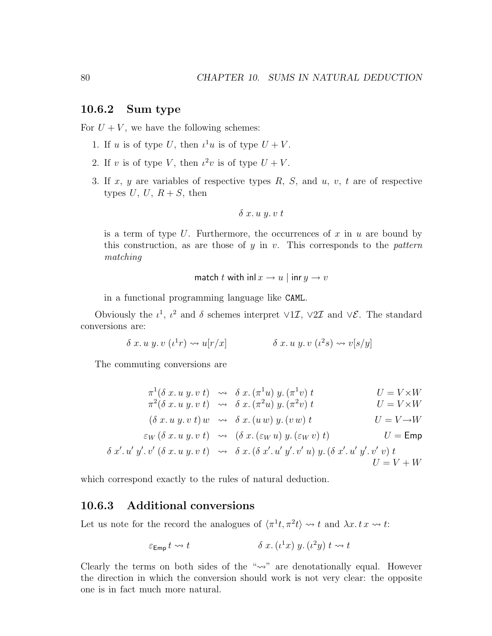#### 10.6.2 Sum type

For  $U + V$ , we have the following schemes:

- 1. If u is of type U, then  $\iota^1 u$  is of type  $U + V$ .
- 2. If v is of type V, then  $\iota^2 v$  is of type  $U + V$ .
- 3. If x, y are variables of respective types  $R$ ,  $S$ , and  $u$ ,  $v$ ,  $t$  are of respective types U, U,  $R + S$ , then

$$
\delta~x.\,u~y.\,v~t
$$

is a term of type U. Furthermore, the occurrences of  $x$  in  $u$  are bound by this construction, as are those of  $y$  in  $v$ . This corresponds to the *pattern* matching

$$
\text{match } t \text{ with } \text{inl } x \to u \mid \text{inr } y \to v
$$

in a functional programming language like CAML.

Obviously the  $i^1$ ,  $i^2$  and  $\delta$  schemes interpret  $\forall$ 1*T*,  $\forall$ 2*T* and  $\forall$ *E*. The standard conversions are:

$$
\delta x. u y. v \left(\iota^{1} r\right) \rightsquigarrow u \left[\iota / x\right] \qquad \qquad \delta x. u y. v \left(\iota^{2} s\right) \rightsquigarrow v \left[\iota / y\right]
$$

The commuting conversions are

$$
\pi^{1}(\delta x. u y. v t) \rightsquigarrow \delta x. (\pi^{1} u) y. (\pi^{1} v) t \qquad U = V \times W
$$
  
\n
$$
\pi^{2}(\delta x. u y. v t) \rightsquigarrow \delta x. (\pi^{2} u) y. (\pi^{2} v) t \qquad U = V \times W
$$
  
\n
$$
(\delta x. u y. v t) w \rightsquigarrow \delta x. (u w) y. (v w) t \qquad U = V \rightarrow W
$$
  
\n
$$
\varepsilon_{W}(\delta x. u y. v t) \rightsquigarrow (\delta x. (\varepsilon_{W} u) y. (\varepsilon_{W} v) t) \qquad U = \text{Emp}
$$
  
\n
$$
\delta x'. u' y'. v' (\delta x. u y. v t) \rightsquigarrow \delta x. (\delta x'. u' y'. v' u) y. (\delta x'. u' y'. v' v) t
$$
  
\n
$$
U = V + W
$$

which correspond exactly to the rules of natural deduction.

#### 10.6.3 Additional conversions

Let us note for the record the analogues of  $\langle \pi^1 t, \pi^2 t \rangle \rightsquigarrow t$  and  $\lambda x. t x \rightsquigarrow t$ :

$$
\varepsilon_{\text{Emp}} t \leadsto t \qquad \qquad \delta x. \left(\iota^1 x\right) y. \left(\iota^2 y\right) t \leadsto t
$$

Clearly the terms on both sides of the " $\rightsquigarrow$ " are denotationally equal. However the direction in which the conversion should work is not very clear: the opposite one is in fact much more natural.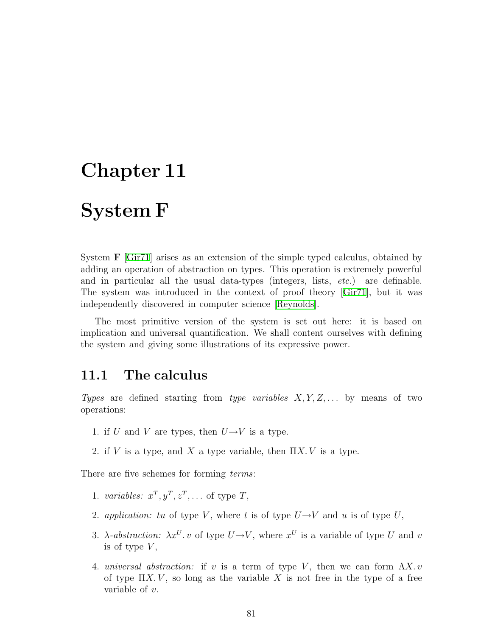# Chapter 11

# System F

System  $\bf{F}$  [[Gir71\]](#page-169-1) arises as an extension of the simple typed calculus, obtained by adding an operation of abstraction on types. This operation is extremely powerful and in particular all the usual data-types (integers, lists, etc.) are definable. The system was introduced in the context of proof theory [\[Gir71\]](#page-169-1), but it was independently discovered in computer science [\[Reynolds](#page-170-1)].

The most primitive version of the system is set out here: it is based on implication and universal quantification. We shall content ourselves with defining the system and giving some illustrations of its expressive power.

# 11.1 The calculus

Types are defined starting from type variables  $X, Y, Z, \ldots$  by means of two operations:

- 1. if U and V are types, then  $U \rightarrow V$  is a type.
- 2. if V is a type, and X a type variable, then  $\Pi X. V$  is a type.

There are five schemes for forming *terms*:

- 1. variables:  $x^T, y^T, z^T, \ldots$  of type  $T$ ,
- 2. application: tu of type V, where t is of type  $U \rightarrow V$  and u is of type U,
- 3.  $\lambda$ -abstraction:  $\lambda x^U$  v of type  $U \rightarrow V$ , where  $x^U$  is a variable of type U and v is of type  $V$ ,
- 4. universal abstraction: if v is a term of type V, then we can form  $\Lambda X$ . of type  $\Pi X. V$ , so long as the variable X is not free in the type of a free variable of v.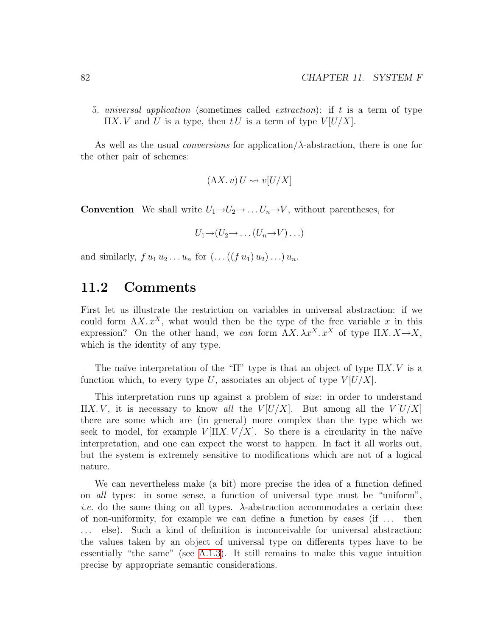5. universal application (sometimes called *extraction*): if  $t$  is a term of type  $\Pi X. V$  and U is a type, then tU is a term of type  $V[U/X]$ .

As well as the usual *conversions* for application/ $\lambda$ -abstraction, there is one for the other pair of schemes:

$$
(\Lambda X.\, v)\, U \leadsto v[U/X]
$$

**Convention** We shall write  $U_1 \rightarrow U_2 \rightarrow \dots U_n \rightarrow V$ , without parentheses, for

$$
U_1 \rightarrow (U_2 \rightarrow \dots (U_n \rightarrow V) \dots)
$$

and similarly,  $f u_1 u_2 \ldots u_n$  for  $(\ldots ((f u_1) u_2) \ldots) u_n$ .

## 11.2 Comments

First let us illustrate the restriction on variables in universal abstraction: if we could form  $\Lambda X$ .  $x^X$ , what would then be the type of the free variable x in this expression? On the other hand, we can form  $\Lambda X$ .  $\lambda x^X$ .  $x^X$  of type  $\Pi X$ .  $X \rightarrow X$ , which is the identity of any type.

The naïve interpretation of the "Π" type is that an object of type  $\Pi X. V$  is a function which, to every type U, associates an object of type  $V[U/X]$ .

This interpretation runs up against a problem of size: in order to understand  $\Pi X. V$ , it is necessary to know all the  $V[U/X]$ . But among all the  $V[U/X]$ there are some which are (in general) more complex than the type which we seek to model, for example  $V[\Pi X. V/X]$ . So there is a circularity in the naïve interpretation, and one can expect the worst to happen. In fact it all works out, but the system is extremely sensitive to modifications which are not of a logical nature.

We can nevertheless make (a bit) more precise the idea of a function defined on all types: in some sense, a function of universal type must be "uniform", *i.e.* do the same thing on all types.  $\lambda$ -abstraction accommodates a certain dose of non-uniformity, for example we can define a function by cases (if . . . then . . . else). Such a kind of definition is inconceivable for universal abstraction: the values taken by an object of universal type on differents types have to be essentially "the same" (see [A.1.3](#page-140-0)). It still remains to make this vague intuition precise by appropriate semantic considerations.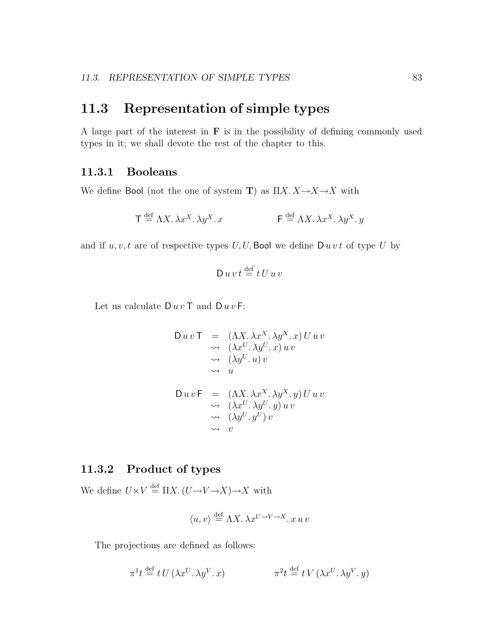# <span id="page-90-0"></span>11.3 Representation of simple types

A large part of the interest in  $\bf{F}$  is in the possibility of defining commonly used types in it; we shall devote the rest of the chapter to this.

### 11.3.1 Booleans

We define Bool (not the one of system T) as  $\Pi X. X \rightarrow X \rightarrow X$  with

$$
\mathsf{T} \stackrel{\text{def}}{=} \Lambda X. \lambda x^X. \lambda y^X. x \qquad \qquad \mathsf{F} \stackrel{\text{def}}{=} \Lambda X. \lambda x^X. \lambda y^X. y
$$

and if  $u, v, t$  are of respective types U, U, Bool we define  $D u v t$  of type U by

$$
D u v t \stackrel{\text{def}}{=} t U u v
$$

Let us calculate  $D u v T$  and  $D u v F$ :

$$
D u v T = (\Lambda X. \lambda x^{X}. \lambda y^{X}. x) U u v
$$
  
\n
$$
\rightarrow (\lambda x^{U}. \lambda y^{U}. x) u v
$$
  
\n
$$
\rightarrow ( \lambda y^{U}. u) v
$$
  
\n
$$
\rightarrow u
$$
  
\n
$$
D u v F = (\Lambda X. \lambda x^{X}. \lambda y^{X}. y) U u v
$$
  
\n
$$
\rightarrow (\lambda x^{U}. \lambda y^{U}. y) u v
$$
  
\n
$$
\rightarrow ( \lambda y^{U}. y^{U}) v
$$
  
\n
$$
\rightarrow v
$$

### 11.3.2 Product of types

We define  $U \times V \stackrel{\text{def}}{=} \Pi X \cdot (U \rightarrow V \rightarrow X) \rightarrow X$  with

$$
\langle u, v \rangle \stackrel{\text{def}}{=} \Lambda X. \lambda x^{U \to V \to X}. x u v
$$

The projections are defined as follows:

$$
\pi^1 t \stackrel{\text{def}}{=} t U \left( \lambda x^U \cdot \lambda y^V \cdot x \right) \qquad \qquad \pi^2 t \stackrel{\text{def}}{=} t V \left( \lambda x^U \cdot \lambda y^V \cdot y \right)
$$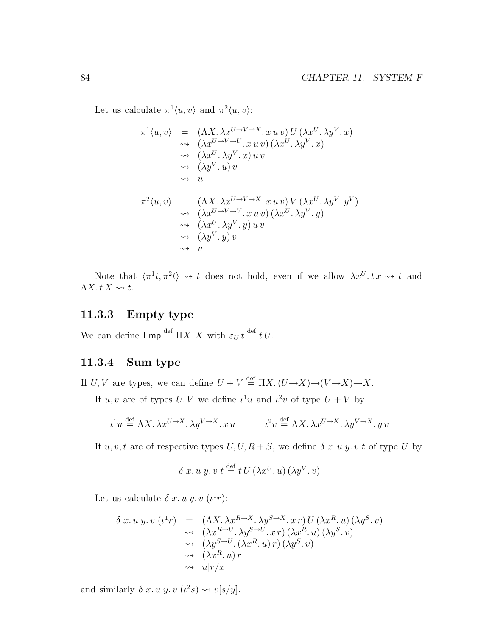Let us calculate  $\pi^1 \langle u, v \rangle$  and  $\pi^2 \langle u, v \rangle$ :

$$
\pi^{1}\langle u, v \rangle = (\Lambda X. \lambda x^{U \to V \to X}. x u v) U (\lambda x^{U}. \lambda y^{V}. x)
$$
  
\n
$$
\rightsquigarrow (\lambda x^{U \to V \to U}. x u v) (\lambda x^{U}. \lambda y^{V}. x)
$$
  
\n
$$
\rightsquigarrow (\lambda x^{U}. \lambda y^{V}. x) u v
$$
  
\n
$$
\rightsquigarrow u
$$
  
\n
$$
\pi^{2}\langle u, v \rangle = (\Lambda X. \lambda x^{U \to V \to X}. x u v) V (\lambda x^{U}. \lambda y^{V}. y^{V})
$$
  
\n
$$
\rightsquigarrow (\lambda x^{U \to V \to V}. x u v) (\lambda x^{U}. \lambda y^{V}. y)
$$
  
\n
$$
\rightsquigarrow (\lambda x^{U}. \lambda y^{V}. y) u v
$$
  
\n
$$
\rightsquigarrow (\lambda y^{V}. y) v
$$
  
\n
$$
\rightsquigarrow v
$$

Note that  $\langle \pi^1 t, \pi^2 t \rangle \leadsto t$  does not hold, even if we allow  $\lambda x^U. t x \leadsto t$  and  $\Lambda X. t X \leadsto t.$ 

### 11.3.3 Empty type

We can define  $\mathsf{Emp} \stackrel{\text{def}}{=} \Pi X. X$  with  $\varepsilon_U t \stackrel{\text{def}}{=} t U$ .

### <span id="page-91-0"></span>11.3.4 Sum type

If U, V are types, we can define  $U + V \stackrel{\text{def}}{=} \Pi X \cdot (U \rightarrow X) \rightarrow (V \rightarrow X) \rightarrow X$ .

If  $u, v$  are of types  $U, V$  we define  $\iota^1 u$  and  $\iota^2 v$  of type  $U + V$  by

$$
\iota^1 u \stackrel{\text{def}}{=} \Lambda X. \lambda x^{U \to X}. \lambda y^{V \to X}. x u \qquad \qquad \iota^2 v \stackrel{\text{def}}{=} \Lambda X. \lambda x^{U \to X}. \lambda y^{V \to X}. y v
$$

If u, v, t are of respective types  $U, U, R+S$ , we define  $\delta x. u y. v t$  of type U by

$$
\delta x. u y. v t \stackrel{\text{def}}{=} t U (\lambda x^U. u) (\lambda y^V. v)
$$

Let us calculate  $\delta x. u y. v \left(\iota^{1} r\right)$ :

$$
\delta x. u y. v (t^1 r) = (\Lambda X. \lambda x^{R \to X} . \lambda y^{S \to X} . x r) U (\lambda x^R . u) (\lambda y^S . v)
$$
  
\n
$$
\rightsquigarrow (\lambda x^{R \to U} . \lambda y^{S \to U} . x r) (\lambda x^R . u) (\lambda y^S . v)
$$
  
\n
$$
\rightsquigarrow (\lambda y^{S \to U} . (\lambda x^R . u) r) (\lambda y^S . v)
$$
  
\n
$$
\rightsquigarrow u[r/x]
$$

and similarly  $\delta x. u y. v \left(\iota^2 s\right) \rightsquigarrow v[s/y].$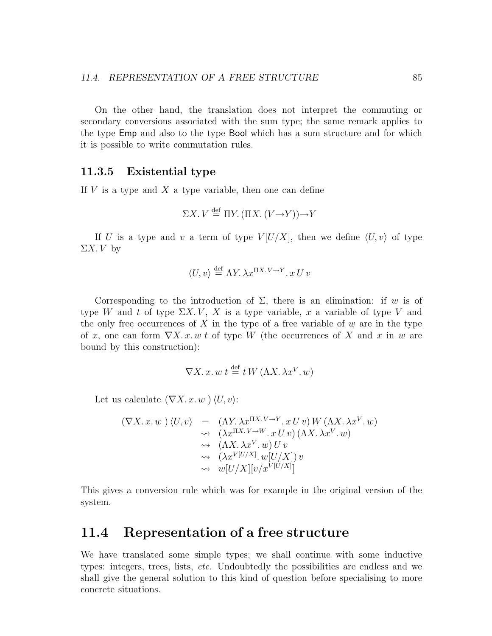On the other hand, the translation does not interpret the commuting or secondary conversions associated with the sum type; the same remark applies to the type Emp and also to the type Bool which has a sum structure and for which it is possible to write commutation rules.

### 11.3.5 Existential type

If  $V$  is a type and  $X$  a type variable, then one can define

$$
\Sigma X. V \stackrel{\text{def}}{=} \Pi Y. (\Pi X. (V \rightarrow Y)) \rightarrow Y
$$

If U is a type and v a term of type  $V[U/X]$ , then we define  $\langle U, v \rangle$  of type  $\Sigma X. V$  by

$$
\langle U, v \rangle \stackrel{\text{def}}{=} \Lambda Y. \lambda x^{\Pi X. V \to Y}. x U v
$$

Corresponding to the introduction of  $\Sigma$ , there is an elimination: if w is of type W and t of type  $\Sigma X. V, X$  is a type variable, x a variable of type V and the only free occurrences of X in the type of a free variable of  $w$  are in the type of x, one can form  $\nabla X.x.wt$  of type W (the occurrences of X and x in w are bound by this construction):

$$
\nabla X. x. w t \stackrel{\text{def}}{=} t W (\Lambda X. \lambda x^V. w)
$$

Let us calculate  $(\nabla X. x. w) \langle U, v \rangle$ :

$$
(\nabla X. x. w) \langle U, v \rangle = (\Lambda Y. \lambda x^{\Pi X. V \to Y} . x U v) W (\Lambda X. \lambda x^V. w)
$$
  
\n
$$
\rightsquigarrow (\lambda x^{\Pi X. V \to W} . x U v) (\Lambda X. \lambda x^V. w)
$$
  
\n
$$
\rightsquigarrow (\Lambda X. \lambda x^V. w) U v
$$
  
\n
$$
\rightsquigarrow (\lambda x^{V[U/X]} . w[U/X]) v
$$
  
\n
$$
\rightsquigarrow w[U/X][v/x^{V[U/X]}]
$$

This gives a conversion rule which was for example in the original version of the system.

### <span id="page-92-0"></span>11.4 Representation of a free structure

We have translated some simple types; we shall continue with some inductive types: integers, trees, lists, etc. Undoubtedly the possibilities are endless and we shall give the general solution to this kind of question before specialising to more concrete situations.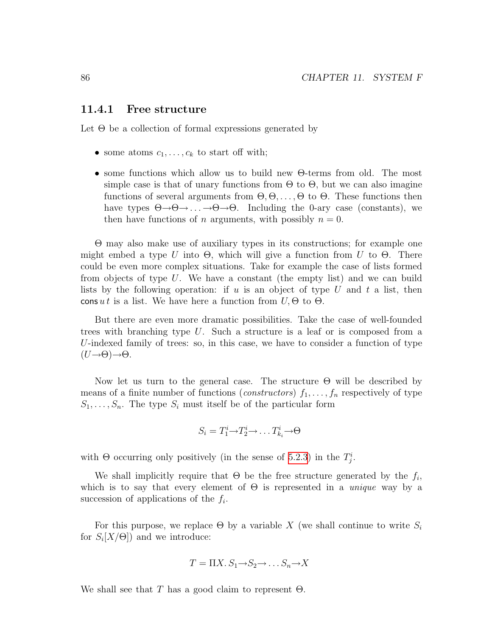#### 11.4.1 Free structure

Let  $\Theta$  be a collection of formal expressions generated by

- some atoms  $c_1, \ldots, c_k$  to start off with;
- some functions which allow us to build new Θ-terms from old. The most simple case is that of unary functions from  $\Theta$  to  $\Theta$ , but we can also imagine functions of several arguments from  $\Theta$ ,  $\Theta$ , ...,  $\Theta$  to  $\Theta$ . These functions then have types  $\Theta \rightarrow \Theta \rightarrow \ldots \rightarrow \Theta \rightarrow \Theta$ . Including the 0-ary case (constants), we then have functions of n arguments, with possibly  $n = 0$ .

Θ may also make use of auxiliary types in its constructions; for example one might embed a type U into  $\Theta$ , which will give a function from U to  $\Theta$ . There could be even more complex situations. Take for example the case of lists formed from objects of type U. We have a constant (the empty list) and we can build lists by the following operation: if u is an object of type U and t a list, then cons u t is a list. We have here a function from  $U, \Theta$  to  $\Theta$ .

But there are even more dramatic possibilities. Take the case of well-founded trees with branching type U. Such a structure is a leaf or is composed from a U-indexed family of trees: so, in this case, we have to consider a function of type  $(U\rightarrow\Theta)\rightarrow\Theta$ .

Now let us turn to the general case. The structure  $\Theta$  will be described by means of a finite number of functions (*constructors*)  $f_1, \ldots, f_n$  respectively of type  $S_1, \ldots, S_n$ . The type  $S_i$  must itself be of the particular form

$$
S_i = T_1^i \rightarrow T_2^i \rightarrow \dots T_{k_i}^i \rightarrow \Theta
$$

with  $\Theta$  occurring only positively (in the sense of [5.2.3\)](#page-41-0) in the  $T_j^i$ .

We shall implicitly require that  $\Theta$  be the free structure generated by the  $f_i$ , which is to say that every element of  $\Theta$  is represented in a *unique* way by a succession of applications of the  $f_i$ .

For this purpose, we replace  $\Theta$  by a variable X (we shall continue to write  $S_i$ for  $S_i[X/\Theta]$  and we introduce:

$$
T = \Pi X \cdot S_1 \rightarrow S_2 \rightarrow \dots S_n \rightarrow X
$$

We shall see that T has a good claim to represent  $\Theta$ .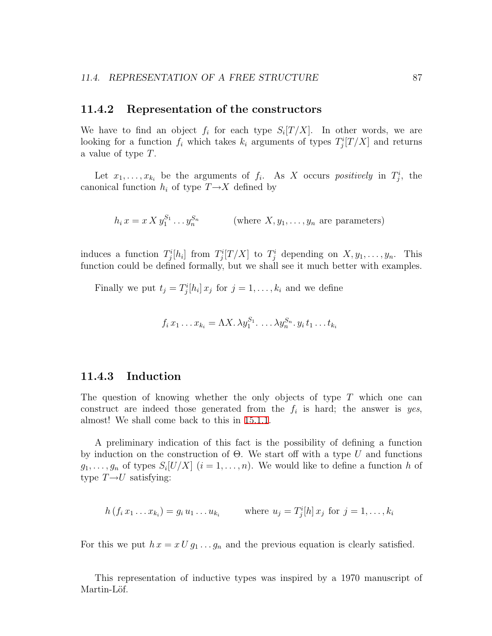#### 11.4.2 Representation of the constructors

We have to find an object  $f_i$  for each type  $S_i[T/X]$ . In other words, we are looking for a function  $f_i$  which takes  $k_i$  arguments of types  $T^i_j[T/X]$  and returns a value of type T.

Let  $x_1, \ldots, x_{k_i}$  be the arguments of  $f_i$ . As X occurs positively in  $T_j^i$ , the canonical function  $h_i$  of type  $T\rightarrow X$  defined by

 $h_i x = x X y_1^{S_1} \dots y_n^{S_n}$  (where  $X, y_1, \dots, y_n$  are parameters)

induces a function  $T^i_j[h_i]$  from  $T^i_j[T/X]$  to  $T^i_j$  depending on  $X, y_1, \ldots, y_n$ . This function could be defined formally, but we shall see it much better with examples.

Finally we put  $t_j = T_j^i[h_i] x_j$  for  $j = 1, ..., k_i$  and we define

$$
f_i x_1 \dots x_{k_i} = \Lambda X. \lambda y_1^{S_1} \dots \lambda y_n^{S_n} \dots y_i t_1 \dots t_{k_i}
$$

#### 11.4.3 Induction

The question of knowing whether the only objects of type  $T$  which one can construct are indeed those generated from the  $f_i$  is hard; the answer is yes, almost! We shall come back to this in [15.1.1](#page-127-0).

A preliminary indication of this fact is the possibility of defining a function by induction on the construction of  $\Theta$ . We start off with a type U and functions  $g_1, \ldots, g_n$  of types  $S_i[U/X]$   $(i = 1, \ldots, n)$ . We would like to define a function h of type  $T\rightarrow U$  satisfying:

 $h(f_i x_1 \dots x_{k_i}) = g_i u_1 \dots u_{k_i}$  where  $u_j = T^i_j[h] x_j$  for  $j = 1, \dots, k_i$ 

For this we put  $h x = x U g_1 \dots g_n$  and the previous equation is clearly satisfied.

This representation of inductive types was inspired by a 1970 manuscript of Martin-Löf.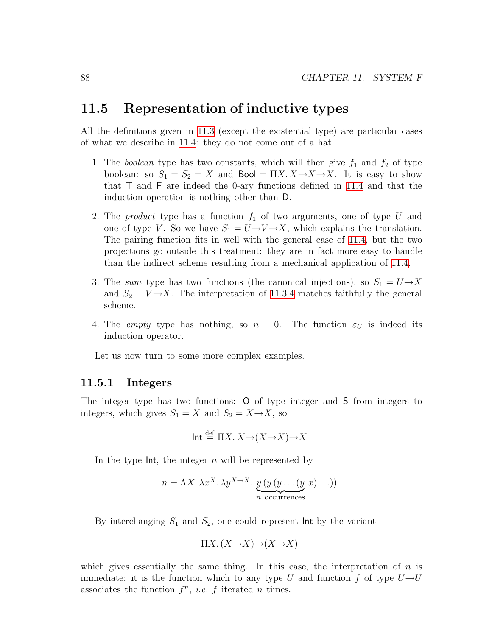## 11.5 Representation of inductive types

All the definitions given in [11.3](#page-90-0) (except the existential type) are particular cases of what we describe in [11.4:](#page-92-0) they do not come out of a hat.

- 1. The boolean type has two constants, which will then give  $f_1$  and  $f_2$  of type boolean: so  $S_1 = S_2 = X$  and  $\text{Bool} = \Pi X \cdot X \rightarrow X \rightarrow X$ . It is easy to show that T and F are indeed the 0-ary functions defined in [11.4](#page-92-0) and that the induction operation is nothing other than D.
- 2. The *product* type has a function  $f_1$  of two arguments, one of type U and one of type V. So we have  $S_1 = U \rightarrow V \rightarrow X$ , which explains the translation. The pairing function fits in well with the general case of [11.4](#page-92-0), but the two projections go outside this treatment: they are in fact more easy to handle than the indirect scheme resulting from a mechanical application of [11.4](#page-92-0).
- 3. The sum type has two functions (the canonical injections), so  $S_1 = U \rightarrow X$ and  $S_2 = V \rightarrow X$ . The interpretation of [11.3.4](#page-91-0) matches faithfully the general scheme.
- 4. The empty type has nothing, so  $n = 0$ . The function  $\varepsilon_U$  is indeed its induction operator.

Let us now turn to some more complex examples.

#### 11.5.1 Integers

The integer type has two functions: O of type integer and S from integers to integers, which gives  $S_1 = X$  and  $S_2 = X \rightarrow X$ , so

$$
Int \stackrel{\text{def}}{=} \Pi X. X \rightarrow (X \rightarrow X) \rightarrow X
$$

In the type  $Int$ , the integer n will be represented by

$$
\overline{n} = \Lambda X. \lambda x^X. \lambda y^{X \to X}. \underbrace{y (y (y ... (y x) ...))}_{n \text{ occurrences}}
$$

By interchanging  $S_1$  and  $S_2$ , one could represent lnt by the variant

$$
\Pi X. (X \rightarrow X) \rightarrow (X \rightarrow X)
$$

which gives essentially the same thing. In this case, the interpretation of  $n$  is immediate: it is the function which to any type U and function f of type  $U\rightarrow U$ associates the function  $f^n$ , *i.e.* f iterated *n* times.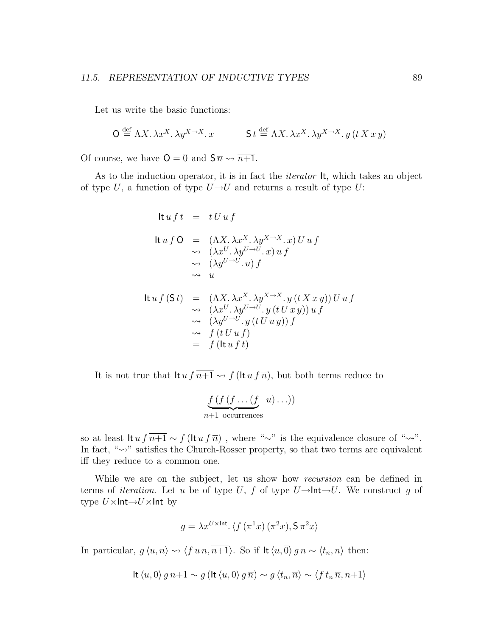Let us write the basic functions:

$$
O \stackrel{\text{def}}{=} \Lambda X. \lambda x^X. \lambda y^{X \to X}. x \qquad S t \stackrel{\text{def}}{=} \Lambda X. \lambda x^X. \lambda y^{X \to X}. y (t X x y)
$$

Of course, we have  $\mathsf{O} = \overline{0}$  and  $\mathsf{S} \overline{n} \rightsquigarrow \overline{n+1}$ .

As to the induction operator, it is in fact the *iterator* It, which takes an object of type U, a function of type  $U \rightarrow U$  and returns a result of type U:

$$
\begin{array}{rcl}\n\text{lt } u f t & = & t U u f \\
\text{lt } u f O & = & (\Lambda X. \lambda x^X \cdot \lambda y^{X \to X} \cdot x) U u f \\
& \sim & (\lambda x^U \cdot \lambda y^{U \to U} \cdot x) u f \\
& \sim & ( \lambda y^{U \to U} \cdot u) f \\
& \sim & u\n\end{array}
$$
\n
$$
\begin{array}{rcl}\n\text{lt } u f (S t) & = & (\Lambda X. \lambda x^X \cdot \lambda y^{X \to X} \cdot y (t X x y)) U u f \\
& \sim & (\lambda x^U \cdot \lambda y^{U \to U} \cdot y (t U x y)) u f \\
& \sim & (\lambda y^{U \to U} \cdot y (t U u y)) f \\
& \sim & f (t U u f) \\
& = & f (\text{lt } u f t)\n\end{array}
$$

It is not true that  $\text{It } u f \overline{n+1} \leadsto f (\text{It } u f \overline{n}),$  but both terms reduce to

$$
\underbrace{f(f(f \dots (f u) \dots))}_{n+1 \text{ occurrences}}
$$

so at least It  $u f \overline{n+1} \sim f(\text{It} u f \overline{n})$ , where "∼" is the equivalence closure of "∼". In fact, " $\rightsquigarrow$ " satisfies the Church-Rosser property, so that two terms are equivalent iff they reduce to a common one.

While we are on the subject, let us show how *recursion* can be defined in terms of *iteration*. Let u be of type U, f of type  $U \rightarrow \text{Int} \rightarrow U$ . We construct g of type  $U\times$ Int $\rightarrow$ U $\times$ Int by

$$
g = \lambda x^{U \times \text{Int}}.\left\langle f\left(\pi^1 x\right) \left(\pi^2 x\right), \mathsf{S} \, \pi^2 x\right\rangle
$$

In particular,  $g\langle u, \overline{n}\rangle \rightsquigarrow \langle f u \overline{n}, \overline{n+1}\rangle$ . So if It $\langle u, 0 \rangle g \overline{n} \sim \langle t_n, \overline{n}\rangle$  then:

$$
\mathsf{lt} \langle u, \overline{0} \rangle\, g\, \overline{n{+}1} \sim g\, (\mathsf{lt} \langle u, \overline{0} \rangle\, g\, \overline{n}) \sim g\, \langle t_n, \overline{n} \rangle \sim \langle f\, t_n\, \overline{n}, \overline{n{+}1} \rangle
$$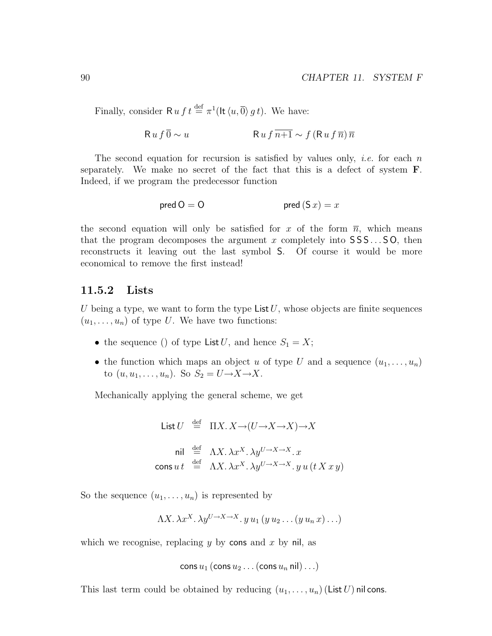Finally, consider  $\mathsf{R} u f t \stackrel{\text{def}}{=} \pi^1(\mathsf{It}\langle u, \overline{0}\rangle g t)$ . We have:

$$
R u f \overline{0} \sim u \qquad R u f \overline{n+1} \sim f (R u f \overline{n}) \overline{n}
$$

The second equation for recursion is satisfied by values only, *i.e.* for each n separately. We make no secret of the fact that this is a defect of system F. Indeed, if we program the predecessor function

$$
pred O = O \t\t pred (S x) = x
$$

the second equation will only be satisfied for x of the form  $\overline{n}$ , which means that the program decomposes the argument x completely into  $SSS...SO$ , then reconstructs it leaving out the last symbol S. Of course it would be more economical to remove the first instead!

#### 11.5.2 Lists

U being a type, we want to form the type List  $U$ , whose objects are finite sequences  $(u_1, \ldots, u_n)$  of type U. We have two functions:

- the sequence () of type List U, and hence  $S_1 = X$ ;
- the function which maps an object u of type U and a sequence  $(u_1, \ldots, u_n)$ to  $(u, u_1, \ldots, u_n)$ . So  $S_2 = U \rightarrow X \rightarrow X$ .

Mechanically applying the general scheme, we get

List 
$$
U \stackrel{\text{def}}{=} \Pi X. X \rightarrow (U \rightarrow X \rightarrow X) \rightarrow X
$$
  
\nnil  $\stackrel{\text{def}}{=} \Lambda X. \lambda x^X. \lambda y^{U \rightarrow X \rightarrow X}. x$   
\ncons  $u t \stackrel{\text{def}}{=} \Lambda X. \lambda x^X. \lambda y^{U \rightarrow X \rightarrow X}. y \, u \, (t \, X \, x \, y)$ 

So the sequence  $(u_1, \ldots, u_n)$  is represented by

$$
\Lambda X.\,\lambda x^X.\,\lambda y^{U\to X\to X}.\,y\,u_1\,(y\,u_2\ldots(y\,u_n\,x)\ldots)
$$

which we recognise, replacing  $y$  by cons and  $x$  by nil, as

cons 
$$
u_1
$$
 (cons  $u_2$ ... (cons  $u_n$  nil)...)

This last term could be obtained by reducing  $(u_1, \ldots, u_n)$  (List U) nil cons.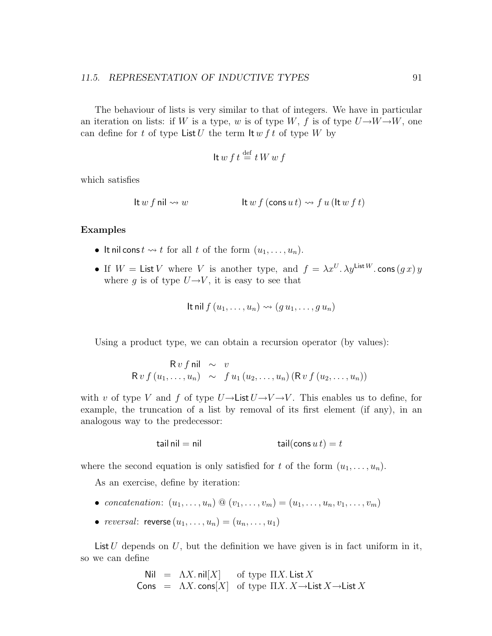The behaviour of lists is very similar to that of integers. We have in particular an iteration on lists: if W is a type, w is of type W, f is of type  $U\rightarrow W\rightarrow W$ , one can define for t of type List U the term  $\mathbf{u} \cdot \mathbf{v}$  of type W by

$$
lt w f t \stackrel{\text{def}}{=} t W w f
$$

which satisfies

$$
\mathsf{lt}\, w\, f\,\mathsf{nil}\leadsto w\qquad\qquad\mathsf{lt}\, w\, f\,(\mathsf{cons}\, u\, t)\leadsto f\, u\, (\mathsf{lt}\, w\, f\, t)
$$

#### Examples

- It nil cons  $t \leadsto t$  for all  $t$  of the form  $(u_1, \ldots, u_n)$ .
- If  $W =$  List V where V is another type, and  $f = \lambda x^U \cdot \lambda y^{\text{List }W}$  cons  $(gx)y$ where g is of type  $U \rightarrow V$ , it is easy to see that

$$
\mathsf{lt}\,\mathsf{nil}\,f(u_1,\ldots,u_n)\leadsto(g\,u_1,\ldots,g\,u_n)
$$

Using a product type, we can obtain a recursion operator (by values):

$$
\mathsf{R}\,v\,f\,\mathsf{nil} \sim v
$$
\n
$$
\mathsf{R}\,v\,f\,(u_1,\ldots,u_n) \sim fu_1\,(u_2,\ldots,u_n)\,(\mathsf{R}\,v\,f\,(u_2,\ldots,u_n))
$$

with v of type V and f of type  $U\rightarrow$ List  $U\rightarrow V\rightarrow V$ . This enables us to define, for example, the truncation of a list by removal of its first element (if any), in an analogous way to the predecessor:

$$
\mathsf{tail} \ \mathsf{nil} = \mathsf{nil} \qquad \qquad \mathsf{tail}(\mathsf{cons}\, u\, t) = t
$$

where the second equation is only satisfied for t of the form  $(u_1, \ldots, u_n)$ .

As an exercise, define by iteration:

- concatenation:  $(u_1, \ldots, u_n) \otimes (v_1, \ldots, v_m) = (u_1, \ldots, u_n, v_1, \ldots, v_m)$
- reversal: reverse  $(u_1, \ldots, u_n) = (u_n, \ldots, u_1)$

List U depends on U, but the definition we have given is in fact uniform in it, so we can define

$$
Nil = \Lambda X. \text{nil}[X] \quad \text{of type } \Pi X. \text{ List } X
$$
  
Cons = \Lambda X. cons[X] \quad \text{of type } \Pi X. X \rightarrow \text{List } X \rightarrow \text{List } X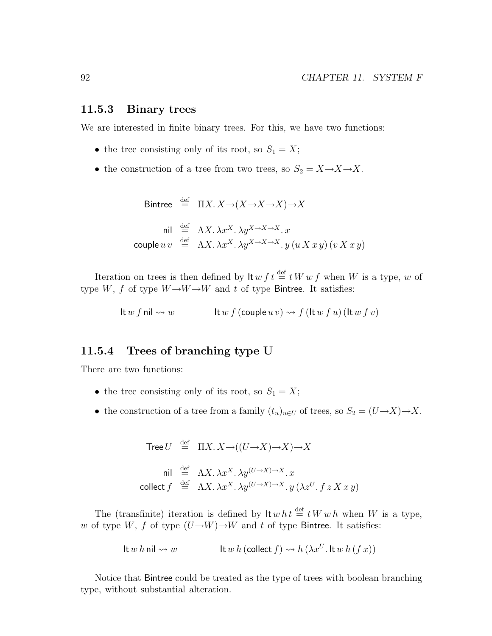#### 11.5.3 Binary trees

We are interested in finite binary trees. For this, we have two functions:

- the tree consisting only of its root, so  $S_1 = X$ ;
- the construction of a tree from two trees, so  $S_2 = X \rightarrow X \rightarrow X$ .

Bintree  $\stackrel{\text{def}}{=} \Pi X \cdot X \rightarrow (X \rightarrow X \rightarrow X) \rightarrow X$ nil  $\stackrel{\text{def}}{=} \Lambda X. \lambda x^X. \lambda y^{X \to X \to X} . x$ couple  $uv \stackrel{\text{def}}{=} \Lambda X. \lambda x^X. \lambda y^{X \to X \to X}. y \left( u \, X \, x \, y \right) \left( v \, X \, x \, y \right)$ 

Iteration on trees is then defined by  $\mathsf{lt} w f t \stackrel{\text{def}}{=} t W w f$  when W is a type, w of type W, f of type  $W \rightarrow W \rightarrow W$  and t of type Bintree. It satisfies:

It w f nil  $\leadsto w$  It w f (couple  $uv$ )  $\leadsto$  f (It w f u) (It w f v)

### 11.5.4 Trees of branching type U

There are two functions:

- the tree consisting only of its root, so  $S_1 = X$ ;
- the construction of a tree from a family  $(t_u)_{u\in U}$  of trees, so  $S_2 = (U \rightarrow X) \rightarrow X$ .

$$
\begin{array}{rcl}\n\text{Tree } U & \stackrel{\text{def}}{=} & \Pi X. \ X \rightarrow ((U \rightarrow X) \rightarrow X) \rightarrow X \\
\text{nil} & \stackrel{\text{def}}{=} & \Lambda X. \ \lambda x^X. \ \lambda y^{(U \rightarrow X) \rightarrow X}. \ x \\
\text{collect } f & \stackrel{\text{def}}{=} & \Lambda X. \ \lambda x^X. \ \lambda y^{(U \rightarrow X) \rightarrow X}. \ y \ (\lambda z^U. \ f \ z \ X \ x \ y)\n\end{array}
$$

The (transfinite) iteration is defined by  $\mathsf{lt} w \, h \, t \stackrel{\text{def}}{=} t \, W \, w \, h$  when W is a type, w of type W, f of type  $(U \rightarrow W) \rightarrow W$  and t of type Bintree. It satisfies:

It w h nil w It w h (collect f) h (λx<sup>U</sup> . It w h (f x))

Notice that Bintree could be treated as the type of trees with boolean branching type, without substantial alteration.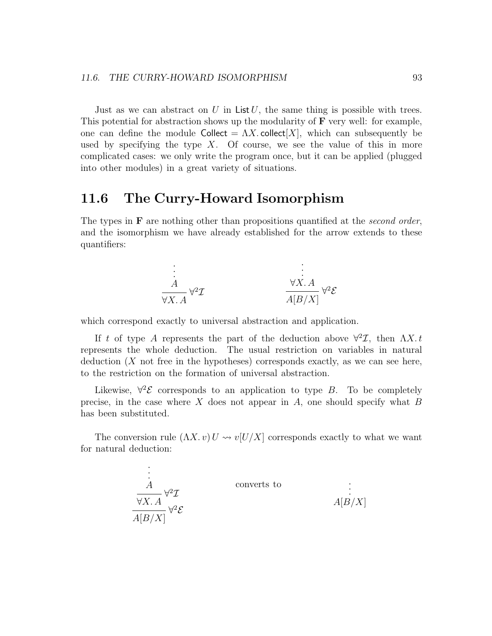Just as we can abstract on U in List  $U$ , the same thing is possible with trees. This potential for abstraction shows up the modularity of F very well: for example, one can define the module Collect  $=\Lambda X$ . collect  $[X]$ , which can subsequently be used by specifying the type  $X$ . Of course, we see the value of this in more complicated cases: we only write the program once, but it can be applied (plugged into other modules) in a great variety of situations.

### 11.6 The Curry-Howard Isomorphism

The types in **F** are nothing other than propositions quantified at the *second order*, and the isomorphism we have already established for the arrow extends to these quantifiers:

$$
\vdots
$$
\n
$$
\vdots
$$
\n
$$
\frac{A}{\forall X. A} \forall^2 \mathcal{I}
$$
\n
$$
\frac{\forall X. A}{A[B/X]} \forall^2 \mathcal{E}
$$

which correspond exactly to universal abstraction and application.

If t of type A represents the part of the deduction above  $\forall^2 \mathcal{I}$ , then  $\Lambda X$ . represents the whole deduction. The usual restriction on variables in natural deduction  $(X$  not free in the hypotheses) corresponds exactly, as we can see here, to the restriction on the formation of universal abstraction.

Likewise,  $\forall^2 \mathcal{E}$  corresponds to an application to type B. To be completely precise, in the case where  $X$  does not appear in  $A$ , one should specify what  $B$ has been substituted.

The conversion rule  $(\Lambda X. v) U \rightsquigarrow v[U/X]$  corresponds exactly to what we want for natural deduction:

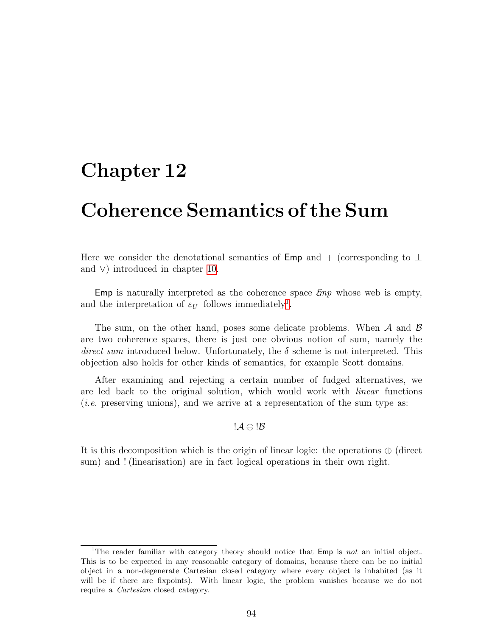# Chapter 12

# Coherence Semantics of the Sum

Here we consider the denotational semantics of  $Emp$  and  $+$  (corresponding to  $\perp$ and ∨) introduced in chapter [10](#page-79-0).

Emp is naturally interpreted as the coherence space  $\mathcal{E}$ mp whose web is empty, and the interpretation of  $\varepsilon_U$  follows immediately<sup>[1](#page-101-0)</sup>.

The sum, on the other hand, poses some delicate problems. When  $A$  and  $B$ are two coherence spaces, there is just one obvious notion of sum, namely the direct sum introduced below. Unfortunately, the  $\delta$  scheme is not interpreted. This objection also holds for other kinds of semantics, for example Scott domains.

After examining and rejecting a certain number of fudged alternatives, we are led back to the original solution, which would work with linear functions (*i.e.* preserving unions), and we arrive at a representation of the sum type as:

 $!\mathcal{A}\oplus \mathcal{B}$ 

It is this decomposition which is the origin of linear logic: the operations  $\oplus$  (direct sum) and ! (linearisation) are in fact logical operations in their own right.

<span id="page-101-0"></span><sup>&</sup>lt;sup>1</sup>The reader familiar with category theory should notice that  $Emp$  is not an initial object. This is to be expected in any reasonable category of domains, because there can be no initial object in a non-degenerate Cartesian closed category where every object is inhabited (as it will be if there are fixpoints). With linear logic, the problem vanishes because we do not require a Cartesian closed category.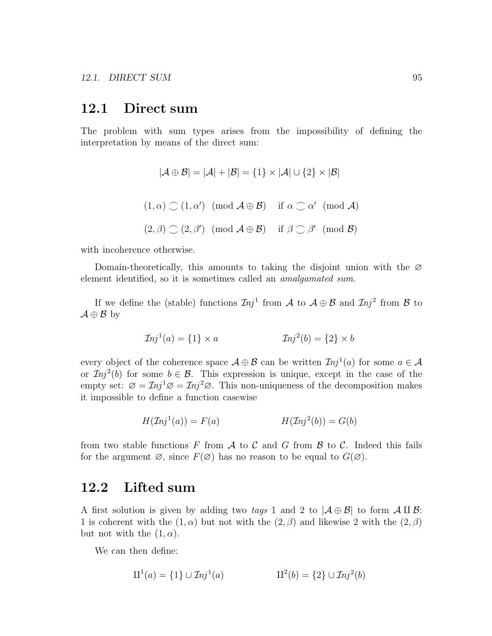## <span id="page-102-0"></span>12.1 Direct sum

The problem with sum types arises from the impossibility of defining the interpretation by means of the direct sum:

$$
|\mathcal{A} \oplus \mathcal{B}| = |\mathcal{A}| + |\mathcal{B}| = \{1\} \times |\mathcal{A}| \cup \{2\} \times |\mathcal{B}|
$$
  
(1,  $\alpha$ )  $\bigcirc$  (1,  $\alpha'$ ) (mod  $\mathcal{A} \oplus \mathcal{B}$ ) if  $\alpha \bigcirc \alpha'$  (mod  $\mathcal{A}$ )  
(2,  $\beta$ )  $\bigcirc$  (2,  $\beta'$ ) (mod  $\mathcal{A} \oplus \mathcal{B}$ ) if  $\beta \bigcirc \beta'$  (mod  $\mathcal{B}$ )

with incoherence otherwise.

Domain-theoretically, this amounts to taking the disjoint union with the ∅ element identified, so it is sometimes called an amalgamated sum.

If we define the (stable) functions  $\mathcal{I}nj^1$  from A to  $\mathcal{A} \oplus \mathcal{B}$  and  $\mathcal{I}nj^2$  from B to  $\mathcal{A} \oplus \mathcal{B}$  by

$$
\mathcal{I}nj^1(a) = \{1\} \times a \qquad \qquad \mathcal{I}nj^2(b) = \{2\} \times b
$$

every object of the coherence space  $\mathcal{A} \oplus \mathcal{B}$  can be written  $\mathcal{I}nj^1(a)$  for some  $a \in \mathcal{A}$ or  $\mathcal{I}nj^2(b)$  for some  $b \in \mathcal{B}$ . This expression is unique, except in the case of the empty set:  $\varnothing = \mathcal{I}nj^1\varnothing = \mathcal{I}nj^2\varnothing$ . This non-uniqueness of the decomposition makes it impossible to define a function casewise

$$
H(\mathcal{I}nj^1(a)) = F(a) \qquad H(\mathcal{I}nj^2(b)) = G(b)
$$

from two stable functions F from  $\mathcal A$  to  $\mathcal C$  and  $G$  from  $\mathcal B$  to  $\mathcal C$ . Indeed this fails for the argument  $\varnothing$ , since  $F(\varnothing)$  has no reason to be equal to  $G(\varnothing)$ .

## 12.2 Lifted sum

A first solution is given by adding two tags 1 and 2 to  $|\mathcal{A} \oplus \mathcal{B}|$  to form  $\mathcal{A} \amalg \mathcal{B}$ : 1 is coherent with the  $(1, \alpha)$  but not with the  $(2, \beta)$  and likewise 2 with the  $(2, \beta)$ but not with the  $(1, \alpha)$ .

We can then define:

$$
\mathcal{H}^1(a) = \{1\} \cup \mathcal{I}nj^1(a) \qquad \qquad \mathcal{H}^2(b) = \{2\} \cup \mathcal{I}nj^2(b)
$$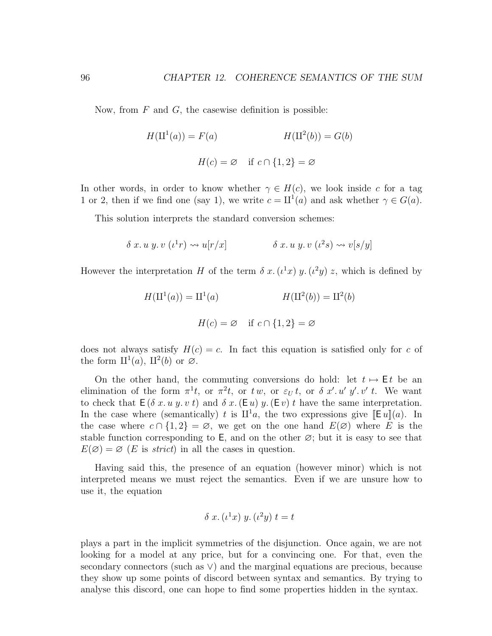Now, from  $F$  and  $G$ , the casewise definition is possible:

$$
H(\mathbf{II}^1(a)) = F(a) \qquad H(\mathbf{II}^2(b)) = G(b)
$$

$$
H(c) = \varnothing \quad \text{if } c \cap \{1, 2\} = \varnothing
$$

In other words, in order to know whether  $\gamma \in H(c)$ , we look inside c for a tag 1 or 2, then if we find one (say 1), we write  $c = \mathrm{II}^1(a)$  and ask whether  $\gamma \in G(a)$ .

This solution interprets the standard conversion schemes:

$$
\delta x. u y. v \left(\iota^{1} r\right) \rightsquigarrow u \left[\iota / x\right] \qquad \qquad \delta x. u y. v \left(\iota^{2} s\right) \rightsquigarrow v \left[\iota / y\right]
$$

However the interpretation H of the term  $\delta x \cdot (t^1 x) y \cdot (t^2 y) z$ , which is defined by

$$
H(\mathbf{II}^1(a)) = \mathbf{II}^1(a)
$$

$$
H(\mathbf{II}^2(b)) = \mathbf{II}^2(b)
$$

$$
H(c) = \varnothing \quad \text{if } c \cap \{1, 2\} = \varnothing
$$

does not always satisfy  $H(c) = c$ . In fact this equation is satisfied only for c of the form  $\mathrm{II}^1(a)$ ,  $\mathrm{II}^2(b)$  or  $\varnothing$ .

On the other hand, the commuting conversions do hold: let  $t \mapsto \mathsf{E} t$  be an elimination of the form  $\pi^1 t$ , or  $\pi^2 t$ , or tw, or  $\varepsilon_U t$ , or  $\delta x'.u' y'.v' t$ . We want to check that  $E(\delta x. u y. v t)$  and  $\delta x. (E u) y. (E v) t$  have the same interpretation. In the case where (semantically) t is  $\mathbb{I}^1 a$ , the two expressions give  $[\mathbb{E} u](a)$ . In the case where  $c \cap \{1,2\} = \emptyset$ , we get on the one hand  $E(\emptyset)$  where E is the stable function corresponding to  $E$ , and on the other  $\varnothing$ ; but it is easy to see that  $E(\emptyset) = \emptyset$  (*E* is *strict*) in all the cases in question.

Having said this, the presence of an equation (however minor) which is not interpreted means we must reject the semantics. Even if we are unsure how to use it, the equation

$$
\delta x. (\iota^1 x) y. (\iota^2 y) t = t
$$

plays a part in the implicit symmetries of the disjunction. Once again, we are not looking for a model at any price, but for a convincing one. For that, even the secondary connectors (such as ∨) and the marginal equations are precious, because they show up some points of discord between syntax and semantics. By trying to analyse this discord, one can hope to find some properties hidden in the syntax.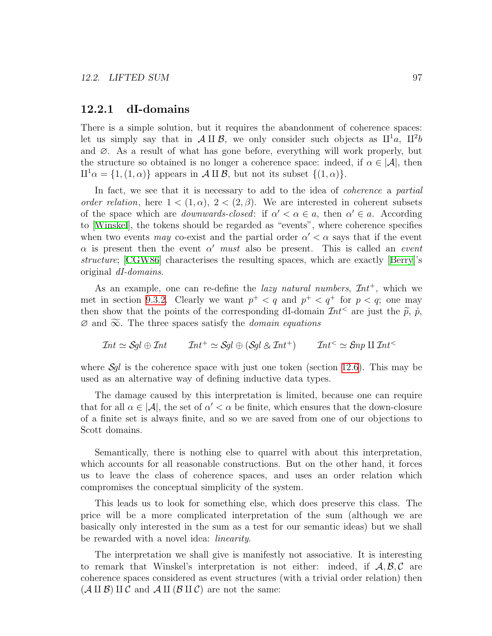#### <span id="page-104-0"></span>12.2.1 dI-domains

There is a simple solution, but it requires the abandonment of coherence spaces: let us simply say that in  $\mathcal{A} \amalg \mathcal{B}$ , we only consider such objects as  $\mathcal{I}^1 a$ ,  $\mathcal{I}^2 b$ and  $\varnothing$ . As a result of what has gone before, everything will work properly, but the structure so obtained is no longer a coherence space: indeed, if  $\alpha \in |\mathcal{A}|$ , then  $\mathcal{I}^1 \alpha = \{1,(1,\alpha)\}\$ appears in  $\mathcal{A} \amalg \mathcal{B}$ , but not its subset  $\{(1,\alpha)\}.$ 

In fact, we see that it is necessary to add to the idea of *coherence* a *partial* order relation, here  $1 < (1, \alpha)$ ,  $2 < (2, \beta)$ . We are interested in coherent subsets of the space which are *downwards-closed*: if  $\alpha' < \alpha \in a$ , then  $\alpha' \in a$ . According to [\[Winskel](#page-171-0)], the tokens should be regarded as "events", where coherence specifies when two events may co-exist and the partial order  $\alpha' < \alpha$  says that if the event  $\alpha$  is present then the event  $\alpha'$  must also be present. This is called an event structure;[[CGW86](#page-168-0)] characterises the resulting spaces, which are exactly[[Berry](#page-168-1)]'s original dI-domains.

As an example, one can re-define the *lazy natural numbers*,  $\mathcal{I}nt^+$ , which we met in section [9.3.2.](#page-76-0) Clearly we want  $p^+ < q$  and  $p^+ < q^+$  for  $p < q$ ; one may then show that the points of the corresponding dI-domain  $\mathcal{I}nt^<$  are just the  $\tilde{p}$ ,  $\dot{p}$ ,  $\varnothing$  and  $\widetilde{\infty}$ . The three spaces satisfy the *domain equations* 

$$
\mathcal{I}nt \simeq \mathcal{S}gl \oplus \mathcal{I}nt \qquad \mathcal{I}nt^{+} \simeq \mathcal{S}gl \oplus (\mathcal{S}gl \otimes \mathcal{I}nt^{+}) \qquad \mathcal{I}nt^{<} \simeq \mathcal{S}np \amalg \mathcal{I}nt^{<}
$$

where  $\mathcal{S}gl$  is the coherence space with just one token (section [12.6](#page-110-0)). This may be used as an alternative way of defining inductive data types.

The damage caused by this interpretation is limited, because one can require that for all  $\alpha \in |\mathcal{A}|$ , the set of  $\alpha' < \alpha$  be finite, which ensures that the down-closure of a finite set is always finite, and so we are saved from one of our objections to Scott domains.

Semantically, there is nothing else to quarrel with about this interpretation, which accounts for all reasonable constructions. But on the other hand, it forces us to leave the class of coherence spaces, and uses an order relation which compromises the conceptual simplicity of the system.

This leads us to look for something else, which does preserve this class. The price will be a more complicated interpretation of the sum (although we are basically only interested in the sum as a test for our semantic ideas) but we shall be rewarded with a novel idea: *linearity*.

The interpretation we shall give is manifestly not associative. It is interesting to remark that Winskel's interpretation is not either: indeed, if  $A, B, C$  are coherence spaces considered as event structures (with a trivial order relation) then  $(A \amalg \mathcal{B}) \amalg \mathcal{C}$  and  $A \amalg (\mathcal{B} \amalg \mathcal{C})$  are not the same: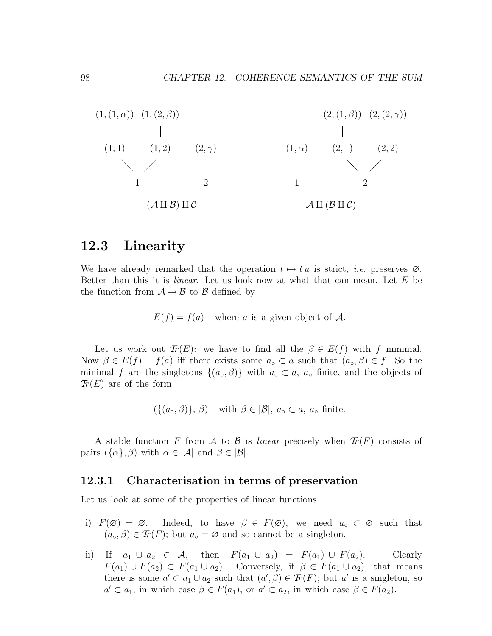

## 12.3 Linearity

We have already remarked that the operation  $t \mapsto tu$  is strict, *i.e.* preserves  $\varnothing$ . Better than this it is *linear*. Let us look now at what that can mean. Let  $E$  be the function from  $A \rightarrow B$  to B defined by

 $E(f) = f(a)$  where a is a given object of A.

Let us work out  $\mathcal{T}(E)$ : we have to find all the  $\beta \in E(f)$  with f minimal. Now  $\beta \in E(f) = f(a)$  iff there exists some  $a_0 \subset a$  such that  $(a_0, \beta) \in f$ . So the minimal f are the singletons  $\{(a_{\circ}, \beta)\}\$  with  $a_{\circ} \subset a$ ,  $a_{\circ}$  finite, and the objects of  $\mathcal{T}_{r}(E)$  are of the form

 $({\{(a_\circ,\beta)\},\,\beta})$  with  $\beta \in |\mathcal{B}|, a_\circ \subset a, a_\circ$  finite.

A stable function F from A to B is linear precisely when  $\mathcal{T}_r(F)$  consists of pairs  $({\alpha}, \beta)$  with  $\alpha \in |\mathcal{A}|$  and  $\beta \in |\mathcal{B}|$ .

#### 12.3.1 Characterisation in terms of preservation

Let us look at some of the properties of linear functions.

- i)  $F(\emptyset) = \emptyset$ . Indeed, to have  $\beta \in F(\emptyset)$ , we need  $a_{\circ} \subset \emptyset$  such that  $(a_0, \beta) \in \mathcal{T}_r(F)$ ; but  $a_0 = \emptyset$  and so cannot be a singleton.
- ii) If  $a_1 \cup a_2 \in \mathcal{A}$ , then  $F(a_1 \cup a_2) = F(a_1) \cup F(a_2)$ . Clearly  $F(a_1) \cup F(a_2) \subset F(a_1 \cup a_2)$ . Conversely, if  $\beta \in F(a_1 \cup a_2)$ , that means there is some  $a' \subset a_1 \cup a_2$  such that  $(a', \beta) \in \mathcal{T}_r(F)$ ; but a' is a singleton, so  $a' \subset a_1$ , in which case  $\beta \in F(a_1)$ , or  $a' \subset a_2$ , in which case  $\beta \in F(a_2)$ .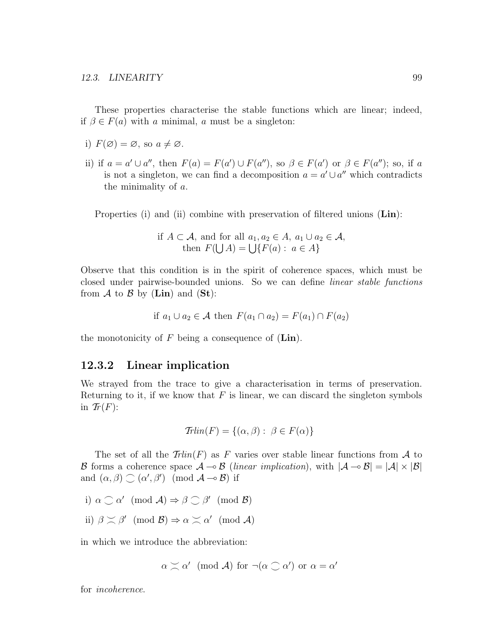These properties characterise the stable functions which are linear; indeed, if  $\beta \in F(a)$  with a minimal, a must be a singleton:

- i)  $F(\emptyset) = \emptyset$ , so  $a \neq \emptyset$ .
- ii) if  $a = a' \cup a''$ , then  $F(a) = F(a') \cup F(a'')$ , so  $\beta \in F(a')$  or  $\beta \in F(a'')$ ; so, if a is not a singleton, we can find a decomposition  $a = a' \cup a''$  which contradicts the minimality of a.

Properties (i) and (ii) combine with preservation of filtered unions (Lin):

if 
$$
A \subset \mathcal{A}
$$
, and for all  $a_1, a_2 \in A$ ,  $a_1 \cup a_2 \in \mathcal{A}$ ,  
then  $F(\bigcup A) = \bigcup \{F(a) : a \in A\}$ 

Observe that this condition is in the spirit of coherence spaces, which must be closed under pairwise-bounded unions. So we can define linear stable functions from  $\mathcal A$  to  $\mathcal B$  by (Lin) and (St):

if 
$$
a_1 \cup a_2 \in \mathcal{A}
$$
 then  $F(a_1 \cap a_2) = F(a_1) \cap F(a_2)$ 

the monotonicity of  $F$  being a consequence of  $(Lin)$ .

### 12.3.2 Linear implication

We strayed from the trace to give a characterisation in terms of preservation. Returning to it, if we know that  $F$  is linear, we can discard the singleton symbols in  $\mathcal{T}_r(F)$ :

$$
\mathcal{T} \text{rlin}(F) = \{ (\alpha, \beta) : \ \beta \in F(\alpha) \}
$$

The set of all the  $Trlin(F)$  as F varies over stable linear functions from A to B forms a coherence space  $\mathcal{A} \rightarrow \mathcal{B}$  (linear implication), with  $|\mathcal{A} \rightarrow \mathcal{B}| = |\mathcal{A}| \times |\mathcal{B}|$ and  $(\alpha, \beta) \subset (\alpha', \beta') \pmod{\mathcal{A} - \infty \mathcal{B}}$  if

- i)  $\alpha \subset \alpha' \pmod{\mathcal{A}} \Rightarrow \beta \subset \beta' \pmod{\mathcal{B}}$
- ii)  $\beta \asymp \beta' \pmod{\mathcal{B}} \Rightarrow \alpha \asymp \alpha' \pmod{\mathcal{A}}$

in which we introduce the abbreviation:

$$
\alpha \simeq \alpha'
$$
 (mod  $\mathcal{A}$ ) for  $\neg(\alpha \subset \alpha')$  or  $\alpha = \alpha'$ 

for incoherence.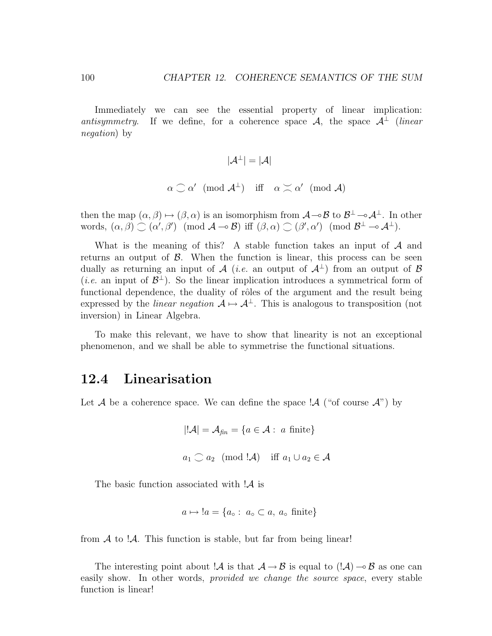Immediately we can see the essential property of linear implication: antisymmetry. If we define, for a coherence space  $\mathcal{A}$ , the space  $\mathcal{A}^{\perp}$  (linear negation) by

> $|\mathcal{A}^{\perp}| = |\mathcal{A}|$  $\alpha \subset \alpha' \pmod{\mathcal{A}^\perp} \quad \text{iff} \quad \alpha \asymp \alpha' \pmod{\mathcal{A}}$

then the map  $(\alpha, \beta) \mapsto (\beta, \alpha)$  is an isomorphism from  $\mathcal{A} \rightarrow \mathcal{B}$  to  $\mathcal{B}^{\perp} \rightarrow \mathcal{A}^{\perp}$ . In other words,  $(\alpha, \beta) \oplus (\alpha', \beta')^{\circ} \pmod{\mathcal{A} \multimap \mathcal{B}}$  iff  $(\beta, \alpha) \oplus (\beta', \alpha')^{\circ} \pmod{\mathcal{B}^{\perp} \multimap \mathcal{A}^{\perp}}$ .

What is the meaning of this? A stable function takes an input of  $A$  and returns an output of  $\beta$ . When the function is linear, this process can be seen dually as returning an input of A (*i.e.* an output of  $A^{\perp}$ ) from an output of B (*i.e.* an input of  $\mathcal{B}^{\perp}$ ). So the linear implication introduces a symmetrical form of functional dependence, the duality of rôles of the argument and the result being expressed by the *linear negation*  $A \mapsto A^{\perp}$ . This is analogous to transposition (not inversion) in Linear Algebra.

To make this relevant, we have to show that linearity is not an exceptional phenomenon, and we shall be able to symmetrise the functional situations.

## 12.4 Linearisation

Let A be a coherence space. We can define the space  $A$  ("of course  $A$ ") by

$$
|!\mathcal{A}| = \mathcal{A}_{fin} = \{a \in \mathcal{A} : a \text{ finite}\}
$$
  

$$
a_1 \bigcirc a_2 \pmod{!\mathcal{A}} \quad \text{iff} \quad a_1 \cup a_2 \in \mathcal{A}
$$

The basic function associated with  $\mathcal A$  is

$$
a \mapsto la = \{a_\circ : a_\circ \subset a, a_\circ \text{ finite}\}\
$$

from  $A$  to ! $A$ . This function is stable, but far from being linear!

The interesting point about  $A \to B$  is equal to  $(A) \to B$  as one can easily show. In other words, provided we change the source space, every stable function is linear!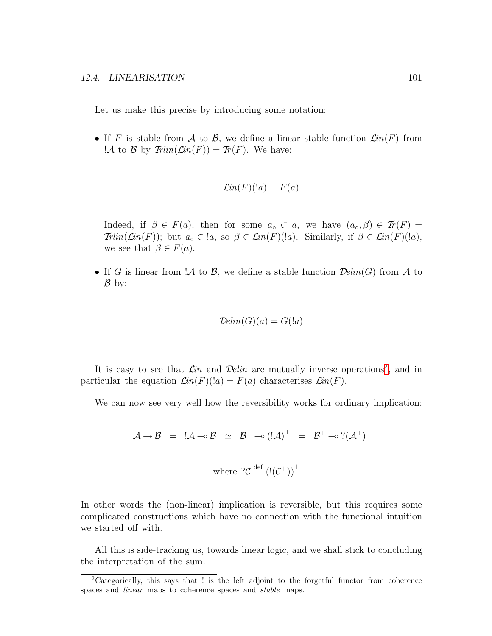Let us make this precise by introducing some notation:

• If F is stable from A to B, we define a linear stable function  $\mathcal{L}in(F)$  from ! A to B by  $\text{Trlin}(\text{Lin}(F)) = \text{Tr}(F)$ . We have:

$$
\mathcal{L}in(F)(!a) = F(a)
$$

Indeed, if  $\beta \in F(a)$ , then for some  $a_0 \subset a$ , we have  $(a_0, \beta) \in \mathcal{T}_r(F) =$  $Triin(\mathcal{L}in(F));$  but  $a_0 \in la$ , so  $\beta \in \mathcal{L}in(F)(!a)$ . Similarly, if  $\beta \in \mathcal{L}in(F)(!a)$ , we see that  $\beta \in F(a)$ .

• If G is linear from  $A$  to B, we define a stable function  $Delin(G)$  from A to  $\mathcal{B}$  by:

$$
\mathcal{D}elin(G)(a) = G(!a)
$$

It is easy to see that  $\mathcal{L}in$  and  $\mathcal{D}elin$  are mutually inverse operations<sup>[2](#page-108-0)</sup>, and in particular the equation  $\mathcal{L}in(F)(!a) = F(a)$  characterises  $\mathcal{L}in(F)$ .

We can now see very well how the reversibility works for ordinary implication:

$$
\mathcal{A} \to \mathcal{B} \;\; = \;\; !\mathcal{A} \multimap \mathcal{B} \;\; \simeq \;\; \mathcal{B}^\perp \multimap (! \mathcal{A})^\perp \;\; = \;\; \mathcal{B}^\perp \multimap ?(\mathcal{A}^\perp)
$$

where 
$$
2C \stackrel{\text{def}}{=} (!(C^{\perp}))^{\perp}
$$

In other words the (non-linear) implication is reversible, but this requires some complicated constructions which have no connection with the functional intuition we started off with.

All this is side-tracking us, towards linear logic, and we shall stick to concluding the interpretation of the sum.

<span id="page-108-0"></span><sup>2</sup>Categorically, this says that ! is the left adjoint to the forgetful functor from coherence spaces and *linear* maps to coherence spaces and *stable* maps.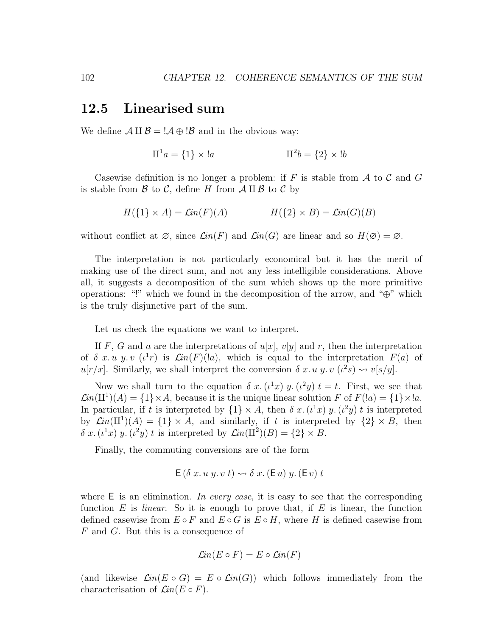### 12.5 Linearised sum

We define  $A \amalg B = !A \oplus !B$  and in the obvious way:

$$
\mathbf{H}^1 a = \{1\} \times !a \qquad \qquad \mathbf{H}^2 b = \{2\} \times !b
$$

Casewise definition is no longer a problem: if F is stable from  $A$  to C and G is stable from  $\mathcal B$  to  $\mathcal C$ , define H from  $\mathcal A \amalg \mathcal B$  to  $\mathcal C$  by

$$
H({1} \times A) = \mathcal{L}in(F)(A) \qquad H({2} \times B) = \mathcal{L}in(G)(B)
$$

without conflict at  $\emptyset$ , since  $\mathcal{L}in(F)$  and  $\mathcal{L}in(G)$  are linear and so  $H(\emptyset) = \emptyset$ .

The interpretation is not particularly economical but it has the merit of making use of the direct sum, and not any less intelligible considerations. Above all, it suggests a decomposition of the sum which shows up the more primitive operations: "!" which we found in the decomposition of the arrow, and "⊕" which is the truly disjunctive part of the sum.

Let us check the equations we want to interpret.

If F, G and a are the interpretations of  $u[x]$ ,  $v[y]$  and r, then the interpretation of  $\delta$  x. u y. v  $(\iota^{1}r)$  is  $\mathcal{L}in(F)(!a)$ , which is equal to the interpretation  $F(a)$  of  $u[r/x]$ . Similarly, we shall interpret the conversion  $\delta x. u y. v \ (\iota^2 s) \rightsquigarrow v[s/y]$ .

Now we shall turn to the equation  $\delta x \cdot (t^1 x) y \cdot (t^2 y) t = t$ . First, we see that  $\mathcal{L}in(\mathcal{I}^1)(A) = \{1\} \times A$ , because it is the unique linear solution F of  $F(\mathcal{I}a) = \{1\} \times \mathcal{I}a$ . In particular, if t is interpreted by  $\{1\} \times A$ , then  $\delta x$ .  $(\iota^1 x)$  y.  $(\iota^2 y)$  t is interpreted by  $\mathcal{L}in(\mathcal{H}^1)(A) = \{1\} \times A$ , and similarly, if t is interpreted by  $\{2\} \times B$ , then  $\delta x \cdot (\iota^1 x) y \cdot (\iota^2 y) t$  is interpreted by  $\mathcal{L}in(\mathbf{H}^2)(B) = \{2\} \times B$ .

Finally, the commuting conversions are of the form

$$
\mathsf{E}\left(\delta x, u\ y, v\ t\right) \rightsquigarrow \delta x. \left(\mathsf{E}\ u\right)\ y. \left(\mathsf{E}\ v\right)\ t
$$

where  $E$  is an elimination. In every case, it is easy to see that the corresponding function E is *linear*. So it is enough to prove that, if E is linear, the function defined casewise from  $E \circ F$  and  $E \circ G$  is  $E \circ H$ , where H is defined casewise from F and G. But this is a consequence of

$$
\mathcal{L}in(E \circ F) = E \circ \mathcal{L}in(F)
$$

(and likewise  $\mathcal{L}in(E \circ G) = E \circ \mathcal{L}in(G)$ ) which follows immediately from the characterisation of  $\mathcal{L}in(E \circ F)$ .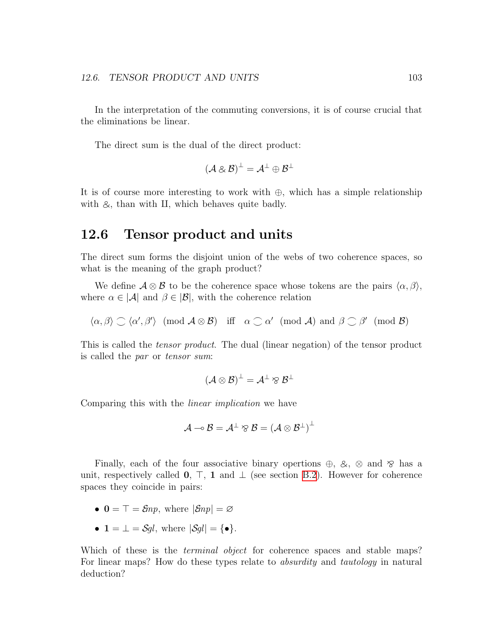In the interpretation of the commuting conversions, it is of course crucial that the eliminations be linear.

The direct sum is the dual of the direct product:

$$
(\mathcal{A}\otimes\mathcal{B})^\perp=\mathcal{A}^\perp\oplus\mathcal{B}^\perp
$$

It is of course more interesting to work with  $\oplus$ , which has a simple relationship with  $\&$ , than with  $II$ , which behaves quite badly.

# 12.6 Tensor product and units

The direct sum forms the disjoint union of the webs of two coherence spaces, so what is the meaning of the graph product?

We define  $\mathcal{A} \otimes \mathcal{B}$  to be the coherence space whose tokens are the pairs  $\langle \alpha, \beta \rangle$ , where  $\alpha \in |\mathcal{A}|$  and  $\beta \in |\mathcal{B}|$ , with the coherence relation

$$
\langle \alpha, \beta \rangle \subset \langle \alpha', \beta' \rangle \pmod{\mathcal{A} \otimes \mathcal{B}} \quad \text{iff} \quad \alpha \subset \alpha' \pmod{\mathcal{A}} \text{ and } \beta \subset \beta' \pmod{\mathcal{B}}
$$

This is called the tensor product. The dual (linear negation) of the tensor product is called the par or tensor sum:

$$
\left(\mathcal{A}\otimes\mathcal{B}\right)^{\perp}=\mathcal{A}^{\perp}\otimes\mathcal{B}^{\perp}
$$

Comparing this with the linear implication we have

$$
\mathcal{A} \mathbin{{\multimap}} \mathcal{B} = \mathcal{A}^\perp \otimes \mathcal{B} = (\mathcal{A} \otimes \mathcal{B}^\perp)^\perp
$$

Finally, each of the four associative binary opertions  $\oplus$ ,  $\otimes$ ,  $\otimes$  and  $\otimes$  has a unit, respectively called 0,  $\top$ , 1 and  $\bot$  (see section [B.2\)](#page-158-0). However for coherence spaces they coincide in pairs:

- $0 = \top = \mathcal{E}$ np, where  $|\mathcal{E}$ np $| = \varnothing$
- $1 = \bot = \mathcal{S}ql$ , where  $|\mathcal{S}ql| = \{ \bullet \}.$

Which of these is the *terminal object* for coherence spaces and stable maps? For linear maps? How do these types relate to absurdity and tautology in natural deduction?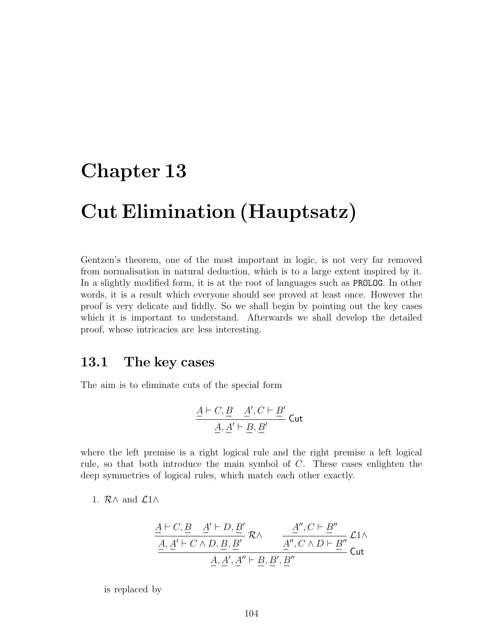# Chapter 13

# Cut Elimination (Hauptsatz)

Gentzen's theorem, one of the most important in logic, is not very far removed from normalisation in natural deduction, which is to a large extent inspired by it. In a slightly modified form, it is at the root of languages such as PROLOG. In other words, it is a result which everyone should see proved at least once. However the proof is very delicate and fiddly. So we shall begin by pointing out the key cases which it is important to understand. Afterwards we shall develop the detailed proof, whose intricacies are less interesting.

# <span id="page-111-1"></span>13.1 The key cases

The aim is to eliminate cuts of the special form

$$
\frac{\underline{A} \vdash C, \underline{B} \quad \underline{A}', C \vdash \underline{B}'}{\underline{A}, \underline{A}' \vdash \underline{B}, \underline{B}'} \text{Cut}
$$

where the left premise is a right logical rule and the right premise a left logical rule, so that both introduce the main symbol of C. These cases enlighten the deep symmetries of logical rules, which match each other exactly.

#### <span id="page-111-0"></span>1.  $\mathcal{R} \wedge$  and  $\mathcal{L}1 \wedge$

$$
\frac{\underline{A} \vdash C, \underline{B} \quad \underline{A}' \vdash D, \underline{B}'}{\underline{A}, \underline{A}' \vdash C \land D, \underline{B}, \underline{B}'} \mathcal{R} \land \qquad \frac{\underline{A}'', C \vdash \underline{B}''}{\underline{A}'', C \land D \vdash \underline{B}''} \mathcal{L} 1 \land \underline{A}, \underline{A}' \vdash C \land D, \underline{B}, \underline{B}' \vdash \underline{B}, \underline{B}', \underline{B}''} \text{Cut}
$$

is replaced by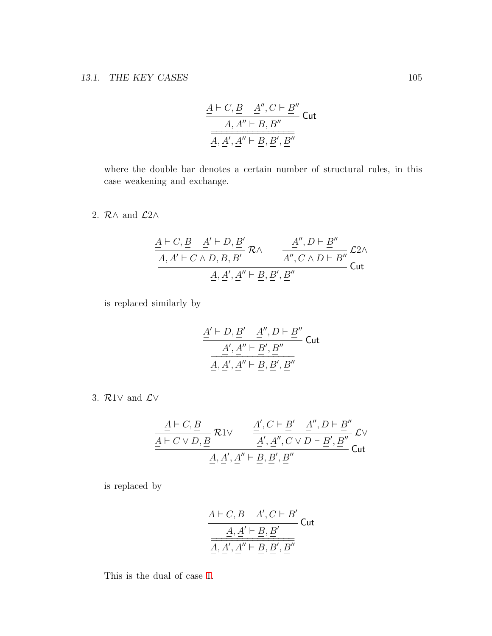$$
\frac{\underline{A} \vdash C, \underline{B} \quad \underline{A}'', C \vdash \underline{B}''}{\underline{A}, \underline{A}' \vdash \underline{B}, \underline{B}''}
$$
Cut  
 
$$
\frac{\underline{A}, \underline{A}' \vdash \underline{B}, \underline{B}''}{\underline{A}, \underline{A}', \underline{A}'' \vdash \underline{B}, \underline{B}', \underline{B}''}
$$

where the double bar denotes a certain number of structural rules, in this case weakening and exchange.

<span id="page-112-0"></span>2.  $R \wedge$  and  $L2 \wedge$ 

$$
\frac{\underline{A} \vdash C, \underline{B} \quad \underline{A'} \vdash D, \underline{B'}}{\underline{A}, \underline{A'} \vdash C \land D, \underline{B}, \underline{B'}} \mathcal{R} \land \qquad \frac{\underline{A''}, D \vdash \underline{B''}}{\underline{A'', C \land D \vdash \underline{B''}}} \mathcal{L} 2 \land \n\frac{\underline{A}, \underline{A'} \vdash C, \underline{B}, \underline{B'}}{\underline{A}, \underline{A''} \vdash \underline{B}, \underline{B'}, \underline{B''}} \text{Cut}
$$

is replaced similarly by

$$
\frac{\underline{A'} \vdash D, \underline{B'} \quad \underline{A''}, D \vdash \underline{B''}}{\overbrace{A, A', A'' \vdash B', B''}} \text{Cut}
$$

3. R1∨ and L∨

$$
\frac{\underline{A} \vdash C, \underline{B}}{\underline{A} \vdash C \lor D, \underline{B}} \mathcal{R}1 \lor \qquad \frac{\underline{A}', C \vdash \underline{B}' \quad \underline{A}'', D \vdash \underline{B}''}{\underline{A}', \underline{A}'', C \lor D \vdash \underline{B}', \underline{B}''} \mathcal{L} \lor \qquad \qquad \underline{A}, \underline{A}', \underline{A''} \vdash \underline{B}, \underline{B}', \underline{B}''} \text{Cut}
$$

is replaced by

$$
\frac{\underline{A} \vdash C, \underline{B} \quad \underline{A}', C \vdash \underline{B}'}{\underline{A}, \underline{A}', \underline{A}'' \vdash \underline{B}, \underline{B}'} \text{Cut}
$$
\n
$$
\overline{\underline{A}, \underline{A}', \underline{A}'' \vdash \underline{B}, \underline{B}', \underline{B}''}
$$

This is the dual of case [1.](#page-111-0)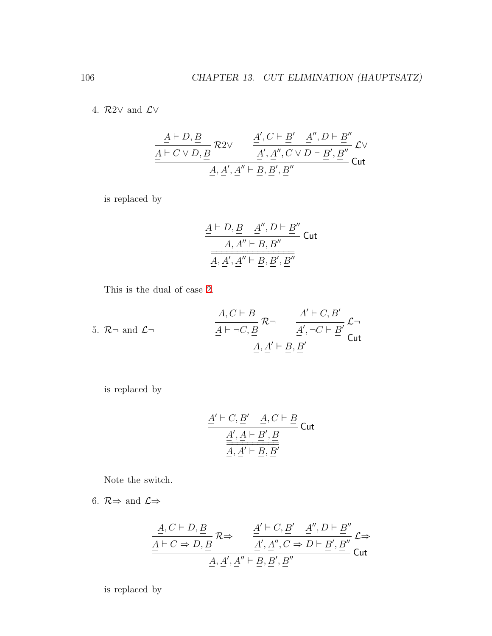4. R2∨ and L∨

$$
\frac{\underline{A} \vdash D, \underline{B}}{\underline{A} \vdash C \lor D, \underline{B}} \mathcal{R} 2 \lor \qquad \frac{\underline{A}', C \vdash \underline{B}' \quad \underline{A}'', D \vdash \underline{B}''}{\underline{A}', \underline{A}'', C \lor D \vdash \underline{B}', \underline{B}''} \mathcal{L} \lor \qquad \qquad \\ \frac{\underline{A}, \underline{A}', \underline{A}'' \vdash \underline{B}, \underline{B}', \underline{B}''}{\underline{A}, \underline{A}, \underline{A}'' \vdash \underline{B}, \underline{B}', \underline{B}''} \mathsf{Cut}
$$

is replaced by

$$
\frac{\underline{A} \vdash D, \underline{B} \quad \underline{A'', D \vdash \underline{B''}}}{\underline{A, A'' \vdash B, B''}} \text{Cut}
$$
\n
$$
\frac{\underline{A, A'' \vdash B, B''}}{\underline{A, A', A'' \vdash B, B', B''}}
$$

This is the dual of case [2.](#page-112-0)

5. 
$$
\mathcal{R}
$$
 and  $\mathcal{L}$  
$$
\frac{\underline{A}, C \vdash \underline{B}}{\underline{A} \vdash \neg C, \underline{B}} \mathcal{R} \neg \quad \frac{\underline{A}' \vdash C, \underline{B}'}{\underline{A}', \neg C \vdash \underline{B}'} \mathcal{L} \neg \quad \frac{\underline{A} \vdash C, \underline{B}'}{\underline{A}, \underline{A}' \vdash \underline{B}, \underline{B}'} \mathcal{L} \neg
$$

is replaced by

$$
\frac{\underline{A'} \vdash C, \underline{B'} \quad \underline{A}, C \vdash \underline{B}}{\underline{\underline{A'}, A \vdash \underline{B'}, B}} \text{Cut}
$$
\n
$$
\frac{\underline{A'}, \underline{A} \vdash \underline{B'}, \underline{B}}{\underline{A}, A' \vdash \underline{B}, B'}
$$

Note the switch.

6.  $\mathcal{R} \Rightarrow$  and  $\mathcal{L} \Rightarrow$ 

$$
\frac{\underline{A}, C \vdash D, \underline{B}}{\underline{A} \vdash C \Rightarrow D, \underline{B}} \mathcal{R} \Rightarrow \qquad \frac{\underline{A}' \vdash C, \underline{B}' \quad \underline{A}'', D \vdash \underline{B}''}{\underline{A}', \underline{A}'', C \Rightarrow D \vdash \underline{B}', \underline{B}''} \mathcal{L} \Rightarrow
$$

$$
\frac{\underline{A}, \underline{A}', \underline{A}'' \vdash \underline{B}, \underline{B}', \underline{B}''}{\underline{C}'} \text{Cut}
$$

is replaced by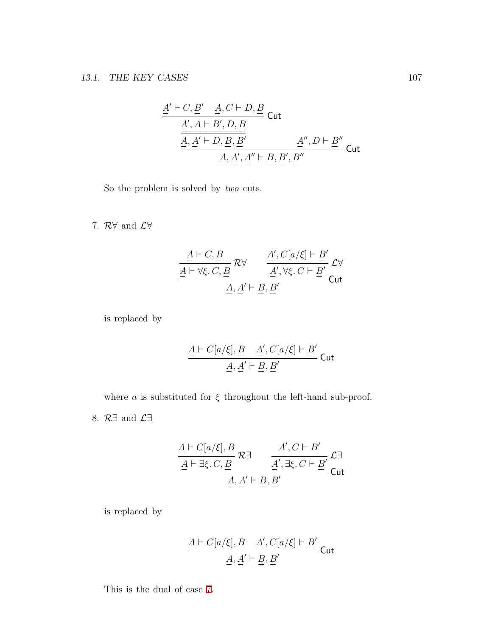$$
\frac{\underline{A'} \vdash C, \underline{B'} \quad \underline{A}, C \vdash D, \underline{B}}{\underline{\underline{A'}, \underline{A'} \vdash \underline{B'}, D, \underline{B}}}
$$
Cut  

$$
\frac{\underline{\underline{A'}, \underline{A'} \vdash \underline{B'}, D, \underline{B'}}{\underline{A}, \underline{A'} \vdash \underline{D}, \underline{B}, \underline{B'}} \quad \underline{A'', D \vdash \underline{B''}}}{\underline{A}, \underline{A'}, \underline{A''} \vdash \underline{B}, \underline{B'}, \underline{B''}}
$$
Cut

So the problem is solved by two cuts.

<span id="page-114-0"></span>7.  $\mathcal{R} \forall$  and  $\mathcal{L} \forall$ 

$$
\frac{\underline{A} \vdash C, \underline{B}}{\underline{A} \vdash \forall \xi. C, \underline{B}} \mathcal{R} \forall \quad \frac{\underline{A}', C[a/\xi] \vdash \underline{B}'}{\underline{A}', \forall \xi. C \vdash \underline{B}'} \mathcal{L} \forall \newline \underline{A}, \underline{A}' \vdash \underline{B}, \underline{B}' \newline \text{Cut}
$$

is replaced by

$$
\frac{\underline{A} \vdash C[a/\xi], \underline{B} \quad \underline{A}', C[a/\xi] \vdash \underline{B}'}{\underline{A}, \underline{A}' \vdash \underline{B}, \underline{B}'}
$$
Cut

where  $a$  is substituted for  $\xi$  throughout the left-hand sub-proof.

8.  $\mathcal{R} \exists$  and  $\mathcal{L} \exists$ 

$$
\frac{\underline{A} \vdash C[a/\xi], \underline{B}}{\underline{A} \vdash \exists \xi. C, \underline{B}} \mathcal{R} \exists \quad \frac{\underline{A}', C \vdash \underline{B}'}{\underline{A}', \exists \xi. C \vdash \underline{B}'} \mathcal{L} \exists \newline \underline{A}, \underline{A}' \vdash \underline{B}, \underline{B}'}
$$
Cut

is replaced by

$$
\frac{\underline{A} \vdash C[a/\xi], \underline{B} \quad \underline{A}', C[a/\xi] \vdash \underline{B}'}{\underline{A}, \underline{A}' \vdash \underline{B}, \underline{B}'} \text{Cut}
$$

This is the dual of case [7.](#page-114-0)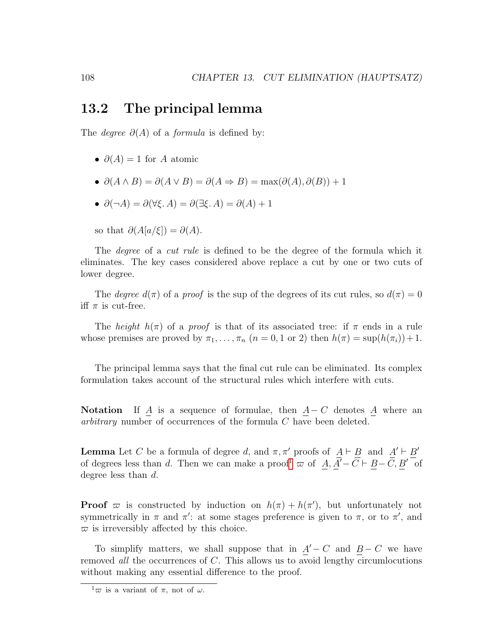# 13.2 The principal lemma

The *degree*  $\partial(A)$  of a *formula* is defined by:

- $\partial(A) = 1$  for A atomic
- $\partial(A \wedge B) = \partial(A \vee B) = \partial(A \Rightarrow B) = \max(\partial(A), \partial(B)) + 1$
- $\partial(\neg A) = \partial(\forall \xi, A) = \partial(\exists \xi, A) = \partial(A) + 1$

so that  $\partial(A[a/\xi]) = \partial(A)$ .

The degree of a cut rule is defined to be the degree of the formula which it eliminates. The key cases considered above replace a cut by one or two cuts of lower degree.

The degree  $d(\pi)$  of a proof is the sup of the degrees of its cut rules, so  $d(\pi) = 0$ iff  $\pi$  is cut-free.

The height  $h(\pi)$  of a proof is that of its associated tree: if  $\pi$  ends in a rule whose premises are proved by  $\pi_1, \ldots, \pi_n$   $(n = 0, 1 \text{ or } 2)$  then  $h(\pi) = \sup(h(\pi_i)) + 1$ .

The principal lemma says that the final cut rule can be eliminated. Its complex formulation takes account of the structural rules which interfere with cuts.

Notation If A is a sequence of formulae, then  $A-C$  denotes A where an arbitrary number of occurrences of the formula C have been deleted.

**Lemma** Let C be a formula of degree d, and  $\pi, \pi'$  proofs of  $A \vdash B$  and  $A' \vdash B'$ of degrees less than d. Then we can make a proof<sup>[1](#page-115-0)</sup>  $\varpi$  of  $A, \overline{A'} - \overline{C} \vdash B - \overline{C}, B'$  of degree less than d.

**Proof**  $\varpi$  is constructed by induction on  $h(\pi) + h(\pi')$ , but unfortunately not symmetrically in  $\pi$  and  $\pi'$ : at some stages preference is given to  $\pi$ , or to  $\pi'$ , and  $\varpi$  is irreversibly affected by this choice.

To simplify matters, we shall suppose that in  $A'-C$  and  $B-C$  we have removed all the occurrences of C. This allows us to avoid lengthy circumlocutions without making any essential difference to the proof.

<span id="page-115-0"></span> $\frac{1}{\omega}$  is a variant of  $\pi$ , not of  $\omega$ .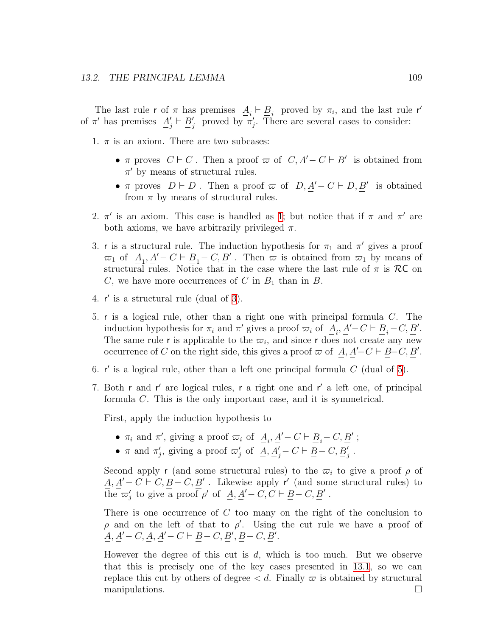The last rule r of  $\pi$  has premises  $\underline{A}_i \vdash \underline{B}_i$  proved by  $\pi_i$ , and the last rule r' of  $\pi'$  has premises  $A'$  $'_{j} \vdash \underline{B}'_{j}$  $\int_{j}^{1}$  proved by  $\pi'_{j}$  $'_{j}$ . There are several cases to consider:

- <span id="page-116-0"></span>1.  $\pi$  is an axiom. There are two subcases:
	- $\pi$  proves  $C \vdash C$ . Then a proof  $\varpi$  of  $C, A'-C \vdash B'$  is obtained from  $\pi'$  by means of structural rules.
	- $\pi$  proves  $D \vdash D$ . Then a proof  $\varpi$  of  $D, A' C \vdash D, B'$  is obtained from  $\pi$  by means of structural rules.
- 2.  $\pi'$  is an axiom. This case is handled as [1](#page-116-0); but notice that if  $\pi$  and  $\pi'$  are both axioms, we have arbitrarily privileged  $\pi$ .
- <span id="page-116-1"></span>3. r is a structural rule. The induction hypothesis for  $\pi_1$  and  $\pi'$  gives a proof  $\overline{\omega}_1$  of  $\underline{A}_1, \underline{A}' - C \vdash \underline{B}_1 - C, \underline{B}'$ . Then  $\overline{\omega}$  is obtained from  $\overline{\omega}_1$  by means of structural rules. Notice that in the case where the last rule of  $\pi$  is  $\mathcal{RC}$  on C, we have more occurrences of C in  $B_1$  than in B.
- 4.  $r'$  is a structural rule (dual of [3\)](#page-116-1).
- <span id="page-116-2"></span>5. r is a logical rule, other than a right one with principal formula C. The induction hypothesis for  $\pi_i$  and  $\pi'$  gives a proof  $\varpi_i$  of  $\overrightarrow{A}_i$ ,  $\underrightarrow{A}$  –  $C \vdash \underline{B}_i$  –  $C, \underline{B}$ . The same rule r is applicable to the  $\varpi_i$ , and since r does not create any new occurrence of C on the right side, this gives a proof  $\varpi$  of  $A, A'-C \vdash B-C, B'$ .
- 6.  $r'$  is a logical rule, other than a left one principal formula  $C$  (dual of [5\)](#page-116-2).
- 7. Both  $r$  and  $r'$  are logical rules,  $r$  a right one and  $r'$  a left one, of principal formula C. This is the only important case, and it is symmetrical.

First, apply the induction hypothesis to

- $\pi_i$  and  $\pi'$ , giving a proof  $\varpi_i$  of  $\underline{A}_i$ ,  $\underline{A}' C \vdash \underline{B}_i C, \underline{B}'$ ;
- $\pi$  and  $\pi'$  $j'$ , giving a proof  $\varpi'_{j}$  of  $\underline{A}, \underline{A}'_{j} - C \vdash \underline{B} - C, \underline{B}'_{j}$ ,<br>j .

Second apply r (and some structural rules) to the  $\varpi_i$  to give a proof  $\rho$  of  $A, A' - C \vdash C, B - C, B'$ . Likewise apply r' (and some structural rules) to the  $\varpi'_j$  to give a proof  $\rho'$  of  $\underline{A}, \underline{A}' - C, C \vdash \underline{B} - C, \underline{B}'$ .

There is one occurrence of  $C$  too many on the right of the conclusion to  $\rho$  and on the left of that to  $\rho'$ . Using the cut rule we have a proof of  $A, A' - C, A, A' - C \vdash B - C, B', B - C, B'.$ 

However the degree of this cut is  $d$ , which is too much. But we observe that this is precisely one of the key cases presented in [13.1](#page-111-1), so we can replace this cut by others of degree  $\langle d$ . Finally  $\varpi$  is obtained by structural manipulations.  $\Box$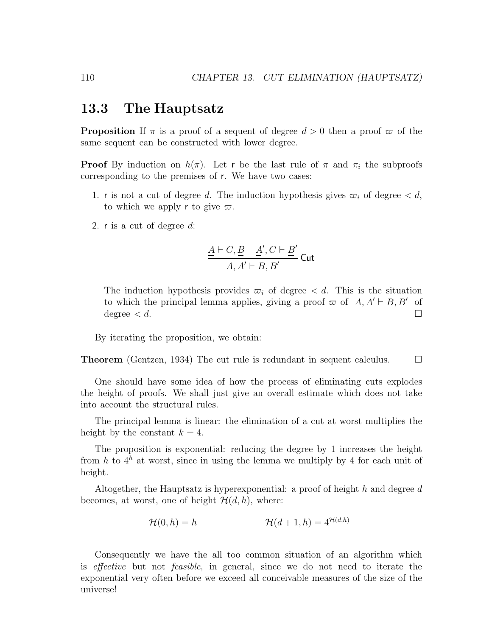### 13.3 The Hauptsatz

**Proposition** If  $\pi$  is a proof of a sequent of degree  $d > 0$  then a proof  $\varpi$  of the same sequent can be constructed with lower degree.

**Proof** By induction on  $h(\pi)$ . Let r be the last rule of  $\pi$  and  $\pi_i$  the subproofs corresponding to the premises of r. We have two cases:

- 1. r is not a cut of degree d. The induction hypothesis gives  $\overline{\omega}_i$  of degree  $\langle d, \rangle$ to which we apply **r** to give  $\varpi$ .
- 2. r is a cut of degree  $d$ :

$$
\frac{A \vdash C, B \quad \underline{A}', C \vdash \underline{B}'}{A, A' \vdash B, B'}
$$
Cut

The induction hypothesis provides  $\overline{\omega}_i$  of degree  $\langle d$ . This is the situation to which the principal lemma applies, giving a proof  $\varpi$  of  $A, A' \vdash B, B'$  of degree  $\lt d$ .

By iterating the proposition, we obtain:

**Theorem** (Gentzen, 1934) The cut rule is redundant in sequent calculus.  $\Box$ 

One should have some idea of how the process of eliminating cuts explodes the height of proofs. We shall just give an overall estimate which does not take into account the structural rules.

The principal lemma is linear: the elimination of a cut at worst multiplies the height by the constant  $k = 4$ .

The proposition is exponential: reducing the degree by 1 increases the height from h to  $4<sup>h</sup>$  at worst, since in using the lemma we multiply by 4 for each unit of height.

Altogether, the Hauptsatz is hyperexponential: a proof of height h and degree  $d$ becomes, at worst, one of height  $\mathcal{H}(d, h)$ , where:

$$
\mathcal{H}(0,h) = h \qquad \mathcal{H}(d+1,h) = 4^{\mathcal{H}(d,h)}
$$

Consequently we have the all too common situation of an algorithm which is effective but not feasible, in general, since we do not need to iterate the exponential very often before we exceed all conceivable measures of the size of the universe!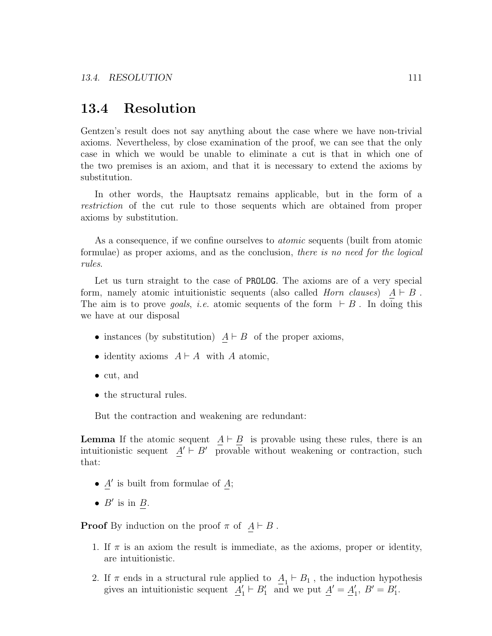# 13.4 Resolution

Gentzen's result does not say anything about the case where we have non-trivial axioms. Nevertheless, by close examination of the proof, we can see that the only case in which we would be unable to eliminate a cut is that in which one of the two premises is an axiom, and that it is necessary to extend the axioms by substitution.

In other words, the Hauptsatz remains applicable, but in the form of a restriction of the cut rule to those sequents which are obtained from proper axioms by substitution.

As a consequence, if we confine ourselves to *atomic* sequents (built from atomic formulae) as proper axioms, and as the conclusion, there is no need for the logical rules.

Let us turn straight to the case of PROLOG. The axioms are of a very special form, namely atomic intuitionistic sequents (also called *Horn clauses*)  $A \vdash B$ . The aim is to prove *goals, i.e.* atomic sequents of the form  $\vdash B$ . In doing this we have at our disposal

- instances (by substitution)  $\underline{A} \vdash B$  of the proper axioms,
- identity axioms  $A \vdash A$  with A atomic,
- cut, and
- the structural rules.

But the contraction and weakening are redundant:

**Lemma** If the atomic sequent  $A \vdash B$  is provable using these rules, there is an intuitionistic sequent  $A' \vdash B'$  provable without weakening or contraction, such that:

- $A'$  is built from formulae of  $A$ ;
- $B'$  is in  $B$ .

**Proof** By induction on the proof  $\pi$  of  $A \vdash B$ .

- 1. If  $\pi$  is an axiom the result is immediate, as the axioms, proper or identity, are intuitionistic.
- 2. If  $\pi$  ends in a structural rule applied to  $\underline{A}_1 \vdash B_1$ , the induction hypothesis gives an intuitionistic sequent  $A_1'$  $A'_1 \vdash B'_1$  and we put  $\underline{A}' = \underline{A}'_1$  $'_{1}$ ,  $B' = B'_{1}$ .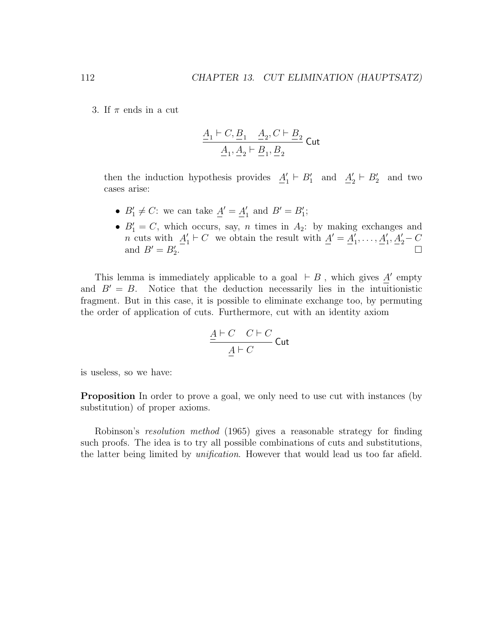3. If  $\pi$  ends in a cut

$$
\underline{\frac{A_1 \vdash C, \underline{B}_1 \quad \underline{A}_2, C \vdash \underline{B}_2}{\underline{A}_1, \underline{A}_2 \vdash \underline{B}_1, \underline{B}_2}} \text{Cut}
$$

then the induction hypothesis provides  $A'_1$  $y'_1 \vdash B'_1$  and  $\underline{A}'_2$  $y'_2 \vdash B'_2$  and two cases arise:

- $B'_1 \neq C$ : we can take  $\underline{A}' = \underline{A}'_1$  $'_{1}$  and  $B' = B'_{1}$ ;
- $B'_1 = C$ , which occurs, say, *n* times in  $A_2$ : by making exchanges and *n* cuts with  $A_1'$  $\frac{1}{1} \vdash C$  we obtain the result with  $\underline{A}' = \underline{A}'_1$  $\overline{A}'_1, \ldots, \underline{A}'_1$  $\sum_{1}^{\prime} A_{2}^{\prime} - C$ and  $B' = B_2'$ .

This lemma is immediately applicable to a goal  $\vdash B$ , which gives A' empty and  $B' = B$ . Notice that the deduction necessarily lies in the intuitionistic fragment. But in this case, it is possible to eliminate exchange too, by permuting the order of application of cuts. Furthermore, cut with an identity axiom

$$
\frac{A \vdash C \quad C \vdash C}{A \vdash C} \, \mathsf{Cut}
$$

is useless, so we have:

**Proposition** In order to prove a goal, we only need to use cut with instances (by substitution) of proper axioms.

Robinson's resolution method (1965) gives a reasonable strategy for finding such proofs. The idea is to try all possible combinations of cuts and substitutions, the latter being limited by unification. However that would lead us too far afield.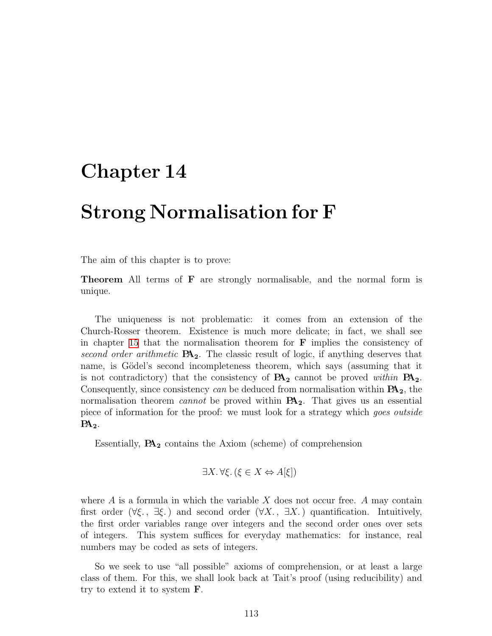# Chapter 14

# Strong Normalisation for F

The aim of this chapter is to prove:

Theorem All terms of F are strongly normalisable, and the normal form is unique.

The uniqueness is not problematic: it comes from an extension of the Church-Rosser theorem. Existence is much more delicate; in fact, we shall see in chapter [15](#page-126-0) that the normalisation theorem for  $\bf{F}$  implies the consistency of second order arithmetic  $PA_2$ . The classic result of logic, if anything deserves that name, is Gödel's second incompleteness theorem, which says (assuming that it is not contradictory) that the consistency of  $\mathbf{A}_2$  cannot be proved within  $\mathbf{A}_2$ . Consequently, since consistency can be deduced from normalisation within  $\mathbf{PA}_2$ , the normalisation theorem *cannot* be proved within  $\mathbf{PA}_2$ . That gives us an essential piece of information for the proof: we must look for a strategy which goes outside  $PA<sub>2</sub>$ .

Essentially,  $PA<sub>2</sub>$  contains the Axiom (scheme) of comprehension

$$
\exists X. \,\forall \xi. \, (\xi \in X \Leftrightarrow A[\xi])
$$

where  $A$  is a formula in which the variable  $X$  does not occur free.  $A$  may contain first order ( $\forall \xi, \exists \xi$ .) and second order ( $\forall X, \exists X$ .) quantification. Intuitively, the first order variables range over integers and the second order ones over sets of integers. This system suffices for everyday mathematics: for instance, real numbers may be coded as sets of integers.

So we seek to use "all possible" axioms of comprehension, or at least a large class of them. For this, we shall look back at Tait's proof (using reducibility) and try to extend it to system F.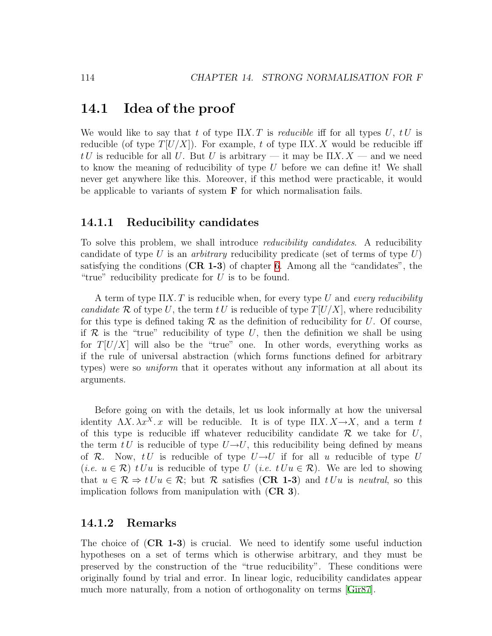# 14.1 Idea of the proof

We would like to say that t of type  $\Pi X$ . T is reducible iff for all types U, tU is reducible (of type  $T[U/X]$ ). For example, t of type  $\Pi X$ . X would be reducible iff  $t U$  is reducible for all U. But U is arbitrary — it may be  $\Pi X$ .  $X$  — and we need to know the meaning of reducibility of type U before we can define it! We shall never get anywhere like this. Moreover, if this method were practicable, it would be applicable to variants of system  $\bf{F}$  for which normalisation fails.

### 14.1.1 Reducibility candidates

To solve this problem, we shall introduce reducibility candidates. A reducibility candidate of type U is an *arbitrary* reducibility predicate (set of terms of type  $U$ ) satisfying the conditions  $(CR 1-3)$  of chapter [6](#page-48-0). Among all the "candidates", the "true" reducibility predicate for  $U$  is to be found.

A term of type  $\Pi X$ . T is reducible when, for every type U and every reducibility candidate R of type U, the term  $tU$  is reducible of type  $T[U/X]$ , where reducibility for this type is defined taking  $\mathcal R$  as the definition of reducibility for U. Of course, if  $\mathcal R$  is the "true" reducibility of type U, then the definition we shall be using for  $T[U/X]$  will also be the "true" one. In other words, everything works as if the rule of universal abstraction (which forms functions defined for arbitrary types) were so uniform that it operates without any information at all about its arguments.

Before going on with the details, let us look informally at how the universal identity  $\Lambda X.\lambda x^X.x$  will be reducible. It is of type  $\Pi X.\, X\rightarrow X$ , and a term t of this type is reducible iff whatever reducibility candidate  $\mathcal{R}$  we take for U, the term  $t U$  is reducible of type  $U \rightarrow U$ , this reducibility being defined by means of R. Now,  $t U$  is reducible of type  $U \rightarrow U$  if for all u reducible of type U (*i.e.*  $u \in \mathcal{R}$ )  $t U u$  is reducible of type U (*i.e.*  $t U u \in \mathcal{R}$ ). We are led to showing that  $u \in \mathcal{R} \Rightarrow t U u \in \mathcal{R}$ ; but  $\mathcal R$  satisfies (CR 1-3) and  $t U u$  is neutral, so this implication follows from manipulation with  $(CR_3)$ .

#### 14.1.2 Remarks

The choice of  $(CR 1-3)$  is crucial. We need to identify some useful induction hypotheses on a set of terms which is otherwise arbitrary, and they must be preserved by the construction of the "true reducibility". These conditions were originally found by trial and error. In linear logic, reducibility candidates appear much more naturally, from a notion of orthogonality on terms[[Gir87](#page-169-0)].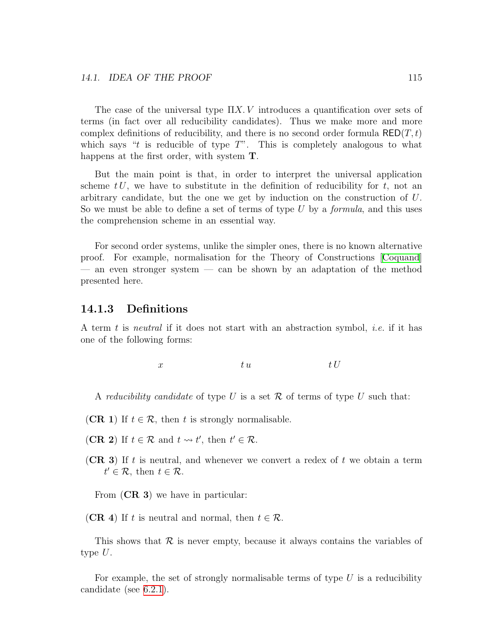The case of the universal type  $\Pi X. V$  introduces a quantification over sets of terms (in fact over all reducibility candidates). Thus we make more and more complex definitions of reducibility, and there is no second order formula  $\mathsf{RED}(T, t)$ which says "t is reducible of type  $T$ ". This is completely analogous to what happens at the first order, with system **T**.

But the main point is that, in order to interpret the universal application scheme  $t U$ , we have to substitute in the definition of reducibility for  $t$ , not an arbitrary candidate, but the one we get by induction on the construction of U. So we must be able to define a set of terms of type U by a *formula*, and this uses the comprehension scheme in an essential way.

For second order systems, unlike the simpler ones, there is no known alternative proof. For example, normalisation for the Theory of Constructions [\[Coquand](#page-168-0)] — an even stronger system — can be shown by an adaptation of the method presented here.

### 14.1.3 Definitions

A term t is *neutral* if it does not start with an abstraction symbol, *i.e.* if it has one of the following forms:

x  $t u$   $t U$ 

A reducibility candidate of type U is a set  $\mathcal R$  of terms of type U such that:

- (CR 1) If  $t \in \mathcal{R}$ , then t is strongly normalisable.
- (CR 2) If  $t \in \mathcal{R}$  and  $t \leadsto t'$ , then  $t' \in \mathcal{R}$ .
- **(CR 3)** If t is neutral, and whenever we convert a redex of t we obtain a term  $t' \in \mathcal{R}$ , then  $t \in \mathcal{R}$ .

From (CR 3) we have in particular:

(CR 4) If t is neutral and normal, then  $t \in \mathcal{R}$ .

This shows that  $\mathcal R$  is never empty, because it always contains the variables of type U.

For example, the set of strongly normalisable terms of type  $U$  is a reducibility candidate (see [6.2.1\)](#page-49-0).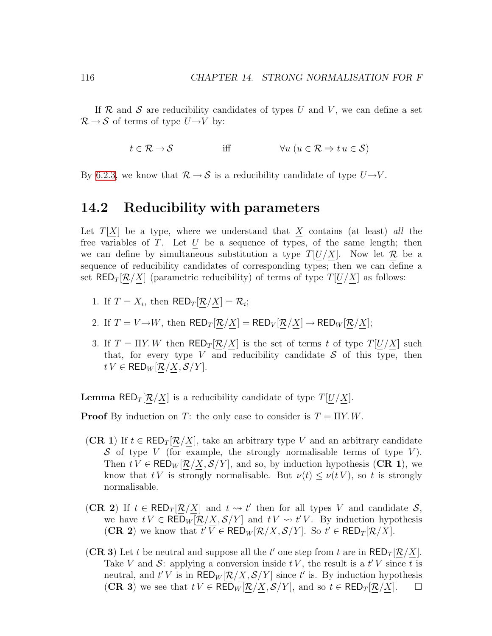If  $\mathcal R$  and  $\mathcal S$  are reducibility candidates of types U and V, we can define a set  $\mathcal{R} \to \mathcal{S}$  of terms of type  $U \to V$  by:

$$
t \in \mathcal{R} \to \mathcal{S}
$$
 iff  $\forall u \ (u \in \mathcal{R} \Rightarrow t \ u \in \mathcal{S})$ 

By [6.2.3,](#page-50-0) we know that  $\mathcal{R} \to \mathcal{S}$  is a reducibility candidate of type  $U \to V$ .

### 14.2 Reducibility with parameters

Let  $T[X]$  be a type, where we understand that X contains (at least) all the free variables of  $T$ . Let  $U$  be a sequence of types, of the same length; then we can define by simultaneous substitution a type  $T[U/X]$ . Now let R be a sequence of reducibility candidates of corresponding types; then we can define a set RED<sub>T</sub> $[\mathcal{R}/X]$  (parametric reducibility) of terms of type  $T[U/X]$  as follows:

- 1. If  $T = X_i$ , then  $\mathsf{RED}_T[\mathcal{R}/X] = \mathcal{R}_i$ ;
- 2. If  $T = V \rightarrow W$ , then  $\text{RED}_T[\mathcal{R}/X] = \text{RED}_V[\mathcal{R}/X] \rightarrow \text{RED}_W[\mathcal{R}/X]$ ;
- 3. If  $T = \Pi Y$ . W then  $\mathsf{RED}_T[\mathcal{R}/X]$  is the set of terms t of type  $T[U/X]$  such that, for every type V and reducibility candidate S of this type, then  $t V \in \text{RED}_W[\mathcal{R}/X, \mathcal{S}/Y].$

**Lemma RED**<sub>T</sub> $[\mathcal{R}/X]$  is a reducibility candidate of type  $T[U/X]$ .

**Proof** By induction on T: the only case to consider is  $T = \Pi Y.W$ .

- (CR 1) If  $t \in \text{RED}_T[\mathcal{R}/X]$ , take an arbitrary type V and an arbitrary candidate S of type V (for example, the strongly normalisable terms of type V). Then  $t V \in \text{RED}_W[\mathcal{R}/X, \mathcal{S}/Y]$ , and so, by induction hypothesis (CR 1), we know that tV is strongly normalisable. But  $\nu(t) \leq \nu(t V)$ , so t is strongly normalisable.
- (CR 2) If  $t \in \text{RED}_T[\mathcal{R}/X]$  and  $t \leadsto t'$  then for all types V and candidate S, we have  $t V \in \overline{RED}_W[\mathcal{R}/X, \mathcal{S}/Y]$  and  $t V \rightsquigarrow t' V$ . By induction hypothesis (CR 2) we know that  $t' \overline{V} \in \text{RED}_W[\mathcal{R}/X, \mathcal{S}/Y]$ . So  $t' \in \text{RED}_T[\mathcal{R}/X]$ .
- (CR 3) Let t be neutral and suppose all the t' one step from t are in  $\text{RED}_T[\mathcal{R}/X]$ . Take V and S: applying a conversion inside  $tV$ , the result is a  $t'V$  since  $\overline{t}$  is neutral, and  $t'V$  is in  $\mathsf{RED}_W[\mathcal{R}/X, \mathcal{S}/Y]$  since  $t'$  is. By induction hypothesis (CR 3) we see that  $t V \in \text{RED}_W[\mathcal{R}/X, \mathcal{S}/Y]$ , and so  $t \in \text{RED}_T[\mathcal{R}/X]$ .  $\Box$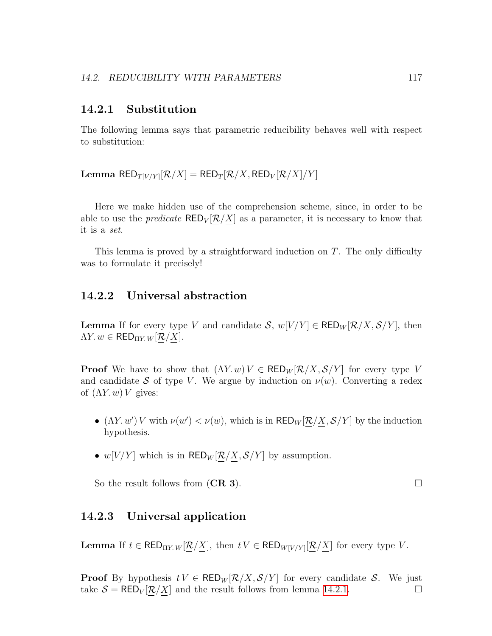### <span id="page-124-0"></span>14.2.1 Substitution

The following lemma says that parametric reducibility behaves well with respect to substitution:

 ${\rm \bf Lemma~RED}_{T[V/Y]}[\overline{{\mathcal R}}/\overline{X}]={\rm RED}_T[\overline{{\mathcal R}}/\overline{X},{\rm RED}_V[\overline{{\mathcal R}}/\overline{X}]/Y]$ 

Here we make hidden use of the comprehension scheme, since, in order to be able to use the *predicate*  $\text{RED}_V[\mathcal{R}/X]$  as a parameter, it is necessary to know that it is a set.

This lemma is proved by a straightforward induction on  $T$ . The only difficulty was to formulate it precisely!

### <span id="page-124-1"></span>14.2.2 Universal abstraction

**Lemma** If for every type V and candidate S,  $w[V/Y] \in \text{RED}_W[\mathcal{R}/X, \mathcal{S}/Y]$ , then  $\Lambda Y. w \in \mathsf{RED}_{\Pi Y. W}[\underline{\mathcal{R}}/\underline{X}].$ 

**Proof** We have to show that  $(\Lambda Y, w) V \in \text{RED}_W[\mathcal{R}/X, \mathcal{S}/Y]$  for every type V and candidate S of type V. We argue by induction on  $\nu(w)$ . Converting a redex of  $(\Lambda Y, w) V$  gives:

- $(\Lambda Y, w') V$  with  $\nu(w') < \nu(w)$ , which is in  $\mathsf{RED}_W[\mathcal{R}/X, \mathcal{S}/Y]$  by the induction hypothesis.
- $w[V/Y]$  which is in  $\mathsf{RED}_W[\underline{\mathcal{R}}/\underline{X}, \mathcal{S}/Y]$  by assumption.

So the result follows from  $(CR \ 3)$ .

### <span id="page-124-2"></span>14.2.3 Universal application

**Lemma** If  $t \in \text{RED}_{\Pi Y. W}[\mathcal{R}/X],$  then  $tV \in \text{RED}_{W[V/Y]}[\mathcal{R}/X]$  for every type V.

**Proof** By hypothesis  $t V \in \text{RED}_W[\mathcal{R}/X, \mathcal{S}/Y]$  for every candidate S. We just take  $S = \text{RED}_V[\underline{\mathcal{R}}/\underline{X}]$  and the result follows from lemma [14.2.1](#page-124-0).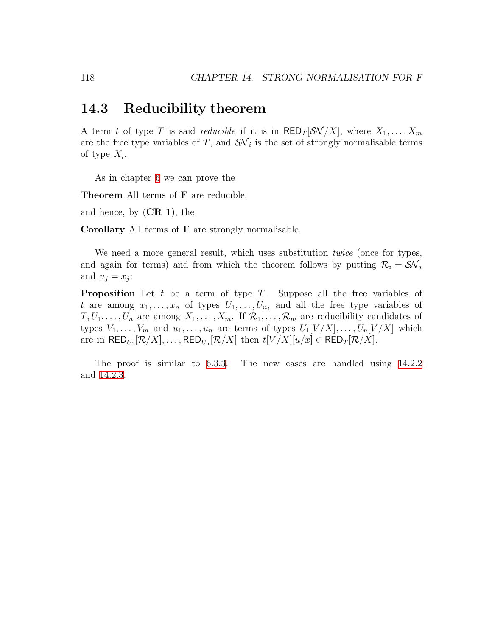### 14.3 Reducibility theorem

A term t of type T is said *reducible* if it is in  $\mathsf{RED}_T[\mathcal{S}\mathcal{N}/X],$  where  $X_1, \ldots, X_m$ are the free type variables of T, and  $\mathcal{SN}_i$  is the set of strongly normalisable terms of type  $X_i$ .

As in chapter [6](#page-48-0) we can prove the

Theorem All terms of F are reducible.

and hence, by  $(CR_1)$ , the

Corollary All terms of F are strongly normalisable.

We need a more general result, which uses substitution *twice* (once for types, and again for terms) and from which the theorem follows by putting  $\mathcal{R}_i = \mathcal{S} \mathcal{N}_i$ and  $u_j = x_j$ :

Proposition Let t be a term of type T. Suppose all the free variables of t are among  $x_1, \ldots, x_n$  of types  $U_1, \ldots, U_n$ , and all the free type variables of  $T, U_1, \ldots, U_n$  are among  $X_1, \ldots, X_m$ . If  $\mathcal{R}_1, \ldots, \mathcal{R}_m$  are reducibility candidates of types  $V_1, \ldots, V_m$  and  $u_1, \ldots, u_n$  are terms of types  $U_1[V/X], \ldots, U_n[V/X]$  which are in  $\mathsf{RED}_{U_1}[\mathcal{R}/X],\ldots,\mathsf{RED}_{U_n}[\mathcal{R}/X]$  then  $t[V/X][u/x] \in \overline{\mathsf{RED}}_T[\mathcal{R}/X].$ 

The proof is similar to [6.3.3](#page-52-0). The new cases are handled using [14.2.2](#page-124-1) and [14.2.3.](#page-124-2)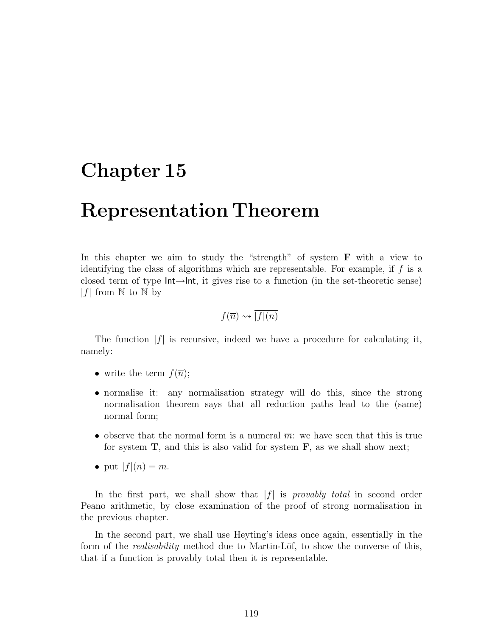# <span id="page-126-0"></span>Chapter 15

# Representation Theorem

In this chapter we aim to study the "strength" of system  $\bf{F}$  with a view to identifying the class of algorithms which are representable. For example, if  $f$  is a closed term of type Int→Int, it gives rise to a function (in the set-theoretic sense) |f| from  $\mathbb N$  to  $\mathbb N$  by

$$
f(\overline{n}) \rightsquigarrow \overline{|f|(n)}
$$

The function  $|f|$  is recursive, indeed we have a procedure for calculating it, namely:

- write the term  $f(\overline{n});$
- normalise it: any normalisation strategy will do this, since the strong normalisation theorem says that all reduction paths lead to the (same) normal form;
- observe that the normal form is a numeral  $\overline{m}$ : we have seen that this is true for system  $\mathbf{T}$ , and this is also valid for system  $\mathbf{F}$ , as we shall show next;
- put  $|f|(n) = m$ .

In the first part, we shall show that  $|f|$  is provably total in second order Peano arithmetic, by close examination of the proof of strong normalisation in the previous chapter.

In the second part, we shall use Heyting's ideas once again, essentially in the form of the *realisability* method due to Martin-Löf, to show the converse of this, that if a function is provably total then it is representable.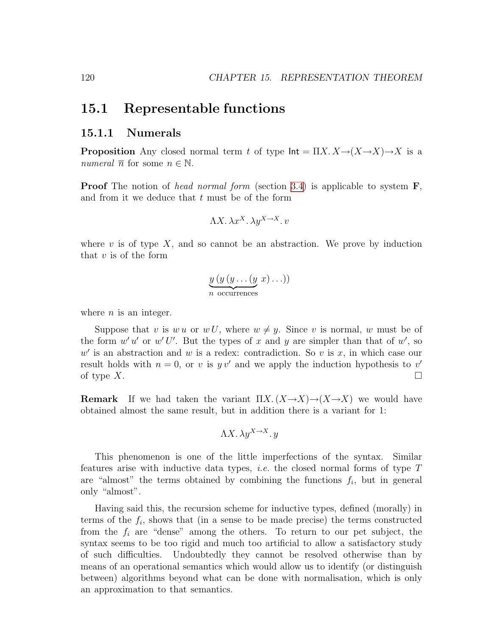# 15.1 Representable functions

#### <span id="page-127-0"></span>15.1.1 Numerals

**Proposition** Any closed normal term t of type  $Int = \Pi X \cdot X \rightarrow (X \rightarrow X) \rightarrow X$  is a *numeral*  $\overline{n}$  for some  $n \in \mathbb{N}$ .

**Proof** The notion of head normal form (section [3.4](#page-25-0)) is applicable to system  $\mathbf{F}$ , and from it we deduce that  $t$  must be of the form

$$
\Lambda X.\,\lambda x^X.\,\lambda y^{X\to X}.\,v
$$

where  $v$  is of type  $X$ , and so cannot be an abstraction. We prove by induction that  $v$  is of the form

$$
\underbrace{y (y (y \dots (y x) \dots))}_{n \text{ occurrences}}
$$

where  $n$  is an integer.

Suppose that v is w u or  $w U$ , where  $w \neq y$ . Since v is normal, w must be of the form  $w' u'$  or  $w' U'$ . But the types of x and y are simpler than that of w', so  $w'$  is an abstraction and w is a redex: contradiction. So v is x, in which case our result holds with  $n = 0$ , or v is y v' and we apply the induction hypothesis to v' of type  $X$ .

**Remark** If we had taken the variant  $\Pi X \cdot (X \rightarrow X) \rightarrow (X \rightarrow X)$  we would have obtained almost the same result, but in addition there is a variant for 1:

$$
\Lambda X.\,\lambda y^{X\to X}.\,y
$$

This phenomenon is one of the little imperfections of the syntax. Similar features arise with inductive data types, *i.e.* the closed normal forms of type  $T$ are "almost" the terms obtained by combining the functions  $f_i$ , but in general only "almost".

Having said this, the recursion scheme for inductive types, defined (morally) in terms of the  $f_i$ , shows that (in a sense to be made precise) the terms constructed from the  $f_i$  are "dense" among the others. To return to our pet subject, the syntax seems to be too rigid and much too artificial to allow a satisfactory study of such difficulties. Undoubtedly they cannot be resolved otherwise than by means of an operational semantics which would allow us to identify (or distinguish between) algorithms beyond what can be done with normalisation, which is only an approximation to that semantics.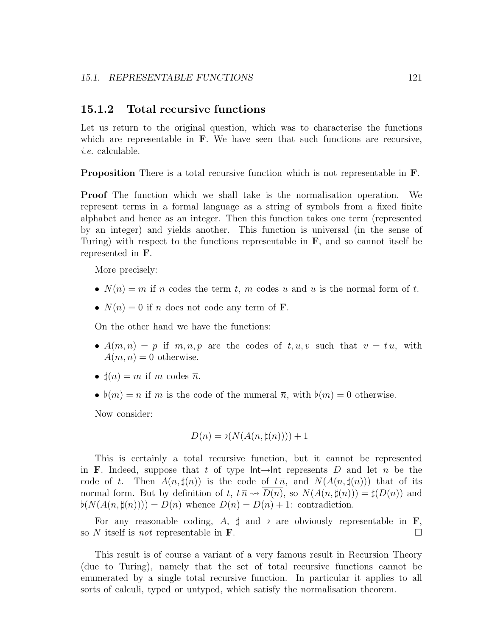### 15.1.2 Total recursive functions

Let us return to the original question, which was to characterise the functions which are representable in  $\mathbf{F}$ . We have seen that such functions are recursive, i.e. calculable.

Proposition There is a total recursive function which is not representable in F.

Proof The function which we shall take is the normalisation operation. We represent terms in a formal language as a string of symbols from a fixed finite alphabet and hence as an integer. Then this function takes one term (represented by an integer) and yields another. This function is universal (in the sense of Turing) with respect to the functions representable in F, and so cannot itself be represented in F.

More precisely:

- $N(n) = m$  if n codes the term t, m codes u and u is the normal form of t.
- $N(n) = 0$  if n does not code any term of **F**.

On the other hand we have the functions:

- $A(m, n) = p$  if  $m, n, p$  are the codes of  $t, u, v$  such that  $v = tu$ , with  $A(m, n) = 0$  otherwise.
- $\sharp(n) = m$  if m codes  $\overline{n}$ .
- $b(m) = n$  if m is the code of the numeral  $\overline{n}$ , with  $b(m) = 0$  otherwise.

Now consider:

$$
D(n) = b(N(A(n, \sharp(n)))) + 1
$$

This is certainly a total recursive function, but it cannot be represented in F. Indeed, suppose that t of type  $Int \rightarrow Int$  represents D and let n be the code of t. Then  $A(n, \sharp(n))$  is the code of  $t\overline{n}$ , and  $N(A(n, \sharp(n)))$  that of its normal form. But by definition of t,  $t\bar{n} \rightarrow D(n)$ , so  $N(A(n, \sharp(n))) = \sharp(D(n))$  and  $b(N(A(n, \sharp(n)))) = D(n)$  whence  $D(n) = D(n) + 1$ : contradiction.

For any reasonable coding,  $A, \sharp$  and  $\flat$  are obviously representable in **F**, so N itself is *not* representable in **F**.

This result is of course a variant of a very famous result in Recursion Theory (due to Turing), namely that the set of total recursive functions cannot be enumerated by a single total recursive function. In particular it applies to all sorts of calculi, typed or untyped, which satisfy the normalisation theorem.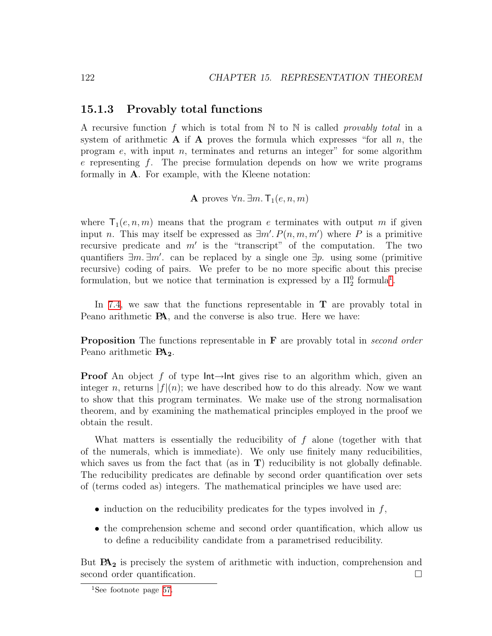# 15.1.3 Provably total functions

A recursive function f which is total from  $\mathbb N$  to  $\mathbb N$  is called provably total in a system of arithmetic  $A$  if  $A$  proves the formula which expresses "for all  $n$ , the program  $e$ , with input  $n$ , terminates and returns an integer" for some algorithm e representing f. The precise formulation depends on how we write programs formally in A. For example, with the Kleene notation:

A proves  $\forall n. \exists m. \mathsf{T}_1(e, n, m)$ 

where  $\mathsf{T}_1(e, n, m)$  means that the program e terminates with output m if given input n. This may itself be expressed as  $\exists m'. P(n, m, m')$  where P is a primitive recursive predicate and  $m'$  is the "transcript" of the computation. The two quantifiers  $\exists m.\ \exists m'$  can be replaced by a single one  $\exists p$ . using some (primitive recursive) coding of pairs. We prefer to be no more specific about this precise formulation, but we notice that termination is expressed by a  $\Pi_2^0$  formula<sup>[1](#page-129-0)</sup>.

In [7.4,](#page-58-0) we saw that the functions representable in  $\bf{T}$  are provably total in Peano arithmetic PA, and the converse is also true. Here we have:

**Proposition** The functions representable in **F** are provably total in *second order* Peano arithmetic  $PA<sub>2</sub>$ .

**Proof** An object f of type  $Int \rightarrow Int$  gives rise to an algorithm which, given an integer n, returns  $|f|(n)$ ; we have described how to do this already. Now we want to show that this program terminates. We make use of the strong normalisation theorem, and by examining the mathematical principles employed in the proof we obtain the result.

What matters is essentially the reducibility of f alone (together with that of the numerals, which is immediate). We only use finitely many reducibilities, which saves us from the fact that (as in  $\mathbf{T}$ ) reducibility is not globally definable. The reducibility predicates are definable by second order quantification over sets of (terms coded as) integers. The mathematical principles we have used are:

- induction on the reducibility predicates for the types involved in  $f$ ,
- the comprehension scheme and second order quantification, which allow us to define a reducibility candidate from a parametrised reducibility.

<span id="page-129-0"></span>But  $PA<sub>2</sub>$  is precisely the system of arithmetic with induction, comprehension and second order quantification.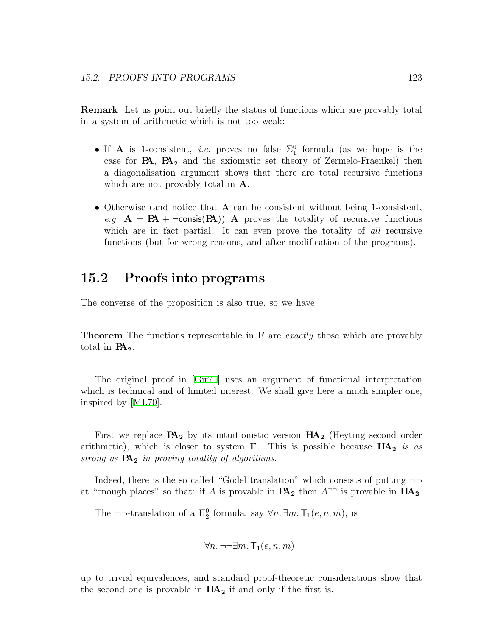Remark Let us point out briefly the status of functions which are provably total in a system of arithmetic which is not too weak:

- If **A** is 1-consistent, *i.e.* proves no false  $\Sigma_1^0$  formula (as we hope is the case for  $PA$ ,  $PA_2$  and the axiomatic set theory of Zermelo-Fraenkel) then a diagonalisation argument shows that there are total recursive functions which are not provably total in **A**.
- Otherwise (and notice that **A** can be consistent without being 1-consistent, e.g.  $A = PA + \neg \text{consis}(PA)$  A proves the totality of recursive functions which are in fact partial. It can even prove the totality of *all* recursive functions (but for wrong reasons, and after modification of the programs).

### 15.2 Proofs into programs

The converse of the proposition is also true, so we have:

**Theorem** The functions representable in **F** are *exactly* those which are provably total in  $PA<sub>2</sub>$ .

The original proof in[[Gir71\]](#page-169-1) uses an argument of functional interpretation which is technical and of limited interest. We shall give here a much simpler one, inspired by[[ML70](#page-170-0)].

First we replace  $\mathbf{PA}_2$  by its intuitionistic version  $\mathbf{HA}_2$  (Heyting second order arithmetic), which is closer to system **F**. This is possible because  $HA_2$  is as strong as  $\mathbf{PA_2}$  in proving totality of algorithms.

Indeed, there is the so called "Gödel translation" which consists of putting  $\neg\neg$ at "enough places" so that: if A is provable in  $\mathbf{PA}_2$  then  $A^{-1}$  is provable in  $\mathbf{HA}_2$ .

The ¬¬-translation of a  $\Pi_2^0$  formula, say  $\forall n. \exists m. \mathsf{T}_1(e, n, m)$ , is

$$
\forall n. \ \neg \neg \exists m. \ \mathsf{T}_1(e, n, m)
$$

up to trivial equivalences, and standard proof-theoretic considerations show that the second one is provable in  $HA_2$  if and only if the first is.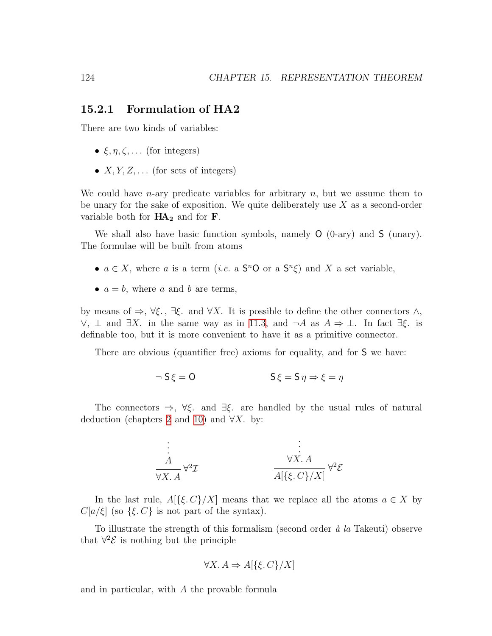### 15.2.1 Formulation of HA2

There are two kinds of variables:

- $\xi, \eta, \zeta, \ldots$  (for integers)
- $X, Y, Z, \ldots$  (for sets of integers)

We could have *n*-ary predicate variables for arbitrary  $n$ , but we assume them to be unary for the sake of exposition. We quite deliberately use  $X$  as a second-order variable both for  $HA_2$  and for  $F$ .

We shall also have basic function symbols, namely  $O(0-ary)$  and  $S(unary)$ . The formulae will be built from atoms

- $a \in X$ , where a is a term (*i.e.* a  $S<sup>n</sup>O$  or a  $S<sup>n</sup>\xi$ ) and X a set variable,
- $a = b$ , where a and b are terms,

by means of  $\Rightarrow$ ,  $\forall \xi$ .,  $\exists \xi$ . and  $\forall X$ . It is possible to define the other connectors  $\wedge$ ,  $\vee$ ,  $\perp$  and  $\exists X$ . in the same way as in [11.3,](#page-90-0) and  $\neg A$  as  $A \Rightarrow \perp$ . In fact  $\exists \xi$ . is definable too, but it is more convenient to have it as a primitive connector.

There are obvious (quantifier free) axioms for equality, and for S we have:

$$
-S\xi = 0 \qquad S\xi = S\eta \Rightarrow \xi = \eta
$$

The connectors  $\Rightarrow$ ,  $\forall \xi$ . and  $\exists \xi$ . are handled by the usual rules of natural deduction (chapters [2](#page-15-0) and [10\)](#page-79-0) and  $\forall X$ . by:

$$
\vdots
$$
\n
$$
\frac{A}{\forall X. A} \forall^2 \mathcal{I}
$$
\n
$$
\frac{\forall X. A}{A[\{\xi. C\}/X]} \forall^2 \mathcal{E}
$$

In the last rule,  $A[\{\xi, C\}/X]$  means that we replace all the atoms  $a \in X$  by  $C[a/\xi]$  (so  $\{\xi, C\}$  is not part of the syntax).

To illustrate the strength of this formalism (second order  $\dot{a}$  la Takeuti) observe that  $\forall^2 \mathcal{E}$  is nothing but the principle

$$
\forall X. A \Rightarrow A[\{\xi. C\}/X]
$$

and in particular, with A the provable formula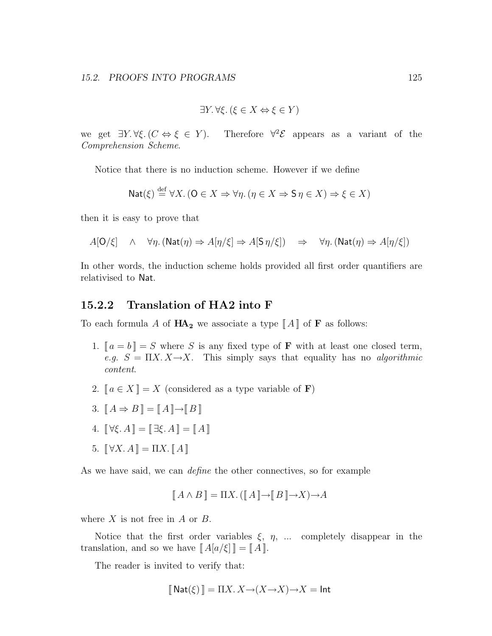$$
\exists Y. \,\forall \xi. \, (\xi \in X \Leftrightarrow \xi \in Y)
$$

we get  $\exists Y. \forall \xi. (C \Leftrightarrow \xi \in Y).$ Therefore  $\forall^2 \mathcal{E}$  appears as a variant of the Comprehension Scheme.

Notice that there is no induction scheme. However if we define

$$
Nat(\xi) \stackrel{\text{def}}{=} \forall X. (O \in X \Rightarrow \forall \eta. (\eta \in X \Rightarrow S \eta \in X) \Rightarrow \xi \in X)
$$

then it is easy to prove that

$$
A[{\mathsf O}/\xi]\quad\land\quad\forall\eta.\,({\mathsf {Nat}}(\eta)\Rightarrow A[\eta/\xi]\Rightarrow A[{\mathsf S}\,\eta/\xi])\quad\Rightarrow\quad\forall\eta.\,({\mathsf {Nat}}(\eta)\Rightarrow A[\eta/\xi])
$$

In other words, the induction scheme holds provided all first order quantifiers are relativised to Nat.

### <span id="page-132-0"></span>15.2.2 Translation of HA2 into F

To each formula A of  $HA_2$  we associate a type  $\llbracket A \rrbracket$  of **F** as follows:

- 1.  $[a = b] = S$  where S is any fixed type of **F** with at least one closed term, e.g.  $S = \Pi X \cdot X \rightarrow X$ . This simply says that equality has no algorithmic content.
- 2.  $[a \in X] = X$  (considered as a type variable of **F**)
- 3.  $\llbracket A \Rightarrow B \rrbracket = \llbracket A \rrbracket \rightarrow \llbracket B \rrbracket$
- 4.  $[\![\forall \xi, A]\!] = [\![\exists \xi, A]\!] = [\![A]\!]$
- 5.  $[\forall X. A] = \Pi X. [A]$

As we have said, we can *define* the other connectives, so for example

$$
[\![A \wedge B ]\!] = \Pi X. ([\![A ]\!] \rightarrow [\![B ]\!] \rightarrow X) \rightarrow A
$$

where  $X$  is not free in  $A$  or  $B$ .

Notice that the first order variables  $\xi$ ,  $\eta$ , ... completely disappear in the translation, and so we have  $[[A[a/\xi]] = [[A]]$ .

The reader is invited to verify that:

$$
[\![\mathsf{Nat}(\xi)]\!] = \Pi X. \, X \rightarrow (X \rightarrow X) \rightarrow X = \mathsf{Int}
$$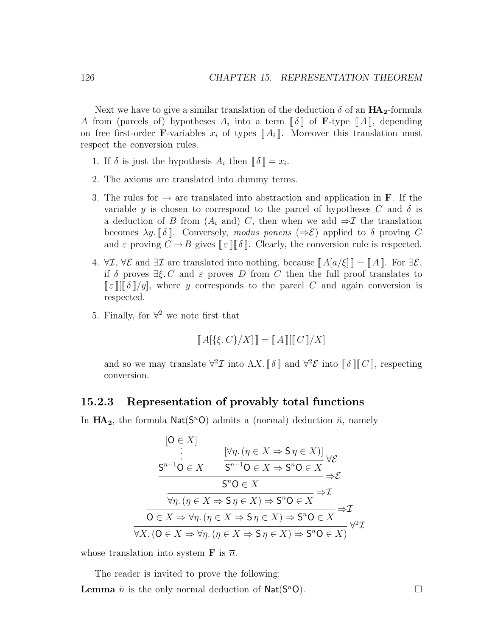Next we have to give a similar translation of the deduction  $\delta$  of an  $HA_2$ -formula A from (parcels of) hypotheses  $A_i$  into a term  $\llbracket \delta \rrbracket$  of **F**-type  $\llbracket A \rrbracket$ , depending on free first-order **F**-variables  $x_i$  of types  $[[A_i]]$ . Moreover this translation must respect the conversion rules.

- 1. If  $\delta$  is just the hypothesis  $A_i$  then  $\llbracket \delta \rrbracket = x_i$ .
- 2. The axioms are translated into dummy terms.
- 3. The rules for  $\rightarrow$  are translated into abstraction and application in **F**. If the variable y is chosen to correspond to the parcel of hypotheses C and  $\delta$  is a deduction of B from  $(A_i \text{ and}) C$ , then when we add  $\Rightarrow \mathcal{I}$  the translation becomes  $\lambda y$ . [[ δ ]. Conversely, modus ponens ( $\Rightarrow \mathcal{E}$ ) applied to δ proving C and  $\varepsilon$  proving  $C \to B$  gives  $\lbrack \lbrack \varepsilon \rbrack \rbrack$ . Clearly, the conversion rule is respected.
- 4.  $\forall \mathcal{I}, \forall \mathcal{E}$  and  $\exists \mathcal{I}$  are translated into nothing, because  $[[A[a/\xi]] = [[A]]$ . For  $\exists \mathcal{E},$ if  $\delta$  proves  $\exists \xi$ . C and  $\varepsilon$  proves D from C then the full proof translates to  $\|\varepsilon\| \|\delta\|/y$ , where y corresponds to the parcel C and again conversion is respected.
- 5. Finally, for  $\forall^2$  we note first that

$$
\llbracket A[\{\xi,C\}/X]\rrbracket = \llbracket A\rrbracket [\llbracket C\rrbracket/X]
$$

and so we may translate  $\forall^2 \mathcal{I}$  into  $\Lambda X$ . [δ] and  $\forall^2 \mathcal{E}$  into [δ][C], respecting conversion.

#### 15.2.3 Representation of provably total functions

In  $HA_2$ , the formula  $Nat(S^nO)$  admits a (normal) deduction  $\check{n}$ , namely

$$
[0 \in X]
$$
\n
$$
\vdots
$$
\n
$$
S^{n-1}0 \in X
$$
\n
$$
\frac{[\forall \eta. (\eta \in X \Rightarrow S\eta \in X)]}{S^{n-1}0 \in X \Rightarrow S^{n}0 \in X} \Rightarrow \mathcal{E}
$$
\n
$$
\frac{S^{n}0 \in X}{S^{n}0 \in X} \Rightarrow \mathcal{E}
$$
\n
$$
\frac{\forall \eta. (\eta \in X \Rightarrow S\eta \in X) \Rightarrow S^{n}0 \in X}{0 \in X \Rightarrow \forall \eta. (\eta \in X \Rightarrow S\eta \in X) \Rightarrow S^{n}0 \in X} \Rightarrow \mathcal{I}
$$
\n
$$
\forall X. (0 \in X \Rightarrow \forall \eta. (\eta \in X \Rightarrow S\eta \in X) \Rightarrow S^{n}0 \in X)
$$
\n
$$
\forall Y. (\eta \in X \Rightarrow \forall \eta. (\eta \in X \Rightarrow S\eta \in X) \Rightarrow S^{n}0 \in X)
$$

whose translation into system **F** is  $\overline{n}$ .

The reader is invited to prove the following:

**Lemma**  $\check{n}$  is the only normal deduction of  $Nat(S^nO)$ .  $n(\mathsf{O})$ .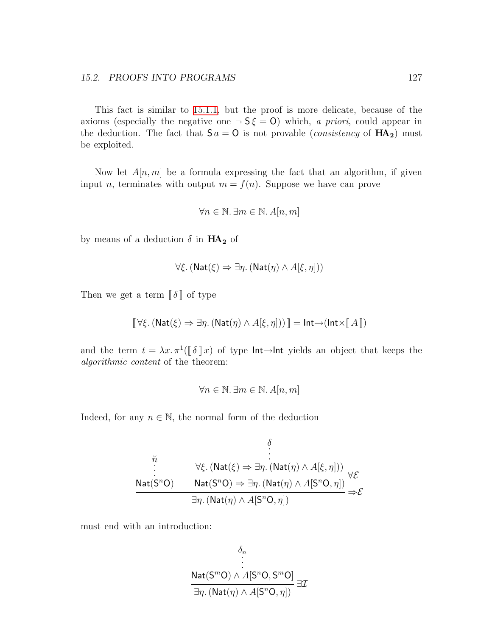This fact is similar to [15.1.1,](#page-127-0) but the proof is more delicate, because of the axioms (especially the negative one  $\neg S \xi = 0$ ) which, a priori, could appear in the deduction. The fact that  $S a = O$  is not provable (*consistency* of  $HA_2$ ) must be exploited.

Now let  $A[n, m]$  be a formula expressing the fact that an algorithm, if given input *n*, terminates with output  $m = f(n)$ . Suppose we have can prove

$$
\forall n \in \mathbb{N}. \, \exists m \in \mathbb{N}. \, A[n, m]
$$

by means of a deduction  $\delta$  in  $HA_2$  of

$$
\forall \xi. (\mathsf{Nat}(\xi) \Rightarrow \exists \eta. (\mathsf{Nat}(\eta) \land A[\xi, \eta]))
$$

Then we get a term  $\llbracket \delta \rrbracket$  of type

$$
\llbracket \forall \xi. \, (\mathsf{Nat}(\xi) \Rightarrow \exists \eta. \, (\mathsf{Nat}(\eta) \land A[\xi, \eta])) \rrbracket = \mathsf{Int} \rightarrow (\mathsf{Int} \times \llbracket A \rrbracket)
$$

and the term  $t = \lambda x \cdot \pi^1(\llbracket \delta \rrbracket x)$  of type  $\text{Int}\rightarrow \text{Int}$  yields an object that keeps the algorithmic content of the theorem:

$$
\forall n \in \mathbb{N}.\ \exists m \in \mathbb{N}.\ A[n, m]
$$

Indeed, for any  $n \in \mathbb{N}$ , the normal form of the deduction

$$
\begin{array}{cc}\n\delta \\
\vdots \\
\forall \xi. (\text{Nat}(\xi) \Rightarrow \exists \eta. (\text{Nat}(\eta) \land A[\xi, \eta])) \\
\text{Nat}(S^nO) & \text{Nat}(S^nO) \Rightarrow \exists \eta. (\text{Nat}(\eta) \land A[S^nO, \eta]) \\
\end{array} \forall \mathcal{E}
$$
\n
$$
\exists \eta. (\text{Nat}(\eta) \land A[S^nO, \eta]) \Rightarrow \mathcal{E}
$$

must end with an introduction:

$$
\begin{array}{c}\n\delta_n \\
\vdots \\
\mathsf{Nat}(S^mO) \land A[S^nO, S^mO] \\
\hline\n\exists \eta. \left(\mathsf{Nat}(\eta) \land A[S^nO, \eta]\right)} \exists \mathcal{I}\n\end{array}
$$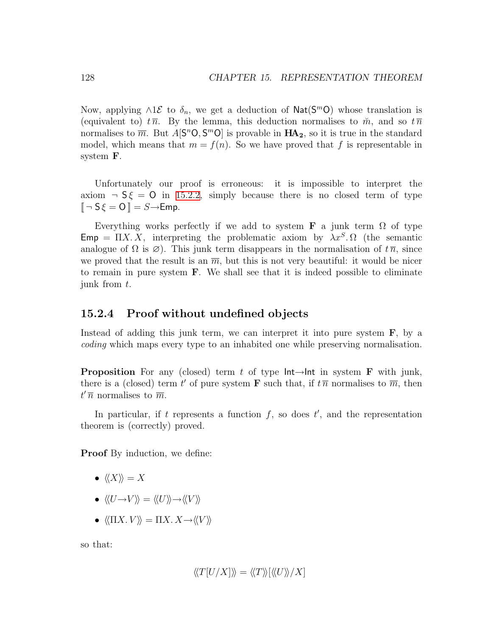Now, applying  $\wedge$ 1 $\mathcal E$  to  $\delta_n$ , we get a deduction of Nat(S<sup>m</sup>O) whose translation is (equivalent to)  $t\bar{n}$ . By the lemma, this deduction normalises to  $\tilde{m}$ , and so  $t\bar{n}$ normalises to  $\overline{m}$ . But  $A[\mathsf{S}^n\mathsf{O}, \mathsf{S}^m\mathsf{O}]$  is provable in  $\text{HA}_2$ , so it is true in the standard model, which means that  $m = f(n)$ . So we have proved that f is representable in system F.

Unfortunately our proof is erroneous: it is impossible to interpret the axiom  $\neg S \xi = O$  in [15.2.2,](#page-132-0) simply because there is no closed term of type  $\llbracket \neg S \xi = \mathsf{O} \rrbracket = S \rightarrow \mathsf{Emp}.$ 

Everything works perfectly if we add to system **F** a junk term  $\Omega$  of type Emp =  $\Pi X$ . X, interpreting the problematic axiom by  $\lambda x^S \Omega$  (the semantic analogue of  $\Omega$  is  $\emptyset$ ). This junk term disappears in the normalisation of  $t\overline{n}$ , since we proved that the result is an  $\overline{m}$ , but this is not very beautiful: it would be nicer to remain in pure system  $\mathbf{F}$ . We shall see that it is indeed possible to eliminate junk from t.

#### 15.2.4 Proof without undefined objects

Instead of adding this junk term, we can interpret it into pure system  $\mathbf{F}$ , by a coding which maps every type to an inhabited one while preserving normalisation.

**Proposition** For any (closed) term t of type  $Int \rightarrow Int$  in system **F** with junk, there is a (closed) term t' of pure system **F** such that, if  $t\bar{n}$  normalises to  $\overline{m}$ , then  $t'\overline{n}$  normalises to  $\overline{m}$ .

In particular, if t represents a function  $f$ , so does  $t'$ , and the representation theorem is (correctly) proved.

Proof By induction, we define:

- $\langle\langle X\rangle\rangle = X$
- $\langle\!\langle U \rightarrow V \rangle\!\rangle = \langle\!\langle U \rangle\!\rangle \rightarrow \langle\!\langle V \rangle\!\rangle$
- $\langle \langle \Pi X. V \rangle \rangle = \Pi X. X \rightarrow \langle \langle V \rangle \rangle$

so that:

$$
\langle T[U/X] \rangle = \langle T \rangle \langle [ \langle U \rangle \rangle / X]
$$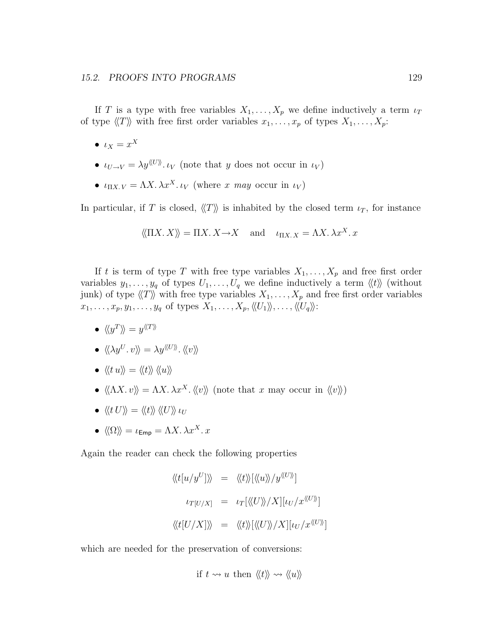If T is a type with free variables  $X_1, \ldots, X_p$  we define inductively a term  $\iota_T$ of type  $\langle T \rangle$  with free first order variables  $x_1, \ldots, x_p$  of types  $X_1, \ldots, X_p$ :

- $\iota_X = x^X$
- $\iota_{U\to V} = \lambda y^{\langle U \rangle} \cdot \iota_V$  (note that y does not occur in  $\iota_V$ )
- $\iota_{\Pi X,V} = \Lambda X \cdot \lambda x^X \cdot \iota_V$  (where x may occur in  $\iota_V$ )

In particular, if T is closed,  $\langle\langle T\rangle\rangle$  is inhabited by the closed term  $\iota_T$ , for instance

$$
\langle \langle \Pi X. X \rangle \rangle = \Pi X. X \rightarrow X
$$
 and  $\iota_{\Pi X. X} = \Lambda X. \lambda x^X. x$ 

If t is term of type T with free type variables  $X_1, \ldots, X_p$  and free first order variables  $y_1, \ldots, y_q$  of types  $U_1, \ldots, U_q$  we define inductively a term  $\langle \langle t \rangle \rangle$  (without junk) of type  $\langle T \rangle$  with free type variables  $X_1, \ldots, X_p$  and free first order variables  $x_1, \ldots, x_p, y_1, \ldots, y_q$  of types  $X_1, \ldots, X_p, \langle\!\langle U_1 \rangle\!\rangle, \ldots, \langle\!\langle U_q \rangle\!\rangle:$ 

- $\bullet \: \left\langle \left\langle y^T \right\rangle \right\rangle = y^{\left\langle \left\langle T \right\rangle \right\rangle}$
- $\langle \langle \lambda y^U v \rangle \rangle = \lambda y^{\langle \langle U \rangle \rangle} \cdot \langle \langle v \rangle \rangle$
- $\langle \langle t u \rangle \rangle = \langle \langle t \rangle \rangle \langle \langle u \rangle \rangle$
- $\langle \langle \Lambda X. v \rangle \rangle = \Lambda X. \lambda x^X. \langle v \rangle \rangle$  (note that x may occur in  $\langle v \rangle \rangle$ )
- $\langle\langle t U \rangle\rangle = \langle\langle t \rangle\rangle \langle\langle U \rangle\rangle \iota_U$
- $\langle \langle \Omega \rangle \rangle = \iota_{\text{Fmp}} = \Lambda X. \lambda x^X. x$

Again the reader can check the following properties

$$
\langle\!\langle t[u/y^U]\rangle\!\rangle = \langle\!\langle t \rangle\!\rangle [\langle\!\langle u \rangle\!\rangle/y^{\langle\!\langle U \rangle\!\rangle}]
$$
  

$$
\iota_{T[U/X]} = \iota_T [\langle\!\langle U \rangle\!\rangle/X][\iota_U/x^{\langle\!\langle U \rangle\!\rangle}]
$$
  

$$
\langle\!\langle t[U/X]\rangle\!\rangle = \langle\!\langle t \rangle\!\rangle [\langle\!\langle U \rangle\!\rangle/X][\iota_U/x^{\langle\!\langle U \rangle\!\rangle}]
$$

which are needed for the preservation of conversions:

if 
$$
t \leadsto u
$$
 then  $\langle\langle t \rangle\rangle \leadsto \langle\langle u \rangle\rangle$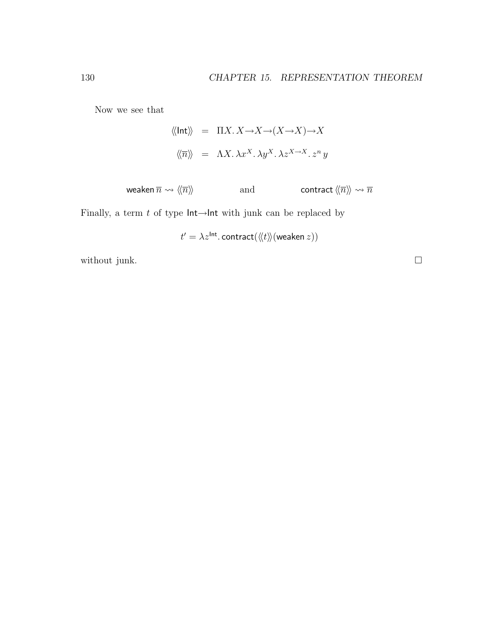Now we see that

$$
\langle \langle \mathsf{Int} \rangle \rangle = \Pi X. X \rightarrow X \rightarrow (X \rightarrow X) \rightarrow X
$$

$$
\langle \langle \overline{n} \rangle \rangle = \Lambda X. \lambda x^X. \lambda y^X. \lambda z^{X \rightarrow X}. z^n y
$$

 $\text{weaken}\ \overline{n}\leadsto \langle\!\langle\overline{n}\rangle\!\rangle \qquad\qquad \text{and}\qquad\qquad \text{contract}\ \langle\!\langle\overline{n}\rangle\!\rangle\leadsto \overline{n}$ 

Finally, a term  $t$  of type  $Int \rightarrow Int$  with junk can be replaced by

$$
t' = \lambda z^{\text{Int}}.\mathsf{contract}(\langle\!\langle t \rangle\!\rangle(\mathsf{weaken}\,z))
$$

without junk.  $\square$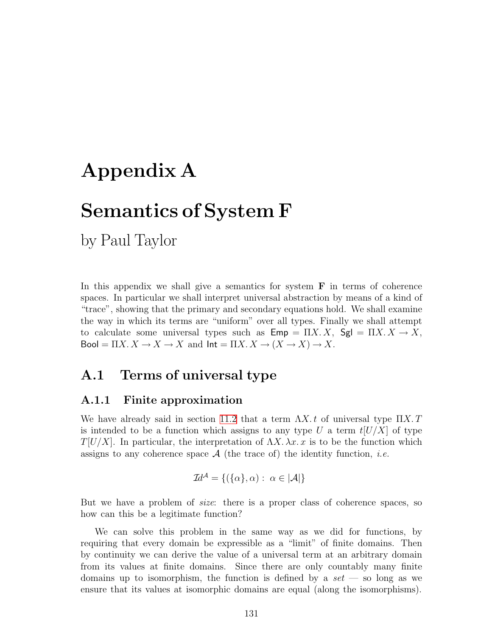# Appendix A

# Semantics of System F

by Paul Taylor

In this appendix we shall give a semantics for system  $\bf{F}$  in terms of coherence spaces. In particular we shall interpret universal abstraction by means of a kind of "trace", showing that the primary and secondary equations hold. We shall examine the way in which its terms are "uniform" over all types. Finally we shall attempt to calculate some universal types such as  $Emp = \Pi X$ .  $X$ ,  $Sgl = \Pi X$ .  $X \to X$ , Bool =  $\Pi X$ .  $X \to X \to X$  and  $\mathsf{Int} = \Pi X$ .  $X \to (X \to X) \to X$ .

# A.1 Terms of universal type

### <span id="page-138-0"></span>A.1.1 Finite approximation

We have already said in section [11.2](#page-89-0) that a term  $\Lambda X$ . t of universal type  $\Pi X$ . T is intended to be a function which assigns to any type U a term  $t[U/X]$  of type  $T[U/X]$ . In particular, the interpretation of  $\Lambda X$ .  $\lambda x$ . is to be the function which assigns to any coherence space  $\mathcal A$  (the trace of) the identity function, *i.e.* 

$$
\mathcal{I}d^{\mathcal{A}} = \{ (\{\alpha\}, \alpha) : \alpha \in |\mathcal{A}|\}
$$

But we have a problem of size: there is a proper class of coherence spaces, so how can this be a legitimate function?

We can solve this problem in the same way as we did for functions, by requiring that every domain be expressible as a "limit" of finite domains. Then by continuity we can derive the value of a universal term at an arbitrary domain from its values at finite domains. Since there are only countably many finite domains up to isomorphism, the function is defined by a  $set$  — so long as we ensure that its values at isomorphic domains are equal (along the isomorphisms).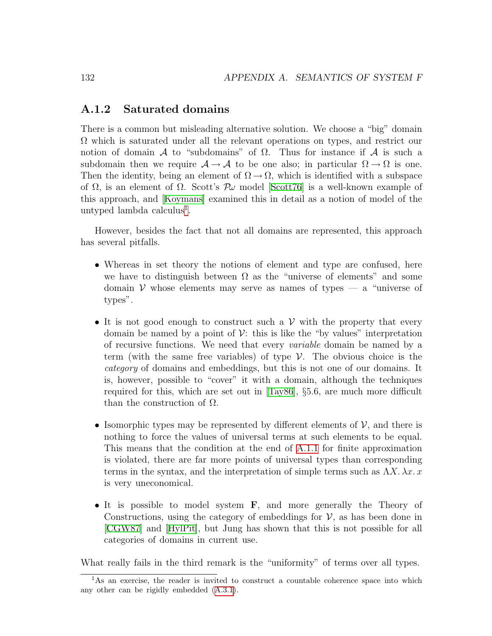### A.1.2 Saturated domains

There is a common but misleading alternative solution. We choose a "big" domain  $\Omega$  which is saturated under all the relevant operations on types, and restrict our notion of domain  $\mathcal A$  to "subdomains" of  $\Omega$ . Thus for instance if  $\mathcal A$  is such a subdomain then we require  $\mathcal{A} \to \mathcal{A}$  to be one also; in particular  $\Omega \to \Omega$  is one. Then the identity, being an element of  $\Omega \to \Omega$ , which is identified with a subspace of  $\Omega$ , is an element of  $\Omega$ . Scott's  $\mathcal{P}\omega$  model [\[Scott76\]](#page-171-0) is a well-known example of this approach, and[[Koymans](#page-170-1)] examined this in detail as a notion of model of the untyped lambda calculus<sup>[1](#page-139-0)</sup>.

However, besides the fact that not all domains are represented, this approach has several pitfalls.

- Whereas in set theory the notions of element and type are confused, here we have to distinguish between  $\Omega$  as the "universe of elements" and some domain V whose elements may serve as names of types  $-$  a "universe of types".
- It is not good enough to construct such a  $V$  with the property that every domain be named by a point of  $\mathcal V$ : this is like the "by values" interpretation of recursive functions. We need that every variable domain be named by a term (with the same free variables) of type  $\mathcal V$ . The obvious choice is the category of domains and embeddings, but this is not one of our domains. It is, however, possible to "cover" it with a domain, although the techniques required for this, which are set out in [\[Tay86](#page-171-1)], §5.6, are much more difficult than the construction of  $\Omega$ .
- Isomorphic types may be represented by different elements of  $\mathcal{V}$ , and there is nothing to force the values of universal terms at such elements to be equal. This means that the condition at the end of [A.1.1](#page-138-0) for finite approximation is violated, there are far more points of universal types than corresponding terms in the syntax, and the interpretation of simple terms such as  $\Lambda X. \lambda x. x$ is very uneconomical.
- It is possible to model system **F**, and more generally the Theory of Constructions, using the category of embeddings for  $\mathcal{V}$ , as has been done in [[CGW87](#page-168-1)] and [\[HylPit](#page-170-2)], but Jung has shown that this is not possible for all categories of domains in current use.

What really fails in the third remark is the "uniformity" of terms over all types.

<span id="page-139-0"></span> $1<sup>1</sup>$ As an exercise, the reader is invited to construct a countable coherence space into which any other can be rigidly embedded [\(A.3.1](#page-144-0)).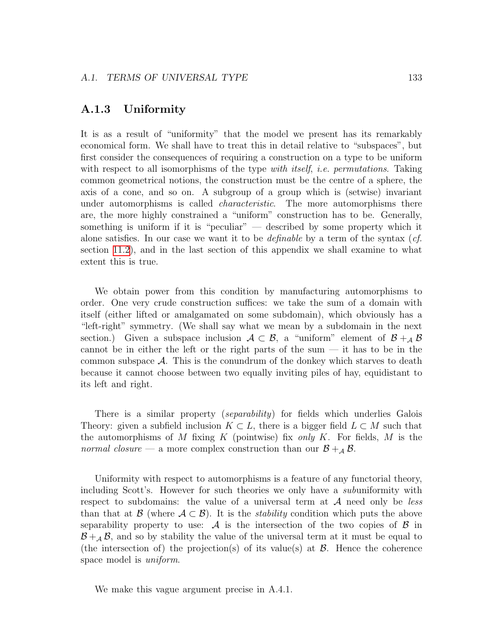### A.1.3 Uniformity

It is as a result of "uniformity" that the model we present has its remarkably economical form. We shall have to treat this in detail relative to "subspaces", but first consider the consequences of requiring a construction on a type to be uniform with respect to all isomorphisms of the type *with itself, i.e. permutations*. Taking common geometrical notions, the construction must be the centre of a sphere, the axis of a cone, and so on. A subgroup of a group which is (setwise) invariant under automorphisms is called *characteristic*. The more automorphisms there are, the more highly constrained a "uniform" construction has to be. Generally, something is uniform if it is "peculiar" — described by some property which it alone satisfies. In our case we want it to be definable by a term of the syntax (cf. section [11.2\)](#page-89-0), and in the last section of this appendix we shall examine to what extent this is true.

We obtain power from this condition by manufacturing automorphisms to order. One very crude construction suffices: we take the sum of a domain with itself (either lifted or amalgamated on some subdomain), which obviously has a "left-right" symmetry. (We shall say what we mean by a subdomain in the next section.) Given a subspace inclusion  $A \subset \mathcal{B}$ , a "uniform" element of  $\mathcal{B} +_{\mathcal{A}} \mathcal{B}$ cannot be in either the left or the right parts of the sum — it has to be in the common subspace  $\mathcal{A}$ . This is the conundrum of the donkey which starves to death because it cannot choose between two equally inviting piles of hay, equidistant to its left and right.

There is a similar property *(separability)* for fields which underlies Galois Theory: given a subfield inclusion  $K \subset L$ , there is a bigger field  $L \subset M$  such that the automorphisms of M fixing K (pointwise) fix only K. For fields, M is the *normal closure* — a more complex construction than our  $B +_{\mathcal{A}} B$ .

Uniformity with respect to automorphisms is a feature of any functorial theory, including Scott's. However for such theories we only have a subuniformity with respect to subdomains: the value of a universal term at  $A$  need only be less than that at B (where  $\mathcal{A} \subset \mathcal{B}$ ). It is the stability condition which puts the above separability property to use:  $\mathcal A$  is the intersection of the two copies of  $\mathcal B$  in  $B +_{\mathcal{A}} B$ , and so by stability the value of the universal term at it must be equal to (the intersection of) the projection(s) of its value(s) at  $\beta$ . Hence the coherence space model is *uniform*.

We make this vague argument precise in A.4.1.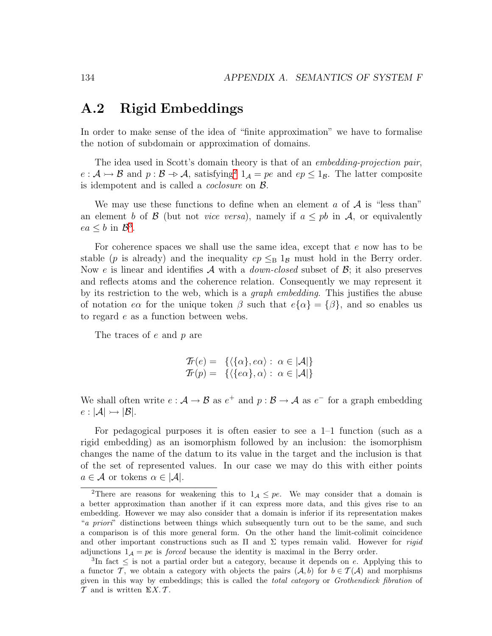# A.2 Rigid Embeddings

In order to make sense of the idea of "finite approximation" we have to formalise the notion of subdomain or approximation of domains.

The idea used in Scott's domain theory is that of an *embedding-projection pair*,  $e : \mathcal{A} \rightarrow \mathcal{B}$  and  $p : \mathcal{B} \rightarrow \mathcal{A}$ , satisfying<sup>[2](#page-141-0)</sup>  $1_{\mathcal{A}} = pe$  and  $ep \leq 1_{\mathcal{B}}$ . The latter composite is idempotent and is called a *coclosure* on  $\beta$ .

We may use these functions to define when an element a of  $A$  is "less than" an element b of B (but not *vice versa*), namely if  $a \leq pb$  in A, or equivalently  $ea \leq b$  in  $\mathcal{B}^3$  $\mathcal{B}^3$ .

For coherence spaces we shall use the same idea, except that e now has to be stable (p is already) and the inequality  $ep \leq_B 1_B$  must hold in the Berry order. Now e is linear and identifies A with a *down-closed* subset of  $\mathcal{B}$ ; it also preserves and reflects atoms and the coherence relation. Consequently we may represent it by its restriction to the web, which is a graph embedding. This justifies the abuse of notation e $\alpha$  for the unique token  $\beta$  such that  $e\{\alpha\} = {\beta\}$ , and so enables us to regard e as a function between webs.

The traces of e and p are

$$
\begin{array}{ll}\n\mathcal{T}(e) = & \{ \langle \{\alpha\}, e\alpha \rangle : \ \alpha \in |\mathcal{A}| \} \\
\mathcal{T}(p) = & \{ \langle \{e\alpha\}, \alpha \rangle : \ \alpha \in |\mathcal{A}| \}\n\end{array}
$$

We shall often write  $e: \mathcal{A} \to \mathcal{B}$  as  $e^+$  and  $p: \mathcal{B} \to \mathcal{A}$  as  $e^-$  for a graph embedding  $e : |\mathcal{A}| \rightarrow |\mathcal{B}|.$ 

For pedagogical purposes it is often easier to see a 1–1 function (such as a rigid embedding) as an isomorphism followed by an inclusion: the isomorphism changes the name of the datum to its value in the target and the inclusion is that of the set of represented values. In our case we may do this with either points  $a \in \mathcal{A}$  or tokens  $\alpha \in |\mathcal{A}|$ .

<span id="page-141-0"></span><sup>&</sup>lt;sup>2</sup>There are reasons for weakening this to  $1_A \leq pe$ . We may consider that a domain is a better approximation than another if it can express more data, and this gives rise to an embedding. However we may also consider that a domain is inferior if its representation makes "*a priori*" distinctions between things which subsequently turn out to be the same, and such a comparison is of this more general form. On the other hand the limit-colimit coincidence and other important constructions such as  $\Pi$  and  $\Sigma$  types remain valid. However for *rigid* adjunctions  $1_A = pe$  is *forced* because the identity is maximal in the Berry order.

<span id="page-141-1"></span><sup>&</sup>lt;sup>3</sup>In fact  $\leq$  is not a partial order but a category, because it depends on e. Applying this to a functor T, we obtain a category with objects the pairs  $(A, b)$  for  $b \in T(A)$  and morphisms given in this way by embeddings; this is called the total category or Grothendieck fibration of  $\mathcal T$  and is written  $\mathbb EX$ .  $\mathcal T$ .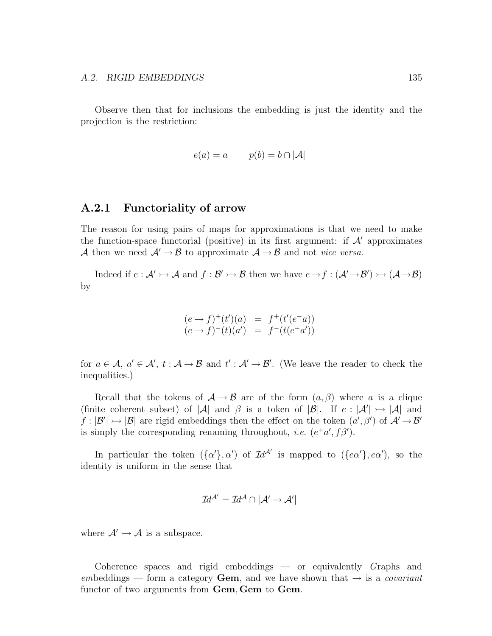Observe then that for inclusions the embedding is just the identity and the projection is the restriction:

$$
e(a) = a \qquad p(b) = b \cap |\mathcal{A}|
$$

#### A.2.1 Functoriality of arrow

The reason for using pairs of maps for approximations is that we need to make the function-space functorial (positive) in its first argument: if  $\mathcal{A}'$  approximates A then we need  $A' \rightarrow B$  to approximate  $A \rightarrow B$  and not vice versa.

Indeed if  $e : \mathcal{A}' \rightarrowtail \mathcal{A}$  and  $f : \mathcal{B}' \rightarrowtail \mathcal{B}$  then we have  $e \rightarrow f : (\mathcal{A}' \rightarrow \mathcal{B}') \rightarrowtail (\mathcal{A} \rightarrow \mathcal{B})$ by

$$
(e \to f)^+(t')(a) = f^+(t'(e^-a))
$$
  

$$
(e \to f)^-(t)(a') = f^-(t(e^+a'))
$$

for  $a \in \mathcal{A}, a' \in \mathcal{A}', t : \mathcal{A} \to \mathcal{B}$  and  $t' : \mathcal{A}' \to \mathcal{B}'$ . (We leave the reader to check the inequalities.)

Recall that the tokens of  $A \rightarrow B$  are of the form  $(a, \beta)$  where a is a clique (finite coherent subset) of  $|\mathcal{A}|$  and  $\beta$  is a token of  $|\mathcal{B}|$ . If  $e: |\mathcal{A}'| \rightarrow |\mathcal{A}|$  and  $f: |\mathcal{B}'| \rightarrow |\mathcal{B}|$  are rigid embeddings then the effect on the token  $(a', \beta')$  of  $\mathcal{A}' \rightarrow \mathcal{B}'$ is simply the corresponding renaming throughout, *i.e.*  $(e^+a', f\beta')$ .

In particular the token  $({\alpha'}_1, {\alpha'})$  of  $\mathcal{I}d^{\mathcal{A}'}$  is mapped to  $({\alpha'}_1, {\alpha'}_2)$ , so the identity is uniform in the sense that

$$
\mathcal{I}d^{\mathcal{A}'}=\mathcal{I}d^{\mathcal{A}}\cap |\mathcal{A}'\to \mathcal{A}'|
$$

where  $\mathcal{A}' \rightarrowtail \mathcal{A}$  is a subspace.

Coherence spaces and rigid embeddings — or equivalently Graphs and embeddings — form a category **Gem**, and we have shown that  $\rightarrow$  is a *covariant* functor of two arguments from Gem, Gem to Gem.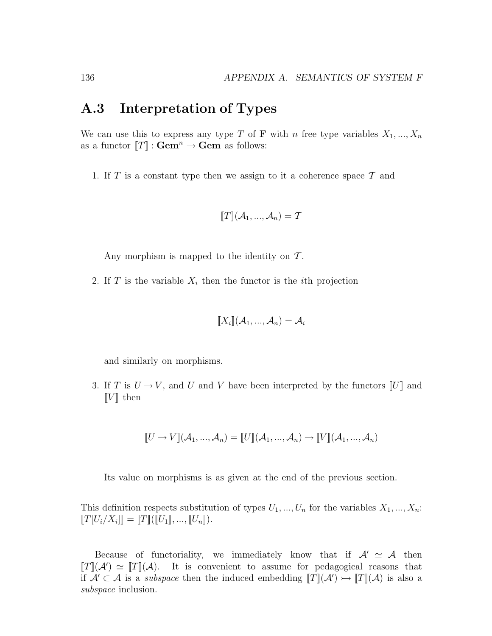# A.3 Interpretation of Types

We can use this to express any type T of **F** with n free type variables  $X_1, ..., X_n$ as a functor  $T$  :  $\mathbf{Gem}^n \to \mathbf{Gem}$  as follows:

1. If T is a constant type then we assign to it a coherence space  $\mathcal T$  and

$$
[\![T]\!](\mathcal{A}_1, ..., \mathcal{A}_n) = T
$$

Any morphism is mapped to the identity on  $\mathcal T$ .

2. If T is the variable  $X_i$  then the functor is the *i*th projection

$$
[[X_i]](\mathcal{A}_1, ..., \mathcal{A}_n) = \mathcal{A}_i
$$

and similarly on morphisms.

3. If T is  $U \rightarrow V$ , and U and V have been interpreted by the functors  $\llbracket U \rrbracket$  and  $\llbracket V \rrbracket$  then

$$
[[U \to V]](\mathcal{A}_1, ..., \mathcal{A}_n) = [[U]](\mathcal{A}_1, ..., \mathcal{A}_n) \to [[V]](\mathcal{A}_1, ..., \mathcal{A}_n)
$$

Its value on morphisms is as given at the end of the previous section.

This definition respects substitution of types  $U_1, ..., U_n$  for the variables  $X_1, ..., X_n$ :  $[[T[U_i/X_i]]] = [[T]]([U_1], ..., [[U_n]]).$ 

Because of functoriality, we immediately know that if  $A' \simeq A$  then  $[[T]](\mathcal{A}') \simeq [[T]](\mathcal{A})$ . It is convenient to assume for pedagogical reasons that if  $\mathcal{A}' \subset \mathcal{A}$  is a subspace then the induced embedding  $[[T]](\mathcal{A}') \rightarrow [[T]](\mathcal{A})$  is also a subspace inclusion.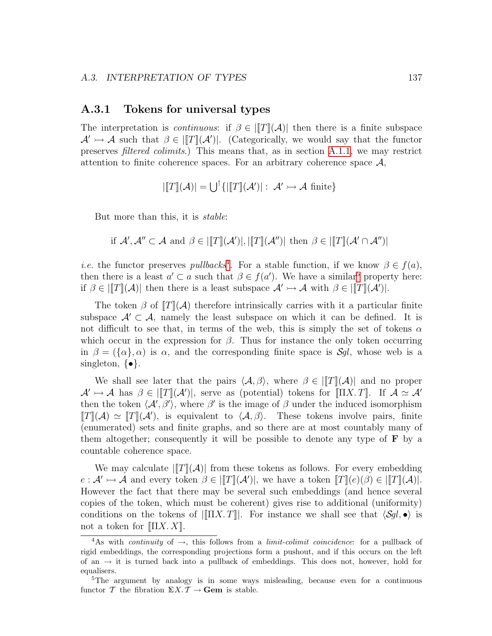#### A.3. INTERPRETATION OF TYPES 137

## <span id="page-144-2"></span>A.3.1 Tokens for universal types

The interpretation is *continuous*: if  $\beta \in ||T||(\mathcal{A})|$  then there is a finite subspace  $\mathcal{A}' \rightarrowtail \mathcal{A}$  such that  $\beta \in [[T](\mathcal{A}')]$ . (Categorically, we would say that the functor preserves filtered colimits.) This means that, as in section [A.1.1](#page-138-0), we may restrict attention to finite coherence spaces. For an arbitrary coherence space  $A$ ,

$$
[[T]](\mathcal{A})] = \bigcup^{\uparrow} \{ [[T]](\mathcal{A}')] : \mathcal{A}' \rightarrowtail \mathcal{A} \text{ finite} \}
$$

But more than this, it is stable:

if 
$$
\mathcal{A}', \mathcal{A}'' \subset \mathcal{A}
$$
 and  $\beta \in [[T]](\mathcal{A}')] , [[T]](\mathcal{A}'')]$  then  $\beta \in [[T]](\mathcal{A}' \cap \mathcal{A}'')$ 

*i.e.* the functor preserves *pullbacks*<sup>[4](#page-144-0)</sup>. For a stable function, if we know  $\beta \in f(a)$ , then there is a least  $a' \subset a$  such that  $\beta \in f(a')$ . We have a similar<sup>[5](#page-144-1)</sup> property here: if  $\beta \in ||T||(\mathcal{A})|$  then there is a least subspace  $\mathcal{A}' \rightarrowtail \mathcal{A}$  with  $\beta \in ||T||(\mathcal{A}')|$ .

The token  $\beta$  of  $\llbracket T \rrbracket(\mathcal{A})$  therefore intrinsically carries with it a particular finite subspace  $\mathcal{A}' \subset \mathcal{A}$ , namely the least subspace on which it can be defined. It is not difficult to see that, in terms of the web, this is simply the set of tokens  $\alpha$ which occur in the expression for  $\beta$ . Thus for instance the only token occurring in  $\beta = (\{\alpha\}, \alpha)$  is  $\alpha$ , and the corresponding finite space is  $\mathcal{S}gl$ , whose web is a singleton,  $\{\bullet\}.$ 

We shall see later that the pairs  $\langle A, \beta \rangle$ , where  $\beta \in ||T||(\mathcal{A})||$  and no proper  $\mathcal{A}' \rightarrowtail \mathcal{A}$  has  $\beta \in [[T]](\mathcal{A}')]$ , serve as (potential) tokens for  $[[\Pi X, T]]$ . If  $\mathcal{A} \simeq \mathcal{A}'$ then the token  $\langle A', \beta' \rangle$ , where  $\beta'$  is the image of  $\beta$  under the induced isomorphism  $[[T]](\mathcal{A}) \simeq [[T]](\mathcal{A}'),$  is equivalent to  $\langle \mathcal{A}, \beta \rangle$ . These tokens involve pairs, finite (enumerated) sets and finite graphs, and so there are at most countably many of them altogether; consequently it will be possible to denote any type of  $\bf{F}$  by a countable coherence space.

We may calculate  $\|T\|(\mathcal{A})\|$  from these tokens as follows. For every embedding  $e: \mathcal{A}' \rightarrowtail \mathcal{A}$  and every token  $\beta \in [[T]](\mathcal{A}')]$ , we have a token  $[[T]](e)(\beta) \in [[T]](\mathcal{A})]$ . However the fact that there may be several such embeddings (and hence several copies of the token, which must be coherent) gives rise to additional (uniformity) conditions on the tokens of  $\|\Pi X.\,T\|$ . For instance we shall see that  $\langle S q, \bullet \rangle$  is not a token for  $[\Pi X, X]$ .

<span id="page-144-0"></span><sup>&</sup>lt;sup>4</sup>As with *continuity* of  $\rightarrow$ , this follows from a *limit-colimit coincidence*: for a pullback of rigid embeddings, the corresponding projections form a pushout, and if this occurs on the left of an  $\rightarrow$  it is turned back into a pullback of embeddings. This does not, however, hold for equalisers.

<span id="page-144-1"></span><sup>&</sup>lt;sup>5</sup>The argument by analogy is in some ways misleading, because even for a continuous functor T the fibration  $\mathbb{E} X \to \mathbf{Gem}$  is stable.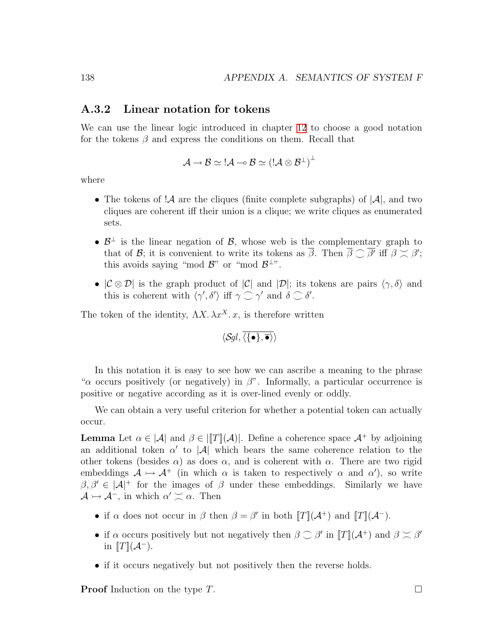## A.3.2 Linear notation for tokens

We can use the linear logic introduced in chapter [12](#page-101-0) to choose a good notation for the tokens  $\beta$  and express the conditions on them. Recall that

$$
\mathcal{A} \rightarrow \mathcal{B} \simeq \mathord!\mathcal{A} \multimap \mathcal{B} \simeq \left(\mathord!\mathcal{A}\otimes\mathcal{B}^\perp\right)^\perp
$$

where

- The tokens of  $\mathcal A$  are the cliques (finite complete subgraphs) of  $\mathcal A$ , and two cliques are coherent iff their union is a clique; we write cliques as enumerated sets.
- $\mathcal{B}^{\perp}$  is the linear negation of  $\mathcal{B}$ , whose web is the complementary graph to that of  $\mathcal{B}$ ; it is convenient to write its tokens as  $\overline{\beta}$ . Then  $\overline{\beta} \subset \overline{\beta'}$  iff  $\beta \subset \beta'$ ; this avoids saying "mod  $\mathcal{B}$ " or "mod  $\mathcal{B}^{\perp}$ ".
- $|\mathcal{C} \otimes \mathcal{D}|$  is the graph product of  $|\mathcal{C}|$  and  $|\mathcal{D}|$ ; its tokens are pairs  $\langle \gamma, \delta \rangle$  and this is coherent with  $\langle \gamma', \delta' \rangle$  iff  $\gamma \subset \gamma'$  and  $\delta \subset \delta'$ .

The token of the identity,  $\Lambda X.\lambda x^X.x$ , is therefore written

$$
\langle \mathcal{S}gl,\overline{\langle\{\bullet\},\overline{\bullet}\rangle}\rangle
$$

In this notation it is easy to see how we can ascribe a meaning to the phrase " $\alpha$  occurs positively (or negatively) in  $\beta$ ". Informally, a particular occurrence is positive or negative according as it is over-lined evenly or oddly.

We can obtain a very useful criterion for whether a potential token can actually occur.

**Lemma** Let  $\alpha \in |\mathcal{A}|$  and  $\beta \in ||T||(\mathcal{A})|$ . Define a coherence space  $\mathcal{A}^+$  by adjoining an additional token  $\alpha'$  to  $|\mathcal{A}|$  which bears the same coherence relation to the other tokens (besides  $\alpha$ ) as does  $\alpha$ , and is coherent with  $\alpha$ . There are two rigid embeddings  $A \rightarrowtail A^+$  (in which  $\alpha$  is taken to respectively  $\alpha$  and  $\alpha'$ ), so write  $\beta, \beta' \in |\mathcal{A}|^+$  for the images of  $\beta$  under these embeddings. Similarly we have  $\mathcal{A} \rightarrow \mathcal{A}$ , in which  $\alpha' \asymp \alpha$ . Then

- if  $\alpha$  does not occur in  $\beta$  then  $\beta = \beta'$  in both  $T \| (\mathcal{A}^+)$  and  $T \| (\mathcal{A}^-)$ .
- if  $\alpha$  occurs positively but not negatively then  $\beta \subset \beta'$  in  $[[T]](\mathcal{A}^+)$  and  $\beta \asymp \beta'$ in  $\llbracket T \rrbracket({\mathcal{A}}^-).$
- if it occurs negatively but not positively then the reverse holds.

**Proof** Induction on the type T.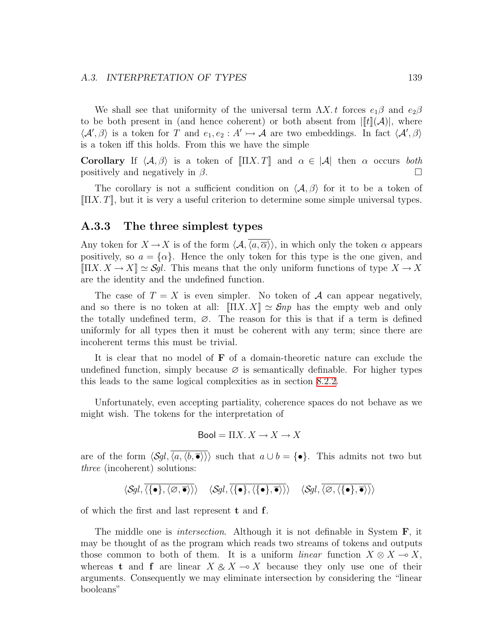#### A.3. INTERPRETATION OF TYPES 139

We shall see that uniformity of the universal term  $\Lambda X$ . t forces  $e_1\beta$  and  $e_2\beta$ to be both present in (and hence coherent) or both absent from  $|[t](\mathcal{A})|$ , where  $\langle A', \beta \rangle$  is a token for T and  $e_1, e_2 : A' \rightarrowtail A$  are two embeddings. In fact  $\langle A', \beta \rangle$ is a token iff this holds. From this we have the simple

Corollary If  $\langle A, \beta \rangle$  is a token of  $\left[ \Pi X \cdot T \right]$  and  $\alpha \in |\mathcal{A}|$  then  $\alpha$  occurs both positively and negatively in  $\beta$ .

The corollary is not a sufficient condition on  $\langle A, \beta \rangle$  for it to be a token of  $[\Pi X, T]$ , but it is very a useful criterion to determine some simple universal types.

## A.3.3 The three simplest types

Any token for  $X \to X$  is of the form  $\langle A,\overline{\langle a,\overline{\alpha}\rangle}\rangle$ , in which only the token  $\alpha$  appears positively, so  $a = {\alpha}$ . Hence the only token for this type is the one given, and  $[\Pi X. X \to X] \simeq Sgl$ . This means that the only uniform functions of type  $X \to X$ are the identity and the undefined function.

The case of  $T = X$  is even simpler. No token of A can appear negatively, and so there is no token at all:  $[\Pi X, X] \simeq \mathcal{E}$  has the empty web and only the totally undefined term,  $\varnothing$ . The reason for this is that if a term is defined uniformly for all types then it must be coherent with any term; since there are incoherent terms this must be trivial.

It is clear that no model of F of a domain-theoretic nature can exclude the undefined function, simply because  $\varnothing$  is semantically definable. For higher types this leads to the same logical complexities as in section [8.2.2](#page-63-0).

Unfortunately, even accepting partiality, coherence spaces do not behave as we might wish. The tokens for the interpretation of

$$
\mathsf{Bool} = \Pi X. \, X \to X \to X
$$

are of the form  $\langle Sgl, \langle a, \langle b, \overline{\bullet} \rangle \rangle \rangle$  such that  $a \cup b = {\bullet}$ . This admits not two but three (incoherent) solutions:

$$
\langle \mathcal{S}gl,\overline{\langle\{\bullet\},\langle\varnothing,\overline{\bullet}\rangle\rangle}\rangle \quad \langle \mathcal{S}gl,\overline{\langle\{\bullet\},\langle\{\bullet\},\overline{\bullet}\rangle\rangle}\rangle \quad \langle \mathcal{S}gl,\overline{\langle\varnothing,\langle\{\bullet\},\overline{\bullet}\rangle\rangle}\rangle
$$

of which the first and last represent t and f.

The middle one is *intersection*. Although it is not definable in System  $\mathbf{F}$ , it may be thought of as the program which reads two streams of tokens and outputs those common to both of them. It is a uniform *linear* function  $X \otimes X \to X$ , whereas t and f are linear  $X \otimes X \to X$  because they only use one of their arguments. Consequently we may eliminate intersection by considering the "linear booleans"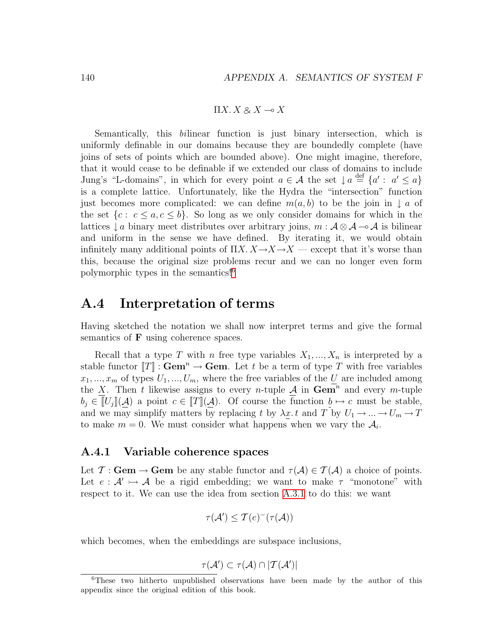#### $\prod X$ .  $X \otimes X \multimap X$

Semantically, this bilinear function is just binary intersection, which is uniformly definable in our domains because they are boundedly complete (have joins of sets of points which are bounded above). One might imagine, therefore, that it would cease to be definable if we extended our class of domains to include Jung's "L-domains", in which for every point  $a \in \mathcal{A}$  the set  $\downarrow a \stackrel{\text{def}}{=} \{a' : a' \leq a\}$ is a complete lattice. Unfortunately, like the Hydra the "intersection" function just becomes more complicated: we can define  $m(a, b)$  to be the join in  $\downarrow a$  of the set  $\{c: c \leq a, c \leq b\}$ . So long as we only consider domains for which in the lattices  $\downarrow a$  binary meet distributes over arbitrary joins,  $m : \mathcal{A} \otimes \mathcal{A} \rightarrow \mathcal{A}$  is bilinear and uniform in the sense we have defined. By iterating it, we would obtain infinitely many additional points of  $\Pi X. X \rightarrow X \rightarrow X$  — except that it's worse than this, because the original size problems recur and we can no longer even form polymorphic types in the semantics![6](#page-147-0)

# A.4 Interpretation of terms

Having sketched the notation we shall now interpret terms and give the formal semantics of **F** using coherence spaces.

Recall that a type T with n free type variables  $X_1, ..., X_n$  is interpreted by a stable functor  $T$  :  $\mathbf{Gem}^n \to \mathbf{Gem}$ . Let t be a term of type T with free variables  $x_1, ..., x_m$  of types  $U_1, ..., U_m$ , where the free variables of the U are included among the X. Then t likewise assigns to every n-tuple A in  $\mathbf{Gem}^n$  and every m-tuple  $b_j \in \overline{[U_j]}(\mathcal{A})$  a point  $c \in [T](\mathcal{A})$ . Of course the function  $b \mapsto c$  must be stable, and we may simplify matters by replacing t by  $\lambda x. t$  and T by  $U_1 \rightarrow ... \rightarrow U_m \rightarrow T$ to make  $m = 0$ . We must consider what happens when we vary the  $\mathcal{A}_i$ .

#### A.4.1 Variable coherence spaces

Let  $\mathcal{T}$ : Gem  $\rightarrow$  Gem be any stable functor and  $\tau(\mathcal{A}) \in \mathcal{T}(\mathcal{A})$  a choice of points. Let  $e: \mathcal{A}' \rightarrow \mathcal{A}$  be a rigid embedding; we want to make  $\tau$  "monotone" with respect to it. We can use the idea from section [A.3.1](#page-144-2) to do this: we want

$$
\tau(\mathcal{A}') \leq \mathcal{T}(e)^{-}(\tau(\mathcal{A}))
$$

which becomes, when the embeddings are subspace inclusions,

$$
\tau({\mathcal A}')\subset \tau({\mathcal A})\cap |{\mathcal T}({\mathcal A}')|
$$

<span id="page-147-0"></span><sup>&</sup>lt;sup>6</sup>These two hitherto unpublished observations have been made by the author of this appendix since the original edition of this book.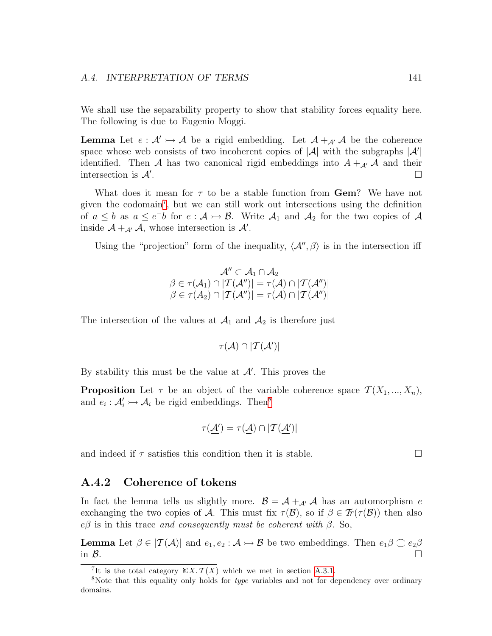We shall use the separability property to show that stability forces equality here. The following is due to Eugenio Moggi.

**Lemma** Let  $e : \mathcal{A}' \rightarrow \mathcal{A}$  be a rigid embedding. Let  $\mathcal{A} +_{\mathcal{A}'} \mathcal{A}$  be the coherence space whose web consists of two incoherent copies of  $|\mathcal{A}|$  with the subgraphs  $|\mathcal{A}|\$ identified. Then A has two canonical rigid embeddings into  $A +_{\mathcal{A}} A$  and their intersection is  $A'$ . .

What does it mean for  $\tau$  to be a stable function from **Gem**? We have not given the codomain[7](#page-148-0) , but we can still work out intersections using the definition of  $a \leq b$  as  $a \leq e^{-b}$  for  $e : A \rightarrow \mathcal{B}$ . Write  $\mathcal{A}_1$  and  $\mathcal{A}_2$  for the two copies of  $\mathcal{A}$ inside  $\mathcal{A} +_{\mathcal{A}'} \mathcal{A}$ , whose intersection is  $\mathcal{A}'$ .

Using the "projection" form of the inequality,  $\langle A'', \beta \rangle$  is in the intersection iff

$$
\mathcal{A}'' \subset \mathcal{A}_1 \cap \mathcal{A}_2
$$
  

$$
\beta \in \tau(\mathcal{A}_1) \cap |\mathcal{T}(\mathcal{A}'')| = \tau(\mathcal{A}) \cap |\mathcal{T}(\mathcal{A}'')|
$$
  

$$
\beta \in \tau(A_2) \cap |\mathcal{T}(\mathcal{A}'')| = \tau(\mathcal{A}) \cap |\mathcal{T}(\mathcal{A}'')|
$$

The intersection of the values at  $A_1$  and  $A_2$  is therefore just

$$
\tau(\mathcal{A})\cap |\mathcal{T}(\mathcal{A}')|
$$

By stability this must be the value at  $\mathcal{A}'$ . This proves the

**Proposition** Let  $\tau$  be an object of the variable coherence space  $\mathcal{T}(X_1, ..., X_n)$ , and  $e_i: \mathcal{A}'_i \rightarrowtail \mathcal{A}_i$  be rigid embeddings. Then<sup>[8](#page-148-1)</sup>

$$
\tau(\underline{\mathcal{A}'}) = \tau(\underline{\mathcal{A}}) \cap |\mathcal{T}(\underline{\mathcal{A}'})|
$$

and indeed if  $\tau$  satisfies this condition then it is stable.

A.4.2 Coherence of tokens

In fact the lemma tells us slightly more.  $\mathcal{B} = \mathcal{A} + A \mathcal{A}$  has an automorphism e exchanging the two copies of A. This must fix  $\tau(\mathcal{B})$ , so if  $\beta \in \mathcal{I}_r(\tau(\mathcal{B}))$  then also  $e\beta$  is in this trace and consequently must be coherent with  $\beta$ . So,

**Lemma** Let  $\beta \in |T(A)|$  and  $e_1, e_2 : A \rightarrow B$  be two embeddings. Then  $e_1\beta \supseteq e_2\beta$  in  $B$ . in  $\mathcal{B}$ .

<span id="page-148-0"></span><sup>&</sup>lt;sup>7</sup>It is the total category  $\mathbb{E}[X, \mathcal{T}(X)]$  which we met in section [A.3.1.](#page-144-2)

<span id="page-148-1"></span><sup>&</sup>lt;sup>8</sup>Note that this equality only holds for *type* variables and not for dependency over ordinary domains.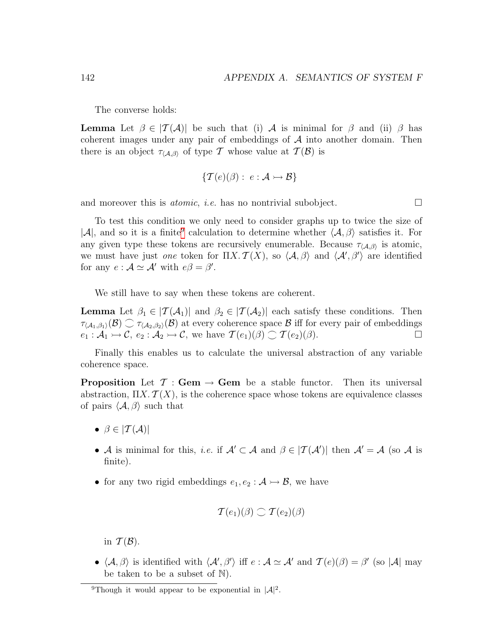The converse holds:

**Lemma** Let  $\beta \in |T(\mathcal{A})|$  be such that (i) A is minimal for  $\beta$  and (ii)  $\beta$  has coherent images under any pair of embeddings of  $A$  into another domain. Then there is an object  $\tau_{\langle A,\beta\rangle}$  of type T whose value at  $\mathcal{T}(\mathcal{B})$  is

$$
\{\mathcal{T}(e)(\beta):\ e:\mathcal{A}\rightarrowtail\mathcal{B}\}
$$

and moreover this is *atomic*, *i.e.* has no nontrivial subobject.  $\square$ 

To test this condition we only need to consider graphs up to twice the size of |A|, and so it is a finite<sup>[9](#page-149-0)</sup> calculation to determine whether  $\langle A, \beta \rangle$  satisfies it. For any given type these tokens are recursively enumerable. Because  $\tau_{\langle A,\beta \rangle}$  is atomic, we must have just one token for  $\Pi X$ .  $\mathcal{T}(X)$ , so  $\langle A, \beta \rangle$  and  $\langle A', \beta' \rangle$  are identified for any  $e : A \simeq A'$  with  $e\beta = \beta'.$ 

We still have to say when these tokens are coherent.

**Lemma** Let  $\beta_1 \in |T(\mathcal{A}_1)|$  and  $\beta_2 \in |T(\mathcal{A}_2)|$  each satisfy these conditions. Then  $\tau_{\langle A_1,\beta_1\rangle}(\mathcal{B}) \subset \tau_{\langle A_2,\beta_2\rangle}(\mathcal{B})$  at every coherence space  $\mathcal{B}$  iff for every pair of embeddings  $e_1 : A_1 \rightarrow C$ ,  $e_2 : A_2 \rightarrow C$ , we have  $\mathcal{T}(e_1)(\beta) \subset \mathcal{T}(e_2)(\beta)$ .  $e_1 : A_1 \rightarrowtail \mathcal{C}, e_2 : A_2 \rightarrowtail \mathcal{C},$  we have  $\mathcal{T}(e_1)(\beta) \subsetsubset \mathcal{T}(e_2)(\beta)$ .

Finally this enables us to calculate the universal abstraction of any variable coherence space.

**Proposition** Let  $\mathcal{T}$  : Gem  $\rightarrow$  Gem be a stable functor. Then its universal abstraction,  $\Pi X$ .  $\mathcal{T}(X)$ , is the coherence space whose tokens are equivalence classes of pairs  $\langle A, \beta \rangle$  such that

- $\beta \in |T(A)|$
- A is minimal for this, i.e. if  $\mathcal{A}' \subset \mathcal{A}$  and  $\beta \in |\mathcal{T}(\mathcal{A}')|$  then  $\mathcal{A}' = \mathcal{A}$  (so  $\mathcal{A}$  is finite).
- for any two rigid embeddings  $e_1, e_2 : A \rightarrow \mathcal{B}$ , we have

$$
\mathcal{T}(e_1)(\beta) \subset \mathcal{T}(e_2)(\beta)
$$

in  $\mathcal{T}(\mathcal{B})$ .

•  $\langle A, \beta \rangle$  is identified with  $\langle A', \beta' \rangle$  iff  $e : A \simeq A'$  and  $\mathcal{T}(e)(\beta) = \beta'$  (so |A| may be taken to be a subset of N).

<span id="page-149-0"></span><sup>&</sup>lt;sup>9</sup>Though it would appear to be exponential in  $|A|^2$ .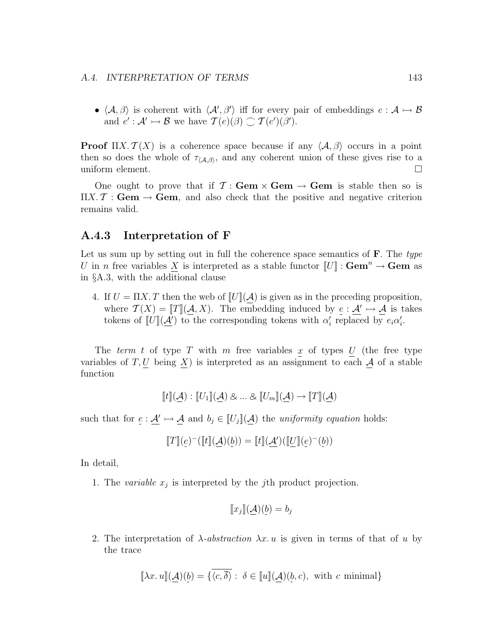•  $\langle A, \beta \rangle$  is coherent with  $\langle A', \beta' \rangle$  iff for every pair of embeddings  $e : A \rightarrow B$ and  $e' : \mathcal{A}' \rightarrow \mathcal{B}$  we have  $\mathcal{T}(e)(\beta) \subset \mathcal{T}(e')(\beta').$ 

**Proof**  $\Pi X$ .  $\mathcal{T}(X)$  is a coherence space because if any  $\langle A, \beta \rangle$  occurs in a point then so does the whole of  $\tau_{\langle A,\beta\rangle}$ , and any coherent union of these gives rise to a uniform element.

One ought to prove that if  $\mathcal{T}$ : Gem  $\times$  Gem  $\rightarrow$  Gem is stable then so is  $\Pi X. \mathcal{T} : \mathbf{Gem} \to \mathbf{Gem}$ , and also check that the positive and negative criterion remains valid.

## <span id="page-150-0"></span>A.4.3 Interpretation of F

Let us sum up by setting out in full the coherence space semantics of **. The type** U in n free variables  $\underline{X}$  is interpreted as a stable functor  $[[U]] : \mathbf{Gem}^n \to \mathbf{Gem}$  as in §A.3, with the additional clause

4. If  $U = \Pi X$ . T then the web of  $[[U]](\mathcal{A})$  is given as in the preceding proposition, where  $\mathcal{T}(X) = [[T]](\underline{\mathcal{A}}, X)$ . The embedding induced by  $\underline{e} : \underline{\mathcal{A}}' \rightarrowtail \underline{\mathcal{A}}$  is takes tokens of  $\llbracket U \rrbracket (\mathcal{A}')$  to the corresponding tokens with  $\alpha'_i$ *i* replaced by  $e_i \alpha'_i$ i .

The term t of type T with m free variables x of types  $U$  (the free type variables of T, U being  $\underline{X}$ ) is interpreted as an assignment to each  $\underline{A}$  of a stable function

$$
\llbracket t \rrbracket(\underline{\mathcal{A}}) : \llbracket U_1 \rrbracket(\underline{\mathcal{A}}) \otimes \ldots \otimes \llbracket U_m \rrbracket(\underline{\mathcal{A}}) \to \llbracket T \rrbracket(\underline{\mathcal{A}})
$$

such that for  $e: \mathcal{A}' \rightarrow \mathcal{A}$  and  $b_j \in [U_j](\mathcal{A})$  the uniformity equation holds:

$$
\llbracket T \rrbracket(e)^-\big(\llbracket t \rrbracket(\underline{\mathcal{A}})(\underline{b})\big) = \llbracket t \rrbracket(\underline{\mathcal{A}}')\big(\llbracket \underline{U} \rrbracket(e)^-(\underline{b})\big)
$$

In detail,

1. The *variable*  $x_j$  is interpreted by the *j*th product projection.

$$
[\![x_j]\!](\underline{\mathcal{A}})(\underline{b}) = b_j
$$

2. The interpretation of  $\lambda$ -abstraction  $\lambda x. u$  is given in terms of that of u by the trace

$$
[\![\lambda x. \, u]\!](\underline{\mathcal{A}})(\underline{b}) = \{ \langle c, \overline{\delta} \rangle : \ \delta \in [\![u]\!](\underline{\mathcal{A}})(\underline{b}, c), \ \text{with} \ c \ \text{minimal} \}
$$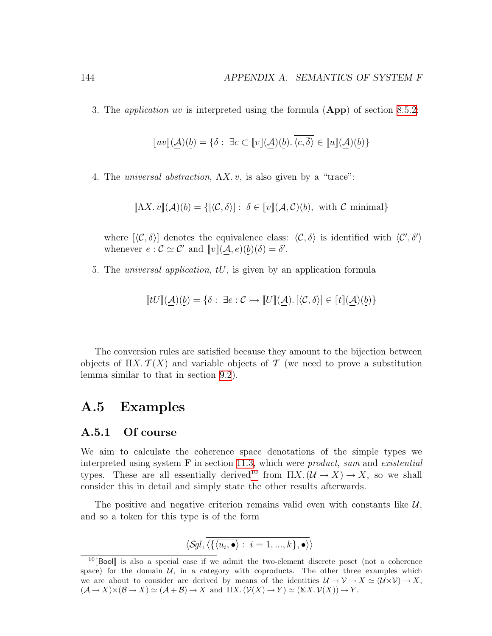3. The *application uv* is interpreted using the formula  $(App)$  of section [8.5.2](#page-70-0):

$$
[\![uv]\!](\underline{\mathcal{A}})(\underline{b})=\{\delta:\ \exists c\subset [\![v]\!](\underline{\mathcal{A}})(\underline{b}).\ \overline{\langle c,\overline{\delta}\rangle}\in [\![u]\!](\underline{\mathcal{A}})(\underline{b})\}
$$

4. The *universal abstraction*,  $\Lambda X$ ,  $v$ , is also given by a "trace":

$$
[\![\Lambda X.\, v]\!](\underline{\mathcal{A}})(\underline{b}) = \{ [\langle \mathcal{C}, \delta \rangle] : \ \delta \in [\![v]\!](\underline{\mathcal{A}}, \mathcal{C})(\underline{b}), \text{ with } \mathcal{C} \text{ minimal} \}
$$

where  $[\langle \mathcal{C}, \delta \rangle]$  denotes the equivalence class:  $\langle \mathcal{C}, \delta \rangle$  is identified with  $\langle \mathcal{C}', \delta' \rangle$ whenever  $e: \mathcal{C} \simeq \mathcal{C}'$  and  $[\![v]\!](\mathcal{A}, e)(b)(\delta) = \delta'.$ 

5. The universal application, tU, is given by an application formula

$$
\llbracket tU \rrbracket (\mathcal{A})(b) = \{ \delta : \exists e : \mathcal{C} \rightarrowtail \llbracket U \rrbracket (\mathcal{A}). [\langle \mathcal{C}, \delta \rangle] \in \llbracket t \rrbracket (\mathcal{A})(b) \}
$$

The conversion rules are satisfied because they amount to the bijection between objects of  $\Pi X$ .  $\mathcal{T}(X)$  and variable objects of T (we need to prove a substitution lemma similar to that in section [9.2\)](#page-75-0).

# A.5 Examples

## A.5.1 Of course

We aim to calculate the coherence space denotations of the simple types we interpreted using system  $\bf{F}$  in section [11.3](#page-90-0), which were *product*, sum and existential types. These are all essentially derived<sup>[10](#page-151-0)</sup> from  $\Pi X$ .  $(\mathcal{U} \to X) \to X$ , so we shall consider this in detail and simply state the other results afterwards.

The positive and negative criterion remains valid even with constants like  $\mathcal{U}$ , and so a token for this type is of the form

$$
\langle \mathcal{S}gl, \overline{\langle \{\overline{\langle u_i, \overline{\bullet}\rangle}:\ i=1,...,k\},\overline{\bullet}\rangle} \rangle
$$

<span id="page-151-0"></span> $10$ [Bool] is also a special case if we admit the two-element discrete poset (not a coherence space) for the domain  $U$ , in a category with coproducts. The other three examples which we are about to consider are derived by means of the identities  $\mathcal{U} \to \mathcal{V} \to X \simeq (\mathcal{U} \times \mathcal{V}) \to X$ ,  $(\mathcal{A} \to X) \times (\mathcal{B} \to X) \simeq (\mathcal{A} + \mathcal{B}) \to X$  and  $\Pi X$ .  $(\mathcal{V}(X) \to Y) \simeq (\mathbb{\Sigma} X, \mathcal{V}(X)) \to Y$ .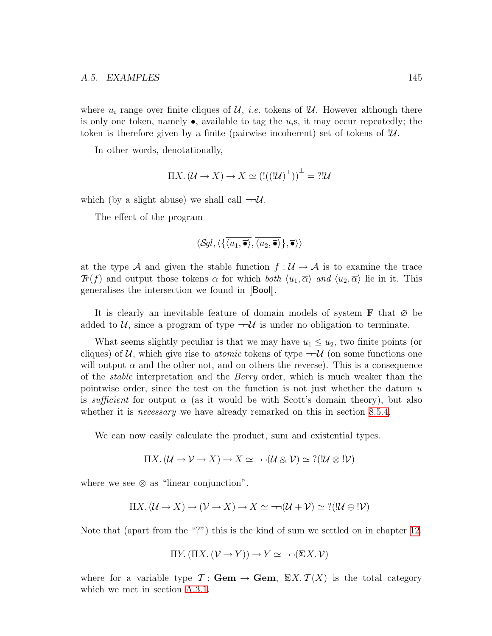where  $u_i$  range over finite cliques of  $\mathcal{U}$ , *i.e.* tokens of  $\mathcal{U}$ . However although there is only one token, namely  $\overline{\bullet}$ , available to tag the  $u_i$ s, it may occur repeatedly; the token is therefore given by a finite (pairwise incoherent) set of tokens of  $\mathcal{U}$ .

In other words, denotationally,

$$
\Pi X. (\mathcal{U} \to X) \to X \simeq \left( ! ((\mathcal{U})^{\perp}) \right)^{\perp} = ? ! \mathcal{U}
$$

which (by a slight abuse) we shall call  $\neg \mathcal{U}$ .

The effect of the program

$$
\langle \mathcal{S}gl, \overline{\langle \{ \overline{\langle u_1, \overline{\bullet} \rangle}, \overline{\langle u_2, \overline{\bullet} \rangle} \}, \overline{\bullet} \rangle} \rangle
$$

at the type A and given the stable function  $f: \mathcal{U} \to \mathcal{A}$  is to examine the trace  $\mathcal{T}_r(f)$  and output those tokens  $\alpha$  for which both  $\langle u_1, \overline{\alpha} \rangle$  and  $\langle u_2, \overline{\alpha} \rangle$  lie in it. This generalises the intersection we found in [[Bool]].

It is clearly an inevitable feature of domain models of system **F** that  $\varnothing$  be added to U, since a program of type  $\neg U$  is under no obligation to terminate.

What seems slightly peculiar is that we may have  $u_1 \leq u_2$ , two finite points (or cliques) of U, which give rise to *atomic* tokens of type  $\neg$ U (on some functions one will output  $\alpha$  and the other not, and on others the reverse). This is a consequence of the stable interpretation and the Berry order, which is much weaker than the pointwise order, since the test on the function is not just whether the datum  $u$ is sufficient for output  $\alpha$  (as it would be with Scott's domain theory), but also whether it is *necessary* we have already remarked on this in section [8.5.4](#page-72-0).

We can now easily calculate the product, sum and existential types.

$$
\Pi X. (\mathcal{U} \to \mathcal{V} \to X) \to X \simeq \neg\neg(\mathcal{U} \otimes \mathcal{V}) \simeq ?(\mathcal{U} \otimes \mathcal{V})
$$

where we see  $\otimes$  as "linear conjunction".

$$
\Pi X. (\mathcal{U} \to X) \to (\mathcal{V} \to X) \to X \simeq \neg(\mathcal{U} + \mathcal{V}) \simeq ?(\mathcal{U} \oplus \mathcal{W})
$$

Note that (apart from the "?") this is the kind of sum we settled on in chapter [12](#page-101-0).

$$
\Pi Y. (\Pi X. (\mathcal{V} \to Y)) \to Y \simeq \neg\neg(\Sigma X. \mathcal{V})
$$

where for a variable type  $\mathcal{T}: \mathbf{Gem} \to \mathbf{Gem}$ ,  $\mathbb{E} X. \mathcal{T}(X)$  is the total category which we met in section [A.3.1](#page-144-2).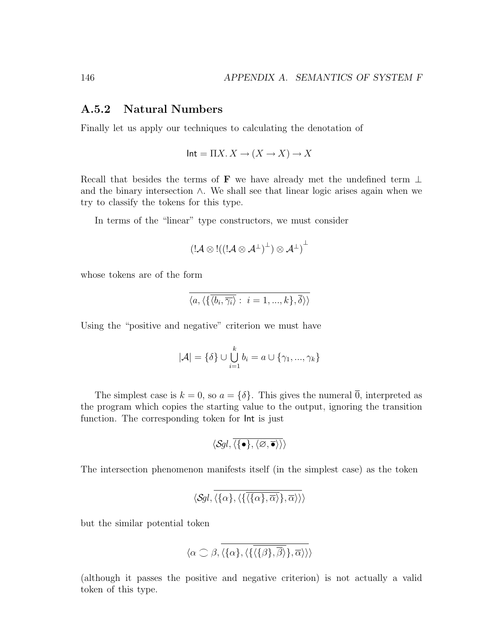## A.5.2 Natural Numbers

Finally let us apply our techniques to calculating the denotation of

$$
Int = \Pi X. X \to (X \to X) \to X
$$

Recall that besides the terms of F we have already met the undefined term  $\perp$ and the binary intersection ∧. We shall see that linear logic arises again when we try to classify the tokens for this type.

In terms of the "linear" type constructors, we must consider

$$
(!{\mathcal{A}} \otimes !({(!{\mathcal{A}} \otimes {\mathcal{A}}^\perp)}^\perp) \otimes {{\mathcal{A}}}^\perp)^\perp
$$

whose tokens are of the form

$$
\langle a, \langle \{ \overline{\langle b_i, \overline{\gamma_i} \rangle} : i = 1, ..., k \}, \overline{\delta} \rangle \rangle
$$

Using the "positive and negative" criterion we must have

$$
|\mathcal{A}| = \{\delta\} \cup \bigcup_{i=1}^{k} b_i = a \cup \{\gamma_1, ..., \gamma_k\}
$$

The simplest case is  $k = 0$ , so  $a = \{\delta\}$ . This gives the numeral  $\overline{0}$ , interpreted as the program which copies the starting value to the output, ignoring the transition function. The corresponding token for Int is just

$$
\langle \mathcal S\hspace{-0.03cm}gl, \langle \{ \bullet \}, \langle \varnothing, \overline{\bullet} \rangle \rangle \rangle
$$

The intersection phenomenon manifests itself (in the simplest case) as the token

$$
\langle \mathcal{S}gl, \langle \{\alpha\}, \langle \{\overline{\langle \{\alpha\}, \overline{\alpha}\rangle}\}, \overline{\alpha} \rangle \rangle \rangle
$$

but the similar potential token

$$
\langle \alpha \bigcirc \beta, \langle \{\alpha\}, \langle \{\overline{\langle \{\beta\},\overline{\beta}\rangle}\}, \overline{\alpha} \rangle \rangle \rangle
$$

(although it passes the positive and negative criterion) is not actually a valid token of this type.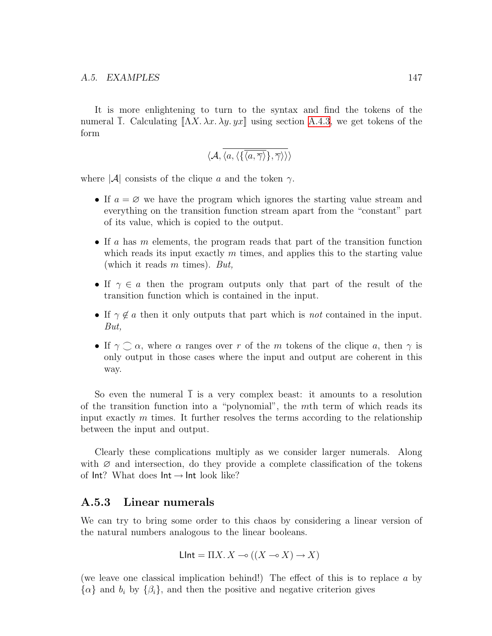It is more enlightening to turn to the syntax and find the tokens of the numeral 1. Calculating  $[\Lambda X, \lambda x, \lambda y, yx]$  using section [A.4.3,](#page-150-0) we get tokens of the form

$$
\langle \mathcal{A}, \langle a, \langle \{\overline{\langle a, \overline{\gamma} \rangle}\}, \overline{\gamma} \rangle \rangle \rangle
$$

where  $|\mathcal{A}|$  consists of the clique a and the token  $\gamma$ .

- If  $a = \emptyset$  we have the program which ignores the starting value stream and everything on the transition function stream apart from the "constant" part of its value, which is copied to the output.
- If a has m elements, the program reads that part of the transition function which reads its input exactly  $m$  times, and applies this to the starting value (which it reads  $m$  times). But,
- If  $\gamma \in a$  then the program outputs only that part of the result of the transition function which is contained in the input.
- If  $\gamma \notin \alpha$  then it only outputs that part which is not contained in the input. But,
- If  $\gamma \supset \alpha$ , where  $\alpha$  ranges over r of the m tokens of the clique a, then  $\gamma$  is only output in those cases where the input and output are coherent in this way.

So even the numeral  $\overline{1}$  is a very complex beast: it amounts to a resolution of the transition function into a "polynomial", the mth term of which reads its input exactly  $m$  times. It further resolves the terms according to the relationship between the input and output.

Clearly these complications multiply as we consider larger numerals. Along with  $\varnothing$  and intersection, do they provide a complete classification of the tokens of  $Int$ ? What does  $Int \rightarrow Int$  look like?

## A.5.3 Linear numerals

We can try to bring some order to this chaos by considering a linear version of the natural numbers analogous to the linear booleans.

$$
\mathsf{LInt} = \Pi X. X \multimap ((X \multimap X) \rightarrow X)
$$

(we leave one classical implication behind!) The effect of this is to replace a by  $\{\alpha\}$  and  $b_i$  by  $\{\beta_i\}$ , and then the positive and negative criterion gives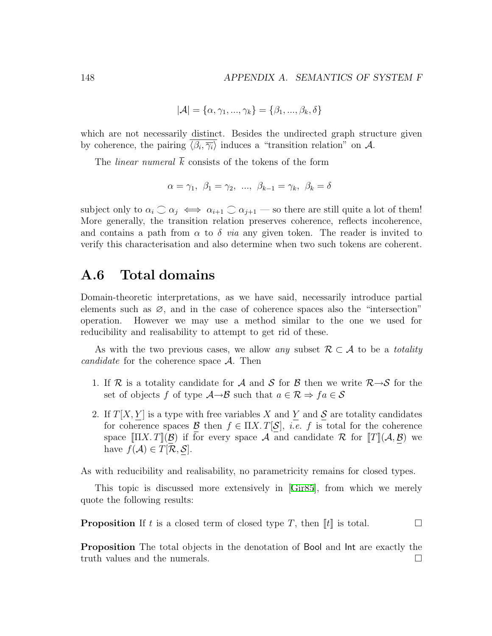$$
|\mathcal{A}| = \{\alpha, \gamma_1, ..., \gamma_k\} = \{\beta_1, ..., \beta_k, \delta\}
$$

which are not necessarily distinct. Besides the undirected graph structure given by coherence, the pairing  $\overline{\langle \beta_i, \overline{\gamma_i} \rangle}$  induces a "transition relation" on A.

The *linear numeral*  $\overline{k}$  consists of the tokens of the form

$$
\alpha = \gamma_1, \ \beta_1 = \gamma_2, \ \ldots, \ \beta_{k-1} = \gamma_k, \ \beta_k = \delta
$$

subject only to  $\alpha_i \text{ }\mathcal{O} \text{ }\alpha_j \iff \alpha_{i+1} \text{ }\mathcal{O} \text{ }\alpha_{j+1}$  — so there are still quite a lot of them! More generally, the transition relation preserves coherence, reflects incoherence, and contains a path from  $\alpha$  to  $\delta$  *via* any given token. The reader is invited to verify this characterisation and also determine when two such tokens are coherent.

# A.6 Total domains

Domain-theoretic interpretations, as we have said, necessarily introduce partial elements such as  $\varnothing$ , and in the case of coherence spaces also the "intersection" operation. However we may use a method similar to the one we used for reducibility and realisability to attempt to get rid of these.

As with the two previous cases, we allow any subset  $\mathcal{R} \subset \mathcal{A}$  to be a *totality candidate* for the coherence space  $A$ . Then

- 1. If R is a totality candidate for A and S for B then we write  $\mathcal{R}\rightarrow\mathcal{S}$  for the set of objects f of type  $\mathcal{A} \rightarrow \mathcal{B}$  such that  $a \in \mathcal{R} \Rightarrow fa \in \mathcal{S}$
- 2. If  $T[X, Y]$  is a type with free variables X and Y and  $\mathcal S$  are totality candidates for coherence spaces B then  $f \in \Pi X$ .  $T[S]$ , *i.e.* f is total for the coherence space  $[\Pi X, T](\mathcal{B})$  if for every space A and candidate R for  $[T](\mathcal{A}, \mathcal{B})$  we have  $f(A) \in T[\mathcal{R}, \mathcal{S}].$

As with reducibility and realisability, no parametricity remains for closed types.

This topic is discussed more extensively in [\[Gir85\]](#page-169-0), from which we merely quote the following results:

**Proposition** If t is a closed term of closed type T, then  $\llbracket t \rrbracket$  is total.

Proposition The total objects in the denotation of Bool and Int are exactly the truth values and the numerals.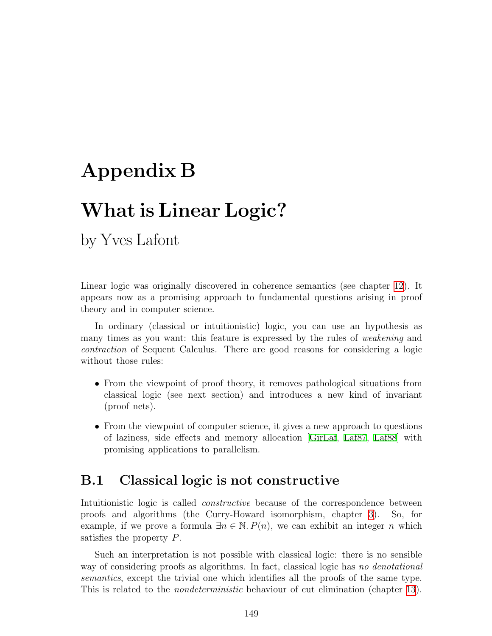# Appendix B

# What is Linear Logic?

by Yves Lafont

Linear logic was originally discovered in coherence semantics (see chapter [12](#page-101-0)). It appears now as a promising approach to fundamental questions arising in proof theory and in computer science.

In ordinary (classical or intuitionistic) logic, you can use an hypothesis as many times as you want: this feature is expressed by the rules of weakening and contraction of Sequent Calculus. There are good reasons for considering a logic without those rules:

- From the viewpoint of proof theory, it removes pathological situations from classical logic (see next section) and introduces a new kind of invariant (proof nets).
- From the viewpoint of computer science, it gives a new approach to questions of laziness, side effects and memory allocation [\[GirLaf](#page-169-1), [Laf87](#page-170-0), [Laf88\]](#page-170-1) with promising applications to parallelism.

# B.1 Classical logic is not constructive

Intuitionistic logic is called *constructive* because of the correspondence between proofs and algorithms (the Curry-Howard isomorphism, chapter [3\)](#page-21-0). So, for example, if we prove a formula  $\exists n \in \mathbb{N}$ .  $P(n)$ , we can exhibit an integer n which satisfies the property P.

Such an interpretation is not possible with classical logic: there is no sensible way of considering proofs as algorithms. In fact, classical logic has no denotational semantics, except the trivial one which identifies all the proofs of the same type. This is related to the nondeterministic behaviour of cut elimination (chapter [13\)](#page-111-0).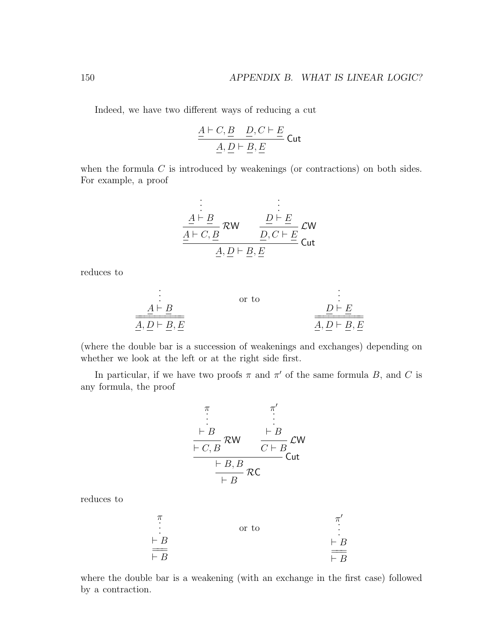Indeed, we have two different ways of reducing a cut

$$
\frac{\underline{A} \vdash C, \underline{B} \quad \underline{D}, C \vdash \underline{E}}{\underline{A}, \underline{D} \vdash \underline{B}, \underline{E}} \mathsf{Cut}
$$

when the formula  $C$  is introduced by weakenings (or contractions) on both sides. For example, a proof

$$
\frac{\underline{A} \vdash \underline{B}}{\underline{A} \vdash C, \underline{B}} \mathcal{R} \mathsf{W} \qquad \frac{\underline{D} \vdash \underline{E}}{\underline{D}, C \vdash \underline{E}} \mathcal{L} \mathsf{W}
$$
  

$$
\frac{\underline{A} \vdash \underline{B}}{\underline{A}, \underline{D} \vdash \underline{B}, \underline{E}} \mathsf{Cut}
$$

reduces to

$$
\frac{A \vdash B}{\frac{A \vdash B}{A, D \vdash B, E}}
$$
 or to 
$$
\frac{D \vdash E}{\frac{A, D \vdash B, E}{A, D \vdash B, E}}
$$

(where the double bar is a succession of weakenings and exchanges) depending on whether we look at the left or at the right side first.

In particular, if we have two proofs  $\pi$  and  $\pi'$  of the same formula B, and C is any formula, the proof

$$
\begin{array}{c}\n\pi \\
\vdots \\
\vdots \\
\hline\n\vdots \\
\hline\nE, B\n\end{array}\n\qquad\n\begin{array}{c}\n\pi' \\
\vdots \\
\hline\nE, B\n\end{array}\n\qquad\n\begin{array}{c}\n\pi' \\
\vdots \\
\hline\nE, B\n\end{array}\n\qquad\n\begin{array}{c}\n\text{C} \\
\downarrow \\
\hline\n\end{array}\n\qquad\n\begin{array}{c}\n\text{C} \\
\downarrow \\
\hline\n\end{array}
$$

reduces to

$$
\begin{array}{c}\n\pi \\
\vdots \\
\vdots \\
\vdots \\
\hline\n\end{array}\n\quad \text{or to} \quad\n\begin{array}{c}\n\pi' \\
\vdots \\
\vdots \\
\vdots \\
\hline\n\end{array}
$$

where the double bar is a weakening (with an exchange in the first case) followed by a contraction.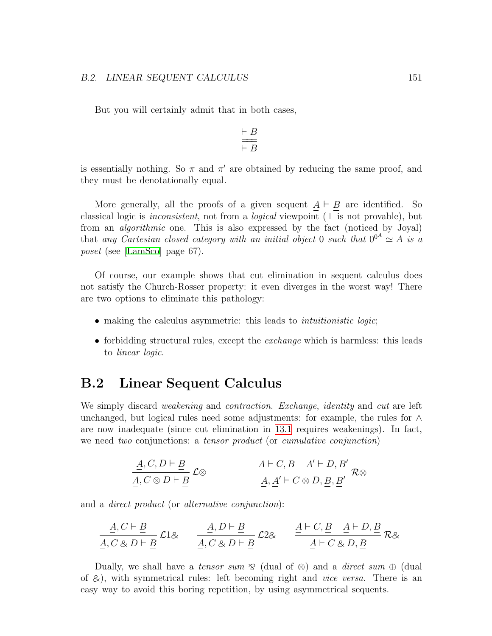But you will certainly admit that in both cases,

$$
\frac{\vdash B}{\vdash B}
$$

is essentially nothing. So  $\pi$  and  $\pi'$  are obtained by reducing the same proof, and they must be denotationally equal.

More generally, all the proofs of a given sequent  $\underline{A} \vdash \underline{B}$  are identified. So classical logic is *inconsistent*, not from a *logical* viewpoint ( $\perp$  is not provable), but from an algorithmic one. This is also expressed by the fact (noticed by Joyal) that any Cartesian closed category with an initial object 0 such that  $0^{0^A} \simeq A$  is a poset (see[[LamSco](#page-170-2)] page 67).

Of course, our example shows that cut elimination in sequent calculus does not satisfy the Church-Rosser property: it even diverges in the worst way! There are two options to eliminate this pathology:

- making the calculus asymmetric: this leads to *intuitionistic logic*;
- forbidding structural rules, except the *exchange* which is harmless: this leads to linear logic.

## B.2 Linear Sequent Calculus

We simply discard *weakening* and *contraction. Exchange, identity* and *cut* are left unchanged, but logical rules need some adjustments: for example, the rules for ∧ are now inadequate (since cut elimination in [13.1](#page-111-1) requires weakenings). In fact, we need two conjunctions: a tensor product (or cumulative conjunction)

$$
\frac{\underline{A}, C, D \vdash \underline{B}}{\underline{A}, C \otimes D \vdash \underline{B}} \mathcal{L} \otimes \frac{\underline{A} \vdash C, \underline{B} \quad \underline{A}' \vdash D, \underline{B}'}{\underline{A}, \underline{A}' \vdash C \otimes D, \underline{B}, \underline{B}'} \mathcal{R} \otimes
$$

and a *direct product* (or *alternative conjunction*):

$$
\underline{\frac{A, C \vdash B}{A, C \otimes D \vdash B}} \mathcal{L}1 \otimes \quad \frac{\underline{A, D \vdash B}}{\underline{A, C \otimes D \vdash B}} \mathcal{L}2 \otimes \quad \frac{\underline{A \vdash C, B} \quad \underline{A \vdash D, B}}{\underline{A \vdash C \otimes D, B}} \mathcal{R} \otimes
$$

Dually, we shall have a tensor sum  $\otimes$  (dual of  $\otimes$ ) and a direct sum  $\oplus$  (dual of  $\&$ ), with symmetrical rules: left becoming right and *vice versa*. There is an easy way to avoid this boring repetition, by using asymmetrical sequents.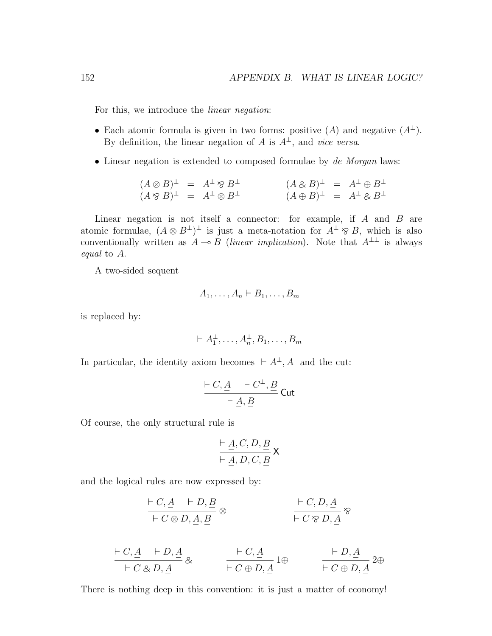For this, we introduce the *linear negation*:

- Each atomic formula is given in two forms: positive  $(A)$  and negative  $(A^{\perp})$ . By definition, the linear negation of A is  $A^{\perp}$ , and vice versa.
- Linear negation is extended to composed formulae by de Morgan laws:

$$
(A \otimes B)^{\perp} = A^{\perp} \otimes B^{\perp}
$$
  
\n
$$
(A \otimes B)^{\perp} = A^{\perp} \otimes B^{\perp}
$$
  
\n
$$
(A \otimes B)^{\perp} = A^{\perp} \otimes B^{\perp}
$$
  
\n
$$
(A \oplus B)^{\perp} = A^{\perp} \otimes B^{\perp}
$$

Linear negation is not itself a connector: for example, if  $A$  and  $B$  are atomic formulae,  $(A \otimes B^{\perp})^{\perp}$  is just a meta-notation for  $A^{\perp} \otimes B$ , which is also<br>conventionally written as  $A \circ B$  (linear implication). Note that  $A^{\perp\perp}$  is always conventionally written as  $A \rightarrow B$  (*linear implication*). Note that  $A^{\perp \perp}$  is always equal to A.

A two-sided sequent

$$
A_1,\ldots,A_n\vdash B_1,\ldots,B_m
$$

is replaced by:

$$
\vdash A_1^{\perp}, \ldots, A_n^{\perp}, B_1, \ldots, B_m
$$

In particular, the identity axiom becomes  $\vdash A^{\perp}, A$  and the cut:

$$
\frac{\vdash C, \underline{A}\quad \vdash C^{\bot}, \underline{B}}{\vdash \underline{A}, \underline{B}}\;\mathsf{Cut}
$$

Of course, the only structural rule is

$$
\frac{\vdash \underline{A}, C, D, \underline{B}}{\vdash \underline{A}, D, C, \underline{B}} \mathsf{X}
$$

and the logical rules are now expressed by:

$$
\frac{\vdash C, \underline{A} \quad \vdash D, \underline{B}}{\vdash C \otimes D, \underline{A}, \underline{B}} \otimes \qquad \qquad \frac{\vdash C, D, \underline{A}}{\vdash C \otimes D, \underline{A}} \otimes
$$

$$
\frac{\vdash C, \underline{A} \quad \vdash D, \underline{A}}{\vdash C \otimes D, \underline{A}} \otimes \qquad \frac{\vdash C, \underline{A}}{\vdash C \oplus D, \underline{A}} 1 \oplus \qquad \frac{\vdash D, \underline{A}}{\vdash C \oplus D, \underline{A}} 2 \oplus
$$

There is nothing deep in this convention: it is just a matter of economy!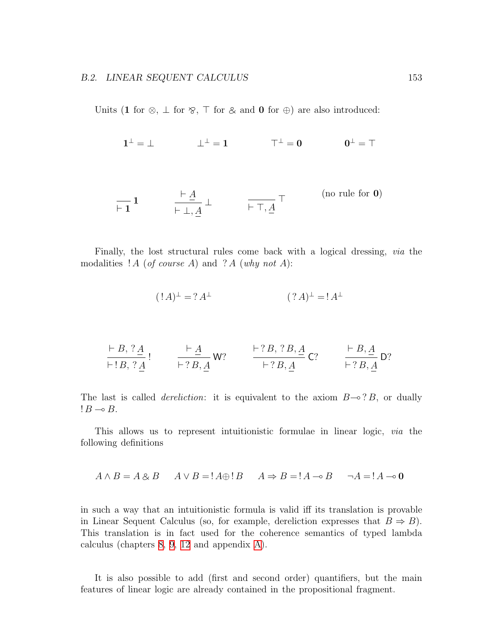Units (1 for  $\otimes$ ,  $\perp$  for  $\otimes$ ,  $\perp$  for  $\otimes$  and 0 for  $\oplus$ ) are also introduced:

 $1^{\perp} = \perp$   $1^{\perp} = 1$   $7^{\perp} = 0$   $0^{\perp} = T$ 

$$
\frac{\vdash A}{\vdash \mathbf{1}} \qquad \qquad \frac{\vdash A}{\vdash \bot, A} \perp \qquad \qquad \frac{\vdash \top, \underline{A}}{\vdash \top, \underline{A}} \top \qquad \qquad \text{(no rule for 0)}
$$

Finally, the lost structural rules come back with a logical dressing, via the modalities  $'A$  (of course A) and  $?A$  (why not A):

$$
(\mathord{!} A)^{\perp} = \mathord{?} A^{\perp} \tag{?} A)^{\perp} = \mathord{!} A^{\perp}
$$

$$
\frac{\vdash B, ?\underline{A}}{\vdash !B, ?\underline{A}} ! \qquad \frac{\vdash \underline{A}}{\vdash ?\underline{B}, \underline{A}} \mathsf{W} ? \qquad \frac{\vdash ?\underline{B}, ?\underline{B}, \underline{A}}{\vdash ?\underline{B}, \underline{A}} \mathsf{C} ? \qquad \frac{\vdash B, \underline{A}}{\vdash ?\underline{B}, \underline{A}} \mathsf{D} ?
$$

The last is called *dereliction*: it is equivalent to the axiom  $B \sim ?B$ , or dually  $B \rightarrow B$ .

This allows us to represent intuitionistic formulae in linear logic, via the following definitions

$$
A \wedge B = A \otimes B \qquad A \vee B = A \oplus B
$$
\n
$$
A \Rightarrow B = A \rightarrow B \qquad A = A \rightarrow 0
$$

in such a way that an intuitionistic formula is valid iff its translation is provable in Linear Sequent Calculus (so, for example, dereliction expresses that  $B \Rightarrow B$ ). This translation is in fact used for the coherence semantics of typed lambda calculus (chapters [8](#page-60-0), [9,](#page-73-0) [12](#page-101-0) and appendix [A](#page-138-1)).

It is also possible to add (first and second order) quantifiers, but the main features of linear logic are already contained in the propositional fragment.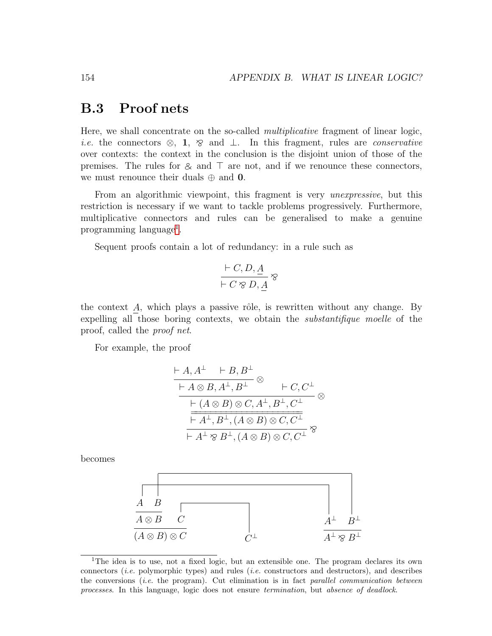# B.3 Proof nets

Here, we shall concentrate on the so-called multiplicative fragment of linear logic, *i.e.* the connectors  $\otimes$ , 1,  $\otimes$  and  $\perp$ . In this fragment, rules are *conservative* over contexts: the context in the conclusion is the disjoint union of those of the premises. The rules for  $\&$  and  $\top$  are not, and if we renounce these connectors, we must renounce their duals  $\oplus$  and **0**.

From an algorithmic viewpoint, this fragment is very *unexpressive*, but this restriction is necessary if we want to tackle problems progressively. Furthermore, multiplicative connectors and rules can be generalised to make a genuine programming language<sup>[1](#page-161-0)</sup>.

Sequent proofs contain a lot of redundancy: in a rule such as

$$
\frac{\vdash C, D, \underline{A}}{\vdash C \otimes D, \underline{A}} \otimes
$$

the context  $A$ , which plays a passive rôle, is rewritten without any change. By expelling all those boring contexts, we obtain the substantifique moelle of the proof, called the proof net.

For example, the proof

$$
\frac{\vdash A, A^{\perp} \quad \vdash B, B^{\perp}}{\vdash A \otimes B, A^{\perp}, B^{\perp}} \otimes \\
\frac{\vdash (A \otimes B) \otimes C, A^{\perp}, B^{\perp}, C^{\perp}}{\vdash A^{\perp}, B^{\perp}, (A \otimes B) \otimes C, C^{\perp}} \\
\frac{\vdash (A \otimes B) \otimes C, C^{\perp}}{\vdash A^{\perp} \otimes B^{\perp}, (A \otimes B) \otimes C, C^{\perp}} \otimes
$$

becomes



<span id="page-161-0"></span><sup>1</sup>The idea is to use, not a fixed logic, but an extensible one. The program declares its own connectors *(i.e.* polymorphic types) and rules *(i.e.* constructors and destructors), and describes the conversions *(i.e.* the program). Cut elimination is in fact *parallel communication between* processes. In this language, logic does not ensure termination, but absence of deadlock.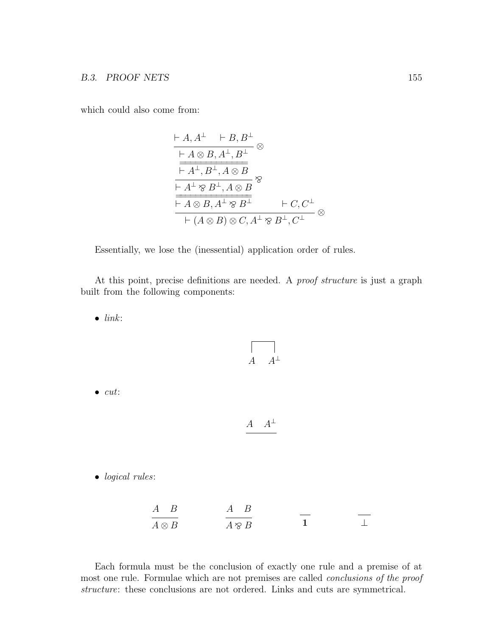which could also come from:

$$
\frac{\vdash A, A^{\perp} \quad \vdash B, B^{\perp}}{\vdash A \otimes B, A^{\perp}, B^{\perp}} \otimes
$$
\n
$$
\frac{\vdash A^{\perp}, B^{\perp}, A \otimes B}{\vdash A^{\perp} \otimes B^{\perp}, A \otimes B} \otimes
$$
\n
$$
\frac{\vdash A^{\perp} \otimes B^{\perp}, A \otimes B}{\vdash A \otimes B, A^{\perp} \otimes B^{\perp}} \quad \vdash C, C^{\perp}
$$
\n
$$
\vdash (A \otimes B) \otimes C, A^{\perp} \otimes B^{\perp}, C^{\perp}
$$

Essentially, we lose the (inessential) application order of rules.

At this point, precise definitions are needed. A *proof structure* is just a graph built from the following components:

 $\bullet$  link:

$$
\begin{array}{cc} | & | \\ A & A^{\perp} \end{array}
$$

 $\bullet$  cut:

$$
A-A^\perp
$$

- logical rules:
	- A B  $A \otimes B$ A B  $\overline{A \otimes B}$  1  $\perp$

Each formula must be the conclusion of exactly one rule and a premise of at most one rule. Formulae which are not premises are called *conclusions of the proof* structure: these conclusions are not ordered. Links and cuts are symmetrical.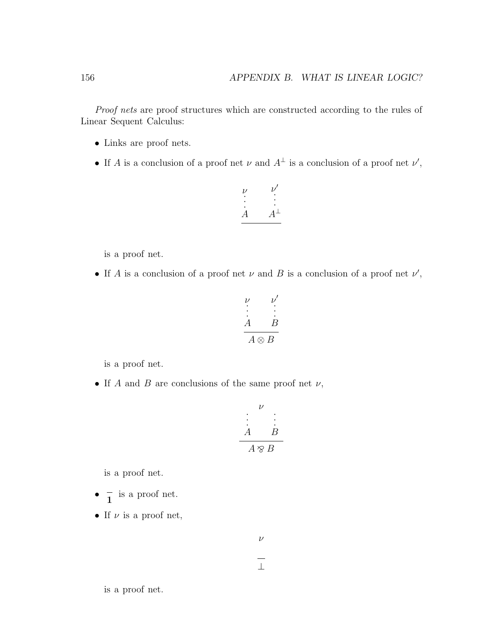Proof nets are proof structures which are constructed according to the rules of Linear Sequent Calculus:

- Links are proof nets.
- If A is a conclusion of a proof net  $\nu$  and  $A^{\perp}$  is a conclusion of a proof net  $\nu'$ ,



is a proof net.

• If A is a conclusion of a proof net  $\nu$  and B is a conclusion of a proof net  $\nu'$ ,

$$
\begin{array}{ccc}\nU & & \nu' \\
\vdots & & \vdots \\
A & & B \\
\hline\nA \otimes B\n\end{array}
$$

is a proof net.

• If A and B are conclusions of the same proof net  $\nu$ ,

$$
\begin{array}{c}\n \nu \\
 \vdots \\
 A & B \\
 \hline\n A \otimes B\n \end{array}
$$

is a proof net.

- $\frac{1}{1}$  is a proof net.
- If  $\nu$  is a proof net,

ν

is a proof net.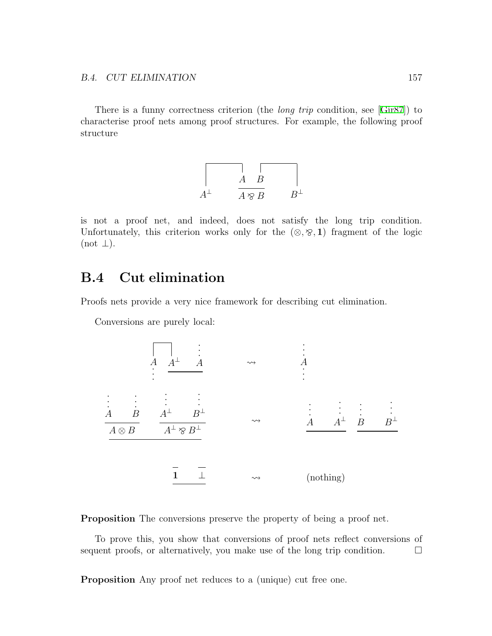Thereis a funny correctness criterion (the *long trip* condition, see [[Gir87](#page-169-2)]) to characterise proof nets among proof structures. For example, the following proof structure

$$
\begin{array}{ccc}\n & A & B \\
 & A \otimes B & B^{\perp}\n\end{array}
$$

is not a proof net, and indeed, does not satisfy the long trip condition. Unfortunately, this criterion works only for the  $(\otimes, \otimes, 1)$  fragment of the logic  $(\text{not }\perp).$ 

# B.4 Cut elimination

Proofs nets provide a very nice framework for describing cut elimination.

Conversions are purely local:



Proposition The conversions preserve the property of being a proof net.

To prove this, you show that conversions of proof nets reflect conversions of sequent proofs, or alternatively, you make use of the long trip condition.  $\Box$ 

Proposition Any proof net reduces to a (unique) cut free one.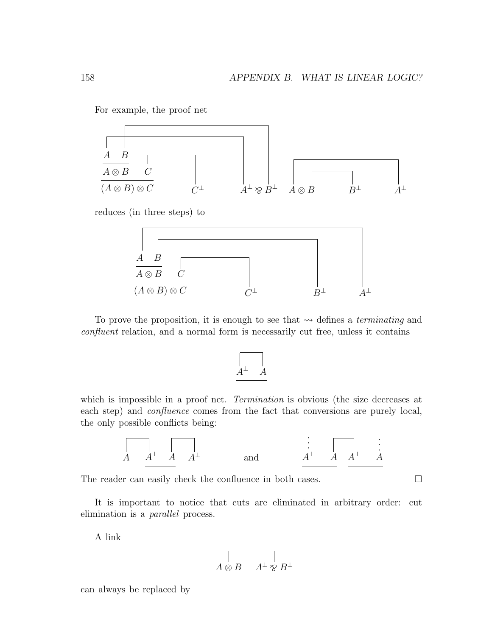For example, the proof net



reduces (in three steps) to



To prove the proposition, it is enough to see that  $\leadsto$  defines a *terminating* and confluent relation, and a normal form is necessarily cut free, unless it contains

$$
\begin{array}{c}\n\begin{array}{c}\n\downarrow \\
A^{\perp}\n\end{array}\n\end{array}
$$

which is impossible in a proof net. *Termination* is obvious (the size decreases at each step) and *confluence* comes from the fact that conversions are purely local, the only possible conflicts being:



The reader can easily check the confluence in both cases.

It is important to notice that cuts are eliminated in arbitrary order: cut elimination is a parallel process.

A link

$$
\begin{array}{cc} & | & | \\ A \otimes B & A^{\perp} \otimes B^{\perp} \end{array}
$$

can always be replaced by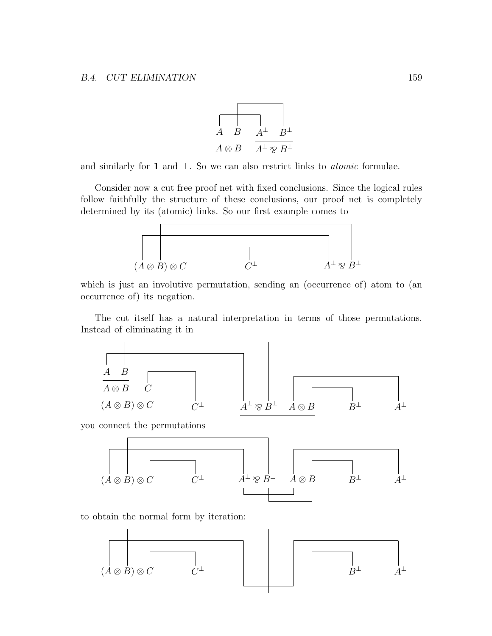

and similarly for 1 and  $\perp$ . So we can also restrict links to *atomic* formulae.

Consider now a cut free proof net with fixed conclusions. Since the logical rules follow faithfully the structure of these conclusions, our proof net is completely determined by its (atomic) links. So our first example comes to



which is just an involutive permutation, sending an (occurrence of) atom to (an occurrence of) its negation.

The cut itself has a natural interpretation in terms of those permutations. Instead of eliminating it in



you connect the permutations



to obtain the normal form by iteration:

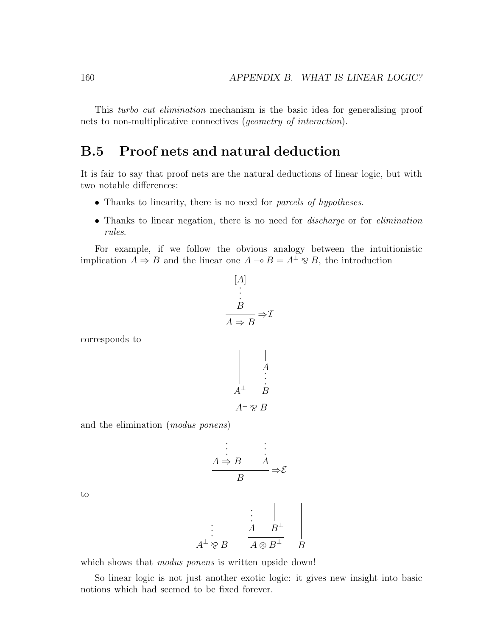This turbo cut elimination mechanism is the basic idea for generalising proof nets to non-multiplicative connectives (geometry of interaction).

# B.5 Proof nets and natural deduction

It is fair to say that proof nets are the natural deductions of linear logic, but with two notable differences:

- Thanks to linearity, there is no need for *parcels of hypotheses*.
- Thanks to linear negation, there is no need for *discharge* or for *elimination* rules.

For example, if we follow the obvious analogy between the intuitionistic implication  $A \Rightarrow B$  and the linear one  $A \to B = A^{\perp} \otimes B$ , the introduction

$$
[A] \begin{array}{c} [A] \\ \vdots \\ B \\ \hline A \Rightarrow B \end{array} \Rightarrow \mathcal{I}
$$

corresponds to

$$
\begin{array}{c}\n\begin{array}{c}\nA^{\perp} \\
\vdots \\
A^{\perp} \\
B\n\end{array}\n\end{array}
$$

and the elimination (modus ponens)

$$
\begin{array}{ccc}\n\vdots & \vdots \\
A \Rightarrow B & A \\
\hline\nB & & & \Rightarrow \mathcal{E}\n\end{array}
$$

to

$$
\begin{array}{c}\n\vdots & A & B^{\perp} \\
\downarrow & A \otimes B & A \otimes B^{\perp} \\
B\n\end{array}
$$

which shows that *modus ponens* is written upside down!

So linear logic is not just another exotic logic: it gives new insight into basic notions which had seemed to be fixed forever.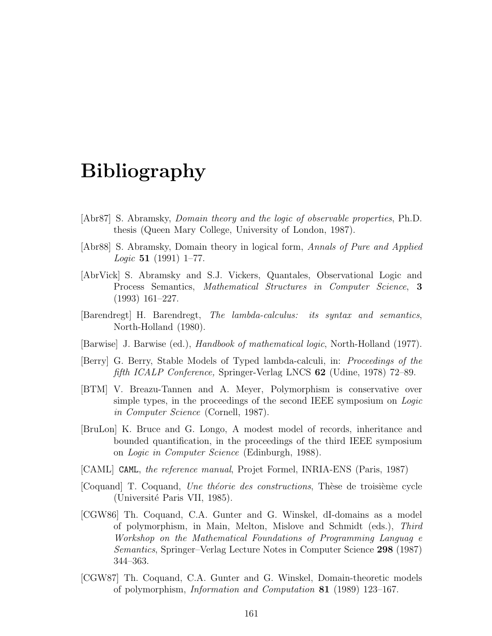# Bibliography

- [Abr87] S. Abramsky, Domain theory and the logic of observable properties, Ph.D. thesis (Queen Mary College, University of London, 1987).
- [Abr88] S. Abramsky, Domain theory in logical form, Annals of Pure and Applied *Logic* 51 (1991) 1–77.
- [AbrVick] S. Abramsky and S.J. Vickers, Quantales, Observational Logic and Process Semantics, Mathematical Structures in Computer Science, 3 (1993) 161–227.
- [Barendregt] H. Barendregt, The lambda-calculus: its syntax and semantics, North-Holland (1980).
- [Barwise] J. Barwise (ed.), Handbook of mathematical logic, North-Holland (1977).
- [Berry] G. Berry, Stable Models of Typed lambda-calculi, in: Proceedings of the fifth ICALP Conference, Springer-Verlag LNCS 62 (Udine, 1978) 72–89.
- [BTM] V. Breazu-Tannen and A. Meyer, Polymorphism is conservative over simple types, in the proceedings of the second IEEE symposium on Logic in Computer Science (Cornell, 1987).
- [BruLon] K. Bruce and G. Longo, A modest model of records, inheritance and bounded quantification, in the proceedings of the third IEEE symposium on Logic in Computer Science (Edinburgh, 1988).
- [CAML] CAML, the reference manual, Projet Formel, INRIA-ENS (Paris, 1987)
- [Coquand] T. Coquand, Une théorie des constructions, Thèse de troisième cycle (Université Paris VII, 1985).
- [CGW86] Th. Coquand, C.A. Gunter and G. Winskel, dI-domains as a model of polymorphism, in Main, Melton, Mislove and Schmidt (eds.), Third Workshop on the Mathematical Foundations of Programming Languag e Semantics, Springer–Verlag Lecture Notes in Computer Science 298 (1987) 344–363.
- [CGW87] Th. Coquand, C.A. Gunter and G. Winskel, Domain-theoretic models of polymorphism, Information and Computation 81 (1989) 123–167.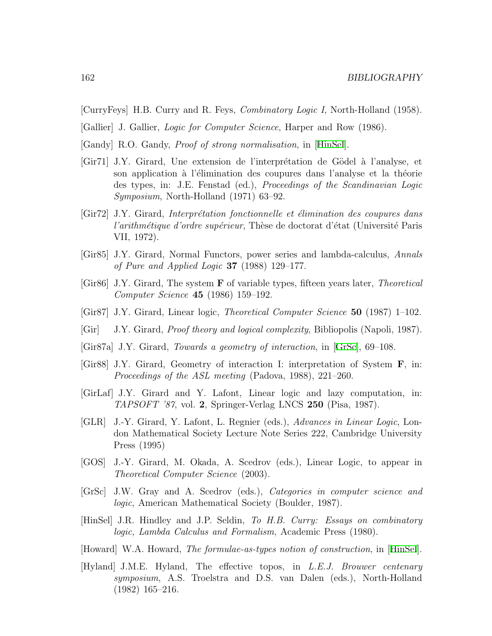- [CurryFeys] H.B. Curry and R. Feys, Combinatory Logic I, North-Holland (1958).
- [Gallier] J. Gallier, Logic for Computer Science, Harper and Row (1986).
- [Gandy] R.O. Gandy, Proof of strong normalisation, in[[HinSel](#page-169-3)].
- [Gir71] J.Y. Girard, Une extension de l'interprétation de Gödel à l'analyse, et son application à l'élimination des coupures dans l'analyse et la théorie des types, in: J.E. Fenstad (ed.), Proceedings of the Scandinavian Logic Symposium, North-Holland (1971) 63–92.
- [Gir72] J.Y. Girard, *Interprétation fonctionnelle et élimination des coupures dans* l'arithmétique d'ordre supérieur, Thèse de doctorat d'état (Université Paris VII, 1972).
- <span id="page-169-0"></span>[Gir85] J.Y. Girard, Normal Functors, power series and lambda-calculus, Annals of Pure and Applied Logic 37 (1988) 129–177.
- [Gir86] J.Y. Girard, The system F of variable types, fifteen years later, Theoretical Computer Science 45 (1986) 159–192.
- <span id="page-169-2"></span>[Gir87] J.Y. Girard, Linear logic, Theoretical Computer Science 50 (1987) 1–102.
- [Gir] J.Y. Girard, Proof theory and logical complexity, Bibliopolis (Napoli, 1987).
- [Gir87a] J.Y. Girard, Towards a geometry of interaction, in[[GrSc](#page-169-4)], 69–108.
- [Gir88] J.Y. Girard, Geometry of interaction I: interpretation of System F, in: Proceedings of the ASL meeting (Padova, 1988), 221–260.
- <span id="page-169-1"></span>[GirLaf] J.Y. Girard and Y. Lafont, Linear logic and lazy computation, in: TAPSOFT '87, vol. 2, Springer-Verlag LNCS 250 (Pisa, 1987).
- [GLR] J.-Y. Girard, Y. Lafont, L. Regnier (eds.), Advances in Linear Logic, London Mathematical Society Lecture Note Series 222, Cambridge University Press (1995)
- [GOS] J.-Y. Girard, M. Okada, A. Scedrov (eds.), Linear Logic, to appear in Theoretical Computer Science (2003).
- <span id="page-169-4"></span>[GrSc] J.W. Gray and A. Scedrov (eds.), Categories in computer science and logic, American Mathematical Society (Boulder, 1987).
- <span id="page-169-3"></span>[HinSel] J.R. Hindley and J.P. Seldin, To H.B. Curry: Essays on combinatory logic, Lambda Calculus and Formalism, Academic Press (1980).
- [Howard] W.A. Howard, The formulae-as-types notion of construction, in[[HinSel](#page-169-3)].
- [Hyland] J.M.E. Hyland, The effective topos, in L.E.J. Brouwer centenary symposium, A.S. Troelstra and D.S. van Dalen (eds.), North-Holland (1982) 165–216.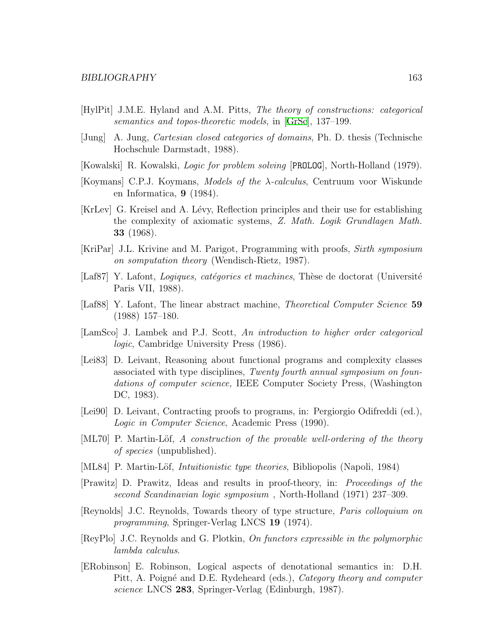- [HylPit] J.M.E. Hyland and A.M. Pitts, The theory of constructions: categorical semantics and topos-theoretic models, in[[GrSc](#page-169-4)], 137–199.
- [Jung] A. Jung, Cartesian closed categories of domains, Ph. D. thesis (Technische Hochschule Darmstadt, 1988).
- [Kowalski] R. Kowalski, Logic for problem solving [PROLOG], North-Holland (1979).
- [Koymans] C.P.J. Koymans, *Models of the*  $\lambda$ *-calculus*, Centruum voor Wiskunde en Informatica, 9 (1984).
- [KrLev] G. Kreisel and A. Lévy, Reflection principles and their use for establishing the complexity of axiomatic systems, Z. Math. Logik Grundlagen Math. 33 (1968).
- [KriPar] J.L. Krivine and M. Parigot, Programming with proofs, Sixth symposium on somputation theory (Wendisch-Rietz, 1987).
- <span id="page-170-0"></span>[Laf87] Y. Lafont, *Logiques, catégories et machines*, Thèse de doctorat (Université Paris VII, 1988).
- <span id="page-170-1"></span>[Laf88] Y. Lafont, The linear abstract machine, *Theoretical Computer Science* 59 (1988) 157–180.
- <span id="page-170-2"></span>[LamSco] J. Lambek and P.J. Scott, An introduction to higher order categorical logic, Cambridge University Press (1986).
- [Lei83] D. Leivant, Reasoning about functional programs and complexity classes associated with type disciplines, Twenty fourth annual symposium on foundations of computer science, IEEE Computer Society Press, (Washington DC, 1983).
- [Lei90] D. Leivant, Contracting proofs to programs, in: Pergiorgio Odifreddi (ed.), Logic in Computer Science, Academic Press (1990).
- [ML70] P. Martin-Löf, A construction of the provable well-ordering of the theory of species (unpublished).
- [ML84] P. Martin-Löf, *Intuitionistic type theories*, Bibliopolis (Napoli, 1984)
- [Prawitz] D. Prawitz, Ideas and results in proof-theory, in: Proceedings of the second Scandinavian logic symposium , North-Holland (1971) 237–309.
- [Reynolds] J.C. Reynolds, Towards theory of type structure, Paris colloquium on programming, Springer-Verlag LNCS 19 (1974).
- [ReyPlo] J.C. Reynolds and G. Plotkin, On functors expressible in the polymorphic lambda calculus.
- [ERobinson] E. Robinson, Logical aspects of denotational semantics in: D.H. Pitt, A. Poigné and D.E. Rydeheard (eds.), Category theory and computer science LNCS 283, Springer-Verlag (Edinburgh, 1987).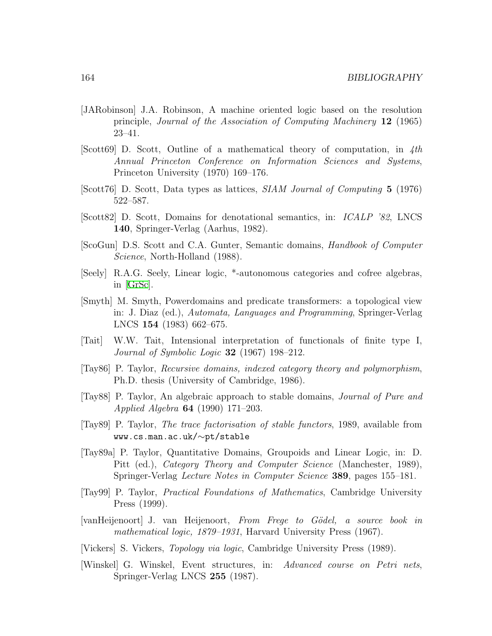- [JARobinson] J.A. Robinson, A machine oriented logic based on the resolution principle, Journal of the Association of Computing Machinery 12 (1965) 23–41.
- [Scott69] D. Scott, Outline of a mathematical theory of computation, in 4th Annual Princeton Conference on Information Sciences and Systems, Princeton University (1970) 169–176.
- [Scott76] D. Scott, Data types as lattices, SIAM Journal of Computing 5 (1976) 522–587.
- [Scott82] D. Scott, Domains for denotational semantics, in: ICALP '82, LNCS 140, Springer-Verlag (Aarhus, 1982).
- [ScoGun] D.S. Scott and C.A. Gunter, Semantic domains, Handbook of Computer Science, North-Holland (1988).
- [Seely] R.A.G. Seely, Linear logic, \*-autonomous categories and cofree algebras, in [\[GrSc\]](#page-169-4).
- [Smyth] M. Smyth, Powerdomains and predicate transformers: a topological view in: J. Diaz (ed.), Automata, Languages and Programming, Springer-Verlag LNCS 154 (1983) 662–675.
- [Tait] W.W. Tait, Intensional interpretation of functionals of finite type I, Journal of Symbolic Logic 32 (1967) 198–212.
- [Tay86] P. Taylor, Recursive domains, indexed category theory and polymorphism, Ph.D. thesis (University of Cambridge, 1986).
- [Tay88] P. Taylor, An algebraic approach to stable domains, Journal of Pure and Applied Algebra 64 (1990) 171–203.
- [Tay89] P. Taylor, The trace factorisation of stable functors, 1989, available from www.cs.man.ac.uk/∼pt/stable
- [Tay89a] P. Taylor, Quantitative Domains, Groupoids and Linear Logic, in: D. Pitt (ed.), Category Theory and Computer Science (Manchester, 1989), Springer-Verlag Lecture Notes in Computer Science 389, pages 155–181.
- [Tay99] P. Taylor, Practical Foundations of Mathematics, Cambridge University Press (1999).
- [vanHeijenoort] J. van Heijenoort, From Frege to Gödel, a source book in mathematical logic, 1879–1931, Harvard University Press (1967).
- [Vickers] S. Vickers, Topology via logic, Cambridge University Press (1989).
- [Winskel] G. Winskel, Event structures, in: Advanced course on Petri nets, Springer-Verlag LNCS 255 (1987).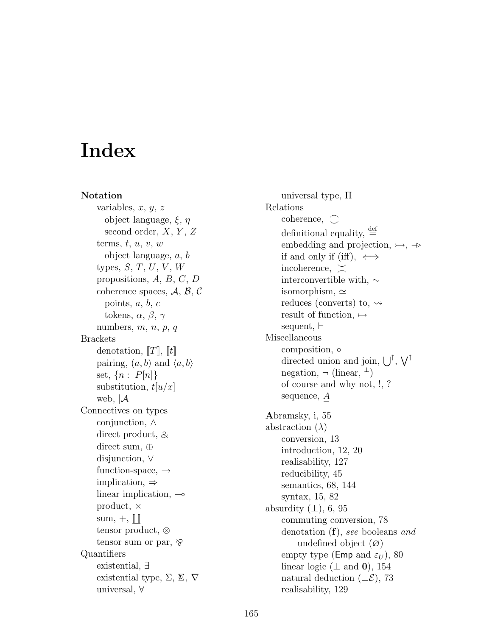# Index

## Notation

variables,  $x, y, z$ object language,  $\xi$ ,  $\eta$ second order,  $X, Y, Z$ terms,  $t, u, v, w$ object language, a, b types,  $S, T, U, V, W$ propositions,  $A, B, C, D$ coherence spaces,  $A, B, C$ points,  $a, b, c$ tokens,  $\alpha$ ,  $\beta$ ,  $\gamma$ numbers,  $m, n, p, q$ Brackets denotation,  $||T||$ ,  $||t||$ pairing,  $(a, b)$  and  $\langle a, b \rangle$ set,  $\{n : P[n]\}$ substitution,  $t[u/x]$ web,  $|\mathcal{A}|$ Connectives on types conjunction, ∧ direct product, & direct sum, ⊕ disjunction, ∨ function-space,  $\rightarrow$ implication, ⇒ linear implication,  $\rightarrow$ product, × sum,  $+, \Pi$ tensor product, ⊗ tensor sum or par,  $\vartheta$ Quantifiers existential, ∃ existential type,  $\Sigma$ ,  $\Sigma$ ,  $\nabla$ universal, ∀

universal type, Π Relations coherence,  $\bigcirc$ definitional equality,  $\stackrel{\text{def}}{=}$ embedding and projection,  $\rightarrow$ ,  $\rightarrow$ if and only if (iff),  $\iff$ incoherence,  $\geq$ interconvertible with,  $\sim$ isomorphism,  $\simeq$ reduces (converts) to,  $\rightsquigarrow$ result of function,  $\mapsto$ sequent,  $\vdash$ Miscellaneous composition, ◦ directed union and join,  $\bigcup^{\uparrow}$ ,  $\bigvee^{\uparrow}$ negation,  $\neg$  (linear,  $\perp$ ) of course and why not, !, ? sequence, A Abramsky, i, 55 abstraction  $(\lambda)$ conversion, 13 introduction, 12, 20 realisability, 127 reducibility, 45 semantics, 68, 144 syntax, 15, 82 absurdity  $(\perp)$ , 6, 95 commuting conversion, 78 denotation (f), see booleans and undefined object  $(\varnothing)$ empty type (Emp and  $\varepsilon_U$ ), 80 linear logic ( $\perp$  and 0), 154 natural deduction  $(\perp \mathcal{E})$ , 73 realisability, 129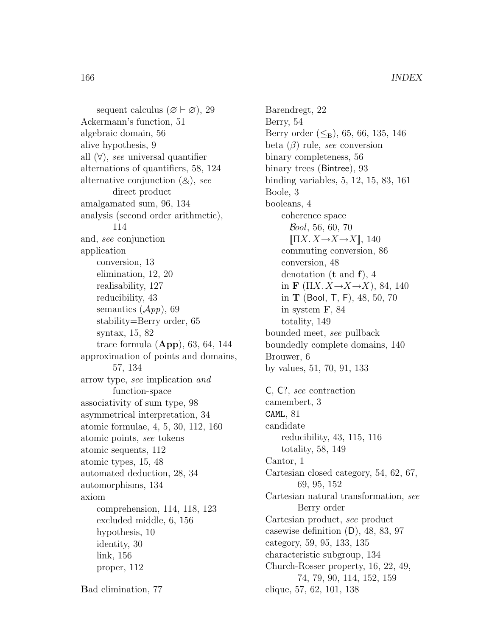sequent calculus ( $\varnothing \vdash \varnothing$ ), 29 Ackermann's function, 51 algebraic domain, 56 alive hypothesis, 9 all  $(\forall)$ , see universal quantifier alternations of quantifiers, 58, 124 alternative conjunction  $(8)$ , see direct product amalgamated sum, 96, 134 analysis (second order arithmetic), 114 and, see conjunction application conversion, 13 elimination, 12, 20 realisability, 127 reducibility, 43 semantics  $(\mathcal{A}pp)$ , 69 stability=Berry order, 65 syntax, 15, 82 trace formula (App), 63, 64, 144 approximation of points and domains, 57, 134 arrow type, see implication and function-space associativity of sum type, 98 asymmetrical interpretation, 34 atomic formulae, 4, 5, 30, 112, 160 atomic points, see tokens atomic sequents, 112 atomic types, 15, 48 automated deduction, 28, 34 automorphisms, 134 axiom comprehension, 114, 118, 123 excluded middle, 6, 156 hypothesis, 10 identity, 30 link, 156 proper, 112

Bad elimination, 77

Barendregt, 22 Berry, 54 Berry order  $(\leq_B)$ , 65, 66, 135, 146 beta  $(\beta)$  rule, see conversion binary completeness, 56 binary trees (Bintree), 93 binding variables, 5, 12, 15, 83, 161 Boole, 3 booleans, 4 coherence space  $Bool, 56, 60, 70$  $[\Pi X. X \rightarrow X \rightarrow X]$ , 140 commuting conversion, 86 conversion, 48 denotation  $(\mathbf{t} \text{ and } \mathbf{f}), 4$ in  $\mathbf{F}$  (ΠX,  $X \rightarrow X \rightarrow X$ ), 84, 140 in **T** (Bool, T, F), 48, 50, 70 in system F, 84 totality, 149 bounded meet, see pullback boundedly complete domains, 140 Brouwer, 6 by values, 51, 70, 91, 133 C, C?, see contraction camembert, 3 CAML, 81 candidate reducibility, 43, 115, 116 totality, 58, 149 Cantor, 1 Cartesian closed category, 54, 62, 67, 69, 95, 152 Cartesian natural transformation, see Berry order Cartesian product, see product casewise definition (D), 48, 83, 97 category, 59, 95, 133, 135 characteristic subgroup, 134 Church-Rosser property, 16, 22, 49, 74, 79, 90, 114, 152, 159 clique, 57, 62, 101, 138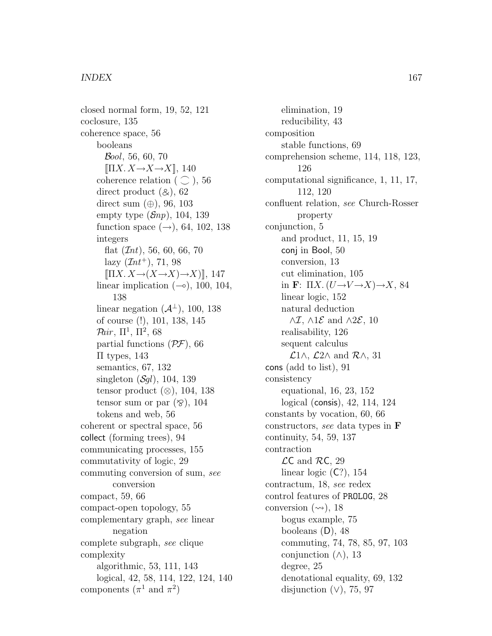## INDEX 167

closed normal form, 19, 52, 121 coclosure, 135 coherence space, 56 booleans Bool, 56, 60, 70  $[\Pi X. X \rightarrow X \rightarrow X]$ , 140 coherence relation  $(\circlearrowright)$ , 56 direct product  $(8)$ , 62 direct sum  $(\oplus)$ , 96, 103 empty type  $(\mathcal{E}mp)$ , 104, 139 function space  $(\rightarrow)$ , 64, 102, 138 integers flat  $(\mathcal{I}nt)$ , 56, 60, 66, 70  $l$ azy  $(\mathcal{I}nt^+), 71, 98$  $[\Pi X. X \rightarrow (X \rightarrow X) \rightarrow X]$ , 147 linear implication  $(-\circ)$ , 100, 104, 138 linear negation  $(\mathcal{A}^{\perp})$ , 100, 138 of course (!), 101, 138, 145  $\mathcal{P}air, \Pi^1, \Pi^2, 68$ partial functions  $(\mathcal{PF})$ , 66 Π types, 143 semantics, 67, 132 singleton  $(Sgl)$ , 104, 139 tensor product  $(\otimes)$ , 104, 138 tensor sum or par  $(\mathcal{D}), 104$ tokens and web, 56 coherent or spectral space, 56 collect (forming trees), 94 communicating processes, 155 commutativity of logic, 29 commuting conversion of sum, see conversion compact, 59, 66 compact-open topology, 55 complementary graph, see linear negation complete subgraph, see clique complexity algorithmic, 53, 111, 143 logical, 42, 58, 114, 122, 124, 140 components  $(\pi^1 \text{ and } \pi^2)$ 

elimination, 19 reducibility, 43 composition stable functions, 69 comprehension scheme, 114, 118, 123, 126 computational significance, 1, 11, 17, 112, 120 confluent relation, see Church-Rosser property conjunction, 5 and product, 11, 15, 19 conj in Bool, 50 conversion, 13 cut elimination, 105 in **F**:  $\Pi X$ .  $(U \rightarrow V \rightarrow X) \rightarrow X$ , 84 linear logic, 152 natural deduction  $\wedge \mathcal{I}$ ,  $\wedge 1\mathcal{E}$  and  $\wedge 2\mathcal{E}$ , 10 realisability, 126 sequent calculus  $\mathcal{L}1\wedge$ ,  $\mathcal{L}2\wedge$  and  $\mathcal{R}\wedge$ , 31 cons (add to list), 91 consistency equational, 16, 23, 152 logical (consis), 42, 114, 124 constants by vocation, 60, 66 constructors, see data types in F continuity, 54, 59, 137 contraction  $LC$  and RC, 29 linear logic  $(C?)$ , 154 contractum, 18, see redex control features of PROLOG, 28 conversion  $(\rightsquigarrow)$ , 18 bogus example, 75 booleans (D), 48 commuting, 74, 78, 85, 97, 103 conjunction  $(\wedge)$ , 13 degree, 25 denotational equality, 69, 132 disjunction  $(V)$ , 75, 97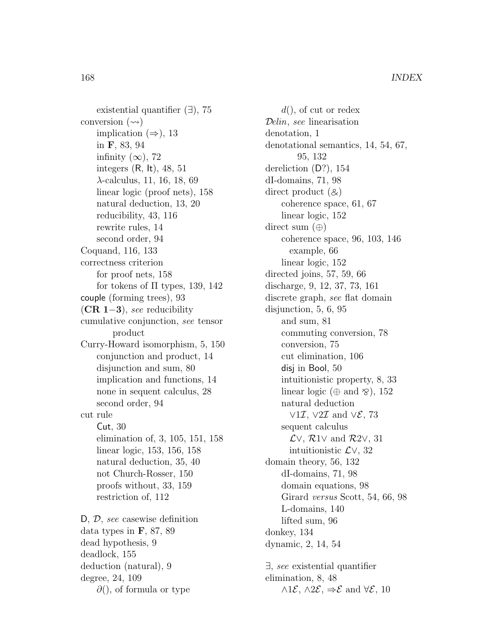$d()$ , of cut or redex Delin, see linearisation

95, 132 dereliction (D?), 154 dI-domains, 71, 98 direct product  $(8)$ 

linear logic, 152

example, 66 linear logic, 152

direct sum  $(\oplus)$ 

denotational semantics, 14, 54, 67,

coherence space, 61, 67

coherence space, 96, 103, 146

denotation, 1

existential quantifier  $(∃), 75$ conversion  $(\rightsquigarrow)$ implication  $(\Rightarrow)$ , 13 in F, 83, 94 infinity  $(\infty)$ , 72 integers (R, It), 48, 51 λ-calculus, 11, 16, 18, 69 linear logic (proof nets), 158 natural deduction, 13, 20 reducibility, 43, 116 rewrite rules, 14 second order, 94 Coquand, 116, 133 correctness criterion for proof nets, 158 for tokens of  $\Pi$  types, 139, 142 couple (forming trees), 93  $(CR 1–3)$ , see reducibility cumulative conjunction, see tensor product Curry-Howard isomorphism, 5, 150 conjunction and product, 14 disjunction and sum, 80 implication and functions, 14 none in sequent calculus, 28 second order, 94 cut rule Cut, 30 elimination of, 3, 105, 151, 158 linear logic, 153, 156, 158 natural deduction, 35, 40 not Church-Rosser, 150 proofs without, 33, 159 restriction of, 112 D, D, see casewise definition data types in  $\mathbf{F}$ , 87, 89 dead hypothesis, 9

deadlock, 155

degree, 24, 109

deduction (natural), 9

 $\partial$ (), of formula or type

directed joins, 57, 59, 66 discharge, 9, 12, 37, 73, 161 discrete graph, see flat domain disjunction, 5, 6, 95 and sum, 81 commuting conversion, 78 conversion, 75 cut elimination, 106 disj in Bool, 50 intuitionistic property, 8, 33 linear logic ( $\oplus$  and  $\otimes$ ), 152 natural deduction  $\vee$ 1*I*,  $\vee$ 2*I* and  $\vee$ *E*, 73 sequent calculus  $\mathcal{L} \vee$ ,  $\mathcal{R} 1 \vee$  and  $\mathcal{R} 2 \vee$ , 31 intuitionistic  $\mathcal{L} \vee$ , 32 domain theory, 56, 132 dI-domains, 71, 98 domain equations, 98 Girard *versus* Scott, 54, 66, 98 L-domains, 140 lifted sum, 96 donkey, 134 dynamic, 2, 14, 54 ∃, see existential quantifier elimination, 8, 48  $\wedge 1\mathcal{E}, \wedge 2\mathcal{E}, \Rightarrow \mathcal{E}$  and  $\forall \mathcal{E}, 10$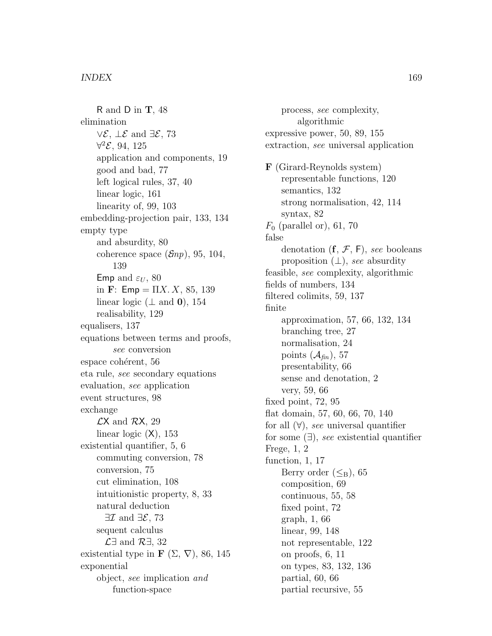R and D in  $T$ , 48 elimination  $\vee$ *E*,  $\perp$ *E* and  $\exists$ *E*, 73  $\forall^2 \mathcal{E}, 94, 125$ application and components, 19 good and bad, 77 left logical rules, 37, 40 linear logic, 161 linearity of, 99, 103 embedding-projection pair, 133, 134 empty type and absurdity, 80 coherence space  $(\mathcal{E}mp)$ , 95, 104, 139 **Emp** and  $\varepsilon_U$ , 80 in **F**:  $Emp = \Pi X \cdot X$ , 85, 139 linear logic ( $\perp$  and 0), 154 realisability, 129 equalisers, 137 equations between terms and proofs, see conversion espace cohérent, 56 eta rule, see secondary equations evaluation, see application event structures, 98 exchange  $\mathcal{L}X$  and  $\mathcal{R}X$ , 29 linear logic  $(X)$ , 153 existential quantifier, 5, 6 commuting conversion, 78 conversion, 75 cut elimination, 108 intuitionistic property, 8, 33 natural deduction  $\exists \mathcal{I}$  and  $\exists \mathcal{E}$ , 73 sequent calculus  $\mathcal{L}$ ∃ and  $\mathcal{R}$ ∃, 32 existential type in  $\mathbf{F}$  ( $\Sigma$ ,  $\nabla$ ), 86, 145 exponential object, see implication and function-space

process, see complexity, algorithmic expressive power, 50, 89, 155 extraction, see universal application F (Girard-Reynolds system) representable functions, 120 semantics, 132 strong normalisation, 42, 114 syntax, 82  $F_0$  (parallel or), 61, 70 false denotation  $(f, \mathcal{F}, F)$ , see booleans proposition  $(\perp)$ , see absurdity feasible, see complexity, algorithmic fields of numbers, 134 filtered colimits, 59, 137 finite approximation, 57, 66, 132, 134 branching tree, 27 normalisation, 24 points  $(\mathcal{A}_{\text{fin}}), 57$ presentability, 66 sense and denotation, 2 very, 59, 66 fixed point, 72, 95 flat domain, 57, 60, 66, 70, 140 for all  $(\forall)$ , see universal quantifier for some  $(\exists)$ , see existential quantifier Frege, 1, 2 function, 1, 17 Berry order  $(\leq_B)$ , 65 composition, 69 continuous, 55, 58 fixed point, 72 graph, 1, 66 linear, 99, 148 not representable, 122 on proofs, 6, 11 on types, 83, 132, 136 partial, 60, 66 partial recursive, 55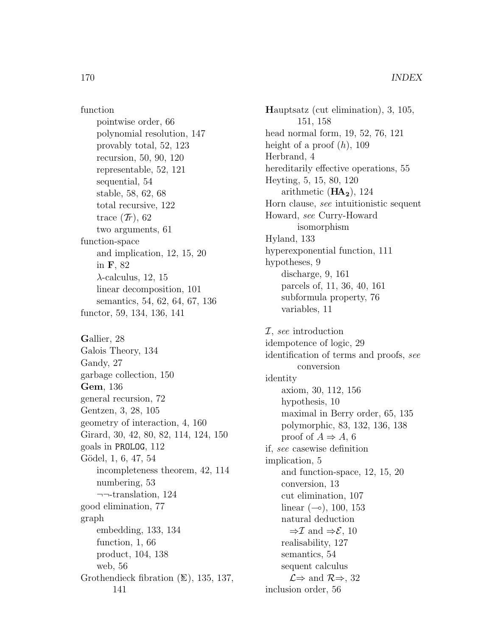function pointwise order, 66 polynomial resolution, 147 provably total, 52, 123 recursion, 50, 90, 120 representable, 52, 121 sequential, 54 stable, 58, 62, 68 total recursive, 122 trace  $(\mathcal{T}_r)$ , 62 two arguments, 61 function-space and implication, 12, 15, 20 in F, 82  $\lambda$ -calculus, 12, 15 linear decomposition, 101 semantics, 54, 62, 64, 67, 136 functor, 59, 134, 136, 141

Gallier, 28 Galois Theory, 134 Gandy, 27 garbage collection, 150 Gem, 136 general recursion, 72 Gentzen, 3, 28, 105 geometry of interaction, 4, 160 Girard, 30, 42, 80, 82, 114, 124, 150 goals in PROLOG, 112 Gödel, 1, 6, 47, 54 incompleteness theorem, 42, 114 numbering, 53 ¬¬-translation, 124 good elimination, 77 graph embedding, 133, 134 function, 1, 66 product, 104, 138 web, 56 Grothendieck fibration  $(\mathbb{\Sigma})$ , 135, 137, 141

Hauptsatz (cut elimination), 3, 105, 151, 158 head normal form, 19, 52, 76, 121 height of a proof  $(h)$ , 109 Herbrand, 4 hereditarily effective operations, 55 Heyting, 5, 15, 80, 120 arithmetic  $(HA<sub>2</sub>)$ , 124 Horn clause, see intuitionistic sequent Howard, see Curry-Howard isomorphism Hyland, 133 hyperexponential function, 111 hypotheses, 9 discharge, 9, 161 parcels of, 11, 36, 40, 161 subformula property, 76 variables, 11 I, see introduction idempotence of logic, 29 identification of terms and proofs, see conversion identity axiom, 30, 112, 156 hypothesis, 10 maximal in Berry order, 65, 135 polymorphic, 83, 132, 136, 138 proof of  $A \Rightarrow A, 6$ if, see casewise definition implication, 5 and function-space, 12, 15, 20 conversion, 13 cut elimination, 107 linear  $(-0)$ , 100, 153 natural deduction  $\Rightarrow$   $\mathcal{I}$  and  $\Rightarrow$   $\mathcal{E}$ , 10 realisability, 127 semantics, 54 sequent calculus  $\mathcal{L}$ ⇒ and R⇒, 32 inclusion order, 56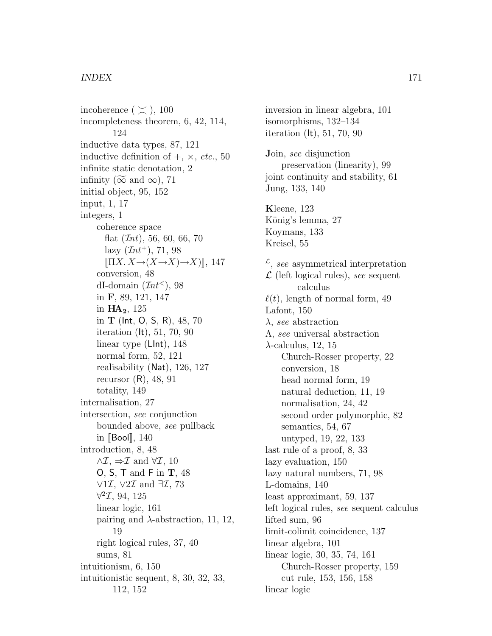## INDEX 171

incoherence  $(\simeq)$ , 100 incompleteness theorem, 6, 42, 114, 124 inductive data types, 87, 121 inductive definition of  $+$ ,  $\times$ , *etc.*, 50 infinite static denotation, 2 infinity ( $\widetilde{\infty}$  and  $\infty$ ), 71 initial object, 95, 152 input, 1, 17 integers, 1 coherence space flat  $(\mathcal{I}nt)$ , 56, 60, 66, 70  $l$ azy  $(\mathcal{I}nt^+), 71, 98$  $[\Pi X. X \rightarrow (X \rightarrow X) \rightarrow X]$ , 147 conversion, 48 dI-domain  $(\mathcal{I}nt^<), 98$ in F, 89, 121, 147 in  $HA<sub>2</sub>$ , 125 in **T** (lnt, O, S, R), 48, 70 iteration (It), 51, 70, 90 linear type (LInt), 148 normal form, 52, 121 realisability (Nat), 126, 127 recursor (R), 48, 91 totality, 149 internalisation, 27 intersection, see conjunction bounded above, see pullback in  $[\text{Bool}]$ , 140 introduction, 8, 48  $\wedge \mathcal{I}$ ,  $\Rightarrow \mathcal{I}$  and  $\forall \mathcal{I}$ , 10 O, S, T and F in T, 48  $\vee$ 1*I*,  $\vee$ 2*I* and  $\exists$ *I*, 73  $\forall^2 \mathcal{I}, 94, 125$ linear logic, 161 pairing and  $\lambda$ -abstraction, 11, 12, 19 right logical rules, 37, 40 sums, 81 intuitionism, 6, 150 intuitionistic sequent, 8, 30, 32, 33, 112, 152

inversion in linear algebra, 101 isomorphisms, 132–134 iteration (It), 51, 70, 90 Join, see disjunction preservation (linearity), 99 joint continuity and stability, 61 Jung, 133, 140 Kleene, 123 König's lemma, 27 Koymans, 133 Kreisel, 55  $\mathcal{L}$ , see asymmetrical interpretation  $\mathcal{L}$  (left logical rules), see sequent calculus  $\ell(t)$ , length of normal form, 49 Lafont, 150  $\lambda$ , see abstraction Λ, see universal abstraction  $\lambda$ -calculus, 12, 15 Church-Rosser property, 22 conversion, 18 head normal form, 19 natural deduction, 11, 19 normalisation, 24, 42 second order polymorphic, 82 semantics, 54, 67 untyped, 19, 22, 133 last rule of a proof, 8, 33 lazy evaluation, 150 lazy natural numbers, 71, 98 L-domains, 140 least approximant, 59, 137 left logical rules, see sequent calculus lifted sum, 96 limit-colimit coincidence, 137 linear algebra, 101 linear logic, 30, 35, 74, 161 Church-Rosser property, 159 cut rule, 153, 156, 158 linear logic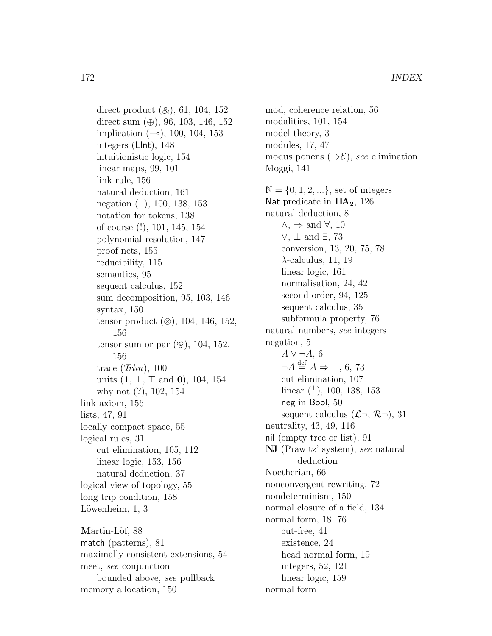direct product  $(8, 61, 104, 152)$ direct sum  $(\oplus)$ , 96, 103, 146, 152 implication  $(-0)$ , 100, 104, 153 integers (LInt), 148 intuitionistic logic, 154 linear maps, 99, 101 link rule, 156 natural deduction, 161 negation  $(^\perp)$ , 100, 138, 153 notation for tokens, 138 of course (!), 101, 145, 154 polynomial resolution, 147 proof nets, 155 reducibility, 115 semantics, 95 sequent calculus, 152 sum decomposition, 95, 103, 146 syntax, 150 tensor product (⊗), 104, 146, 152, 156 tensor sum or par  $(\otimes)$ , 104, 152, 156 trace  $(Triin)$ , 100 units  $(1, \perp, \top \text{ and } 0)$ , 104, 154 why not (?), 102, 154 link axiom, 156 lists, 47, 91 locally compact space, 55 logical rules, 31 cut elimination, 105, 112 linear logic, 153, 156 natural deduction, 37 logical view of topology, 55 long trip condition, 158 Löwenheim, 1, 3

Martin-Löf, 88 match (patterns), 81 maximally consistent extensions, 54 meet, see conjunction bounded above, see pullback memory allocation, 150

mod, coherence relation, 56 modalities, 101, 154 model theory, 3 modules, 17, 47 modus ponens  $(\Rightarrow \mathcal{E})$ , see elimination Moggi, 141  $\mathbb{N} = \{0, 1, 2, \ldots\}$ , set of integers Nat predicate in  $HA<sub>2</sub>$ , 126 natural deduction, 8  $\land$ ,  $\Rightarrow$  and  $\forall$ , 10 ∨, ⊥ and ∃, 73 conversion, 13, 20, 75, 78  $\lambda$ -calculus, 11, 19 linear logic, 161 normalisation, 24, 42 second order, 94, 125 sequent calculus, 35 subformula property, 76 natural numbers, see integers negation, 5  $A \vee \neg A, 6$  $\neg A \stackrel{\text{def}}{=} A \Rightarrow \bot, 6, 73$ cut elimination, 107 linear  $(^\perp)$ , 100, 138, 153 neg in Bool, 50 sequent calculus  $(\mathcal{L} \neg, \mathcal{R} \neg), 31$ neutrality, 43, 49, 116 nil (empty tree or list), 91 NJ (Prawitz' system), see natural deduction Noetherian, 66 nonconvergent rewriting, 72 nondeterminism, 150 normal closure of a field, 134 normal form, 18, 76 cut-free, 41 existence, 24 head normal form, 19 integers, 52, 121 linear logic, 159 normal form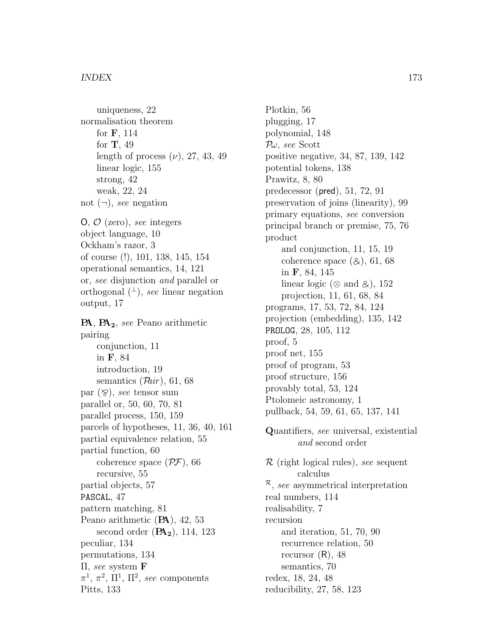## INDEX 173

uniqueness, 22 normalisation theorem for F, 114 for T, 49 length of process  $(\nu)$ , 27, 43, 49 linear logic, 155 strong, 42 weak, 22, 24 not  $(\neg)$ , see negation

 $O, O$  (zero), see integers object language, 10 Ockham's razor, 3 of course (!), 101, 138, 145, 154 operational semantics, 14, 121 or, see disjunction and parallel or orthogonal  $(^\perp)$ , see linear negation output, 17

PA, PA<sub>2</sub>, see Peano arithmetic pairing conjunction, 11 in F, 84 introduction, 19 semantics  $(\mathcal{P}air)$ , 61, 68 par  $(\mathcal{C})$ , see tensor sum parallel or, 50, 60, 70, 81 parallel process, 150, 159 parcels of hypotheses, 11, 36, 40, 161 partial equivalence relation, 55 partial function, 60 coherence space  $(\mathcal{PF})$ , 66 recursive, 55 partial objects, 57 PASCAL, 47 pattern matching, 81 Peano arithmetic (PA), 42, 53 second order  $(\mathbf{PA}_2)$ , 114, 123 peculiar, 134 permutations, 134 Π, see system F  $\pi^1, \pi^2, \Pi^1, \Pi^2$ , see components Pitts, 133

Plotkin, 56 plugging, 17 polynomial, 148 Pω, see Scott positive negative, 34, 87, 139, 142 potential tokens, 138 Prawitz, 8, 80 predecessor (pred), 51, 72, 91 preservation of joins (linearity), 99 primary equations, see conversion principal branch or premise, 75, 76 product and conjunction, 11, 15, 19 coherence space  $(\&)$ , 61, 68 in F, 84, 145 linear logic ( $\otimes$  and  $\otimes$ ), 152 projection, 11, 61, 68, 84 programs, 17, 53, 72, 84, 124 projection (embedding), 135, 142 PROLOG, 28, 105, 112 proof, 5 proof net, 155 proof of program, 53 proof structure, 156 provably total, 53, 124 Ptolomeic astronomy, 1 pullback, 54, 59, 61, 65, 137, 141 Quantifiers, see universal, existential and second order  $\mathcal R$  (right logical rules), see sequent calculus  $\kappa$ , see asymmetrical interpretation real numbers, 114 realisability, 7 recursion and iteration, 51, 70, 90 recurrence relation, 50 recursor  $(R)$ , 48 semantics, 70 redex, 18, 24, 48 reducibility, 27, 58, 123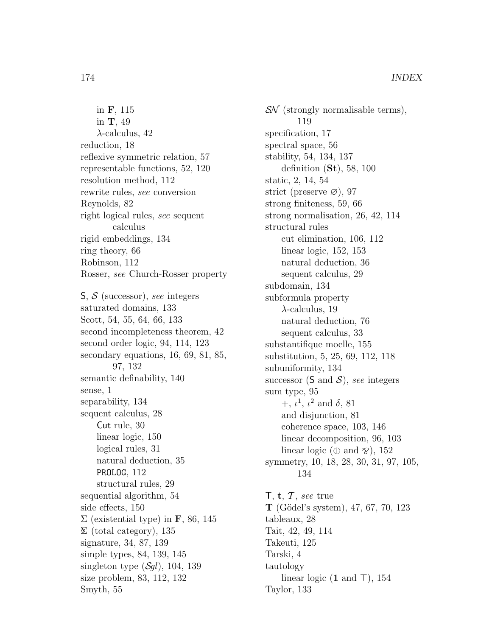in F, 115 in T, 49  $\lambda$ -calculus, 42 reduction, 18 reflexive symmetric relation, 57 representable functions, 52, 120 resolution method, 112 rewrite rules, see conversion Reynolds, 82 right logical rules, see sequent calculus rigid embeddings, 134 ring theory, 66 Robinson, 112 Rosser, see Church-Rosser property  $S, S$  (successor), see integers saturated domains, 133 Scott, 54, 55, 64, 66, 133 second incompleteness theorem, 42 second order logic, 94, 114, 123 secondary equations, 16, 69, 81, 85, 97, 132 semantic definability, 140 sense, 1 separability, 134 sequent calculus, 28 Cut rule, 30 linear logic, 150 logical rules, 31 natural deduction, 35 PROLOG, 112 structural rules, 29 sequential algorithm, 54 side effects, 150  $\Sigma$  (existential type) in **F**, 86, 145  $\Sigma$  (total category), 135 signature, 34, 87, 139 simple types, 84, 139, 145 singleton type  $(Sql)$ , 104, 139 size problem, 83, 112, 132 Smyth, 55

 $\mathcal{SN}$  (strongly normalisable terms), 119 specification, 17 spectral space, 56 stability, 54, 134, 137 definition  $(\mathbf{St})$ , 58, 100 static, 2, 14, 54 strict (preserve  $\varnothing$ ), 97 strong finiteness, 59, 66 strong normalisation, 26, 42, 114 structural rules cut elimination, 106, 112 linear logic, 152, 153 natural deduction, 36 sequent calculus, 29 subdomain, 134 subformula property  $\lambda$ -calculus, 19 natural deduction, 76 sequent calculus, 33 substantifique moelle, 155 substitution, 5, 25, 69, 112, 118 subuniformity, 134 successor (S and S), see integers sum type, 95  $+$ ,  $\iota^1$ ,  $\iota^2$  and  $\delta$ , 81 and disjunction, 81 coherence space, 103, 146 linear decomposition, 96, 103 linear logic ( $\oplus$  and  $\otimes$ ), 152 symmetry, 10, 18, 28, 30, 31, 97, 105, 134  $\mathsf{T}, \mathsf{t}, \mathcal{T}, \text{see true}$  $T$  (Gödel's system), 47, 67, 70, 123 tableaux, 28 Tait, 42, 49, 114 Takeuti, 125 Tarski, 4 tautology linear logic  $(1 \text{ and } \top)$ , 154

Taylor, 133